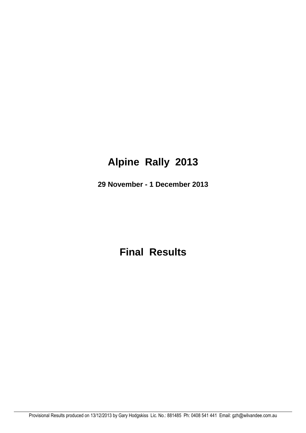# **Alpine Rally 2013**

**29 November - 1 December 2013**

**Final Results**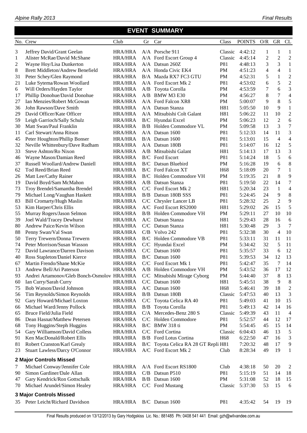|  | Alpine Rally 2013 |
|--|-------------------|
|  |                   |

|    | No. Crew                                                     | Club                             | Gr | Car                                       | Class           | <b>POINTS</b>      | O/R            | GR             | CL             |
|----|--------------------------------------------------------------|----------------------------------|----|-------------------------------------------|-----------------|--------------------|----------------|----------------|----------------|
| 3  | Jeffrey David/Grant Geelan                                   | <b>HRA/HRA</b>                   |    | A/A Porsche 911                           | Classic         | 4:42:12            | 1              | 1              | 1              |
| 1  | Alister McRae/David McShane                                  | <b>HRA/HRA</b>                   |    | A/A Ford Escort Group 4                   | Classic         | 4:45:14            | $\overline{2}$ | $\overline{2}$ | $\overline{2}$ |
| 2  | Wayne Hoy/Lisa Dunkerton                                     | <b>HRA/HRA</b>                   |    | $A/A$ Datsun 260Z                         | P81             | 4:48:13            | 3              | 3              | 1              |
| 8  | Brett Middleton/Andrew Benefield                             | <b>HRA/HRA</b>                   |    | A/A Honda Civic EK4                       | PM              | 4:51:23            | $\overline{4}$ | 4              | $\mathbf{1}$   |
| 31 | Peter Schey/Glen Raymond                                     | <b>HRA/HRA</b>                   |    | B/A Mazda RX7 FC3 GTU                     | PM              | 4:52:31            | 5              | 1              | $\overline{c}$ |
| 21 | Luke Sytema/Rowan Woollard                                   | <b>HRA/HRA</b>                   |    | A/A Ford Escort Mk 2                      | P81             | 4:53:02            | 6              | 5              | $\overline{c}$ |
| 6  | Will Orders/Hayden Taylor                                    | <b>HRA/HRA</b>                   |    | A/B Toyota Corolla                        | PM              | 4:53:59            | 7              | 6              | 3              |
| 17 | Phillip Donohue/David Donohue                                | <b>HRA/HRA</b>                   |    | A/B BMW M3 E30                            | PM              | 4:56:27            | 8              | 7              | $\overline{4}$ |
| 27 | Ian Menzies/Robert McGowan                                   | <b>HRA/HRA</b>                   |    | A/A Ford Falcon XR8                       | PM              | 5:00:07            | 9              | 8              | 5              |
| 36 | John Rawson/Dave Smith                                       | <b>HRA/HRA</b>                   |    | A/A Datsun Stanza                         | H81             | 5:05:50            | 10             | 9              | $\mathbf{1}$   |
| 29 | David Officer/Kate Officer                                   | HRA/HRA                          |    | A/A Mitsubishi Colt Galant                | H81             | 5:06:22            | 11             | 10             | $\overline{c}$ |
| 59 | Leigh Garrioch/Sally Schulz                                  | <b>HRA/HRA</b>                   |    | B/C Hyundai Excel                         | PM              | 5:06:23            | 12             | $\overline{2}$ | 6              |
| 30 | Matt Swan/Paul Franklin                                      | <b>HRA/HRA</b>                   |    | B/B Holden Commodore VL                   | PM              | 5:09:58            | 13             | 3              | $\overline{7}$ |
| 11 | Carl Stewart/Anna Ritson                                     | <b>HRA/HRA</b>                   |    | $A/A$ Datsun 1600                         | P81             | 5:12:33            | 14             | 11             | 3              |
| 45 | Peter Houghton/Phillip Bonser                                | HRA/HRA                          |    | B/A Datsun 1600                           | P81             | 5:13:01            | 15             | $\overline{4}$ | $\overline{4}$ |
| 32 | Neville Whittenbury/Dave Rudham                              | <b>HRA/HRA</b>                   |    | A/A Datsun 180B                           | P81             | 5:14:07            | 16             | 12             | 5              |
| 33 | Steve Ashton/Ro Nixon                                        | <b>HRA/HRA</b>                   |    | A/B Mitsubishi Galant                     | H81             | 5:14:13            | 17             | 13             | 3              |
| 46 | Wayne Mason/Damian Reed                                      | <b>HRA/HRA</b>                   |    | <b>B/C</b> Ford Escort                    | P81             | 5:14:24            | 18             | 5              | 6              |
| 37 | Russell Woollard/Andrew Daniell                              | <b>HRA/HRA</b>                   |    | B/C Datsun Bluebird                       | PM              | 5:16:28            | 19             | 6              | 8              |
| 62 | Tod Reed/Brian Reed                                          | <b>HRA/HRA</b>                   |    | <b>B/C</b> Ford Falcon XT                 | H <sub>68</sub> | 5:18:09            | 20             | 7              | $\mathbf{1}$   |
| 26 | Matt Lee/Cathy Rainer                                        | <b>HRA/HRA</b>                   |    | <b>B/C</b> Holden Commodore VH            | PM              | 5:19:35            | 21             | 8              | 9              |
| 19 | David Boyd/Sam McMahon                                       | <b>HRA/HRA</b>                   |    | A/B Datsun Stanza                         | P81             | 5:19:50            | 22             | 14             | $\overline{7}$ |
| 73 | Troy Brendel/Samantha Brendel                                | <b>HRA/HRA</b>                   |    | C/C Ford Escort Mk 2                      | H81             | 5:20:34            | 23             | 1              | $\overline{4}$ |
| 79 | Michael Long/Vaughan Haskett                                 | <b>HRA/HRA</b>                   |    | B/B Datsun 180B SSS                       | <b>P81</b>      | 5:24:45            | 24             | 9              | 8              |
| 83 | <b>Bill Cromarty/Hugh Maslin</b>                             | <b>HRA/HRA</b>                   |    | C/C Chrysler Lancer LB                    | <b>P81</b>      | 5:28:32            | 25             | $\overline{2}$ | 9              |
| 53 | Kim Harper/Chris Ellis                                       | <b>HRA/HRA</b>                   |    | A/C Ford Escort RS2000                    | H81             | 5:29:02            | 26             | 15             | 5              |
| 55 | Murray Rogers/Jason Selmon                                   | <b>HRA/HRA</b>                   |    | <b>B/B</b> Holden Commodore VH            | PM              | 5:29:11            | 27             | 10             | 10             |
| 39 | Joel Wald/Tracey Dewhurst                                    | <b>HRA/HRA</b>                   |    | A/C Datsun Stanza                         | H81             | 5:29:43            | 28             | 16             | 6              |
| 80 | Andrew Paice/Kevin Wilson                                    | <b>HRA/HRA</b>                   |    | C/C Datsun Stanza                         | H81             | 5:30:48            | 29             | 3              | $\overline{7}$ |
| 88 | Penny Swan/Val Swan                                          | <b>HRA/HRA</b>                   |    | C/B Volvo 242                             | P81             | 5:32:38            | 30             | 4              | 10             |
| 50 | Terry Trewern/Donna Trewern                                  | <b>HRA/HRA</b>                   |    | B/C Holden Commodore VB                   | P81             | 5:33:11            | 31             | 11             | 11             |
| 74 | Peter Morrison/Susan Wasson                                  | <b>HRA/HRA</b>                   |    | C/C Hyundai Excel                         | PM              | 5:34:42            | 32             | 5              | 11             |
| 72 | David Lawrance/Darren Davison                                | <b>HRA/HRA</b>                   |    | C/C Datsun 1600                           | P81             | 5:35:57            | 33             | 6              | 12             |
| 40 | Ross Stapleton/Daniel Kierce                                 | <b>HRA/HRA</b>                   |    | B/C Datsun 1600                           | P81             | 5:39:53            | 34             | 12             | 13             |
| 67 | Martin Frendo/Shane McKie                                    | <b>HRA/HRA</b>                   |    | C/C Ford Escort Mk 1                      | P81             | 5:42:47            | 35             | 7              | 14             |
| 13 | Andrew Bell/Ari Paterson                                     | <b>HRA/HRA</b>                   |    | A/B Holden Commodore VH                   | PM              | 5:43:52            | 36             | 17             | 12             |
| 93 | Andrei Artamonov/Gleb Bonch-Osmolov HRA/HRA                  |                                  |    | C/C Mitsubishi Mirage Cyborg              | PM              | 5:44:40            | 37             | 8              | 13             |
| 60 | Ian Curry/Sarah Curry                                        | <b>HRA/HRA</b>                   |    | C/C Datsun 1600                           | H81             | 5:45:51            | 38             | 9              | 8              |
| 75 | Bob Watson/David Johnson                                     | <b>HRA/HRA</b>                   |    | A/C Datsun 1600                           | H <sub>68</sub> | 5:46:41            | 39             | 18             | $\overline{c}$ |
| 56 | Tim Reynolds/Simon Reynolds                                  | <b>HRA/HRA</b>                   |    | B/B Datsun 180B                           | Classic         | 5:47:53            | 40             | 13             | 3              |
| 92 | Gary Howard/Michael Loxton                                   | <b>HRA/HRA</b>                   |    | C/C Toyota Celica RA 40                   | P81             | 5:49:03            | 41             | 10             | 15             |
| 66 | Michael Ward/Jenny Pollock                                   | <b>HRA/HRA</b>                   |    | <b>B/B</b> Toyota Corolla                 | P81             | 5:49:13            | 42             | 14             | 16             |
| 65 | Bruce Field/Julia Field                                      | <b>HRA/HRA</b>                   |    | C/A Mercedes-Benz 280 S                   | Classic         | 5:49:39            | 43             | 11             | $\overline{4}$ |
| 86 | Dean Hasnat/Matthew Petersen                                 | <b>HRA/HRA</b>                   |    | C/C Holden Commodore                      | P81             | 5:52:57            | 44             | 12             | 17             |
| 68 | Tony Huggins/Steph Huggins                                   | <b>HRA/HRA</b>                   |    | B/C BMW 318 ti                            | PM              | 5:54:45            | 45             | 15             | 14             |
| 54 | Gary Williamson/David Colless                                | <b>HRA/HRA</b>                   |    | C/C Ford Cortina                          | Classic         | 6:04:43            | 46             | 13             | 5              |
| 91 | Ken MacDonald/Robert Ellis                                   | <b>HRA/HRA</b>                   |    | <b>B/B</b> Ford Lotus Cortina             | H <sub>68</sub> | 6:22:50            | 47             | 16             | 3              |
| 81 | Robert Cranston/Karl Grealy                                  | <b>HRA/HRA</b>                   |    | B/C Toyota Celica RA 28 GT Repli H81      |                 | 7:20:32            | 48             | 17             | 9              |
| 23 | <b>Stuart Lawless/Darcy O'Connor</b>                         | <b>HRA/HRA</b>                   |    | A/C Ford Escort Mk 2                      | Club            | 8:28:34            | 49             | 19             | $\mathbf{1}$   |
|    | 2 Major Controls Missed                                      |                                  |    |                                           |                 |                    |                |                |                |
|    |                                                              |                                  |    |                                           |                 |                    |                |                |                |
| 7  | Michael Conway/Jennifer Cole<br>Simon Gardiner/Dale Allan    | <b>HRA/HRA</b>                   |    | A/A Ford Escort RS1800<br>C/B Datsun P510 | Club            | 4:38:18            | 50             | 20             | 2              |
| 90 |                                                              | <b>HRA/HRA</b>                   |    |                                           | P81             | 5:15:19            | 51             | 14             | 18             |
| 47 | Gary Kendrick/Ron Gottschalk<br>Michael Arundel/Simon Healey | <b>HRA/HRA</b><br><b>HRA/HRA</b> |    | B/B Datsun 1600<br>C/C Ford Mustang       | PM              | 5:31:08<br>5:37:30 | 52<br>53       | 18<br>15       | 15<br>6        |
| 70 |                                                              |                                  |    |                                           | Classic         |                    |                |                |                |
|    | <b>3 Major Controls Missed</b>                               |                                  |    |                                           |                 |                    |                |                |                |
| 35 | Peter Leicht/Richard Davidson                                | <b>HRA/HRA</b>                   |    | B/C Datsun 1600                           | P81             | 4:35:42            | 54             | 19             | 19             |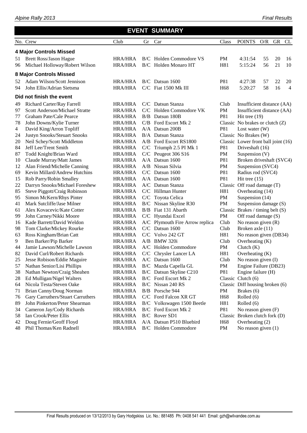|    | <b>EVENT SUMMARY</b><br>No. Crew<br>GR CL |                |    |                                 |                 |                                     |     |    |                |  |  |  |  |  |
|----|-------------------------------------------|----------------|----|---------------------------------|-----------------|-------------------------------------|-----|----|----------------|--|--|--|--|--|
|    |                                           | Club           | Gr | Car                             | Class           | <b>POINTS</b>                       | O/R |    |                |  |  |  |  |  |
|    | <b>4 Major Controls Missed</b>            |                |    |                                 |                 |                                     |     |    |                |  |  |  |  |  |
| 51 | <b>Brett Ross/Jason Hague</b>             | HRA/HRA        |    | B/C Holden Commodore VS         | <b>PM</b>       | 4:31:54                             | 55  | 20 | 16             |  |  |  |  |  |
| 96 | Michael Holloway/Robert Wilson            | <b>HRA/HRA</b> |    | B/C Holden Monaro HT            | H81             | 5:15:24                             | 56  | 21 | 10             |  |  |  |  |  |
|    | <b>8 Major Controls Missed</b>            |                |    |                                 |                 |                                     |     |    |                |  |  |  |  |  |
| 52 | Adam Wilson/Scott Jennison                | <b>HRA/HRA</b> |    | $B/C$ Datsun 1600               | P81             | 4:27:38                             | 57  | 22 | 20             |  |  |  |  |  |
| 94 | John Ellis/Adrian Sietsma                 | <b>HRA/HRA</b> |    | C/C Fiat 1500 Mk III            | H <sub>68</sub> | 5:20:27                             | 58  | 16 | $\overline{4}$ |  |  |  |  |  |
|    | Did not finish the event                  |                |    |                                 |                 |                                     |     |    |                |  |  |  |  |  |
| 49 | Richard Carter/Ray Farrell                | <b>HRA/HRA</b> |    | C/C Datsun Stanza               | Club            | Insufficient distance (AA)          |     |    |                |  |  |  |  |  |
| 97 | Scott Anderson/Michael Stratte            | <b>HRA/HRA</b> |    | C/C Holden Commodore VK         | PM              | Insufficient distance (AA)          |     |    |                |  |  |  |  |  |
| 77 | Graham Pate/Cale Pearce                   | <b>HRA/HRA</b> |    | B/B Datsun 180B                 | P81             | Hit tree $(19)$                     |     |    |                |  |  |  |  |  |
| 78 | John Downs/Kylie Turner                   | <b>HRA/HRA</b> |    | C/B Ford Escort Mk 2            |                 | Classic No brakes or clutch (Z)     |     |    |                |  |  |  |  |  |
| 4  | David King/Arron Topliff                  | <b>HRA/HRA</b> |    | A/A Datsun 200B                 | P81             | Lost water $(W)$                    |     |    |                |  |  |  |  |  |
| 24 | Justyn Snooks/Steuart Snooks              | <b>HRA/HRA</b> |    | B/A Datsun Stanza               |                 | Classic No Brakes (W)               |     |    |                |  |  |  |  |  |
| 20 | Neil Schey/Scott Middleton                | <b>HRA/HRA</b> |    | A/B Ford Escort RS1800          |                 | Classic Lower front ball joint (16) |     |    |                |  |  |  |  |  |
| 84 | Jeff Lee/Trent Smith                      | <b>HRA/HRA</b> |    | C/C Triumph 2.5 PI Mk 1         | P81             | Driveshaft (16)                     |     |    |                |  |  |  |  |  |
| 87 | Todd Knight/Brian Ward                    | <b>HRA/HRA</b> |    | C/C Peugeot 306 S16             | PM              | Suspension (V)                      |     |    |                |  |  |  |  |  |
| 10 | Claude Murray/Matt James                  | <b>HRA/HRA</b> |    | A/A Datsun 1600                 | P81             | Broken driveshaft (SVC4)            |     |    |                |  |  |  |  |  |
| 12 | Alan Friend/Michelle Canning              | <b>HRA/HRA</b> |    | A/B Nissan Silvia               | PM              | Suspension (SVC4)                   |     |    |                |  |  |  |  |  |
| 69 | Kevin Millard/Andrew Hutchins             | <b>HRA/HRA</b> |    | C/C Datsun 1600                 | P81             | Radius rod (SVC4)                   |     |    |                |  |  |  |  |  |
| 15 | Rob Parry/Robin Smalley                   | <b>HRA/HRA</b> |    | A/A Datsun 1600                 | P81             | Hit tree $(15)$                     |     |    |                |  |  |  |  |  |
| 22 | Darryn Snooks/Michael Foreshew            | <b>HRA/HRA</b> |    | A/C Datsun Stanza               |                 | Classic Off road damage (T)         |     |    |                |  |  |  |  |  |
| 85 | Steve Piggott/Craig Robinson              | <b>HRA/HRA</b> |    | C/C Hillman Hunter              | H81             | Overheating (14)                    |     |    |                |  |  |  |  |  |
| 95 | Simon McKern/Rhys Pinter                  | <b>HRA/HRA</b> |    | C/C Toyota Celica               | PM              | Suspension (14)                     |     |    |                |  |  |  |  |  |
| 41 | Mark Sutcliffe/Jase Milner                | <b>HRA/HRA</b> |    | B/C Nissan Skyline R30          | PM              | Suspension damage (S)               |     |    |                |  |  |  |  |  |
| 61 | Alex Kovacevic/Kate Cotter                | <b>HRA/HRA</b> |    | B/B Fiat 131 Abarth             |                 | Classic Brakes / timing belt $(S)$  |     |    |                |  |  |  |  |  |
| 99 | John Carney/Nikki Moore                   | <b>HRA/HRA</b> |    | C/C Hyundai Excel               | PM              | Off road damage (S)                 |     |    |                |  |  |  |  |  |
| 16 | Kade Barrett/David Weldon                 | <b>HRA/HRA</b> |    | A/C Plymouth Fire Arrow replica | Club            | No reason given $(R)$               |     |    |                |  |  |  |  |  |
| 98 | Tom Clarke/Mickey Rourke                  | <b>HRA/HRA</b> |    | C/C Datsun 1600                 | Club            | Broken axle (11)                    |     |    |                |  |  |  |  |  |
| 63 | Ross Kingham/Brian Catt                   | <b>HRA/HRA</b> |    | C/C Volvo 242 GT                | H81             | No reason given (DB34)              |     |    |                |  |  |  |  |  |
| 9  | Ben Barker/Pip Barker                     | <b>HRA/HRA</b> |    | A/B BMW 320i                    | Club            | Overheating (K)                     |     |    |                |  |  |  |  |  |
| 44 | Jamie Lawson/Michelle Lawson              | <b>HRA/HRA</b> |    | A/C Holden Commodore            | PM              | Clutch (K)                          |     |    |                |  |  |  |  |  |
| 82 | David Curl/Robert Richards                | <b>HRA/HRA</b> |    | C/C Chrysler Lancer LA          | H81             | Overheating $(K)$                   |     |    |                |  |  |  |  |  |
| 25 | Jesse Robison/Eddie Maguire               | <b>HRA/HRA</b> |    | A/C Datsun 1600                 | Club            | No reason given (I)                 |     |    |                |  |  |  |  |  |
| 57 | Nathan Senior/Lisi Phillips               | <b>HRA/HRA</b> |    | B/C Mazda Capella GL            | PM              | Engine Failure (DB23)               |     |    |                |  |  |  |  |  |
| 38 | Nathan Newton/Craig Sheahen               | <b>HRA/HRA</b> |    | B/C Datsun Skyline C210         | P81             | Engine failure (H)                  |     |    |                |  |  |  |  |  |
| 28 | Ed Mulligan/Nigel Walters                 | <b>HRA/HRA</b> |    | B/C Ford Escort Mk 2            |                 | Classic Clutch (6)                  |     |    |                |  |  |  |  |  |
| 64 | Nicola Testa/Steven Oake                  | <b>HRA/HRA</b> |    | B/C Nissan 240 RS               |                 | Classic Diff housing broken (6)     |     |    |                |  |  |  |  |  |
| 71 | Brian Canny/Doug Norman                   | <b>HRA/HRA</b> |    | B/B Porsche 944                 | PM              | Brakes (6)                          |     |    |                |  |  |  |  |  |
| 76 | Gary Carruthers/Stuart Carruthers         | <b>HRA/HRA</b> |    | C/C Ford Falcon XR GT           | H <sub>68</sub> | Rolled (6)                          |     |    |                |  |  |  |  |  |
| 89 | John Pinkerton/Peter Shearman             | <b>HRA/HRA</b> |    | B/C Volkswagen 1500 Beetle      | H81             | Rolled (6)                          |     |    |                |  |  |  |  |  |
| 34 | Cameron Jay/Cody Richards                 | <b>HRA/HRA</b> |    | <b>B/C</b> Ford Escort Mk 2     | P81             | No reason given $(F)$               |     |    |                |  |  |  |  |  |
| 58 | Ian Crook/Peter Ellis                     | <b>HRA/HRA</b> |    | B/C Rover SD1                   |                 | Classic Broken clutch fork (D)      |     |    |                |  |  |  |  |  |
| 42 | Doug Fernie/Geoff Floyd                   | <b>HRA/HRA</b> |    | A/A Datsun P510 Bluebird        | H <sub>68</sub> | Overheating (2)                     |     |    |                |  |  |  |  |  |
| 48 | Phil Thomas/Ken Radnell                   | <b>HRA/HRA</b> |    | <b>B/C</b> Holden Commodore     | PM              | No reason given $(1)$               |     |    |                |  |  |  |  |  |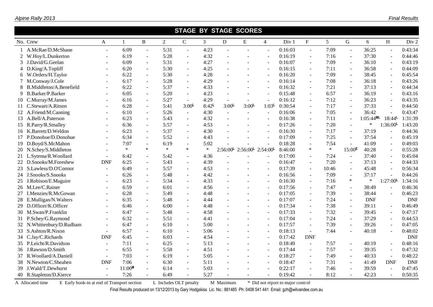|                           | <b>STAGE BY STAGE SCORES</b> |              |                |                |                          |                   |                     |                                           |                          |         |               |                |           |              |                          |            |
|---------------------------|------------------------------|--------------|----------------|----------------|--------------------------|-------------------|---------------------|-------------------------------------------|--------------------------|---------|---------------|----------------|-----------|--------------|--------------------------|------------|
| No. Crew                  | $\mathbf{A}$                 | $\mathbf{1}$ | B              | $\overline{2}$ | $\mathbf C$              | 3                 | D                   | ${\bf E}$                                 | $\overline{4}$           | Div 1   | $\mathbf{F}$  | 5 <sup>5</sup> | G         | 6            | H                        | Div 2      |
| A.McRae/D.McShane         | $\sim$                       | 6:09         | $\sim$         | 5:31           | $\overline{\phantom{a}}$ | 4:23              | $\overline{a}$      |                                           | $\overline{\phantom{a}}$ | 0:16:03 | $\omega$      | 7:09           | $\sim$    | 36:25        | $\ddot{\phantom{1}}$     | 0:43:34    |
| 2 W.Hoy/L.Dunkerton       |                              | 6:19         | $\sim$         | 5:28           | $\omega$                 | 4:32              |                     |                                           | $\overline{\phantom{a}}$ | 0:16:19 | $\sim$        | 7:16           | $\sim$    | 37:30        | $\overline{\phantom{a}}$ | 0:44:46    |
| 3 J.David/G.Geelan        |                              | 6:09         |                | 5:31           | $\blacksquare$           | 4:27              |                     |                                           |                          | 0:16:07 | $\sim$        | 7:09           |           | 36:10        | $\overline{\phantom{a}}$ | 0:43:19    |
| 4 D.King/A.Topliff        |                              | 6:20         | $\sim$         | 5:30           | $\blacksquare$           | 4:25              |                     |                                           | $\sim$                   | 0:16:15 | $\sim$        | 7:11           | $\sim$    | 36:58        | $\overline{\phantom{a}}$ | 0:44:09    |
| 6 W.Orders/H.Taylor       |                              | 6:22         | $\mathbf{r}$   | 5:30           | $\overline{\phantom{a}}$ | 4:28              |                     |                                           | $\overline{\phantom{a}}$ | 0:16:20 | $\sim$        | 7:09           | $\sim$    | 38:45        | $\blacksquare$           | 0:45:54    |
| M.Conway/J.Cole           |                              | 6:17         | $\sim$         | 5:28           | $\mathbf{r}$             | 4:29              |                     |                                           | $\sim$                   | 0:16:14 | $\sim$        | 7:08           | $\sim$    | 36:18        | $\blacksquare$           | 0:43:26    |
| 8 B.Middleton/A.Benefield |                              | 6:22         | $\sim$         | 5:37           | $\sim$                   | 4:33              | $\overline{a}$      | $\sim$                                    | $\overline{\phantom{a}}$ | 0:16:32 | $\mathcal{L}$ | 7:21           | $\sim$    | 37:13        | $\overline{\phantom{a}}$ | 0:44:34    |
| 9 B.Barker/P.Barker       |                              | 6:05         | $\sim$         | 5:20           | $\overline{\phantom{a}}$ | 4:23              |                     | $\sim$                                    |                          | 0:15:48 | $\sim$        | 6:57           |           | 36:19        | $\blacksquare$           | 0:43:16    |
| 10 C.Murray/M.James       | ÷.                           | 6:16         | $\omega$       | 5:27           | $\omega$                 | 4:29              | $\sim$              | $\sim$                                    | $\overline{\phantom{a}}$ | 0:16:12 | $\sim$        | 7:12           | $\sim$    | 36:23        | $\overline{\phantom{a}}$ | 0:43:35    |
| 11 C.Stewart/A.Ritson     |                              | 6:28         | $\mathbf{r}$   | 5:41           | 3:00 <sup>L</sup>        | 8:42 <sup>L</sup> | $3:00^{\mathsf{L}}$ | $3:00^{\mathsf{L}}$                       | 1:03 <sup>L</sup>        | 0:30:54 | $\sim$        | 7:17           |           | 37:33        | $\blacksquare$           | 0:44:50    |
| 12 A.Friend/M.Canning     |                              | 6:10         | $\overline{a}$ | 5:26           | $\sim$                   | 4:30              | $\sim$              | $\sim$                                    | $\overline{\phantom{a}}$ | 0:16:06 | $\sim$        | 7:05           |           | 36:42        |                          | 0:43:47    |
| 13 A.Bell/A.Paterson      |                              | 6:23         |                | 5:43           | $\blacksquare$           | 4:32              |                     |                                           |                          | 0:16:38 | $\sim$        | 7:11           | $\sim$    | $1:05:44$ ML | 18:44 <sup>L</sup>       | 1:31:39    |
| 15 R.Parry/R.Smalley      |                              | 6:36         | $\mathbf{r}$   | 5:57           | $\overline{\phantom{a}}$ | 4:53              |                     |                                           | $\overline{\phantom{a}}$ | 0:17:26 | $\omega$      | 7:20           |           | $\ast$       | 1:36:00                  | 1:43:20    |
| 16 K.Barrett/D.Weldon     |                              | 6:23         | $\sim$         | 5:37           | $\mathbf{r}$             | 4:30              |                     |                                           | $\sim$                   | 0:16:30 | $\sim$        | 7:17           | $\sim$    | 37:19        | $\mathbf{r}$             | 0:44:36    |
| 17 P.Donohue/D.Donohue    |                              | 6:34         | $\sim$         | 5:52           | $\sim$                   | 4:43              |                     | $\sim$                                    | $\sim$                   | 0:17:09 | $\omega$      | 7:25           |           | 37:54        | $\mathbb{L}$             | 0:45:19    |
| 19 D.Boyd/S.McMahon       |                              | 7:07         | $\sim$         | 6:19           | $\blacksquare$           | 5:02              |                     |                                           |                          | 0:18:28 | $\sim$        | 7:54           |           | 41:09        | $\blacksquare$           | 0:49:03    |
| 20 N.Schey/S.Middleton    | $\overline{\phantom{a}}$     | $\ast$       | $\ast$         | $\ast$         | $\ast$                   | $\ast$            |                     | $2:56:00^{L}$ $2:56:00^{L}$ $2:54:00^{L}$ |                          | 8:46:00 | $\ast$        | $\ast$         | $15:00^E$ | 40:28        | $\blacksquare$           | 0:55:28    |
| 21 L.Sytema/R.Woollard    | $\mathbf{r}$                 | 6:42         | $\sim$         | 5:42           | $\blacksquare$           | 4:36              |                     |                                           |                          | 0:17:00 | $\sim$        | 7:24           | $\sim$    | 37:40        | $\blacksquare$           | 0:45:04    |
| 22 D.Snooks/M.Foreshew    | <b>DNF</b>                   | 6:25         | $\sim$         | 5:43           | $\mathbf{r}$             | 4:39              |                     |                                           | $\overline{\phantom{a}}$ | 0:16:47 | $\sim$        | 7:20           |           | 37:13        | $\sim$                   | 0:44:33    |
| 23 S.Lawless/D.O'Connor   |                              | 6:49         |                | 5:57           | $\blacksquare$           | 4:53              |                     |                                           | $\sim$                   | 0:17:39 | $\sim$        | 10:46          |           | 45:48        | $\blacksquare$           | 0:56:34    |
| 24 J.Snooks/S.Snooks      |                              | 6:26         | $\sim$         | 5:48           | $\mathbf{r}$             | 4:42              |                     |                                           | $\overline{\phantom{a}}$ | 0:16:56 | $\sim$        | 7:09           |           | 37:17        |                          | 0:44:26    |
| 25 J.Robison/E.Maguire    |                              | 6:23         | $\sim$         | 5:34           | $\mathbf{r}$             | 4:33              |                     |                                           | $\sim$                   | 0:16:30 | $\sim$        | 7:16           | $\ast$    | $\ast$       | 1:27:00                  | 1:34:16    |
| 26 M.Lee/C.Rainer         |                              | 6:59         | $\sim$         | 6:01           | $\mathbf{r}$             | 4:56              | ÷.                  | $\sim$                                    | $\overline{\phantom{a}}$ | 0:17:56 | $\mathcal{L}$ | 7:47           | $\sim$    | 38:49        | $\sim$                   | 0:46:36    |
| 27 I.Menzies/R.McGowan    |                              | 6:28         |                | 5:49           | $\overline{\phantom{a}}$ | 4:48              |                     |                                           | $\overline{\phantom{a}}$ | 0:17:05 | $\sim$        | 7:39           |           | 38:44        | $\blacksquare$           | 0:46:23    |
| 28 E.Mulligan/N.Walters   |                              | 6:35         | $\omega$       | 5:48           | $\omega$                 | 4:44              |                     |                                           |                          | 0:17:07 | $\sim$        | 7:24           | $\sim$    | <b>DNF</b>   |                          | <b>DNF</b> |
| 29 D.Officer/K.Officer    |                              | 6:46         | $\sim$         | 6:00           | $\omega$                 | 4:48              |                     |                                           | $\sim$                   | 0:17:34 | $\sim$        | 7:38           | $\sim$    | 39:11        | $\overline{a}$           | 0:46:49    |
| 30 M.Swan/P.Franklin      |                              | 6:47         | $\sim$         | 5:48           | $\sim$                   | 4:58              |                     |                                           | $\overline{\phantom{a}}$ | 0:17:33 | $\sim$        | 7:32           | $\sim$    | 39:45        | $\blacksquare$           | 0:47:17    |
| 31 P.Schey/G.Raymond      |                              | 6:32         |                | 5:51           |                          | 4:41              |                     |                                           |                          | 0:17:04 | $\sim$        | 7:24           |           | 37:29        | $\ddot{\phantom{1}}$     | 0:44:53    |
| 32 N.Whittenbury/D.Rudham |                              | 6:47         | $\sim$         | 6:10           | $\omega$                 | 5:00              |                     |                                           | $\overline{\phantom{a}}$ | 0:17:57 | $\sim$        | 7:39           |           | 39:26        | $\blacksquare$           | 0:47:05    |
| 33 S.Ashton/R.Nixon       |                              | 6:57         | ÷.             | 6:10           | $\sim$                   | 5:06              |                     |                                           | $\sim$                   | 0:18:13 | $\sim$        | 7:44           |           | 40:18        | $\overline{a}$           | 0:48:02    |
| 34 C.Jay/C.Richards       | <b>DNF</b>                   | 6:45         | $\mathbf{r}$   | 6:03           | $\blacksquare$           | 4:54              |                     |                                           | $\overline{\phantom{a}}$ | 0:17:42 | <b>DNF</b>    |                |           |              |                          | <b>DNF</b> |
| 35 P.Leicht/R.Davidson    | $\sim$                       | 7:11         | $\sim$         | 6:25           | $\blacksquare$           | 5:13              | $\overline{a}$      |                                           | $\overline{\phantom{a}}$ | 0:18:49 | $\omega$      | 7:57           | $\sim$    | 40:19        | $\bar{\phantom{a}}$      | 0:48:16    |
| 36 J.Rawson/D.Smith       | $\sim$                       | 6:55         | $\sim$         | 5:58           | $\omega$                 | 4:51              |                     | $\sim$                                    | $\sim$                   | 0:17:44 | $\omega$      | 7:57           | $\sim$    | 39:35        | $\overline{\phantom{a}}$ | 0:47:32    |
| 37 R.Woollard/A.Daniell   | $\sim$                       | 7:03         | $\sim$         | 6:19           | $\blacksquare$           | 5:05              |                     |                                           | $\overline{\phantom{a}}$ | 0:18:27 | $\sim$        | 7:49           | $\sim$    | 40:33        | $\overline{\phantom{a}}$ | 0:48:22    |
| 38 N.Newton/C.Sheahen     | <b>DNF</b>                   | 7:06         | $\sim$         | 6:30           | $\sim$                   | 5:11              |                     |                                           |                          | 0:18:47 | $\sim$        | 7:31           | $\sim$    | 41:49        | <b>DNF</b>               | <b>DNF</b> |
| 39 J.Wald/T.Dewhurst      |                              | $11:00^M$    |                | 6:14           |                          | 5:03              |                     |                                           |                          | 0:22:17 |               | 7:46           |           | 39:59        |                          | 0:47:45    |
| 40 R.Stapleton/D.Kierce   |                              | 7:26         |                | 6:49           |                          | 5:27              |                     |                                           |                          | 0:19:42 |               | 8:12           |           | 42:23        | $\sim$                   | 0:50:35    |

A Allocated time E Early book-in at end of Transport section L Includes OLT penalty M Maximum \* Did not report to major control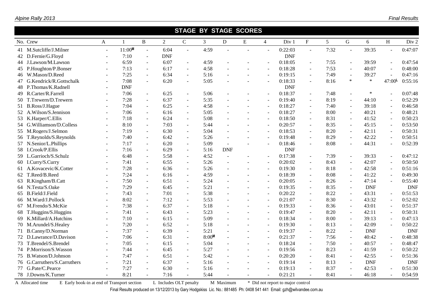|    | <b>STAGE BY STAGE SCORES</b> |                          |                    |                |                |                          |                   |                |                          |                          |            |                           |                 |                      |            |                          |            |
|----|------------------------------|--------------------------|--------------------|----------------|----------------|--------------------------|-------------------|----------------|--------------------------|--------------------------|------------|---------------------------|-----------------|----------------------|------------|--------------------------|------------|
|    | No. Crew                     | $\mathbf{A}$             | $\mathbf{1}$       | B              | $\overline{2}$ | $\mathbf C$              | 3                 | D              | ${\bf E}$                | $\overline{4}$           | Div 1      | $\boldsymbol{\mathrm{F}}$ | $5\overline{)}$ | $\mathsf G$          | 6          | H                        | Div 2      |
|    | 41 M.Sutcliffe/J.Milner      | $\sim$                   | 11:00 <sup>M</sup> | $\sim$         | 6:04           | $\overline{a}$           | 4:59              |                | $\overline{a}$           |                          | 0:22:03    | $\sim$                    | 7:32            | $\overline{a}$       | 39:35      | $\overline{a}$           | 0:47:07    |
|    | 42 D.Fernie/G.Floyd          |                          | 7:10               | $\sim$         | <b>DNF</b>     |                          |                   |                |                          |                          | <b>DNF</b> |                           |                 |                      |            |                          |            |
|    | 44 J.Lawson/M.Lawson         |                          | 6:59               | $\sim$         | 6:07           | $\overline{a}$           | 4:59              |                |                          |                          | 0:18:05    | $\blacksquare$            | 7:55            | $\overline{a}$       | 39:59      | $\overline{\phantom{a}}$ | 0:47:54    |
|    | 45 P.Houghton/P.Bonser       | $\overline{a}$           | 7:13               | $\sim$         | 6:17           | $\blacksquare$           | 4:58              |                |                          |                          | 0:18:28    | $\sim$                    | 7:53            | $\sim$               | 40:07      | $\blacksquare$           | 0:48:00    |
|    | 46 W.Mason/D.Reed            | $\sim$                   | 7:25               |                | 6:34           | $\sim$                   | 5:16              |                | $\sim$                   | $\sim$                   | 0:19:15    | $\sim$                    | 7:49            | $\sim$               | 39:27      | $\overline{a}$           | 0:47:16    |
|    | 47 G.Kendrick/R.Gottschalk   | $\overline{a}$           | 7:08               | $\overline{a}$ | 6:20           | $\overline{\phantom{a}}$ | 5:05              |                |                          |                          | 0:18:33    | $\blacksquare$            | 8:16            | $\ast$               | $\ast$     | $47:00^{\text{L}}$       | 0:55:16    |
|    | 48 P.Thomas/K.Radnell        |                          | <b>DNF</b>         |                |                |                          |                   |                |                          |                          | <b>DNF</b> |                           |                 |                      |            |                          |            |
| 49 | R.Carter/R.Farrell           | $\overline{a}$           | 7:06               | $\sim$         | 6:25           | $\blacksquare$           | 5:06              | $\sim$         |                          |                          | 0:18:37    | $\blacksquare$            | 7:48            | $\blacksquare$       | $\ast$     | $\sim$                   | 0:07:48    |
|    | 50 T.Trewern/D.Trewern       |                          | 7:28               | $\sim$         | 6:37           | $\overline{a}$           | 5:35              | $\overline{a}$ |                          |                          | 0:19:40    | $\overline{a}$            | 8:19            | $\sim$               | 44:10      | $\sim$                   | 0:52:29    |
|    | 51 B.Ross/J.Hague            | $\overline{\phantom{a}}$ | 7:04               | $\sim$         | 6:25           | $\blacksquare$           | 4:58              | $\sim$         | $\sim$                   | $\overline{\phantom{a}}$ | 0:18:27    | $\sim$                    | 7:40            | $\sim$               | 39:18      | $\blacksquare$           | 0:46:58    |
|    | 52 A.Wilson/S.Jennison       |                          | 7:06               | $\sim$         | 6:16           | $\blacksquare$           | 5:05              |                |                          |                          | 0:18:27    | $\sim$                    | 8:00            | $\sim$               | 40:21      | $\blacksquare$           | 0:48:21    |
|    | 53 K.Harper/C.Ellis          | $\overline{a}$           | 7:18               | $\sim$         | 6:24           | $\blacksquare$           | 5:08              | $\sim$         | $\blacksquare$           |                          | 0:18:50    | $\sim$                    | 8:31            | $\sim$               | 41:52      | $\blacksquare$           | 0:50:23    |
|    | 54 G.Williamson/D.Colless    | $\overline{a}$           | 8:10               | $\sim$         | 7:03           | $\blacksquare$           | 5:44              |                |                          |                          | 0:20:57    | $\blacksquare$            | 8:35            | $\sim$               | 45:15      | $\blacksquare$           | 0:53:50    |
|    | 55 M.Rogers/J.Selmon         |                          | 7:19               | $\mathbf{r}$   | 6:30           | $\blacksquare$           | 5:04              |                |                          |                          | 0:18:53    | $\sim$                    | 8:20            | $\sim$               | 42:11      | $\sim$                   | 0:50:31    |
| 56 | T.Reynolds/S.Reynolds        | $\overline{a}$           | 7:40               | $\sim$         | 6:42           | $\blacksquare$           | 5:26              | $\sim$         |                          |                          | 0:19:48    | $\mathbf{r}$              | 8:29            | $\sim$               | 42:22      | $\blacksquare$           | 0:50:51    |
|    | 57 N.Senior/L.Phillips       | $\sim$                   | 7:17               | $\sim$         | 6:20           | $\overline{a}$           | 5:09              | $\sim$         |                          |                          | 0:18:46    | $\mathbf{r}$              | 8:08            | $\sim$               | 44:31      | $\blacksquare$           | 0:52:39    |
|    | 58 I.Crook/P.Ellis           | $\sim$                   | 7:16               | $\sim$         | 6:29           | $\blacksquare$           | 5:16              | <b>DNF</b>     |                          |                          | <b>DNF</b> |                           |                 |                      |            |                          |            |
|    | 59 L.Garrioch/S.Schulz       |                          | 6:48               | $\sim$         | 5:58           | $\overline{\phantom{a}}$ | 4:52              | $\overline{a}$ |                          |                          | 0:17:38    | $\blacksquare$            | 7:39            | $\sim$               | 39:33      | $\blacksquare$           | 0:47:12    |
|    | 60 I.Curry/S.Curry           | $\overline{a}$           | 7:41               | $\sim$         | 6:55           | $\blacksquare$           | 5:26              | $\sim$         |                          |                          | 0:20:02    | $\blacksquare$            | 8:43            | $\ddot{\phantom{1}}$ | 42:07      | $\blacksquare$           | 0:50:50    |
|    | 61 A.Kovacevic/K.Cotter      | $\sim$                   | 7:28               | $\sim$         | 6:36           | $\blacksquare$           | 5:26              | $\sim$         | $\blacksquare$           |                          | 0:19:30    | $\omega$                  | 8:18            | $\sim$               | 42:58      | $\blacksquare$           | 0:51:16    |
|    | 62 T.Reed/B.Reed             | $\overline{\phantom{a}}$ | 7:24               | $\sim$         | 6:16           | $\blacksquare$           | 4:59              | $\sim$         |                          |                          | 0:18:39    | $\blacksquare$            | 8:08            | $\blacksquare$       | 41:22      | $\blacksquare$           | 0:49:30    |
| 63 | R.Kingham/B.Catt             |                          | 7:50               | $\blacksquare$ | 6:51           | $\blacksquare$           | 5:24              | $\overline{a}$ |                          |                          | 0:20:05    | $\sim$                    | 8:26            | $\sim$               | 47:14      | $\sim$                   | 0:55:40    |
|    | 64 N.Testa/S.Oake            | ٠                        | 7:29               | $\sim$         | 6:45           | $\blacksquare$           | 5:21              | $\overline{a}$ | ÷.                       |                          | 0:19:35    | $\sim$                    | 8:35            | $\sim$               | <b>DNF</b> |                          | <b>DNF</b> |
| 65 | B.Field/J.Field              |                          | 7:43               | $\sim$         | 7:01           | $\blacksquare$           | 5:38              | $\sim$         |                          |                          | 0:20:22    | $\sim$                    | 8:22            | $\sim$               | 43:31      | $\overline{\phantom{a}}$ | 0:51:53    |
|    | 66 M.Ward/J.Pollock          |                          | 8:02               | $\sim$         | 7:12           | $\blacksquare$           | 5:53              | $\overline{a}$ | $\overline{\phantom{a}}$ |                          | 0:21:07    | $\blacksquare$            | 8:30            | $\sim$               | 43:32      | $\blacksquare$           | 0:52:02    |
| 67 | M.Frendo/S.McKie             |                          | 7:38               | $\sim$         | 6:37           | ÷.                       | 5:18              | $\overline{a}$ |                          |                          | 0:19:33    | $\sim$                    | 8:36            | $\sim$               | 43:01      | $\blacksquare$           | 0:51:37    |
| 68 | T.Huggins/S.Huggins          | $\sim$                   | 7:41               | $\sim$         | 6:43           | $\blacksquare$           | 5:23              | $\sim$         | $\sim$                   |                          | 0:19:47    | $\sim$                    | 8:20            | $\sim$               | 42:11      | $\blacksquare$           | 0:50:31    |
|    | 69 K.Millard/A.Hutchins      | $\sim$                   | 7:10               | $\sim$         | 6:15           | $\blacksquare$           | 5:09              | $\overline{a}$ |                          |                          | 0:18:34    | $\sim$                    | 8:00            | $\sim$               | 39:13      | $\overline{\phantom{a}}$ | 0:47:13    |
|    | 70 M.Arundel/S.Healey        |                          | 7:20               | $\sim$         | 6:52           | $\overline{\phantom{a}}$ | 5:18              |                |                          |                          | 0:19:30    | $\mathbf{r}$              | 8:13            | $\sim$               | 42:09      | $\overline{a}$           | 0:50:22    |
| 71 | B.Canny/D.Norman             | $\overline{\phantom{a}}$ | 7:37               | $\sim$         | 6:39           | $\blacksquare$           | 5:21              | $\overline{a}$ | ÷                        |                          | 0:19:37    | $\sim$                    | 8:22            | $\sim$               | <b>DNF</b> |                          | <b>DNF</b> |
|    | 72 D.Lawrance/D.Davison      | $\sim$                   | 7:06               | $\sim$         | 6:31           | $\blacksquare$           | 8:00 <sup>M</sup> | $\overline{a}$ |                          |                          | 0:21:37    | $\sim$                    | 7:56            | $\sim$               | 40:42      | $\blacksquare$           | 0:48:38    |
| 73 | T.Brendel/S.Brendel          | $\sim$                   | 7:05               | $\sim$         | 6:15           | $\overline{\phantom{a}}$ | 5:04              | $\overline{a}$ | $\sim$                   | $\overline{\phantom{a}}$ | 0:18:24    | $\sim$                    | 7:50            | $\sim$               | 40:57      | $\bar{\phantom{a}}$      | 0:48:47    |
|    | 74 P.Morrison/S.Wasson       |                          | 7:44               | $\mathbf{r}$   | 6:45           | $\overline{\phantom{a}}$ | 5:27              |                |                          |                          | 0:19:56    | $\blacksquare$            | 8:23            | $\sim$               | 41:59      | ÷,                       | 0:50:22    |
|    | 75 B.Watson/D.Johnson        | $\sim$                   | 7:47               | $\sim$         | 6:51           | $\blacksquare$           | 5:42              | $\sim$         | $\sim$                   | $\overline{\phantom{a}}$ | 0:20:20    | $\sim$                    | 8:41            | $\overline{a}$       | 42:55      | $\overline{\phantom{a}}$ | 0:51:36    |
|    | 76 G.Carruthers/S.Carruthers | $\sim$                   | 7:21               | $\sim$         | 6:37           | $\blacksquare$           | 5:16              |                |                          |                          | 0:19:14    | $\sim$                    | 8:13            | $\sim$               | <b>DNF</b> |                          | <b>DNF</b> |
|    | 77 G.Pate/C.Pearce           |                          | 7:27               |                | 6:30           | $\blacksquare$           | 5:16              |                |                          |                          | 0:19:13    |                           | 8:37            |                      | 42:53      |                          | 0:51:30    |
|    | 78 J.Downs/K.Turner          |                          | 8:21               |                | 7:16           | $\overline{a}$           | 5:44              |                |                          |                          | 0:21:21    |                           | 8:41            |                      | 46:18      |                          | 0:54:59    |

A Allocated time E Early book-in at end of Transport section L Includes OLT penalty M Maximum \* Did not report to major control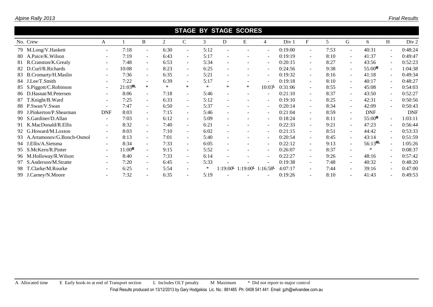| Alpine Rally 2013 |  |
|-------------------|--|
|-------------------|--|

| <b>STAGE BY STAGE SCORES</b> |                          |            |                          |        |                          |        |                        |         |                          |         |                          |      |                          |              |        |            |
|------------------------------|--------------------------|------------|--------------------------|--------|--------------------------|--------|------------------------|---------|--------------------------|---------|--------------------------|------|--------------------------|--------------|--------|------------|
| No. Crew                     | A                        |            | B                        | 2      | C                        | 3      | D                      | Е       | $\overline{4}$           | Div 1   | $F_{\rm}$                | 5    | G                        | 6            | H      | Div 2      |
| 79 M.Long/V.Haskett          | $\overline{\phantom{a}}$ | 7:18       | $\sim$                   | 6:30   | $\sim$                   | 5:12   |                        |         |                          | 0:19:00 | $\overline{\phantom{a}}$ | 7:53 | $\overline{\phantom{a}}$ | 40:31        |        | 0:48:24    |
| 80 A.Paice/K.Wilson          | $\overline{\phantom{a}}$ | 7:19       | $\blacksquare$           | 6:43   | $\sim$                   | 5:17   |                        |         | $\overline{\phantom{a}}$ | 0:19:19 | $\blacksquare$           | 8:10 | $\sim$                   | 41:37        |        | 0:49:47    |
| 81 R.Cranston/K.Grealy       | $\overline{\phantom{a}}$ | 7:48       | $\sim$                   | 6:53   | $\sim$                   | 5:34   |                        |         |                          | 0:20:15 | $\blacksquare$           | 8:27 |                          | 43:56        |        | 0:52:23    |
| 82 D.Curl/R.Richards         | $\sim$                   | 10:08      | $\sim$                   | 8:23   | $\sim$                   | 6:25   |                        |         | $\overline{\phantom{a}}$ | 0:24:56 | $\blacksquare$           | 9:38 | $\sim$                   | 55:00M       | $\sim$ | 1:04:38    |
| 83 B.Cromarty/H.Maslin       |                          | 7:36       | $\sim$                   | 6:35   | $\sim$                   | 5:21   |                        |         |                          | 0:19:32 | $\blacksquare$           | 8:16 | $\sim$                   | 41:18        |        | 0:49:34    |
| 84 J.Lee/T.Smith             | $\overline{\phantom{a}}$ | 7:22       | ٠                        | 6:39   | $\overline{\phantom{a}}$ | 5:17   |                        |         |                          | 0:19:18 | $\blacksquare$           | 8:10 | $\sim$                   | 40:17        |        | 0:48:27    |
| 85 S.Piggott/C.Robinson      | $\sim$                   | $21:03$ ML | $\ast$                   | $\ast$ | $\ast$                   | $\ast$ | $\ast$                 | $\ast$  | 10:03 <sup>L</sup>       | 0:31:06 | $\overline{\phantom{a}}$ | 8:55 | $\overline{\phantom{a}}$ | 45:08        |        | 0:54:03    |
| 86 D.Hasnat/M.Petersen       | $\overline{\phantom{a}}$ | 8:06       | $\sim$                   | 7:18   | $\sim$                   | 5:46   |                        |         |                          | 0:21:10 | $\blacksquare$           | 8:37 | $\sim$                   | 43:50        |        | 0:52:27    |
| 87 T.Knight/B.Ward           | $\overline{\phantom{a}}$ | 7:25       | $\sim$                   | 6:33   | $\sim$                   | 5:12   |                        |         | $\overline{\phantom{a}}$ | 0:19:10 | $\blacksquare$           | 8:25 | $\sim$                   | 42:31        | $\sim$ | 0:50:56    |
| 88 P.Swan/V.Swan             |                          | 7:47       | $\sim$                   | 6:50   | $\sim$                   | 5:37   |                        |         |                          | 0:20:14 | $\blacksquare$           | 8:34 | $\overline{\phantom{a}}$ | 42:09        |        | 0:50:43    |
| J.Pinkerton/P.Shearman<br>89 | <b>DNF</b>               | 8:03       | $\blacksquare$           | 7:15   | $\sim$                   | 5:46   |                        |         | $\sim$                   | 0:21:04 | $\blacksquare$           | 8:59 | $\sim$                   | <b>DNF</b>   |        | <b>DNF</b> |
| 90 S.Gardiner/D.Allan        | $\overline{\phantom{a}}$ | 7:03       | $\sim$                   | 6:12   | $\sim$                   | 5:09   |                        |         |                          | 0:18:24 | $\blacksquare$           | 8:11 | $\overline{\phantom{a}}$ | 55:00M       |        | 1:03:11    |
| 91 K.MacDonald/R.Ellis       | $\overline{\phantom{a}}$ | 8:32       | $\sim$                   | 7:40   | $\sim$                   | 6:21   |                        |         | $\overline{\phantom{a}}$ | 0:22:33 | $\blacksquare$           | 9:21 | $\sim$                   | 47:23        | $\sim$ | 0:56:44    |
| 92 G.Howard/M.Loxton         |                          | 8:03       | $\sim$                   | 7:10   | $\sim$                   | 6:02   |                        |         |                          | 0:21:15 | $\blacksquare$           | 8:51 |                          | 44:42        |        | 0:53:33    |
| 93 A.Artamonov/G.Bonch-Osmol | $\overline{\phantom{a}}$ | 8:13       | $\sim$                   | 7:01   | $\sim$                   | 5:40   |                        |         |                          | 0:20:54 | $\overline{\phantom{a}}$ | 8:45 | $\blacksquare$           | 43:14        |        | 0:51:59    |
| 94 J.Ellis/A.Sietsma         | $\overline{\phantom{a}}$ | 8:34       | $\sim$                   | 7:33   | $\sim$                   | 6:05   |                        |         | $\overline{\phantom{a}}$ | 0:22:12 | $\blacksquare$           | 9:13 |                          | $56:13^{ML}$ |        | 1:05:26    |
| 95 S.McKern/R.Pinter         | $\sim$                   | $11:00^M$  | $\sim$                   | 9:15   | $\sim$                   | 5:52   |                        |         |                          | 0:26:07 | $\overline{\phantom{a}}$ | 8:37 |                          | $\ast$       |        | 0:08:37    |
| 96 M.Holloway/R.Wilson       | $\sim$                   | 8:40       | $\sim$                   | 7:33   | $\sim$                   | 6:14   |                        |         | $\overline{\phantom{a}}$ | 0:22:27 | $\blacksquare$           | 9:26 | $\sim$                   | 48:16        | $\sim$ | 0:57:42    |
| 97 S.Anderson/M.Stratte      | $\overline{\phantom{a}}$ | 7:20       | $\sim$                   | 6:45   | $\sim$                   | 5:33   |                        |         |                          | 0:19:38 | $\overline{\phantom{a}}$ | 7:48 | $\sim$                   | 40:32        |        | 0:48:20    |
| 98 T.Clarke/M.Rourke         | $\overline{\phantom{a}}$ | 6:25       | $\overline{\phantom{a}}$ | 5:54   | $\sim$                   | $\ast$ | $1:19:00^{\mathsf{L}}$ | 1:19:00 | 1:16:58                  | 4:07:17 | $\blacksquare$           | 7:44 |                          | 39:16        |        | 0:47:00    |
| 99 J.Carney/N.Moore          |                          | 7:32       |                          | 6:35   |                          | 5:19   |                        |         |                          | 0:19:26 |                          | 8:10 |                          | 41:43        |        | 0:49:53    |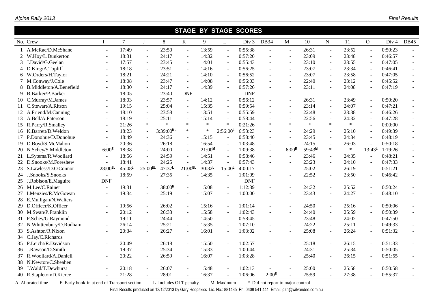|    | SIAGE BY SIAGE SCORES     |                          |                |                       |           |                       |                      |                          |            |                          |                          |                    |                          |        |                          |                  |                          |
|----|---------------------------|--------------------------|----------------|-----------------------|-----------|-----------------------|----------------------|--------------------------|------------|--------------------------|--------------------------|--------------------|--------------------------|--------|--------------------------|------------------|--------------------------|
|    | No. Crew                  | $\mathbf{I}$             | $\overline{7}$ | $\mathbf{J}$          | 8         | $\bf K$               | 9                    | L                        | Div 3      | <b>DB34</b>              | $\mathbf{M}$             | 10                 | ${\bf N}$                | 11     | $\overline{O}$           | Div <sub>4</sub> | <b>DB45</b>              |
|    | A.McRae/D.McShane         |                          | 17:49          | $\omega$              | 23:50     | $\blacksquare$        | 13:59                | $\sim$                   | 0:55:38    | $\overline{\phantom{a}}$ | ÷,                       | 26:31              | $\sim$                   | 23:52  | $\blacksquare$           | 0:50:23          |                          |
|    | 2 W.Hoy/L.Dunkerton       | $\sim$                   | 18:31          | $\mathbf{r}$          | 24:17     | $\blacksquare$        | 14:32                | $\sim$                   | 0:57:20    | $\overline{a}$           | $\overline{a}$           | 23:09              | $\sim$                   | 23:48  | $\sim$                   | 0:46:57          |                          |
|    | 3 J.David/G.Geelan        | $\sim$                   | 17:57          | $\mathcal{L}$         | 23:45     | $\sim$                | 14:01                | $\sim$                   | 0:55:43    | $\mathcal{L}$            | $\mathbf{r}$             | 23:10              | $\overline{\phantom{a}}$ | 23:55  | $\blacksquare$           | 0:47:05          | $\sim$                   |
|    | 4 D.King/A.Topliff        |                          | 18:18          | $\omega$              | 23:51     | $\sim$                | 14:16                |                          | 0:56:25    |                          | $\overline{\phantom{a}}$ | 23:07              | $\blacksquare$           | 23:34  | $\overline{\phantom{a}}$ | 0:46:41          | $\blacksquare$           |
|    | 6 W.Orders/H.Taylor       | $\overline{\phantom{a}}$ | 18:21          | $\omega$              | 24:21     | $\sim$                | 14:10                | $\sim$                   | 0:56:52    | $\mathbf{r}$             | $\equiv$                 | 23:07              | $\blacksquare$           | 23:58  | $\blacksquare$           | 0:47:05          | $\mathbf{r}$             |
|    | 7 M.Conway/J.Cole         | $\overline{\phantom{a}}$ | 18:08          | $\omega$              | 23:47     | $\sim$                | 14:08                | $\sim$                   | 0:56:03    |                          | $\overline{a}$           | 22:40              | $\overline{\phantom{a}}$ | 23:12  | $\blacksquare$           | 0:45:52          | $\equiv$                 |
|    | 8 B.Middleton/A.Benefield | $\sim$                   | 18:30          | $\omega$              | 24:17     | $\sim$                | 14:39                | $\sim$                   | 0:57:26    |                          | $\overline{a}$           | 23:11              | $\blacksquare$           | 24:08  | $\blacksquare$           | 0:47:19          | $\mathbf{r}$             |
| 9  | <b>B.Barker/P.Barker</b>  |                          | 18:05          | $\mathbf{r}$          | 23:40     | <b>DNF</b>            |                      |                          | <b>DNF</b> |                          |                          |                    |                          |        |                          |                  |                          |
|    | 10 C.Murray/M.James       | $\overline{\phantom{a}}$ | 18:03          | $\omega$              | 23:57     | $\sim$                | 14:12                | $\overline{\phantom{a}}$ | 0:56:12    |                          | $\blacksquare$           | 26:31              | $\blacksquare$           | 23:49  | $\blacksquare$           | 0:50:20          |                          |
|    | 11 C.Stewart/A.Ritson     | $\sim$                   | 19:15          | $\sim$                | 25:04     | $\sim$                | 15:35                | $\sim$                   | 0:59:54    | ÷.                       | $\overline{a}$           | 23:14              | $\overline{\phantom{a}}$ | 24:07  | $\blacksquare$           | 0:47:21          | $\mathbf{r}$             |
|    | 12 A.Friend/M.Canning     | $\overline{\phantom{a}}$ | 18:10          | $\omega$              | 23:58     | $\sim$                | 13:51                | $\sim$                   | 0:55:59    | ÷.                       | $\sim$                   | 22:48              | $\overline{\phantom{a}}$ | 23:38  | $\omega$                 | 0:46:26          |                          |
|    | 13 A.Bell/A.Paterson      |                          | 18:19          | $\omega$              | 25:11     | $\omega$              | 15:14                | $\sim$                   | 0:58:44    |                          | $\overline{\phantom{a}}$ | 22:56              | $\mathbf{u}$             | 24:32  | $\blacksquare$           | 0:47:28          | $\sim$                   |
|    | 15 R.Parry/R.Smalley      | $\overline{\phantom{a}}$ | 21:26          | $\ast$                | $\ast$    | $\ast$                | $\ast$               | $\ast$                   | 0:21:26    | $\ast$                   | $\ast$                   | $\ast$             | $\ast$                   | $\ast$ | $\sim$                   | 0:00:00          |                          |
|    | 16 K.Barrett/D.Weldon     | $\sim$                   | 18:23          | $\omega$              | 3:39:00ML | $\ast$                | $\ast$               | $2:56:00^{\mathsf{L}}$   | 6:53:23    |                          | $\overline{a}$           | 24:29              | $\sim$                   | 25:10  | $\sim$                   | 0:49:39          | $\omega$                 |
|    | 17 P.Donohue/D.Donohue    |                          | 18:49          |                       | 24:36     |                       | 15:15                |                          | 0:58:40    |                          | $\overline{a}$           | 23:45              | $\blacksquare$           | 24:34  | ÷,                       | 0:48:19          |                          |
|    | 19 D.Boyd/S.McMahon       |                          | 20:36          | $\mathbf{r}$          | 26:18     | $\sim$                | 16:54                | $\sim$                   | 1:03:48    |                          | $\mathbf{r}$             | 24:15              | $\omega$                 | 26:03  |                          | 0:50:18          | $\sim$                   |
|    | 20 N.Schey/S.Middleton    | 6:00 <sup>E</sup>        | 18:38          | $\mathbf{r}$          | 24:00     | $\sim$                | $21:00$ <sup>M</sup> | $\omega$                 | 1:09:38    | $\mathbf{r}$             | 6:00 <sup>E</sup>        | 59:43 <sup>M</sup> | $\ast$                   | $\ast$ | $13:43^L$                | 1:19:26          |                          |
|    | 21 L.Sytema/R.Woollard    |                          | 18:56          | $\mathcal{L}$         | 24:59     | $\sim$                | 14:51                | $\sim$                   | 0:58:46    | $\sim$                   | $\mathbf{r}$             | 23:46              | $\blacksquare$           | 24:35  | $\omega$                 | 0:48:21          | $\sim$                   |
|    | 22 D.Snooks/M.Foreshew    |                          | 18:41          |                       | 24:25     | $\sim$                | 14:37                |                          | 0:57:43    |                          | $\sim$                   | 23:23              | $\overline{\phantom{a}}$ | 24:10  | $\omega$                 | 0:47:33          | $\sim$                   |
|    | 23 S.Lawless/D.O'Connor   | $28:00$ <sub>EL</sub>    | $45:08$ L      | $25:00$ <sub>EL</sub> | 47:37L    | $21:00$ <sub>EL</sub> | 30:32                | $15:00^{\text{L}}$       | 4:00:17    | $\sim$                   | $\overline{\phantom{a}}$ | 25:02              | $\blacksquare$           | 26:19  | $\blacksquare$           | 0:51:21          | $\sim$                   |
|    | 24 J.Snooks/S.Snooks      |                          | 18:59          | $\mathbf{r}$          | 27:35     | $\sim$                | 14:35                | $\sim$                   | 1:01:09    | $\sim$                   | $\overline{a}$           | 22:52              | $\overline{\phantom{a}}$ | 23:50  | $\mathbf{r}$             | 0:46:42          | $\sim$                   |
|    | 25 J.Robison/E.Maguire    | <b>DNF</b>               |                |                       |           |                       |                      |                          | <b>DNF</b> |                          |                          |                    |                          |        |                          |                  |                          |
|    | 26 M.Lee/C.Rainer         |                          | 19:31          | $\sim$                | 38:00M    |                       | 15:08                |                          | 1:12:39    |                          | $\overline{a}$           | 24:32              | $\blacksquare$           | 25:52  | $\blacksquare$           | 0:50:24          |                          |
|    | 27 I.Menzies/R.McGowan    |                          | 19:34          | $\mathcal{L}$         | 25:19     | $\sim$                | 15:07                | $\sim$                   | 1:00:00    |                          |                          | 23:43              | $\overline{a}$           | 24:27  | $\mathbf{r}$             | 0:48:10          | $\overline{a}$           |
|    | 28 E.Mulligan/N.Walters   |                          |                |                       |           |                       |                      |                          |            |                          |                          |                    |                          |        |                          |                  |                          |
|    | 29 D.Officer/K.Officer    | $\sim$                   | 19:56          | $\omega$              | 26:02     | $\sim$                | 15:16                | $\omega$                 | 1:01:14    |                          | $\overline{a}$           | 24:50              | $\overline{\phantom{a}}$ | 25:16  | $\blacksquare$           | 0:50:06          |                          |
|    | 30 M.Swan/P.Franklin      |                          | 20:12          | $\mathcal{L}$         | 26:33     | $\sim$                | 15:58                | $\sim$                   | 1:02:43    |                          | $\sim$                   | 24:40              | $\overline{a}$           | 25:59  | $\sim$                   | 0:50:39          |                          |
|    | 31 P.Schey/G.Raymond      | $\sim$                   | 19:11          | $\omega$              | 24:44     | $\sim$                | 14:50                | $\sim$                   | 0:58:45    | $\overline{\phantom{a}}$ | $\overline{\phantom{a}}$ | 23:48              | $\omega$                 | 24:02  | $\blacksquare$           | 0:47:50          | $\overline{\phantom{a}}$ |
|    | 32 N.Whittenbury/D.Rudham | $\sim$                   | 26:14          | $\omega$              | 25:21     | $\sim$                | 15:35                | $\sim$                   | 1:07:10    |                          | $\overline{a}$           | 24:22              | $\overline{\phantom{a}}$ | 25:11  | $\blacksquare$           | 0:49:33          | $\overline{a}$           |
|    | 33 S.Ashton/R.Nixon       | $\sim$                   | 20:34          | $\blacksquare$        | 26:27     | $\sim$                | 16:01                | $\sim$                   | 1:03:02    |                          | $\overline{a}$           | 25:08              | $\overline{\phantom{a}}$ | 26:24  | $\sim$                   | 0:51:32          | $\mathbf{r}$             |
| 34 | C.Jay/C.Richards          |                          |                |                       |           |                       |                      |                          |            |                          |                          |                    |                          |        |                          |                  |                          |
|    | 35 P.Leicht/R.Davidson    |                          | 20:49          | $\mathcal{L}$         | 26:18     | $\sim$                | 15:50                | $\sim$                   | 1:02:57    | $\sim$                   | $\overline{a}$           | 25:18              | $\blacksquare$           | 26:15  | $\blacksquare$           | 0:51:33          |                          |
|    | 36 J.Rawson/D.Smith       | $\sim$                   | 19:37          | $\sim$                | 25:34     | $\sim$                | 15:33                | ÷.                       | 1:00:44    | ÷.                       | L.                       | 24:31              | $\sim$                   | 25:34  | $\mathbf{r}$             | 0:50:05          | $\overline{a}$           |
|    | 37 R.Woollard/A.Daniell   | $\sim$                   | 20:22          | $\omega$              | 26:59     | $\sim$                | 16:07                | $\sim$                   | 1:03:28    | $\mathbf{r}$             | $\blacksquare$           | 25:40              | $\blacksquare$           | 26:15  | $\blacksquare$           | 0:51:55          | $\sim$                   |
| 38 | N.Newton/C.Sheahen        |                          |                |                       |           |                       |                      |                          |            |                          |                          |                    |                          |        |                          |                  |                          |
| 39 | J.Wald/T.Dewhurst         |                          | 20:18          |                       | 26:07     |                       | 15:48                |                          | 1:02:13    |                          |                          | 25:00              | $\overline{\phantom{a}}$ | 25:58  |                          | 0:50:58          |                          |
|    | 40 R.Stapleton/D.Kierce   |                          | 21:28          |                       | 28:01     |                       | 16:37                |                          | 1:06:06    | $2:00^{\text{E}}$        |                          | 25:59              | $\overline{a}$           | 27:38  | $\mathbf{r}$             | 0:55:37          |                          |

 **STAGE BY STAGE SCORES**

A Allocated time E Early book-in at end of Transport section L Includes OLT penalty M Maximum \* Did not report to major control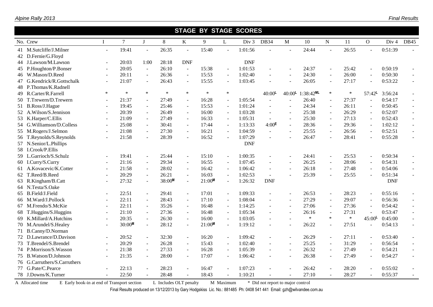| <b>STAGE BY STAGE SCORES</b> |                          |           |                          |        |                          |           |                |            |                          |                          |                       |                |        |                          |            |                          |
|------------------------------|--------------------------|-----------|--------------------------|--------|--------------------------|-----------|----------------|------------|--------------------------|--------------------------|-----------------------|----------------|--------|--------------------------|------------|--------------------------|
| No. Crew                     | $\mathbf{I}$             | $\tau$    | $\mathbf{J}$             | 8      | $\bf K$                  | 9         | L              | Div 3      | <b>DB34</b>              | $\mathbf{M}$             | 10                    | ${\bf N}$      | 11     | $\mathbf{O}$             | Div 4      | DB45                     |
| 41 M.Sutcliffe/J.Milner      | $\sim$                   | 19:41     | $\overline{\phantom{a}}$ | 26:35  | $\overline{\phantom{a}}$ | 15:40     |                | 1:01:56    |                          | $\sim$                   | 24:44                 | $\sim$         | 26:55  |                          | 0:51:39    |                          |
| 42 D.Fernie/G.Floyd          |                          |           |                          |        |                          |           |                |            |                          |                          |                       |                |        |                          |            |                          |
| 44 J.Lawson/M.Lawson         | $\sim$                   | 20:03     | 1:00                     | 28:18  | <b>DNF</b>               |           |                | <b>DNF</b> |                          |                          |                       |                |        |                          |            |                          |
| 45 P.Houghton/P.Bonser       | $\blacksquare$           | 20:05     | $\blacksquare$           | 26:10  | $\overline{\phantom{a}}$ | 15:38     | $\blacksquare$ | 1:01:53    |                          | $\sim$                   | 24:37                 | $\blacksquare$ | 25:42  | $\blacksquare$           | 0:50:19    |                          |
| 46 W.Mason/D.Reed            | $\sim$                   | 20:11     | $\sim$                   | 26:36  | $\sim$                   | 15:53     | $\sim$         | 1:02:40    | $\overline{a}$           | $\sim$                   | 24:30                 | $\sim$         | 26:00  | $\sim$                   | 0:50:30    |                          |
| 47 G.Kendrick/R.Gottschalk   |                          | 21:07     | $\blacksquare$           | 26:43  | $\sim$                   | 15:55     | $\sim$         | 1:03:45    |                          | $\sim$                   | 26:05                 | $\blacksquare$ | 27:17  | $\blacksquare$           | 0:53:22    | $\sim$                   |
| 48 P.Thomas/K.Radnell        |                          |           |                          |        |                          |           |                |            |                          |                          |                       |                |        |                          |            |                          |
| 49 R.Carter/R.Farrell        | ∗                        | $\ast$    | $\ast$                   | $\ast$ | $\ast$                   | $\ast$    | $\ast$         |            | $40:00^{\text{L}}$       | $40:00^{\mathsf{L}}$     | $1:38:42^{\text{ML}}$ | $\ast$         | $\ast$ | $57:42^{\mathsf{L}}$     | 3:56:24    |                          |
| 50 T.Trewern/D.Trewern       |                          | 21:37     | $\sim$                   | 27:49  | $\overline{\phantom{a}}$ | 16:28     | $\sim$         | 1:05:54    |                          | $\overline{a}$           | 26:40                 | $\blacksquare$ | 27:37  |                          | 0:54:17    |                          |
| 51 B.Ross/J.Hague            |                          | 19:45     | $\blacksquare$           | 25:46  | $\sim$                   | 15:53     | $\sim$         | 1:01:24    |                          | $\sim$                   | 24:34                 | $\blacksquare$ | 26:11  |                          | 0:50:45    |                          |
| 52 A.Wilson/S.Jennison       | $\sim$                   | 20:39     | $\blacksquare$           | 26:49  | $\sim$                   | 16:00     | $\omega$       | 1:03:28    |                          | $\sim$                   | 25:38                 | $\blacksquare$ | 26:29  |                          | 0:52:07    |                          |
| 53 K.Harper/C.Ellis          | $\blacksquare$           | 21:09     | $\sim$                   | 27:49  | $\overline{\phantom{a}}$ | 16:33     | $\blacksquare$ | 1:05:31    | $\sim$                   | $\sim$                   | 25:30                 | $\sim$         | 27:13  | $\sim$                   | 0:52:43    | $\overline{\phantom{a}}$ |
| 54 G.Williamson/D.Colless    | $\sim$                   | 25:08     | $\blacksquare$           | 30:41  | $\overline{\phantom{a}}$ | 17:44     | $\sim$         | 1:13:33    | 4:00 <sup>E</sup>        | $\sim$                   | 28:36                 | $\sim$         | 29:36  | $\sim$                   | 1:02:12    | $\sim$                   |
| 55 M.Rogers/J.Selmon         |                          | 21:08     | $\equiv$                 | 27:30  | $\overline{\phantom{a}}$ | 16:21     | $\omega$       | 1:04:59    | $\equiv$                 | $\sim$                   | 25:55                 | $\omega$       | 26:56  | $\blacksquare$           | 0:52:51    | $\sim$                   |
| 56 T.Reynolds/S.Reynolds     | $\sim$                   | 21:58     | $\blacksquare$           | 28:39  | $\sim$                   | 16:52     |                | 1:07:29    |                          | $\sim$                   | 26:47                 | $\blacksquare$ | 28:41  |                          | 0:55:28    |                          |
| 57 N.Senior/L.Phillips       |                          |           |                          |        |                          |           |                | <b>DNF</b> |                          |                          |                       |                |        |                          |            |                          |
| 58 I.Crook/P.Ellis           |                          |           |                          |        |                          |           |                |            |                          |                          |                       |                |        |                          |            |                          |
| 59 L.Garrioch/S.Schulz       | $\overline{\phantom{a}}$ | 19:41     | $\blacksquare$           | 25:44  | $\blacksquare$           | 15:10     | $\blacksquare$ | 1:00:35    | $\sim$                   | $\blacksquare$           | 24:41                 | $\blacksquare$ | 25:53  | $\sim$                   | 0:50:34    |                          |
| 60 I.Curry/S.Curry           | $\sim$                   | 21:16     | $\blacksquare$           | 29:34  | $\sim$                   | 16:55     | $\sim$         | 1:07:45    |                          | $\overline{a}$           | 26:25                 | $\sim$         | 28:06  |                          | 0:54:31    |                          |
| 61 A.Kovacevic/K.Cotter      | $\blacksquare$           | 21:58     | $\blacksquare$           | 28:02  | $\sim$                   | 16:42     | $\sim$         | 1:06:42    | $\sim$                   | $\sim$                   | 26:18                 | $\omega$       | 27:48  | $\sim$                   | 0:54:06    | $\sim$                   |
| 62 T.Reed/B.Reed             | $\sim$                   | 20:29     | $\sim$                   | 26:21  | $\sim$                   | 16:03     | $\sim$         | 1:02:53    | $\sim$                   |                          | 25:39                 | $\blacksquare$ | 25:55  | $\sim$                   | 0:51:34    | $\blacksquare$           |
| 63 R.Kingham/B.Catt          | $\blacksquare$           | 27:32     | $\blacksquare$           | 38:00M | $\blacksquare$           | $21:00^M$ | $\omega$       | 1:26:32    | <b>DNF</b>               |                          |                       |                |        |                          | <b>DNF</b> |                          |
| 64 N.Testa/S.Oake            |                          |           |                          |        |                          |           |                |            |                          |                          |                       |                |        |                          |            |                          |
| 65 B.Field/J.Field           |                          | 22:51     | $\blacksquare$           | 29:41  | $\sim$                   | 17:01     | $\sim$         | 1:09:33    |                          | $\blacksquare$           | 26:53                 | $\blacksquare$ | 28:23  | $\blacksquare$           | 0:55:16    |                          |
| 66 M.Ward/J.Pollock          | $\sim$                   | 22:11     | $\sim$                   | 28:43  | $\sim$                   | 17:10     | $\omega$       | 1:08:04    | $\blacksquare$           | $\sim$                   | 27:29                 | $\omega$       | 29:07  | $\overline{\phantom{a}}$ | 0:56:36    |                          |
| 67 M.Frendo/S.McKie          | $\blacksquare$           | 22:11     | $\blacksquare$           | 35:26  | $\sim$                   | 16:48     | $\omega$       | 1:14:25    |                          | $\sim$                   | 27:06                 | $\sim$         | 27:36  |                          | 0:54:42    |                          |
| 68 T.Huggins/S.Huggins       | $\sim$                   | 21:10     | $\sim$                   | 27:36  | $\sim$                   | 16:48     | $\sim$         | 1:05:34    |                          | $\overline{\phantom{a}}$ | 26:16                 | $\sim$         | 27:31  |                          | 0:53:47    |                          |
| 69 K.Millard/A.Hutchins      |                          | 20:35     | $\overline{\phantom{a}}$ | 26:30  | $\overline{\phantom{a}}$ | 16:00     | $\blacksquare$ | 1:03:05    |                          | $\sim$                   | $\ast$                | $\ast$         | $\ast$ | $45:00$ L                | 0:45:00    | $\overline{\phantom{a}}$ |
| 70 M.Arundel/S.Healey        |                          | $30:00^M$ | $\blacksquare$           | 28:12  | $\sim$                   | $21:00^M$ | $\sim$         | 1:19:12    |                          | $\sim$                   | 26:22                 | $\blacksquare$ | 27:51  |                          | 0:54:13    | $\sim$                   |
| 71 B.Canny/D.Norman          |                          |           |                          |        |                          |           |                |            |                          |                          |                       |                |        |                          |            |                          |
| 72 D.Lawrance/D.Davison      |                          | 20:52     | $\blacksquare$           | 32:30  | $\blacksquare$           | 16:20     | $\blacksquare$ | 1:09:42    |                          | $\blacksquare$           | 26:29                 | $\blacksquare$ | 27:11  |                          | 0:53:40    |                          |
| 73 T.Brendel/S.Brendel       | $\blacksquare$           | 20:29     | $\blacksquare$           | 26:28  | $\sim$                   | 15:43     | $\omega$       | 1:02:40    | $\overline{\phantom{a}}$ | $\sim$                   | 25:25                 | $\blacksquare$ | 31:29  |                          | 0:56:54    |                          |
| 74 P.Morrison/S.Wasson       | $\sim$                   | 21:38     | $\mathbf{r}$             | 27:33  | $\sim$                   | 16:28     | $\mathbf{r}$   | 1:05:39    |                          | $\sim$                   | 26:32                 | $\blacksquare$ | 27:49  | $\sim$                   | 0:54:21    | $\sim$                   |
| 75 B.Watson/D.Johnson        | $\blacksquare$           | 21:35     | $\sim$                   | 28:00  | $\overline{\phantom{a}}$ | 17:07     | $\sim$         | 1:06:42    |                          | $\overline{\phantom{a}}$ | 26:38                 | $\blacksquare$ | 27:49  |                          | 0:54:27    | $\sim$                   |
| 76 G.Carruthers/S.Carruthers |                          |           |                          |        |                          |           |                |            |                          |                          |                       |                |        |                          |            |                          |
| 77 G.Pate/C.Pearce           |                          | 22:13     |                          | 28:23  |                          | 16:47     |                | 1:07:23    |                          | $\overline{\phantom{a}}$ | 26:42                 | $\sim$         | 28:20  |                          | 0:55:02    |                          |
| 78 J.Downs/K.Turner          |                          | 22:50     |                          | 28:48  |                          | 18:43     | $\sim$         | 1:10:21    |                          | $\sim$                   | 27:10                 | $\mathbf{r}$   | 28:27  |                          | 0:55:37    |                          |

 $\overline{N}$ 

A Allocated time E Early book-in at end of Transport section L Includes OLT penalty M Maximum \* Did not report to major control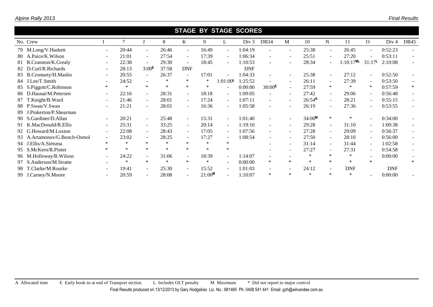|     | No. Crew                     |                          | 7      |                          | 8      | K                        | 9                    | L                        | Div 3      | DB34                     | M                        | 10                 | N                        | 11           | $\Omega$                 | Div <sub>4</sub> | <b>DB45</b> |
|-----|------------------------------|--------------------------|--------|--------------------------|--------|--------------------------|----------------------|--------------------------|------------|--------------------------|--------------------------|--------------------|--------------------------|--------------|--------------------------|------------------|-------------|
|     | 79 M.Long/V.Haskett          | $\overline{\phantom{a}}$ | 20:44  | $\sim$                   | 26:46  | $\sim$                   | 16:49                | $\sim$                   | 1:04:19    |                          | $\overline{\phantom{a}}$ | 25:38              | $\blacksquare$           | 26:45        | $\sim$                   | 0:52:23          |             |
|     | 80 A.Paice/K.Wilson          | $\overline{\phantom{a}}$ | 21:01  | $\blacksquare$           | 27:54  | $\overline{\phantom{a}}$ | 17:39                | $\sim$                   | 1:06:34    |                          |                          | 25:51              | $\blacksquare$           | 27:20        |                          | 0:53:11          |             |
|     | 81 R.Cranston/K.Grealy       |                          | 22:38  | $\sim$                   | 29:30  | $\overline{\phantom{a}}$ | 18:45                | $\sim$                   | 1:10:53    |                          |                          | 28:34              | $\overline{\phantom{a}}$ | $1:10:17$ ML | $31:17^{\mathsf{L}}$     | 2:10:08          |             |
|     | 82 D.Curl/R.Richards         |                          | 28:13  | 3:00 <sup>E</sup>        | 37:58  | <b>DNF</b>               |                      |                          | <b>DNF</b> |                          |                          |                    |                          |              |                          |                  |             |
|     | 83 B.Cromarty/H.Maslin       |                          | 20:55  | $\sim$                   | 26:37  | $\overline{\phantom{a}}$ | 17:01                | $\sim$                   | 1:04:33    |                          |                          | 25:38              | $\sim$                   | 27:12        | $\overline{\phantom{0}}$ | 0:52:50          |             |
|     | 84 J.Lee/T.Smith             |                          | 24:52  | $\blacksquare$           | ∗      | ∗                        | ∗                    | $1:01:00^{\mathsf{L}}$   | 1:25:52    |                          |                          | 26:11              | $\sim$                   | 27:39        | ۰                        | 0:53:50          |             |
|     | 85 S.Piggott/C.Robinson      |                          | $\ast$ | $\ast$                   | $\ast$ | $\ast$                   | $\ast$               | $\sim$                   | 0:00:00    | $30:00^{\text{E}}$       | $\sim$                   | 27:59              | $\ast$                   | $\ast$       | ∗                        | 0:57:59          | $\ast$      |
|     | 86 D.Hasnat/M.Petersen       | $\overline{\phantom{a}}$ | 22:16  | $\sim$                   | 28:31  | $\sim$                   | 18:18                | $\sim$                   | 1:09:05    | $\sim$                   | $\sim$                   | 27:42              | $\sim$                   | 29:06        | $\sim$                   | 0:56:48          |             |
|     | 87 T.Knight/B.Ward           | $\overline{\phantom{a}}$ | 21:46  | $\sim$                   | 28:01  | $\sim$                   | 17:24                | $\sim$                   | 1:07:11    |                          |                          | 26:54 <sup>A</sup> | $\sim$                   | 28:21        | $\overline{\phantom{a}}$ | 0:55:15          |             |
|     | 88 P.Swan/V.Swan             | $\overline{\phantom{a}}$ | 21:21  | $\sim$                   | 28:01  | $\overline{\phantom{a}}$ | 16:36                | $\sim$                   | 1:05:58    |                          |                          | 26:19              | $\overline{a}$           | 27:36        | $\overline{\phantom{0}}$ | 0:53:55          |             |
| 89. | J.Pinkerton/P.Shearman       |                          |        |                          |        |                          |                      |                          |            |                          |                          |                    |                          |              |                          |                  |             |
|     | 90 S.Gardiner/D.Allan        | $\overline{\phantom{a}}$ | 20:21  | $\sim$                   | 25:48  | $\overline{\phantom{a}}$ | 15:31                | $\blacksquare$           | 1:01:40    |                          |                          | 34:00M             | $\ast$                   | $\ast$       |                          | 0:34:00          |             |
| 91  | K.MacDonald/R.Ellis          | $\overline{\phantom{a}}$ | 25:31  | $\sim$                   | 33:25  | $\sim$                   | 20:14                | $\sim$                   | 1:19:10    | $\sim$                   | $\sim$                   | 29:28              | $\sim$                   | 31:10        | Ξ.                       | 1:00:38          |             |
|     | 92 G.Howard/M.Loxton         | $\overline{\phantom{a}}$ | 22:08  | $\sim$                   | 28:43  | $\sim$                   | 17:05                | $\sim$                   | 1:07:56    | $\sim$                   | $\sim$                   | 27:28              | $\sim$                   | 29:09        | $\overline{\phantom{0}}$ | 0:56:37          |             |
|     | 93 A.Artamonov/G.Bonch-Osmol | $\overline{\phantom{a}}$ | 23:02  | $\sim$                   | 28:25  | $\overline{\phantom{a}}$ | 17:27                | $\sim$                   | 1:08:54    |                          |                          | 27:50              | $\sim$                   | 28:10        | $\sim$                   | 0:56:00          |             |
|     | 94 J.Ellis/A.Sietsma         | $\ast$                   | $\ast$ | $\ast$                   | $\ast$ | $\ast$                   | $\ast$               | $\ast$                   |            |                          |                          | 31:14              | $\sim$                   | 31:44        | $\sim$                   | 1:02:58          |             |
|     | 95 S.McKern/R.Pinter         | $\ast$                   | $\ast$ | $\ast$                   | $\ast$ | $\ast$                   | $\ast$               | $\ast$                   |            |                          |                          | 27:27              | $\sim$                   | 27:31        | ÷                        | 0:54:58          |             |
|     | 96 M.Holloway/R.Wilson       |                          | 24:22  | $\overline{\phantom{a}}$ | 31:06  |                          | 18:39                | $\sim$                   | 1:14:07    |                          |                          | ∗                  | ∗                        | ∗            |                          | 0:00:00          |             |
|     | 97 S.Anderson/M.Stratte      |                          | $\ast$ | $\ast$                   | $\ast$ | $\ast$                   | $\ast$               | $\sim$                   | 0:00:00    | $\ast$                   | $\ast$                   | $\ast$             | $\ast$                   | $\ast$       | $\ast$                   |                  | $\ast$      |
|     | 98 T.Clarke/M.Rourke         | $\overline{\phantom{a}}$ | 19:41  | $\sim$                   | 25:30  | $\sim$                   | 15:52                | $\sim$                   | 1:01:03    | $\overline{\phantom{a}}$ | $\overline{\phantom{a}}$ | 24:12              | $\sim$                   | <b>DNF</b>   |                          | <b>DNF</b>       |             |
|     | 99 J.Carney/N.Moore          | $\overline{\phantom{a}}$ | 20:59  | $\sim$                   | 28:08  | $\overline{\phantom{a}}$ | $21:00$ <sup>M</sup> | $\overline{\phantom{a}}$ | 1:10:07    | $\ast$                   | $\ast$                   | $\ast$             | $\ast$                   | $\ast$       |                          | 0:00:00          |             |
|     |                              |                          |        |                          |        |                          |                      |                          |            |                          |                          |                    |                          |              |                          |                  |             |

 **STAGE BY STAGE SCORES**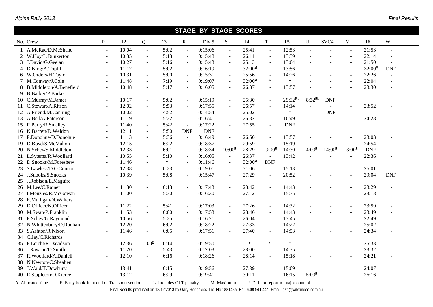| <b>STAGE BY STAGE SCORES</b> |                          |       |                          |        |             |                  |                          |        |                          |            |                   |                |                   |            |                          |
|------------------------------|--------------------------|-------|--------------------------|--------|-------------|------------------|--------------------------|--------|--------------------------|------------|-------------------|----------------|-------------------|------------|--------------------------|
| No. Crew                     | $\mathbf{P}$             | 12    | Q                        | 13     | $\mathbf R$ | Div <sub>5</sub> | $S_{\text{}}$            | 14     | $\mathbf T$              | 15         | $\mathbf U$       | SVC4           | V                 | 16         | W                        |
| A.McRae/D.McShane            | $\sim$                   | 10:04 | $\omega$                 | 5:02   | $\sim$      | 0:15:06          | $\omega$                 | 25:41  | $\omega$                 | 12:53      |                   |                | $\sim$            | 21:53      | $\overline{a}$           |
| 2 W.Hoy/L.Dunkerton          | $\sim$                   | 10:35 | $\blacksquare$           | 5:13   | $\sim$      | 0:15:48          | $\blacksquare$           | 26:11  | $\blacksquare$           | 13:39      |                   |                | $\sim$            | 22:14      | $\overline{a}$           |
| 3 J.David/G.Geelan           | $\overline{a}$           | 10:27 | $\overline{\phantom{a}}$ | 5:16   |             | 0:15:43          | $\overline{a}$           | 25:13  | $\blacksquare$           | 13:04      |                   |                | $\sim$            | 21:50      |                          |
| 4 D.King/A.Topliff           | $\sim$                   | 11:17 | $\equiv$                 | 5:02   | $\sim$      | 0:16:19          | $\blacksquare$           | 32:00M | $\omega$                 | 13:56      |                   | $\sim$         | $\sim$            | 32:00M     | <b>DNF</b>               |
| 6 W.Orders/H.Taylor          | $\overline{\phantom{a}}$ | 10:31 | $\overline{\phantom{a}}$ | 5:00   | $\sim$      | 0:15:31          | $\blacksquare$           | 25:56  | $\overline{\phantom{a}}$ | 14:26      |                   | $\sim$         | $\sim$            | 22:26      | $\blacksquare$           |
| 7 M.Conway/J.Cole            | $\blacksquare$           | 11:48 | $\mathbf{r}$             | 7:19   | $\sim$      | 0:19:07          | $\equiv$                 | 32:00M | $\ast$                   | $\ast$     |                   | $\sim$         | $\sim$            | 22:04      | $\overline{a}$           |
| 8 B.Middleton/A.Benefield    | ÷.                       | 10:48 | $\overline{\phantom{a}}$ | 5:17   | $\sim$      | 0:16:05          | $\blacksquare$           | 26:37  | $\sim$                   | 13:57      |                   | $\sim$         | $\overline{a}$    | 23:30      | $\overline{a}$           |
| 9 B.Barker/P.Barker          |                          |       |                          |        |             |                  |                          |        |                          |            |                   |                |                   |            |                          |
| 10 C.Murray/M.James          | $\sim$                   | 10:17 | $\equiv$                 | 5:02   | $\sim$      | 0:15:19          | $\blacksquare$           | 25:30  | $\Box$                   | 29:32ML    | $8:32$ EL         | <b>DNF</b>     |                   |            |                          |
| 11 C.Stewart/A.Ritson        | $\sim$                   | 12:02 | $\overline{\phantom{a}}$ | 5:53   |             | 0:17:55          | $\sim$                   | 26:57  | $\overline{\phantom{a}}$ | 14:14      |                   |                | $\sim$            | 23:52      | $\overline{a}$           |
| 12 A.Friend/M.Canning        |                          | 10:02 | $\blacksquare$           | 4:52   |             | 0:14:54          | $\sim$                   | 25:02  |                          | $\ast$     |                   | <b>DNF</b>     |                   |            |                          |
| 13 A.Bell/A.Paterson         | $\sim$                   | 11:19 | $\omega$                 | 5:22   | $\sim$      | 0:16:41          | $\omega$                 | 26:32  | $\omega$                 | 16:49      |                   | $\overline{a}$ |                   | 24:28      |                          |
| 15 R.Parry/R.Smalley         | $\sim$                   | 11:40 | $\sim$                   | 5:42   | $\sim$      | 0:17:22          | $\mathbb{Z}^2$           | 27:55  | $\sim$                   | <b>DNF</b> |                   |                |                   |            |                          |
| 16 K.Barrett/D.Weldon        | $\blacksquare$           | 12:11 | $\overline{\phantom{a}}$ | 5:50   | <b>DNF</b>  | <b>DNF</b>       |                          |        |                          |            |                   |                |                   |            |                          |
| 17 P.Donohue/D.Donohue       | $\overline{\phantom{a}}$ | 11:13 | $\omega$                 | 5:36   | $\omega$    | 0:16:49          | $\blacksquare$           | 26:50  | $\omega$                 | 13:57      |                   |                | $\sim$            | 23:03      | $\overline{a}$           |
| 19 D.Boyd/S.McMahon          | $\sim$                   | 12:15 | $\blacksquare$           | 6:22   | $\sim$      | 0:18:37          | $\overline{\phantom{a}}$ | 29:59  | $\blacksquare$           | 15:19      |                   |                | $\sim$            | 24:54      | L.                       |
| 20 N.Schey/S.Middleton       | $\sim$                   | 12:33 | $\blacksquare$           | 6:01   | $\sim$      | 0:18:34          | $10:00^{\text{E}}$       | 28:29  | $9:00^{\text{E}}$        | 14:30      | $4:00^{\text{E}}$ | $14:00^E$      | $3:00^{\text{E}}$ | <b>DNF</b> |                          |
| 21 L.Sytema/R.Woollard       | $\overline{a}$           | 10:55 | $\sim$                   | 5:10   |             | 0:16:05          | $\blacksquare$           | 26:37  | $\mathbf{r}$             | 13:42      |                   |                | $\sim$            | 22:36      | $\overline{a}$           |
| 22 D.Snooks/M.Foreshew       | $\sim$                   | 11:46 | $\overline{\phantom{a}}$ | $\ast$ |             | 0:11:46          | $\blacksquare$           | 32:00M | <b>DNF</b>               |            |                   |                |                   |            |                          |
| 23 S.Lawless/D.O'Connor      | $\sim$                   | 12:38 | $\overline{a}$           | 6:23   | $\sim$      | 0:19:01          | $\sim$                   | 31:06  | $\sim$                   | 15:13      |                   |                | $\sim$            | 26:01      |                          |
| 24 J.Snooks/S.Snooks         | $\overline{\phantom{a}}$ | 10:39 | $\mathbf{r}$             | 5:08   | $\sim$      | 0:15:47          | $\blacksquare$           | 27:29  | $\omega$                 | 20:52      | $\sim$            | $\sim$         | $\sim$            | 29:04      | <b>DNF</b>               |
| 25 J.Robison/E.Maguire       |                          |       |                          |        |             |                  |                          |        |                          |            |                   |                |                   |            |                          |
| 26 M.Lee/C.Rainer            | $\overline{a}$           | 11:30 | $\overline{\phantom{a}}$ | 6:13   | $\sim$      | 0:17:43          | $\blacksquare$           | 28:42  | $\Box$                   | 14:43      |                   |                | $\overline{a}$    | 23:29      | $\overline{\phantom{a}}$ |
| 27 I.Menzies/R.McGowan       | $\sim$                   | 11:00 | $\Box$                   | 5:30   |             | 0:16:30          | $\overline{\phantom{a}}$ | 27:12  | $\overline{\phantom{a}}$ | 15:35      |                   |                | $\overline{a}$    | 23:18      | $\overline{a}$           |
| 28 E.Mulligan/N.Walters      |                          |       |                          |        |             |                  |                          |        |                          |            |                   |                |                   |            |                          |
| 29 D.Officer/K.Officer       | $\sim$                   | 11:22 | $\overline{\phantom{a}}$ | 5:41   | $\sim$      | 0:17:03          | $\sim$                   | 27:26  | $\overline{\phantom{a}}$ | 14:32      |                   |                | $\sim$            | 23:59      | $\overline{a}$           |
| 30 M.Swan/P.Franklin         | $\sim$                   | 11:53 | $\mathcal{L}$            | 6:00   | $\sim$      | 0:17:53          | $\blacksquare$           | 28:46  | $\mathcal{L}$            | 14:43      |                   | $\overline{a}$ | $\overline{a}$    | 23:49      | $\overline{a}$           |
| 31 P.Schey/G.Raymond         | $\sim$                   | 10:56 | $\blacksquare$           | 5:25   | $\sim$      | 0:16:21          | $\blacksquare$           | 26:04  | $\overline{\phantom{a}}$ | 13:45      |                   | $\sim$         | $\sim$            | 22:49      | ÷,                       |
| 32 N.Whittenbury/D.Rudham    | $\omega$                 | 12:20 | $\mathbf{r}$             | 6:02   | $\sim$      | 0:18:22          | $\blacksquare$           | 27:33  | $\overline{\phantom{a}}$ | 14:22      |                   | $\sim$         | $\blacksquare$    | 25:02      | $\overline{a}$           |
| 33 S.Ashton/R.Nixon          | $\sim$                   | 11:46 | $\blacksquare$           | 6:05   | $\sim$      | 0:17:51          | $\sim$                   | 27:40  | $\sim$                   | 14:53      |                   |                | $\overline{a}$    | 24:34      | $\blacksquare$           |
| 34 C.Jay/C.Richards          |                          |       |                          |        |             |                  |                          |        |                          |            |                   |                |                   |            |                          |
| 35 P.Leicht/R.Davidson       | $\blacksquare$           | 12:36 | $1:00^E$                 | 6:14   | $\sim$      | 0:19:50          | $\omega$                 | $\ast$ | $\ast$                   | $\ast$     |                   | $\sim$         | $\sim$            | 25:33      | ÷,                       |
| 36 J.Rawson/D.Smith          |                          | 11:20 | $\equiv$                 | 5:43   |             | 0:17:03          | $\sim$                   | 28:00  | $\sim$                   | 14:35      |                   |                | $\sim$            | 23:32      | $\overline{a}$           |
| 37 R.Woollard/A.Daniell      | $\overline{a}$           | 12:10 | $\equiv$                 | 6:16   |             | 0:18:26          | $\blacksquare$           | 28:14  | $\blacksquare$           | 15:18      |                   |                | ÷,                | 24:21      | L,                       |
| 38 N.Newton/C.Sheahen        |                          |       |                          |        |             |                  |                          |        |                          |            |                   |                |                   |            |                          |
| 39 J.Wald/T.Dewhurst         |                          | 13:41 | $\overline{\phantom{a}}$ | 6:15   |             | 0:19:56          | $\blacksquare$           | 27:39  | $\overline{\phantom{a}}$ | 15:09      |                   |                | $\sim$            | 24:07      |                          |
| 40 R.Stapleton/D.Kierce      | $\sim$                   | 13:12 | $\sim$                   | 6:29   |             | 0:19:41          |                          | 30:11  | $\sim$                   | 16:15      | $5:00^{\text{E}}$ |                | $\sim$            | 26:16      |                          |

A Allocated time E Early book-in at end of Transport section L Includes OLT penalty M Maximum \* Did not report to major control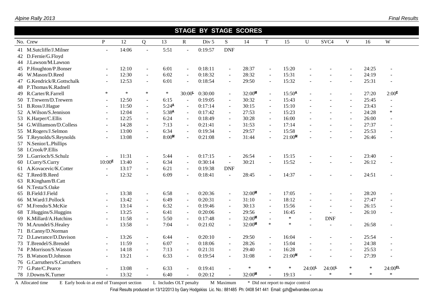|    | <b>STAGE BY STAGE SCORES</b> |                    |        |                          |                   |                          |                  |                |        |                |                      |                    |                          |                          |        |                      |
|----|------------------------------|--------------------|--------|--------------------------|-------------------|--------------------------|------------------|----------------|--------|----------------|----------------------|--------------------|--------------------------|--------------------------|--------|----------------------|
|    | No. Crew                     | $\mathbf{P}$       | 12     | Q                        | 13                | $\mathbf R$              | Div <sub>5</sub> | S              | 14     | $\mathbf T$    | 15                   | $\mathbf U$        | SVC <sub>4</sub>         | $\mathbf{V}$             | 16     | W                    |
|    | 41 M.Sutcliffe/J.Milner      | $\overline{a}$     | 14:06  | $\overline{a}$           | 5:51              | $\overline{a}$           | 0:19:57          | <b>DNF</b>     |        |                |                      |                    |                          |                          |        |                      |
|    | 42 D.Fernie/G.Floyd          |                    |        |                          |                   |                          |                  |                |        |                |                      |                    |                          |                          |        |                      |
|    | 44 J.Lawson/M.Lawson         |                    |        |                          |                   |                          |                  |                |        |                |                      |                    |                          |                          |        |                      |
|    | 45 P.Houghton/P.Bonser       | ÷.                 | 12:10  | $\Box$                   | 6:01              | $\mathbf{r}$             | 0:18:11          | $\omega$       | 28:37  | $\sim$         | 15:20                |                    |                          | $\sim$                   | 24:25  | $\overline{a}$       |
|    | 46 W.Mason/D.Reed            | $\sim$             | 12:30  | $\overline{\phantom{a}}$ | 6:02              | $\overline{\phantom{a}}$ | 0:18:32          | $\sim$         | 28:32  | $\sim$         | 15:31                |                    | $\sim$                   | $\sim$                   | 24:19  |                      |
|    | 47 G.Kendrick/R.Gottschalk   | $\sim$             | 12:53  | $\blacksquare$           | 6:01              | $\sim$                   | 0:18:54          | $\sim$         | 29:50  | $\sim$         | 15:32                |                    |                          | $\blacksquare$           | 25:31  | $\blacksquare$       |
|    | 48 P.Thomas/K.Radnell        |                    |        |                          |                   |                          |                  |                |        |                |                      |                    |                          |                          |        |                      |
| 49 | R.Carter/R.Farrell           | $\ast$             | $\ast$ | $\ast$                   | $\ast$            | $30:00^{\text{L}}$       | 0:30:00          | $\blacksquare$ | 32:00M | $\blacksquare$ | 15:50 <sup>A</sup>   |                    |                          | $\sim$                   | 27:20  | $2:00^{\text{E}}$    |
|    | 50 T.Trewern/D.Trewern       | $\blacksquare$     | 12:50  | $\overline{\phantom{a}}$ | 6:15              | $\omega$                 | 0:19:05          | $\blacksquare$ | 30:32  | $\omega$       | 15:43                | $\overline{a}$     | $\overline{a}$           | $\sim$                   | 25:45  | $\blacksquare$       |
|    | 51 B.Ross/J.Hague            | $\sim$             | 11:50  | $\overline{\phantom{a}}$ | $5:24^{\text{A}}$ | $\overline{\phantom{a}}$ | 0:17:14          | $\sim$         | 30:15  | $\mathbf{r}$   | 15:10                |                    |                          | $\sim$                   | 23:43  | $\overline{a}$       |
|    | 52 A.Wilson/S.Jennison       | $\blacksquare$     | 12:04  | $\overline{\phantom{a}}$ | 5:38 <sup>A</sup> | $\sim$                   | 0:17:42          | $\blacksquare$ | 27:53  | $\omega$       | 15:23                |                    | $\overline{a}$           | $\sim$                   | 24:28  | $\ast$               |
|    | 53 K.Harper/C.Ellis          | $\blacksquare$     | 12:25  | $\overline{\phantom{a}}$ | 6:24              | $\sim$                   | 0:18:49          | $\sim$         | 30:28  | $\omega$       | 16:00                |                    | $\overline{a}$           | $\sim$                   | 26:00  |                      |
|    | 54 G.Williamson/D.Colless    | $\blacksquare$     | 14:28  | $\overline{\phantom{a}}$ | 7:13              | $\sim$                   | 0:21:41          |                | 31:53  | $\overline{a}$ | 17:14                |                    |                          | $\sim$                   | 27:37  | $\sim$               |
| 55 | M.Rogers/J.Selmon            | $\overline{a}$     | 13:00  | $\overline{\phantom{a}}$ | 6:34              | $\sim$                   | 0:19:34          |                | 29:57  | $\sim$         | 15:58                |                    |                          | $\sim$                   | 25:53  | $\overline{a}$       |
|    | 56 T.Reynolds/S.Reynolds     |                    | 13:08  | $\overline{a}$           | 8:00 <sup>M</sup> | $\omega$                 | 0:21:08          | $\sim$         | 31:44  | $\overline{a}$ | 21:00 <sup>M</sup>   |                    |                          |                          | 26:46  | $\overline{a}$       |
|    | 57 N.Senior/L.Phillips       |                    |        |                          |                   |                          |                  |                |        |                |                      |                    |                          |                          |        |                      |
|    | 58 I.Crook/P.Ellis           |                    |        |                          |                   |                          |                  |                |        |                |                      |                    |                          |                          |        |                      |
|    | 59 L.Garrioch/S.Schulz       | $\omega$           | 11:31  | $\frac{1}{2}$            | 5:44              | $\overline{a}$           | 0:17:15          | $\sim$         | 26:54  | $\sim$         | 15:15                |                    |                          | $\sim$                   | 23:40  | $\overline{a}$       |
|    | 60 I.Curry/S.Curry           | $10:00^{\text{E}}$ | 13:40  | $\overline{\phantom{a}}$ | 6:34              | $\sim$                   | 0:30:14          | $\sim$         | 30:21  | $\sim$         | 15:52                |                    |                          | $\sim$                   | 26:12  | $\ddot{\phantom{1}}$ |
|    | 61 A.Kovacevic/K.Cotter      |                    | 13:17  | $\blacksquare$           | 6:21              | $\sim$                   | 0:19:38          | <b>DNF</b>     |        |                |                      |                    |                          |                          |        |                      |
| 62 | T.Reed/B.Reed                |                    | 12:32  | L.                       | 6:09              |                          | 0:18:41          |                | 28:45  |                | 14:37                |                    |                          |                          | 24:51  |                      |
|    | 63 R.Kingham/B.Catt          |                    |        |                          |                   |                          |                  |                |        |                |                      |                    |                          |                          |        |                      |
|    | 64 N.Testa/S.Oake            |                    |        |                          |                   |                          |                  |                |        |                |                      |                    |                          |                          |        |                      |
| 65 | B.Field/J.Field              | $\blacksquare$     | 13:38  | $\blacksquare$           | 6:58              | $\sim$                   | 0:20:36          | $\blacksquare$ | 32:00M | $\omega$       | 17:05                |                    |                          |                          | 28:20  |                      |
|    | 66 M.Ward/J.Pollock          | $\overline{a}$     | 13:42  | $\sim$                   | 6:49              | $\sim$                   | 0:20:31          | $\sim$         | 31:10  | $\mathbf{r}$   | 18:12                |                    | $\overline{a}$           | $\sim$                   | 27:47  | $\overline{a}$       |
|    | 67 M.Frendo/S.McKie          | $\blacksquare$     | 13:14  | $\overline{\phantom{a}}$ | 6:32              | $\sim$                   | 0:19:46          | $\sim$         | 30:13  | $\sim$         | 15:56                |                    | $\blacksquare$           | $\sim$                   | 26:15  | $\overline{a}$       |
| 68 | T.Huggins/S.Huggins          | $\overline{a}$     | 13:25  | $\overline{\phantom{a}}$ | 6:41              | $\sim$                   | 0:20:06          |                | 29:56  | $\omega$       | 16:45                |                    |                          | ÷.                       | 26:10  | $\ddot{\phantom{1}}$ |
| 69 | K.Millard/A.Hutchins         | $\blacksquare$     | 11:58  | $\overline{\phantom{a}}$ | 5:50              | $\sim$                   | 0:17:48          |                | 32:00M |                | $\ast$               |                    | <b>DNF</b>               |                          |        |                      |
|    | 70 M.Arundel/S.Healey        | $\blacksquare$     | 13:58  | $\overline{\phantom{a}}$ | 7:04              | $\sim$                   | 0:21:02          | $\blacksquare$ | 32:00M | $\ast$         | $\ast$               |                    | $\overline{a}$           | $\overline{a}$           | 26:58  | $\overline{a}$       |
|    | 71 B.Canny/D.Norman          |                    |        |                          |                   |                          |                  |                |        |                |                      |                    |                          |                          |        |                      |
|    | 72 D.Lawrance/D.Davison      | $\sim$             | 13:26  | $\mathbf{r}$             | 6:44              | $\omega$                 | 0:20:10          | $\omega$       | 29:50  | $\omega$       | 16:04                |                    | $\overline{a}$           | $\sim$                   | 25:54  | $\overline{a}$       |
|    | 73 T.Brendel/S.Brendel       | $\sim$             | 11:59  | $\sim$                   | 6:07              | $\sim$                   | 0:18:06          | $\sim$         | 28:26  | $\sim$         | 15:04                |                    | $\overline{a}$           | $\sim$                   | 24:38  | $\overline{a}$       |
|    | 74 P.Morrison/S.Wasson       | $\blacksquare$     | 14:18  | $\blacksquare$           | 7:13              | $\overline{\phantom{a}}$ | 0:21:31          | $\sim$         | 29:40  | $\sim$         | 16:28                |                    | $\overline{\phantom{a}}$ | $\overline{\phantom{a}}$ | 25:53  | -                    |
|    | 75 B.Watson/D.Johnson        |                    | 13:21  | $\overline{\phantom{a}}$ | 6:33              | $\sim$                   | 0:19:54          |                | 31:08  | $\sim$         | $21:00$ <sup>M</sup> |                    |                          |                          | 27:39  |                      |
|    | 76 G.Carruthers/S.Carruthers |                    |        |                          |                   |                          |                  |                |        |                |                      |                    |                          |                          |        |                      |
| 77 | G.Pate/C.Pearce              |                    | 13:08  | ÷                        | 6:33              |                          | 0:19:41          |                | $\ast$ | $\ast$         | $\ast$               | $24:00^{\text{L}}$ | $24:00^{\text{L}}$       | $\ast$                   | $\ast$ | $24:00^{EL}$         |
|    | 78 J.Downs/K.Turner          | $\sim$             | 13:32  | $\sim$                   | 6:40              | $\sim$                   | 0:20:12          |                | 32:00M |                | 19:13                |                    | $\ast$                   | $\ast$                   | $\ast$ | $\ast$               |

A Allocated time E Early book-in at end of Transport section L Includes OLT penalty M Maximum \* Did not report to major control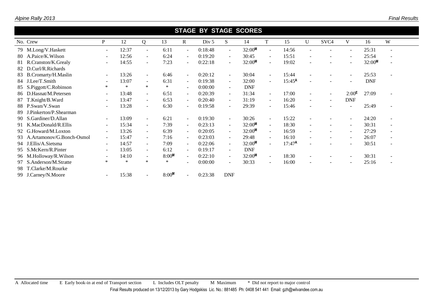|    | <b>STAGE BY STAGE SCORES</b> |            |        |                          |                   |                          |         |            |            |                          |                    |                          |                          |                          |                    |                          |
|----|------------------------------|------------|--------|--------------------------|-------------------|--------------------------|---------|------------|------------|--------------------------|--------------------|--------------------------|--------------------------|--------------------------|--------------------|--------------------------|
|    | No. Crew                     | P          | 12     | Q                        | 13                | $\mathbb{R}$             | Div 5   | S          | 14         | T                        | 15                 | U                        | SVC <sub>4</sub>         | V                        | 16                 | W                        |
|    | 79 M.Long/V.Haskett          | $\sim$     | 12:37  | $\sim$                   | 6:11              | $\sim$                   | 0:18:48 | $\sim$     | 32:00M     | $\sim$                   | 14:56              |                          |                          | $\blacksquare$           | 25:31              | $\overline{\phantom{a}}$ |
|    | 80 A.Paice/K.Wilson          | $\sim$     | 12:56  | $\sim$                   | 6:24              | $\sim$                   | 0:19:20 | $\sim$     | 30:45      | $\sim$                   | 15:51              | $\overline{\phantom{a}}$ |                          | $\sim$                   | 25:54              | $\overline{\phantom{a}}$ |
|    | 81 R.Cranston/K.Grealy       |            | 14:55  | $\overline{\phantom{a}}$ | 7:23              | $\overline{\phantom{a}}$ | 0:22:18 | $\sim$     | 32:00M     |                          | 19:02              |                          |                          | $\overline{a}$           | 32:00 <sup>M</sup> |                          |
|    | 82 D.Curl/R.Richards         |            |        |                          |                   |                          |         |            |            |                          |                    |                          |                          |                          |                    |                          |
|    | 83 B.Cromarty/H.Maslin       |            | 13:26  | $\sim$                   | 6:46              | $\overline{\phantom{0}}$ | 0:20:12 | $\sim$     | 30:04      | $\sim$                   | 15:44              |                          |                          | $\sim$                   | 25:53              |                          |
|    | 84 J.Lee/T.Smith             |            | 13:07  | $\sim$                   | 6:31              | $\sim$                   | 0:19:38 | $\sim$     | 32:00      | $\sim$                   | $15:45^{\text{A}}$ |                          |                          | $\overline{a}$           | <b>DNF</b>         |                          |
|    | 85 S.Piggott/C.Robinson      | $\ast$     | $\ast$ | $\ast$                   | $\ast$            | $\overline{\phantom{0}}$ | 0:00:00 | $\sim$     | <b>DNF</b> |                          |                    |                          |                          |                          |                    |                          |
|    | 86 D.Hasnat/M.Petersen       | $\sim$     | 13:48  | $\sim$                   | 6:51              | $\sim$                   | 0:20:39 | $\sim$     | 31:34      | $\sim$                   | 17:00              | $\blacksquare$           | $\overline{\phantom{a}}$ | $2:00^{\text{E}}$        | 27:09              |                          |
|    | 87 T.Knight/B.Ward           | $\sim$     | 13:47  | $\sim$                   | 6:53              | $\sim$                   | 0:20:40 | $\sim$     | 31:19      | $\sim$                   | 16:20              | $\sim$                   | $\overline{\phantom{a}}$ | <b>DNF</b>               |                    |                          |
|    | 88 P.Swan/V.Swan             | $\sim$     | 13:28  | $\sim$                   | 6:30              | $\overline{\phantom{0}}$ | 0:19:58 | $\sim$     | 29:39      | $\blacksquare$           | 15:46              |                          |                          | $\blacksquare$           | 25:49              | $\overline{\phantom{a}}$ |
| 89 | J.Pinkerton/P.Shearman       |            |        |                          |                   |                          |         |            |            |                          |                    |                          |                          |                          |                    |                          |
|    | 90 S.Gardiner/D.Allan        | $\sim$     | 13:09  | $\sim$                   | 6:21              | $\sim$                   | 0:19:30 | $\sim$     | 30:26      | $\sim$                   | 15:22              |                          |                          | $\sim$                   | 24:20              | $\overline{\phantom{a}}$ |
|    | 91 K.MacDonald/R.Ellis       | $\sim$     | 15:34  | $\sim$                   | 7:39              | $\sim$                   | 0:23:13 | $\sim$     | $32:00^M$  | $\sim$                   | 18:30              | $\overline{\phantom{a}}$ | $\overline{\phantom{a}}$ | $\sim$                   | 30:31              | $\overline{\phantom{a}}$ |
|    | 92 G.Howard/M.Loxton         | $\sim$     | 13:26  | $\sim$                   | 6:39              | $\sim$                   | 0:20:05 | $\sim$     | 32:00M     | $\sim$                   | 16:59              | $\sim$                   |                          | $\sim$                   | 27:29              | $\overline{\phantom{a}}$ |
|    | 93 A.Artamonov/G.Bonch-Osmol | $\sim$ $-$ | 15:47  | $\sim$                   | 7:16              | $\sim$ .                 | 0:23:03 | $\sim$     | 29:48      | $\sim$                   | 16:10              | $\blacksquare$           |                          | $\sim$                   | 26:07              | $\overline{\phantom{a}}$ |
|    | 94 J.Ellis/A.Sietsma         | $\sim$     | 14:57  | $\sim$                   | 7:09              | $\sim$                   | 0:22:06 | $\sim$     | 32:00M     | $\mathbf{r}$             | $17:47^{\text{A}}$ |                          |                          | $\overline{\phantom{a}}$ | 30:51              | $\overline{\phantom{a}}$ |
|    | 95 S.McKern/R.Pinter         | $\sim$     | 13:05  | $\sim$                   | 6:12              | $\sim$                   | 0:19:17 | $\sim$     | <b>DNF</b> |                          |                    |                          |                          |                          |                    |                          |
|    | 96 M.Holloway/R.Wilson       |            | 14:10  | $\sim$                   | 8:00 <sup>M</sup> | $\sim$                   | 0:22:10 | $\sim$     | 32:00M     | $\sim$                   | 18:30              |                          |                          | $\sim$                   | 30:31              | $\overline{\phantom{a}}$ |
|    | 97 S.Anderson/M.Stratte      | $\ast$     | $\ast$ | $\ast$                   | $\ast$            |                          | 0:00:00 | $\sim$     | 30:33      | $\overline{\phantom{a}}$ | 16:00              |                          |                          | $\overline{\phantom{a}}$ | 25:16              | $\overline{\phantom{a}}$ |
|    | 98 T.Clarke/M.Rourke         |            |        |                          |                   |                          |         |            |            |                          |                    |                          |                          |                          |                    |                          |
|    | 99 J.Carney/N.Moore          |            | 15:38  | $\sim$                   | 8:00 <sup>M</sup> |                          | 0:23:38 | <b>DNF</b> |            |                          |                    |                          |                          |                          |                    |                          |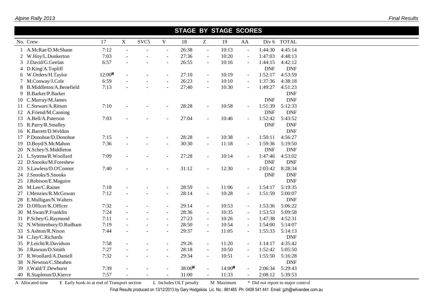|    | No. Crew                  | 17     | $\mathbf X$              | SVC <sub>5</sub> | $\mathbf Y$              | 18     | Z                        | 19        | AA                       | Div 6      | <b>TOTAL</b> |  |
|----|---------------------------|--------|--------------------------|------------------|--------------------------|--------|--------------------------|-----------|--------------------------|------------|--------------|--|
|    | A.McRae/D.McShane         | 7:12   | ÷,                       |                  | $\sim$                   | 26:38  | $\blacksquare$           | 10:13     | $\bar{\phantom{a}}$      | 1:44:30    | 4:45:14      |  |
|    | W.Hoy/L.Dunkerton         | 7:03   |                          |                  | $\sim$                   | 27:36  | $\overline{\phantom{a}}$ | 10:20     | $\overline{\phantom{a}}$ | 1:47:03    | 4:48:13      |  |
| 3  | J.David/G.Geelan          | 6:57   |                          |                  |                          | 26:55  | $\blacksquare$           | 10:16     | $\blacksquare$           | 1:44:15    | 4:42:12      |  |
| 4  | D.King/A.Topliff          |        |                          |                  |                          |        |                          |           |                          | <b>DNF</b> | <b>DNF</b>   |  |
| 6  | W.Orders/H.Taylor         | 12:00M | $\blacksquare$           |                  | $\blacksquare$           | 27:10  | $\blacksquare$           | 10:19     | $\blacksquare$           | 1:52:17    | 4:53:59      |  |
|    | M.Conway/J.Cole           | 6:59   |                          |                  |                          | 26:23  | $\overline{\phantom{a}}$ | 10:10     | $\blacksquare$           | 1:37:36    | 4:38:18      |  |
| 8  | B.Middleton/A.Benefield   | 7:13   |                          |                  |                          | 27:40  | $\sim$                   | 10:30     | $\ddot{\phantom{1}}$     | 1:49:27    | 4:51:23      |  |
| 9  | <b>B.Barker/P.Barker</b>  |        |                          |                  |                          |        |                          |           |                          |            | <b>DNF</b>   |  |
| 10 | C.Murray/M.James          |        |                          |                  |                          |        |                          |           |                          | <b>DNF</b> | <b>DNF</b>   |  |
| 11 | C.Stewart/A.Ritson        | 7:10   |                          |                  |                          | 28:28  |                          | 10:58     | $\sim$                   | 1:51:39    | 5:12:33      |  |
|    | 12 A.Friend/M.Canning     |        |                          |                  |                          |        |                          |           |                          | <b>DNF</b> | <b>DNF</b>   |  |
|    | 13 A.Bell/A.Paterson      | 7:03   |                          |                  |                          | 27:04  |                          | 10:46     | $\blacksquare$           | 1:52:42    | 5:43:52      |  |
|    | 15 R.Parry/R.Smalley      |        |                          |                  |                          |        |                          |           |                          | <b>DNF</b> | <b>DNF</b>   |  |
|    | 16 K.Barrett/D.Weldon     |        |                          |                  |                          |        |                          |           |                          |            | <b>DNF</b>   |  |
|    | 17 P.Donohue/D.Donohue    | 7:15   |                          |                  | $\sim$                   | 28:28  | $\blacksquare$           | 10:38     | $\overline{\phantom{a}}$ | 1:50:11    | 4:56:27      |  |
| 19 | D.Boyd/S.McMahon          | 7:36   |                          |                  |                          | 30:30  |                          | 11:18     |                          | 1:59:36    | 5:19:50      |  |
|    | 20 N.Schey/S.Middleton    |        |                          |                  |                          |        |                          |           |                          | <b>DNF</b> | <b>DNF</b>   |  |
|    | 21 L.Sytema/R.Woollard    | 7:09   |                          |                  |                          | 27:28  | $\sim$                   | 10:14     | $\sim$                   | 1:47:46    | 4:53:02      |  |
| 22 | D.Snooks/M.Foreshew       |        |                          |                  |                          |        |                          |           |                          | <b>DNF</b> | <b>DNF</b>   |  |
| 23 | S.Lawless/D.O'Connor      | 7:40   |                          |                  |                          | 31:12  |                          | 12:30     |                          | 2:03:42    | 8:28:34      |  |
|    | 24 J.Snooks/S.Snooks      |        |                          |                  |                          |        |                          |           |                          | <b>DNF</b> | <b>DNF</b>   |  |
|    | 25 J.Robison/E.Maguire    |        |                          |                  |                          |        |                          |           |                          |            | <b>DNF</b>   |  |
|    | 26 M.Lee/C.Rainer         | 7:18   |                          |                  |                          | 28:59  | $\sim$                   | 11:06     | $\sim$                   | 1:54:17    | 5:19:35      |  |
| 27 | I.Menzies/R.McGowan       | 7:12   |                          |                  |                          | 28:14  | $\sim$                   | 10:28     | $\blacksquare$           | 1:51:59    | 5:00:07      |  |
|    | 28 E.Mulligan/N.Walters   |        |                          |                  |                          |        |                          |           |                          |            | <b>DNF</b>   |  |
| 29 | D.Officer/K.Officer       | 7:32   |                          |                  | $\overline{\phantom{a}}$ | 29:14  | $\blacksquare$           | 10:53     | $\blacksquare$           | 1:53:36    | 5:06:22      |  |
|    | 30 M.Swan/P.Franklin      | 7:24   |                          |                  | $\blacksquare$           | 28:36  | $\blacksquare$           | 10:35     | $\blacksquare$           | 1:53:53    | 5:09:58      |  |
|    | 31 P.Schey/G.Raymond      | 7:11   |                          |                  | $\sim$                   | 27:23  | $\blacksquare$           | 10:26     | $\omega$                 | 1:47:38    | 4:52:31      |  |
|    | 32 N.Whittenbury/D.Rudham | 7:19   |                          |                  | $\sim$                   | 28:50  | $\blacksquare$           | 10:54     | $\blacksquare$           | 1:54:00    | 5:14:07      |  |
|    | 33 S.Ashton/R.Nixon       | 7:44   |                          |                  | $\blacksquare$           | 29:37  | $\blacksquare$           | 11:05     | $\blacksquare$           | 1:55:33    | 5:14:13      |  |
|    | 34 C.Jay/C.Richards       |        |                          |                  |                          |        |                          |           |                          |            | <b>DNF</b>   |  |
|    | 35 P.Leicht/R.Davidson    | 7:58   |                          |                  |                          | 29:26  | $\blacksquare$           | 11:20     | $\omega$                 | 1:14:17    | 4:35:42      |  |
|    | 36 J.Rawson/D.Smith       | 7:27   |                          |                  | $\overline{\phantom{a}}$ | 28:18  | $\sim$                   | 10:50     | $\blacksquare$           | 1:52:42    | 5:05:50      |  |
|    | 37 R. Woollard/A. Daniell | 7:32   | $\overline{\phantom{a}}$ |                  | $\sim$                   | 29:34  | $\blacksquare$           | 10:51     | $\blacksquare$           | 1:55:50    | 5:16:28      |  |
|    | 38 N.Newton/C.Sheahen     |        |                          |                  |                          |        |                          |           |                          |            | <b>DNF</b>   |  |
| 39 | J.Wald/T.Dewhurst         | 7:39   |                          |                  |                          | 38:00M | $\sim$                   | $14:00^M$ |                          | 2:06:34    | 5:29:43      |  |
|    | 40 R.Stapleton/D.Kierce   | 7:57   |                          |                  |                          | 31:00  |                          | 11:33     |                          | 2:08:12    | 5:39:53      |  |

 **STAGE BY STAGE SCORES**

A Allocated time E Early book-in at end of Transport section L Includes OLT penalty M Maximum \* Did not report to major control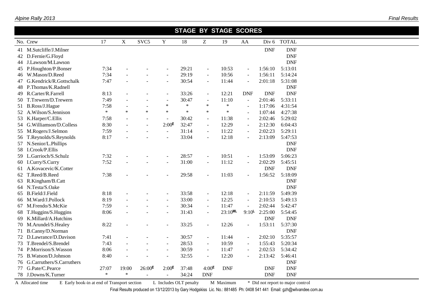e de la provincia de la provincia de la provincia de la provincia de la provincia de la provincia de la provincia de la provincia de la provincia de la provincia de la provincia de la provincia de la provincia de la provin

|    | <b>STAGE BY STAGE SCORES</b> |        |             |                  |                          |        |                             |              |                          |            |              |  |  |  |  |
|----|------------------------------|--------|-------------|------------------|--------------------------|--------|-----------------------------|--------------|--------------------------|------------|--------------|--|--|--|--|
|    | No. Crew                     | 17     | $\mathbf X$ | SVC <sub>5</sub> | $\mathbf Y$              | 18     | $\boldsymbol{Z}$            | 19           | AA                       | Div 6      | <b>TOTAL</b> |  |  |  |  |
|    | 41 M.Sutcliffe/J.Milner      |        |             |                  |                          |        |                             |              |                          | <b>DNF</b> | <b>DNF</b>   |  |  |  |  |
|    | 42 D.Fernie/G.Floyd          |        |             |                  |                          |        |                             |              |                          |            | <b>DNF</b>   |  |  |  |  |
|    | 44 J.Lawson/M.Lawson         |        |             |                  |                          |        |                             |              |                          |            | <b>DNF</b>   |  |  |  |  |
|    | 45 P.Houghton/P.Bonser       | 7:34   |             |                  | $\sim$                   | 29:21  | $\blacksquare$              | 10:53        | $\sim$                   | 1:56:10    | 5:13:01      |  |  |  |  |
|    | 46 W.Mason/D.Reed            | 7:34   |             |                  |                          | 29:19  | $\blacksquare$              | 10:56        |                          | 1:56:11    | 5:14:24      |  |  |  |  |
| 47 | G.Kendrick/R.Gottschalk      | 7:47   |             |                  |                          | 30:54  | $\sim$                      | 11:44        | $\sim$                   | 2:01:18    | 5:31:08      |  |  |  |  |
| 48 | P.Thomas/K.Radnell           |        |             |                  |                          |        |                             |              |                          |            | <b>DNF</b>   |  |  |  |  |
| 49 | R.Carter/R.Farrell           | 8:13   |             |                  |                          | 33:26  | $\sim$                      | 12:21        | <b>DNF</b>               | <b>DNF</b> | <b>DNF</b>   |  |  |  |  |
| 50 | T.Trewern/D.Trewern          | 7:49   |             |                  | $\blacksquare$           | 30:47  | $\blacksquare$              | 11:10        | $\overline{\phantom{a}}$ | 2:01:46    | 5:33:11      |  |  |  |  |
|    | 51 B.Ross/J.Hague            | 7:58   |             |                  | $\ast$                   | $\ast$ | $\ast$                      | $\ast$       | $\overline{a}$           | 1:17:06    | 4:31:54      |  |  |  |  |
|    | 52 A.Wilson/S.Jennison       | $\ast$ | *           | $\ast$           | $\ast$                   | $\ast$ | $\ast$                      | $\ast$       |                          | 1:07:44    | 4:27:38      |  |  |  |  |
|    | 53 K.Harper/C.Ellis          | 7:58   |             |                  |                          | 30:42  | $\blacksquare$              | 11:38        | $\overline{a}$           | 2:02:46    | 5:29:02      |  |  |  |  |
|    | 54 G.Williamson/D.Colless    | 8:30   |             |                  | $2:00^{\text{E}}$        | 32:47  | $\blacksquare$              | 12:29        | $\overline{\phantom{a}}$ | 2:12:30    | 6:04:43      |  |  |  |  |
|    | 55 M.Rogers/J.Selmon         | 7:59   |             |                  | $\sim$                   | 31:14  | $\omega$                    | 11:22        | $\sim$                   | 2:02:23    | 5:29:11      |  |  |  |  |
|    | 56 T.Reynolds/S.Reynolds     | 8:17   |             |                  |                          | 33:04  | $\sim$                      | 12:18        | $\blacksquare$           | 2:13:09    | 5:47:53      |  |  |  |  |
|    | 57 N.Senior/L.Phillips       |        |             |                  |                          |        |                             |              |                          |            | <b>DNF</b>   |  |  |  |  |
|    | 58 I.Crook/P.Ellis           |        |             |                  |                          |        |                             |              |                          |            | <b>DNF</b>   |  |  |  |  |
|    | 59 L.Garrioch/S.Schulz       | 7:32   |             |                  | $\overline{\phantom{a}}$ | 28:57  | $\blacksquare$              | 10:51        | $\blacksquare$           | 1:53:09    | 5:06:23      |  |  |  |  |
|    | 60 I.Curry/S.Curry           | 7:52   |             |                  | $\overline{\phantom{a}}$ | 31:00  | $\blacksquare$              | 11:12        | $\overline{\phantom{a}}$ | 2:02:29    | 5:45:51      |  |  |  |  |
|    | 61 A.Kovacevic/K.Cotter      |        |             |                  |                          |        |                             |              |                          | <b>DNF</b> | <b>DNF</b>   |  |  |  |  |
|    | 62 T.Reed/B.Reed             | 7:38   |             |                  |                          | 29:58  | $\blacksquare$              | 11:03        |                          | 1:56:52    | 5:18:09      |  |  |  |  |
| 63 | R.Kingham/B.Catt             |        |             |                  |                          |        |                             |              |                          |            | <b>DNF</b>   |  |  |  |  |
|    | 64 N.Testa/S.Oake            |        |             |                  |                          |        |                             |              |                          |            | <b>DNF</b>   |  |  |  |  |
|    | 65 B.Field/J.Field           | 8:18   |             |                  | $\sim$                   | 33:58  | $\blacksquare$              | 12:18        | $\sim$                   | 2:11:59    | 5:49:39      |  |  |  |  |
|    | 66 M.Ward/J.Pollock          | 8:19   |             |                  | $\sim$                   | 33:00  | $\mathcal{L}_{\mathcal{A}}$ | 12:25        | $\blacksquare$           | 2:10:53    | 5:49:13      |  |  |  |  |
|    | 67 M.Frendo/S.McKie          | 7:59   |             |                  | $\overline{\phantom{a}}$ | 30:34  | $\blacksquare$              | 11:47        |                          | 2:02:44    | 5:42:47      |  |  |  |  |
| 68 | T.Huggins/S.Huggins          | 8:06   |             |                  |                          | 31:43  | $\sim$                      | $23:10^{ML}$ | $9:10^{\mathsf{L}}$      | 2:25:00    | 5:54:45      |  |  |  |  |
| 69 | K.Millard/A.Hutchins         |        |             |                  |                          |        |                             |              |                          | <b>DNF</b> | <b>DNF</b>   |  |  |  |  |
|    | 70 M.Arundel/S.Healey        | 8:22   |             |                  |                          | 33:25  | $\blacksquare$              | 12:26        | $\overline{a}$           | 1:53:11    | 5:37:30      |  |  |  |  |
|    | 71 B.Canny/D.Norman          |        |             |                  |                          |        |                             |              |                          |            | <b>DNF</b>   |  |  |  |  |
|    | 72 D.Lawrance/D.Davison      | 7:41   |             |                  | $\blacksquare$           | 30:57  | $\sim$                      | 11:44        | $\overline{\phantom{a}}$ | 2:02:10    | 5:35:57      |  |  |  |  |
|    | 73 T.Brendel/S.Brendel       | 7:43   |             |                  | $\blacksquare$           | 28:53  | $\blacksquare$              | 10:59        | $\sim$                   | 1:55:43    | 5:20:34      |  |  |  |  |
|    | 74 P.Morrison/S.Wasson       | 8:06   |             |                  | $\sim$                   | 30:59  | $\mathcal{L}_{\mathcal{A}}$ | 11:47        | $\overline{a}$           | 2:02:53    | 5:34:42      |  |  |  |  |
|    | 75 B.Watson/D.Johnson        | 8:40   |             |                  |                          | 32:55  | $\blacksquare$              | 12:20        | $\overline{\phantom{a}}$ | 2:13:42    | 5:46:41      |  |  |  |  |
|    | 76 G.Carruthers/S.Carruthers |        |             |                  |                          |        |                             |              |                          |            | <b>DNF</b>   |  |  |  |  |
| 77 | G.Pate/C.Pearce              | 27:07  | 19:00       | $26:00^{E}$      | 2:00 <sup>E</sup>        | 37:48  | 4:00 <sup>E</sup>           | <b>DNF</b>   |                          | <b>DNF</b> | <b>DNF</b>   |  |  |  |  |
|    | 78 J.Downs/K.Turner          | $\ast$ | $\ast$      |                  |                          | 34:24  | <b>DNF</b>                  |              |                          | <b>DNF</b> | <b>DNF</b>   |  |  |  |  |

A Allocated time E Early book-in at end of Transport section L Includes OLT penalty M Maximum \* Did not report to major control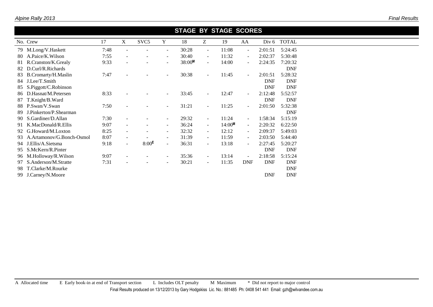| <b>STAGE BY STAGE SCORES</b>     |      |                |                   |                          |        |                |           |                          |            |             |  |  |  |
|----------------------------------|------|----------------|-------------------|--------------------------|--------|----------------|-----------|--------------------------|------------|-------------|--|--|--|
| No. Crew                         | 17   | X              | SVC <sub>5</sub>  | Y                        | 18     | Z              | 19        | AA                       |            | Div 6 TOTAL |  |  |  |
| 79 M.Long/V.Haskett              | 7:48 |                |                   | $\overline{\phantom{a}}$ | 30:28  | $\blacksquare$ | 11:08     | $\overline{\phantom{a}}$ | 2:01:51    | 5:24:45     |  |  |  |
| A.Paice/K.Wilson<br>80           | 7:55 | $\blacksquare$ |                   | $\blacksquare$           | 30:40  | $\sim$         | 11:32     | $\sim$                   | 2:02:37    | 5:30:48     |  |  |  |
| 81 R.Cranston/K.Grealy           | 9:33 |                |                   | $\blacksquare$           | 38:00M | $\sim$         | 14:00     | $\sim$                   | 2:24:35    | 7:20:32     |  |  |  |
| 82 D.Curl/R.Richards             |      |                |                   |                          |        |                |           |                          |            | <b>DNF</b>  |  |  |  |
| 83 B.Cromarty/H.Maslin           | 7:47 |                |                   | $\overline{\phantom{a}}$ | 30:38  | $\sim$         | 11:45     | $\blacksquare$           | 2:01:51    | 5:28:32     |  |  |  |
| 84 J.Lee/T.Smith                 |      |                |                   |                          |        |                |           |                          | <b>DNF</b> | <b>DNF</b>  |  |  |  |
| 85 S.Piggott/C.Robinson          |      |                |                   |                          |        |                |           |                          | <b>DNF</b> | <b>DNF</b>  |  |  |  |
| 86 D.Hasnat/M.Petersen           | 8:33 |                |                   | $\overline{\phantom{a}}$ | 33:45  | ÷.             | 12:47     | $\sim$                   | 2:12:48    | 5:52:57     |  |  |  |
| T.Knight/B.Ward<br>87            |      |                |                   |                          |        |                |           |                          | <b>DNF</b> | <b>DNF</b>  |  |  |  |
| 88 P.Swan/V.Swan                 | 7:50 |                |                   | $\overline{\phantom{a}}$ | 31:21  | $\sim$         | 11:25     | $\sim$                   | 2:01:50    | 5:32:38     |  |  |  |
| J.Pinkerton/P.Shearman<br>-89    |      |                |                   |                          |        |                |           |                          |            | <b>DNF</b>  |  |  |  |
| S.Gardiner/D.Allan<br>90.        | 7:30 |                |                   | $\sim$                   | 29:32  | $\sim$         | 11:24     | $\blacksquare$           | 1:58:34    | 5:15:19     |  |  |  |
| K.MacDonald/R.Ellis<br>91        | 9:07 | $\overline{a}$ |                   | $\overline{\phantom{a}}$ | 36:24  | $\sim$         | $14:00^M$ | $\sim$                   | 2:20:32    | 6:22:50     |  |  |  |
| 92 G.Howard/M.Loxton             | 8:25 | $\overline{a}$ |                   | $\blacksquare$           | 32:32  | $\sim$         | 12:12     | $\sim$                   | 2:09:37    | 5:49:03     |  |  |  |
| A.Artamonov/G.Bonch-Osmol<br>93. | 8:07 | $\blacksquare$ |                   | $\blacksquare$           | 31:39  | $\sim$         | 11:59     | $\sim$                   | 2:03:50    | 5:44:40     |  |  |  |
| 94 J.Ellis/A.Sietsma             | 9:18 | $\blacksquare$ | 8:00 <sup>E</sup> | $\sim$                   | 36:31  | $\sim$         | 13:18     | $\sim$                   | 2:27:45    | 5:20:27     |  |  |  |
| S.McKern/R.Pinter<br>95          |      |                |                   |                          |        |                |           |                          | <b>DNF</b> | <b>DNF</b>  |  |  |  |
| M.Holloway/R.Wilson<br>96        | 9:07 |                |                   | $\overline{\phantom{a}}$ | 35:36  | $\sim$         | 13:14     | $\sim$                   | 2:18:58    | 5:15:24     |  |  |  |
| S.Anderson/M.Stratte<br>97       | 7:31 |                |                   | $\overline{\phantom{a}}$ | 30:21  | $\sim$         | 11:35     | <b>DNF</b>               | <b>DNF</b> | <b>DNF</b>  |  |  |  |
| 98 T.Clarke/M.Rourke             |      |                |                   |                          |        |                |           |                          |            | <b>DNF</b>  |  |  |  |
| J.Carney/N.Moore<br>99.          |      |                |                   |                          |        |                |           |                          | <b>DNF</b> | <b>DNF</b>  |  |  |  |
|                                  |      |                |                   |                          |        |                |           |                          |            |             |  |  |  |

*Final Results*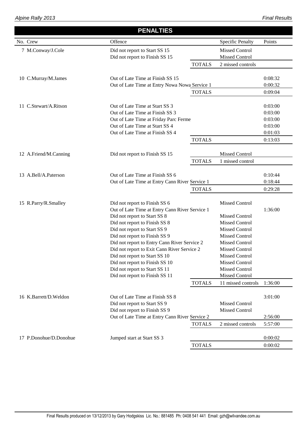|                        | <b>PENALTIES</b>                               |               |                         |         |
|------------------------|------------------------------------------------|---------------|-------------------------|---------|
| No. Crew               | Offence                                        |               | <b>Specific Penalty</b> | Points  |
| 7 M.Conway/J.Cole      | Did not report to Start SS 15                  |               | <b>Missed Control</b>   |         |
|                        | Did not report to Finish SS 15                 |               | <b>Missed Control</b>   |         |
|                        |                                                | <b>TOTALS</b> | 2 missed controls       |         |
| 10 C.Murray/M.James    | Out of Late Time at Finish SS 15               |               |                         | 0:08:32 |
|                        | Out of Late Time at Entry Nowa Nowa Service 1  |               |                         | 0:00:32 |
|                        |                                                | <b>TOTALS</b> |                         | 0:09:04 |
|                        |                                                |               |                         |         |
| 11 C.Stewart/A.Ritson  | Out of Late Time at Start SS 3                 |               |                         | 0:03:00 |
|                        | Out of Late Time at Finish SS 3                |               |                         | 0:03:00 |
|                        | Out of Late Time at Friday Parc Ferme          |               |                         | 0:03:00 |
|                        | Out of Late Time at Start SS 4                 |               |                         | 0:03:00 |
|                        | Out of Late Time at Finish SS 4                |               |                         | 0:01:03 |
|                        |                                                | <b>TOTALS</b> |                         | 0:13:03 |
| 12 A.Friend/M.Canning  | Did not report to Finish SS 15                 |               | Missed Control          |         |
|                        |                                                | <b>TOTALS</b> | 1 missed control        |         |
|                        |                                                |               |                         |         |
| 13 A.Bell/A.Paterson   | Out of Late Time at Finish SS 6                |               |                         | 0:10:44 |
|                        | Out of Late Time at Entry Cann River Service 1 |               |                         | 0:18:44 |
|                        |                                                | <b>TOTALS</b> |                         | 0:29:28 |
|                        |                                                |               |                         |         |
| 15 R.Parry/R.Smalley   | Did not report to Finish SS 6                  |               | <b>Missed Control</b>   |         |
|                        | Out of Late Time at Entry Cann River Service 1 |               |                         | 1:36:00 |
|                        | Did not report to Start SS 8                   |               | <b>Missed Control</b>   |         |
|                        | Did not report to Finish SS 8                  |               | <b>Missed Control</b>   |         |
|                        | Did not report to Start SS 9                   |               | <b>Missed Control</b>   |         |
|                        | Did not report to Finish SS 9                  |               | <b>Missed Control</b>   |         |
|                        | Did not report to Entry Cann River Service 2   |               | <b>Missed Control</b>   |         |
|                        | Did not report to Exit Cann River Service 2    |               | <b>Missed Control</b>   |         |
|                        | Did not report to Start SS 10                  |               | <b>Missed Control</b>   |         |
|                        | Did not report to Finish SS 10                 |               | <b>Missed Control</b>   |         |
|                        | Did not report to Start SS 11                  |               | <b>Missed Control</b>   |         |
|                        | Did not report to Finish SS 11                 |               | <b>Missed Control</b>   |         |
|                        |                                                | <b>TOTALS</b> | 11 missed controls      | 1:36:00 |
| 16 K.Barrett/D.Weldon  | Out of Late Time at Finish SS 8                |               |                         | 3:01:00 |
|                        | Did not report to Start SS 9                   |               | <b>Missed Control</b>   |         |
|                        | Did not report to Finish SS 9                  |               | <b>Missed Control</b>   |         |
|                        | Out of Late Time at Entry Cann River Service 2 |               |                         | 2:56:00 |
|                        |                                                | <b>TOTALS</b> | 2 missed controls       | 5:57:00 |
|                        |                                                |               |                         |         |
| 17 P.Donohue/D.Donohue | Jumped start at Start SS 3                     |               |                         | 0:00:02 |
|                        |                                                | <b>TOTALS</b> |                         | 0:00:02 |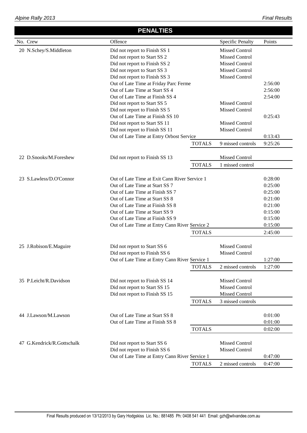#### No. Crew  **PENALTIES** Offence Specific Penalty Points 20 N.Schev/S.Middleton Did not report to Finish SS 1 Missed Control Did not report to Start SS 2 Missed Control Did not report to Finish SS 2 Missed Control Did not report to Start SS 3 Missed Control Did not report to Finish SS 3 Missed Control Out of Late Time at Friday Parc Ferme 2:56:00 Out of Late Time at Start SS 4 2:56:00 Out of Late Time at Finish SS 4 2:54:00 Did not report to Start SS 5 Missed Control Did not report to Finish SS 5 Missed Control Out of Late Time at Finish SS 10 0:25:43 Did not report to Start SS 11 Missed Control Did not report to Finish SS 11 Missed Control Out of Late Time at Entry Orbost Service 0:13:43 TOTALS 9 missed controls 9:25:26 22 D.Snooks/M.Foreshew Did not report to Finish SS 13 Missed Control TOTALS 1 missed control 23 S.Lawless/D.O'Connor Out of Late Time at Exit Cann River Service 1 0:28:00 Out of Late Time at Start SS 7 0:25:00 Out of Late Time at Finish SS 7 0:25:00 Out of Late Time at Start SS 8 0:21:00 Out of Late Time at Finish SS 8 0:21:00 Out of Late Time at Start SS 9 0:15:00 Out of Late Time at Finish SS 9 0:15:00 Out of Late Time at Entry Cann River Service 2 0:15:00 TOTALS 2:45:00 25 J.Robison/E.Maguire Did not report to Start SS 6 Missed Control Did not report to Finish SS 6 Missed Control Out of Late Time at Entry Cann River Service 1 1:27:00 TOTALS 2 missed controls 1:27:00 35 P.Leicht/R.Davidson Did not report to Finish SS 14 Missed Control Did not report to Start SS 15 Missed Control Did not report to Finish SS 15 Missed Control TOTALS 3 missed controls 44 J.Lawson/M.Lawson Out of Late Time at Start SS 8 0:01:00 Out of Late Time at Finish SS 8 0:01:00 TOTALS 0:02:00 47 G.Kendrick/R.Gottschalk Did not report to Start SS 6 Missed Control Did not report to Finish SS 6 Missed Control Out of Late Time at Entry Cann River Service 1 0:47:00 TOTALS 2 missed controls 0:47:00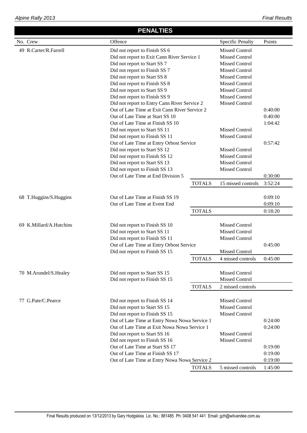### **PENALTIES**

| No. Crew                | Offence                                       |               | <b>Specific Penalty</b> | Points  |
|-------------------------|-----------------------------------------------|---------------|-------------------------|---------|
| 49 R.Carter/R.Farrell   | Did not report to Finish SS 6                 |               | <b>Missed Control</b>   |         |
|                         | Did not report to Exit Cann River Service 1   |               | <b>Missed Control</b>   |         |
|                         | Did not report to Start SS 7                  |               | <b>Missed Control</b>   |         |
|                         | Did not report to Finish SS 7                 |               | <b>Missed Control</b>   |         |
|                         | Did not report to Start SS 8                  |               | <b>Missed Control</b>   |         |
|                         | Did not report to Finish SS 8                 |               | <b>Missed Control</b>   |         |
|                         | Did not report to Start SS 9                  |               | <b>Missed Control</b>   |         |
|                         | Did not report to Finish SS 9                 |               | <b>Missed Control</b>   |         |
|                         | Did not report to Entry Cann River Service 2  |               | <b>Missed Control</b>   |         |
|                         | Out of Late Time at Exit Cann River Service 2 |               |                         | 0:40:00 |
|                         | Out of Late Time at Start SS 10               |               |                         | 0:40:00 |
|                         | Out of Late Time at Finish SS 10              |               |                         | 1:04:42 |
|                         | Did not report to Start SS 11                 |               | <b>Missed Control</b>   |         |
|                         | Did not report to Finish SS 11                |               | <b>Missed Control</b>   |         |
|                         | Out of Late Time at Entry Orbost Service      |               |                         | 0:57:42 |
|                         | Did not report to Start SS 12                 |               | <b>Missed Control</b>   |         |
|                         | Did not report to Finish SS 12                |               | <b>Missed Control</b>   |         |
|                         | Did not report to Start SS 13                 |               | <b>Missed Control</b>   |         |
|                         | Did not report to Finish SS 13                |               | <b>Missed Control</b>   |         |
|                         | Out of Late Time at End Division 5            |               |                         | 0:30:00 |
|                         |                                               | <b>TOTALS</b> | 15 missed controls      | 3:52:24 |
|                         |                                               |               |                         |         |
| 68 T.Huggins/S.Huggins  | Out of Late Time at Finish SS 19              |               |                         | 0:09:10 |
|                         | Out of Late Time at Event End                 |               |                         | 0:09:10 |
|                         |                                               | <b>TOTALS</b> |                         | 0:18:20 |
| 69 K.Millard/A.Hutchins | Did not report to Finish SS 10                |               | <b>Missed Control</b>   |         |
|                         | Did not report to Start SS 11                 |               | <b>Missed Control</b>   |         |
|                         | Did not report to Finish SS 11                |               | Missed Control          |         |
|                         | Out of Late Time at Entry Orbost Service      |               |                         | 0:45:00 |
|                         | Did not report to Finish SS 15                |               | Missed Control          |         |
|                         |                                               | <b>TOTALS</b> | 4 missed controls       | 0:45:00 |
|                         |                                               |               |                         |         |
| 70 M.Arundel/S.Healey   | Did not report to Start SS 15                 |               | <b>Missed Control</b>   |         |
|                         | Did not report to Finish SS 15                |               | <b>Missed Control</b>   |         |
|                         |                                               | <b>TOTALS</b> | 2 missed controls       |         |
|                         |                                               |               |                         |         |
| 77 G.Pate/C.Pearce      | Did not report to Finish SS 14                |               | <b>Missed Control</b>   |         |
|                         | Did not report to Start SS 15                 |               | <b>Missed Control</b>   |         |
|                         | Did not report to Finish SS 15                |               | <b>Missed Control</b>   |         |
|                         | Out of Late Time at Entry Nowa Nowa Service 1 |               |                         | 0:24:00 |
|                         | Out of Late Time at Exit Nowa Nowa Service 1  |               |                         | 0:24:00 |
|                         | Did not report to Start SS 16                 |               | <b>Missed Control</b>   |         |
|                         | Did not report to Finish SS 16                |               | <b>Missed Control</b>   |         |
|                         | Out of Late Time at Start SS 17               |               |                         | 0:19:00 |
|                         | Out of Late Time at Finish SS 17              |               |                         | 0:19:00 |
|                         | Out of Late Time at Entry Nowa Nowa Service 2 |               |                         | 0:19:00 |
|                         |                                               | <b>TOTALS</b> | 5 missed controls       | 1:45:00 |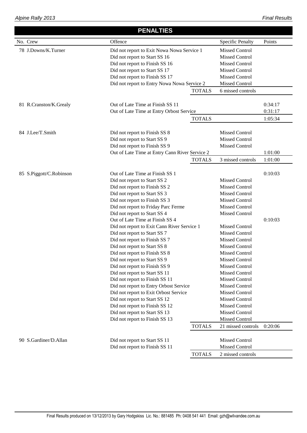|                         | <b>PENALTIES</b>                               |                       |                         |         |  |  |
|-------------------------|------------------------------------------------|-----------------------|-------------------------|---------|--|--|
| No. Crew                | Offence                                        |                       | <b>Specific Penalty</b> | Points  |  |  |
| 78 J.Downs/K.Turner     | Did not report to Exit Nowa Nowa Service 1     |                       | <b>Missed Control</b>   |         |  |  |
|                         | Did not report to Start SS 16                  |                       | <b>Missed Control</b>   |         |  |  |
|                         | Did not report to Finish SS 16                 |                       | <b>Missed Control</b>   |         |  |  |
|                         | Did not report to Start SS 17                  |                       | <b>Missed Control</b>   |         |  |  |
|                         | Did not report to Finish SS 17                 |                       | <b>Missed Control</b>   |         |  |  |
|                         | Did not report to Entry Nowa Nowa Service 2    |                       | <b>Missed Control</b>   |         |  |  |
|                         |                                                | <b>TOTALS</b>         | 6 missed controls       |         |  |  |
| 81 R.Cranston/K.Grealy  | Out of Late Time at Finish SS 11               |                       |                         | 0:34:17 |  |  |
|                         | Out of Late Time at Entry Orbost Service       |                       |                         | 0:31:17 |  |  |
|                         |                                                | <b>TOTALS</b>         |                         | 1:05:34 |  |  |
|                         |                                                |                       |                         |         |  |  |
| 84 J.Lee/T.Smith        | Did not report to Finish SS 8                  |                       | <b>Missed Control</b>   |         |  |  |
|                         | Did not report to Start SS 9                   |                       | <b>Missed Control</b>   |         |  |  |
|                         | Did not report to Finish SS 9                  |                       | <b>Missed Control</b>   |         |  |  |
|                         | Out of Late Time at Entry Cann River Service 2 |                       |                         | 1:01:00 |  |  |
|                         |                                                | <b>TOTALS</b>         | 3 missed controls       | 1:01:00 |  |  |
| 85 S.Piggott/C.Robinson | Out of Late Time at Finish SS 1                |                       |                         | 0:10:03 |  |  |
|                         | Did not report to Start SS 2                   |                       | <b>Missed Control</b>   |         |  |  |
|                         |                                                | <b>Missed Control</b> |                         |         |  |  |
|                         |                                                | <b>Missed Control</b> |                         |         |  |  |
|                         | Did not report to Finish SS 3                  |                       | <b>Missed Control</b>   |         |  |  |
|                         | Did not report to Friday Parc Ferme            |                       | <b>Missed Control</b>   |         |  |  |
|                         | Did not report to Start SS 4                   |                       | Missed Control          |         |  |  |
|                         | Out of Late Time at Finish SS 4                |                       |                         | 0:10:03 |  |  |
|                         | Did not report to Exit Cann River Service 1    |                       | <b>Missed Control</b>   |         |  |  |
|                         | Did not report to Start SS 7                   |                       | <b>Missed Control</b>   |         |  |  |
|                         | Did not report to Finish SS 7                  |                       | <b>Missed Control</b>   |         |  |  |
|                         | Did not report to Start SS 8                   |                       | <b>Missed Control</b>   |         |  |  |
|                         | Did not report to Finish SS 8                  |                       | <b>Missed Control</b>   |         |  |  |
|                         | Did not report to Start SS 9                   |                       | Missed Control          |         |  |  |
|                         | Did not report to Finish SS 9                  |                       | Missed Control          |         |  |  |
|                         | Did not report to Start SS 11                  |                       | <b>Missed Control</b>   |         |  |  |
|                         | Did not report to Finish SS 11                 |                       | <b>Missed Control</b>   |         |  |  |
|                         | Did not report to Entry Orbost Service         |                       | <b>Missed Control</b>   |         |  |  |
|                         | Did not report to Exit Orbost Service          |                       | <b>Missed Control</b>   |         |  |  |
|                         | Did not report to Start SS 12                  |                       | <b>Missed Control</b>   |         |  |  |
|                         | Did not report to Finish SS 12                 |                       | <b>Missed Control</b>   |         |  |  |
|                         | Did not report to Start SS 13                  |                       | <b>Missed Control</b>   |         |  |  |
|                         | Did not report to Finish SS 13                 |                       | <b>Missed Control</b>   |         |  |  |
|                         |                                                | <b>TOTALS</b>         | 21 missed controls      | 0:20:06 |  |  |
| 90 S.Gardiner/D.Allan   | Did not report to Start SS 11                  |                       | <b>Missed Control</b>   |         |  |  |
|                         | Did not report to Finish SS 11                 | Missed Control        |                         |         |  |  |
|                         |                                                | <b>TOTALS</b>         | 2 missed controls       |         |  |  |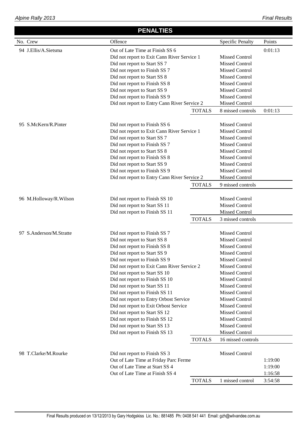|                         | <b>PENALTIES</b>                             |               |                                     |         |
|-------------------------|----------------------------------------------|---------------|-------------------------------------|---------|
| No. Crew                | Offence                                      |               | <b>Specific Penalty</b>             | Points  |
| 94 J.Ellis/A.Sietsma    | Out of Late Time at Finish SS 6              |               |                                     | 0:01:13 |
|                         | Did not report to Exit Cann River Service 1  |               | <b>Missed Control</b>               |         |
|                         | Did not report to Start SS 7                 |               | <b>Missed Control</b>               |         |
|                         | Did not report to Finish SS 7                |               | <b>Missed Control</b>               |         |
|                         | Did not report to Start SS 8                 |               | <b>Missed Control</b>               |         |
|                         | Did not report to Finish SS 8                |               | <b>Missed Control</b>               |         |
|                         | Did not report to Start SS 9                 |               | <b>Missed Control</b>               |         |
|                         | Did not report to Finish SS 9                |               | <b>Missed Control</b>               |         |
|                         | Did not report to Entry Cann River Service 2 |               | Missed Control                      |         |
|                         |                                              | <b>TOTALS</b> | 8 missed controls                   | 0:01:13 |
|                         |                                              |               |                                     |         |
| 95 S.McKern/R.Pinter    | Did not report to Finish SS 6                |               | <b>Missed Control</b>               |         |
|                         | Did not report to Exit Cann River Service 1  |               | <b>Missed Control</b>               |         |
|                         | Did not report to Start SS 7                 |               | <b>Missed Control</b>               |         |
|                         | Did not report to Finish SS 7                |               | <b>Missed Control</b>               |         |
|                         | Did not report to Start SS 8                 |               | <b>Missed Control</b>               |         |
|                         | Did not report to Finish SS 8                |               | Missed Control                      |         |
|                         | Did not report to Start SS 9                 |               | <b>Missed Control</b>               |         |
|                         | Did not report to Finish SS 9                |               | <b>Missed Control</b>               |         |
|                         | Did not report to Entry Cann River Service 2 |               | Missed Control                      |         |
|                         |                                              | <b>TOTALS</b> | 9 missed controls                   |         |
|                         |                                              |               |                                     |         |
| 96 M.Holloway/R.Wilson  | Did not report to Finish SS 10               |               | <b>Missed Control</b>               |         |
|                         | Did not report to Start SS 11                |               | <b>Missed Control</b>               |         |
|                         | Did not report to Finish SS 11               | <b>TOTALS</b> | Missed Control<br>3 missed controls |         |
|                         |                                              |               |                                     |         |
| 97 S.Anderson/M.Stratte | Did not report to Finish SS 7                |               | <b>Missed Control</b>               |         |
|                         | Did not report to Start SS 8                 |               | <b>Missed Control</b>               |         |
|                         | Did not report to Finish SS 8                |               | <b>Missed Control</b>               |         |
|                         | Did not report to Start SS 9                 |               | <b>Missed Control</b>               |         |
|                         | Did not report to Finish SS 9                |               | Missed Control                      |         |
|                         | Did not report to Exit Cann River Service 2  |               | <b>Missed Control</b>               |         |
|                         | Did not report to Start SS 10                |               | <b>Missed Control</b>               |         |
|                         | Did not report to Finish SS 10               |               | <b>Missed Control</b>               |         |
|                         | Did not report to Start SS 11                |               | <b>Missed Control</b>               |         |
|                         | Did not report to Finish SS 11               |               | <b>Missed Control</b>               |         |
|                         | Did not report to Entry Orbost Service       |               | Missed Control                      |         |
|                         | Did not report to Exit Orbost Service        |               | <b>Missed Control</b>               |         |
|                         | Did not report to Start SS 12                |               | <b>Missed Control</b>               |         |
|                         | Did not report to Finish SS 12               |               | <b>Missed Control</b>               |         |
|                         | Did not report to Start SS 13                |               | <b>Missed Control</b>               |         |
|                         | Did not report to Finish SS 13               |               | Missed Control                      |         |
|                         |                                              | <b>TOTALS</b> | 16 missed controls                  |         |
|                         |                                              |               |                                     |         |
| 98 T.Clarke/M.Rourke    | Did not report to Finish SS 3                |               | <b>Missed Control</b>               |         |
|                         | Out of Late Time at Friday Parc Ferme        |               |                                     | 1:19:00 |
|                         | Out of Late Time at Start SS 4               |               |                                     | 1:19:00 |
|                         | Out of Late Time at Finish SS 4              |               |                                     | 1:16:58 |
|                         |                                              | <b>TOTALS</b> | 1 missed control                    | 3:54:58 |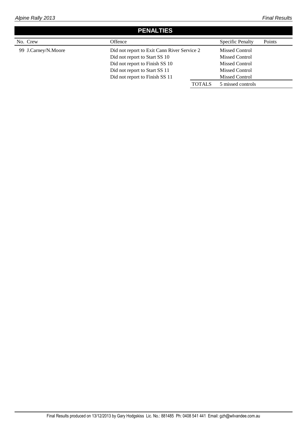## **PENALTIES**

| No. Crew            | Offence                                                                      |               | <b>Specific Penalty</b>                        | Points |
|---------------------|------------------------------------------------------------------------------|---------------|------------------------------------------------|--------|
| 99 J.Carney/N.Moore | Did not report to Exit Cann River Service 2<br>Did not report to Start SS 10 |               | <b>Missed Control</b><br><b>Missed Control</b> |        |
|                     | Did not report to Finish SS 10                                               |               | <b>Missed Control</b>                          |        |
|                     | Did not report to Start SS 11                                                |               | <b>Missed Control</b>                          |        |
|                     | Did not report to Finish SS 11                                               |               | Missed Control                                 |        |
|                     |                                                                              | <b>TOTALS</b> | 5 missed controls                              |        |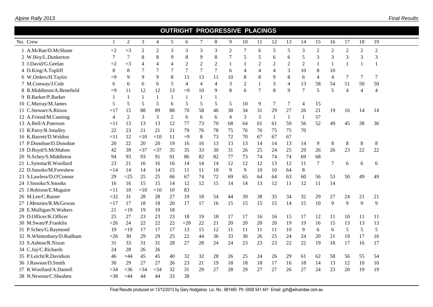|  | Alpine Rally 2013 |  |  |
|--|-------------------|--|--|
|  |                   |  |  |

| <b>OUTRIGHT PROGRESSIVE PLACINGS</b> |                |                |                |                  |                |                |                |                |                |                |                |                |                |                |                |                 |                |                |                |  |
|--------------------------------------|----------------|----------------|----------------|------------------|----------------|----------------|----------------|----------------|----------------|----------------|----------------|----------------|----------------|----------------|----------------|-----------------|----------------|----------------|----------------|--|
| No. Crew                             | $\mathbf{1}$   | $\mathbf{2}$   | 3              | 4                | 5              | 6              | $\tau$         | $\,8$          | 9              | 10             | 11             | 12             | 13             | 14             | 15             | 16              | 17             | 18             | 19             |  |
| 1 A.McRae/D.McShane                  | $=2$           | $=$ 3          | $\overline{c}$ | $\boldsymbol{2}$ | 3              | 3              | 3              | 3              | $\sqrt{2}$     | 7              | 6              | 5              | 5              | 3              | $\sqrt{2}$     | $\sqrt{2}$      | $\overline{2}$ | $\mathfrak{2}$ | $\sqrt{2}$     |  |
| 2 W.Hoy/L.Dunkerton                  | 7              | 7              | 8              | 8                | 9              | 8              | 9              | 8              | 7              | 5              | 5              | 6              | 6              | 5              | 3              | 3               | 3              | 3              | 3              |  |
| 3 J.David/G.Geelan                   | $=2$           | $=3$           | $\overline{4}$ | 4                | $\overline{4}$ | $\overline{2}$ | $\overline{2}$ | $\overline{2}$ | 1              | 1              | $\overline{2}$ | $\sqrt{2}$     | $\overline{2}$ | $\overline{2}$ | 1              | $\mathbf{1}$    | $\mathbf{1}$   | -1             | 1              |  |
| 4 D.King/A.Topliff                   | 8              | 8              | 7              | 7                | $\overline{7}$ | $\overline{7}$ | $\tau$         | $\overline{7}$ | 6              | 4              | $\overline{4}$ | $\overline{4}$ | $\mathfrak{Z}$ | 10             | 8              | 10              |                |                |                |  |
| 6 W.Orders/H.Taylor                  | $=9$           | 9              | 9              | 9                | 8              | 15             | 13             | 11             | 10             | 8              | $8\phantom{1}$ | 9              | 8              | 6              | $\overline{4}$ | $\overline{4}$  | 7              | 7              | 7              |  |
| 7 M.Conway/J.Cole                    | 6              | 6              | 6              | 6                | 5              | $\overline{4}$ | $\overline{4}$ | $\overline{4}$ | 3              | $\overline{2}$ | $\mathbf{1}$   | 3              | $\overline{4}$ | 13             | 58             | 54              | 51             | 50             | 50             |  |
| 8 B.Middleton/A.Benefield            | $=9$           | 11             | 12             | 12               | 13             | $=9$           | 10             | 9              | 8              | 6              | $\overline{7}$ | 8              | 9              | $\overline{7}$ | 5              | 5               | $\overline{4}$ | $\overline{4}$ | $\overline{4}$ |  |
| 9 B.Barker/P.Barker                  |                | $\mathbf{1}$   | 1              | $\mathbf{1}$     | 1              | -1             |                | $\mathbf{1}$   |                |                |                |                |                |                |                |                 |                |                |                |  |
| 10 C.Murray/M.James                  | 5              | 5              | 5              | 5                | 6              | 5              | 5              | 5              | 5              | 10             | 9              | 7              | 7              | 4              | 15             |                 |                |                |                |  |
| 11 C.Stewart/A.Ritson                | $=17$          | 15             | 88             | 89               | 88             | 70             | 58             | 46             | 38             | 34             | 31             | 29             | 27             | 26             | 21             | 19              | 16             | 14             | 14             |  |
| 12 A.Friend/M.Canning                | $\overline{4}$ | $\overline{2}$ | 3              | $\overline{3}$   | $\overline{2}$ | 6              | 6              | 6              | $\overline{4}$ | 3              | 3              | $\mathbf{1}$   | $\mathbf{1}$   | $\mathbf{1}$   | 57             |                 |                |                |                |  |
| 13 A.Bell/A.Paterson                 | $=11$          | 13             | 13             | 13               | 12             | 77             | 73             | 70             | 68             | 64             | 61             | 61             | 59             | 56             | 52             | 49              | 45             | 38             | 36             |  |
| 15 R.Parry/R.Smalley                 | 22             | 23             | 21             | 21               | 21             | 79             | 76             | 78             | 75             | 76             | 76             | 75             | 75             | 70             |                |                 |                |                |                |  |
| 16 K.Barrett/D.Weldon                | $=11$          | 12             | $=10$          | $=10$            | 11             | $\equiv$ 9     | 8              | 73             | 72             | 70             | 67             | 67             | 67             |                |                |                 |                |                |                |  |
| 17 P.Donohue/D.Donohue               | 20             | 22             | 20             | 20               | 19             | 16             | 16             | 13             | 13             | 13             | 14             | 14             | 13             | 14             | 9              | $8\phantom{.0}$ | $8\,$          | 8              | 8              |  |
| 19 D.Boyd/S.McMahon                  | 42             | 39             | $=37$          | $=37$            | 35             | 35             | 33             | 30             | 31             | 26             | 25             | 24             | 25             | 29             | 26             | 26              | 23             | 22             | 22             |  |
| 20 N.Schey/S.Middleton               | 94             | 93             | 93             | 91               | 91             | 86             | 82             | 82             | 77             | 73             | 74             | 74             | 74             | 69             | 68             |                 |                |                |                |  |
| 21 L.Sytema/R.Woollard               | 23             | 21             | 16             | 16               | 16             | 14             | 14             | 14             | 12             | 12             | 12             | 13             | 12             | 11             | 7              | 7               | 6              | 6              | 6              |  |
| 22 D.Snooks/M.Foreshew               | $=14$          | 14             | 14             | 14               | 15             | 11             | 11             | 10             | 9              | 9              | 10             | 10             | 64             | $8\,$          |                |                 |                |                |                |  |
| 23 S.Lawless/D.O'Connor              | 29             | $=25$          | 25             | 25               | 66             | 67             | 74             | 72             | 69             | 65             | 64             | 64             | 63             | 60             | 56             | 53              | 50             | 49             | 49             |  |
| 24 J.Snooks/S.Snooks                 | 16             | 16             | 15             | 15               | 14             | 12             | 12             | 15             | 14             | 14             | 13             | 12             | 11             | 12             | 11             | 14              |                |                |                |  |
| 25 J.Robison/E.Maguire               | $=11$          | 10             | $=10$          | $=10$            | 10             | 83             |                |                |                |                |                |                |                |                |                |                 |                |                |                |  |
| 26 M.Lee/C.Rainer                    | $=32$          | 31             | 28             | 28               | 27             | 19             | 18             | 54             | 44             | 39             | 38             | 35             | 34             | 32             | 29             | 27              | 24             | 21             | 21             |  |
| 27 I.Menzies/R.McGowan               | $=17$          | 17             | 18             | 18               | 20             | 17             | 17             | 16             | 15             | 15             | 15             | 15             | 14             | 15             | 10             | 9               | 9              | 9              | 9              |  |
| 28 E.Mulligan/N.Walters              | 21             | $=19$          | 19             | 19               | 18             |                |                |                |                |                |                |                |                |                |                |                 |                |                |                |  |
| 29 D.Officer/K.Officer               | 25             | 27             | 23             | 23               | 23             | 18             | 19             | 18             | 17             | 17             | 16             | 16             | 15             | 17             | 12             | 11              | 10             | 11             | 11             |  |
| 30 M.Swan/P.Franklin                 | $=26$          | 24             | 22             | $22\,$           | 22             | $=20$          | 22             | 21             | 20             | 20             | 20             | 20             | 19             | 19             | 16             | 15              | 13             | 13             | 13             |  |
| 31 P.Schey/G.Raymond                 | 19             | $=19$          | 17             | 17               | 17             | 13             | 15             | 12             | 11             | 11             | 11             | 11             | 10             | 9              | 6              | 6               | 5              | 5              | 5              |  |
| 32 N.Whittenbury/D.Rudham            | $=26$          | 30             | 29             | 29               | 25             | 22             | 44             | 36             | 33             | 30             | 26             | 25             | 24             | 24             | 20             | 21              | 19             | 17             | 16             |  |
| 33 S.Ashton/R.Nixon                  | 31             | 33             | 31             | 31               | 28             | 27             | 28             | 24             | 24             | 23             | 23             | 23             | 22             | $22\,$         | 19             | 18              | 17             | 16             | 17             |  |
| 34 C.Jay/C.Richards                  | 24             | 28             | 26             | 26               |                |                |                |                |                |                |                |                |                |                |                |                 |                |                |                |  |
| 35 P.Leicht/R.Davidson               | 46             | $=44$          | 45             | 45               | 40             | 32             | 32             | 28             | 26             | 25             | 24             | 26             | 29             | 61             | 62             | 58              | 56             | 55             | 54             |  |
| 36 J.Rawson/D.Smith                  | 30             | 29             | 27             | 27               | 26             | 23             | 21             | 19             | 18             | 18             | 18             | 17             | 16             | 18             | 14             | 13              | 12             | 10             | 10             |  |
| 37 R.Woollard/A.Daniell              | $=34$          | $=36$          | $=34$          | $=$ 34           | 32             | 31             | 29             | 27             | 28             | 29             | 27             | 27             | 26             | 27             | 24             | 23              | 20             | 19             | 19             |  |
| 38 N.Newton/C.Sheahen                | $=38$          | $=44$          | 44             | 44               | 33             | 38             |                |                |                |                |                |                |                |                |                |                 |                |                |                |  |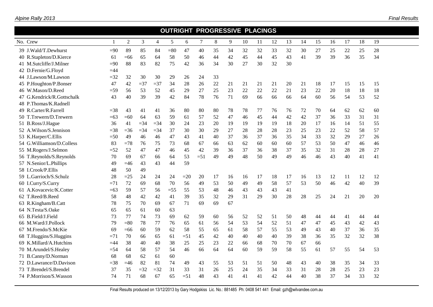|                               |        |        |        |                |        | <b>OUTRIGHT PROGRESSIVE PLACINGS</b> |       |    |    |    |    |    |    |    |    |    |    |    |    |
|-------------------------------|--------|--------|--------|----------------|--------|--------------------------------------|-------|----|----|----|----|----|----|----|----|----|----|----|----|
| No. Crew                      |        | 2      | 3      | $\overline{4}$ | 5      | 6                                    | 7     | 8  | 9  | 10 | 11 | 12 | 13 | 14 | 15 | 16 | 17 | 18 | 19 |
| 39 J.Wald/T.Dewhurst          | $=90$  | 89     | 85     | 84             | $= 80$ | 47                                   | 40    | 35 | 34 | 32 | 32 | 33 | 32 | 30 | 27 | 25 | 22 | 25 | 28 |
| 40 R.Stapleton/D.Kierce       | 61     | $=66$  | 65     | 64             | 58     | 50                                   | 46    | 44 | 42 | 45 | 44 | 45 | 43 | 41 | 39 | 39 | 36 | 35 | 34 |
| 41 M.Sutcliffe/J.Milner       | $=90$  | 88     | 83     | 82             | 75     | 42                                   | 36    | 34 | 30 | 27 | 30 | 32 | 30 |    |    |    |    |    |    |
| 42 D.Fernie/G.Floyd           | $=44$  |        |        |                |        |                                      |       |    |    |    |    |    |    |    |    |    |    |    |    |
| 44 J.Lawson/M.Lawson          | $=32$  | 32     | 30     | 30             | 29     | 26                                   | 24    | 33 |    |    |    |    |    |    |    |    |    |    |    |
| 45 P.Houghton/P.Bonser        | 47     | 42     | $=37$  | $= 37$         | 34     | 28                                   | 26    | 22 | 21 | 21 | 21 | 21 | 20 | 21 | 18 | 17 | 15 | 15 | 15 |
| 46 W.Mason/D.Reed             | $= 59$ | 56     | 53     | 52             | 45     | 29                                   | 27    | 25 | 23 | 22 | 22 | 22 | 21 | 23 | 22 | 20 | 18 | 18 | 18 |
| G.Kendrick/R.Gottschalk<br>47 | 43     | 40     | 39     | 39             | 42     | 84                                   | 78    | 76 | 71 | 69 | 66 | 66 | 66 | 64 | 60 | 56 | 54 | 53 | 52 |
| 48 P.Thomas/K.Radnell         |        |        |        |                |        |                                      |       |    |    |    |    |    |    |    |    |    |    |    |    |
| 49 R.Carter/R.Farrell         | $=$ 38 | 43     | 41     | 41             | 36     | 80                                   | 80    | 80 | 78 | 78 | 77 | 76 | 76 | 72 | 70 | 64 | 62 | 62 | 60 |
| 50 T.Trewern/D.Trewern        | $=63$  | $=60$  | 64     | 63             | 59     | 61                                   | 57    | 52 | 47 | 46 | 45 | 44 | 42 | 42 | 37 | 36 | 33 | 31 | 31 |
| 51 B.Ross/J.Hague             | 36     | 41     | $= 34$ | $=$ 34         | 30     | 24                                   | 23    | 20 | 19 | 19 | 19 | 19 | 18 | 20 | 17 | 16 | 14 | 51 | 55 |
| 52 A.Wilson/S.Jennison        | $=38$  | $=36$  | $=34$  | $= 34$         | 37     | 30                                   | 30    | 29 | 27 | 28 | 28 | 28 | 23 | 25 | 23 | 22 | 52 | 58 | 57 |
| 53 K.Harper/C.Ellis           | $=50$  | 49     | 46     | 46             | 47     | 43                                   | 41    | 40 | 37 | 36 | 37 | 36 | 35 | 34 | 33 | 32 | 29 | 27 | 26 |
| 54 G.Williamson/D.Colless     | 83     | $=78$  | 76     | 75             | 73     | 68                                   | 67    | 66 | 63 | 62 | 60 | 60 | 60 | 57 | 53 | 50 | 47 | 46 | 46 |
| 55 M.Rogers/J.Selmon          | $= 52$ | 52     | 47     | 47             | 46     | 45                                   | 42    | 39 | 36 | 37 | 36 | 38 | 37 | 35 | 32 | 31 | 28 | 28 | 27 |
| 56 T.Reynolds/S.Reynolds      | 70     | 69     | 67     | 66             | 64     | 53                                   | $=51$ | 49 | 49 | 48 | 50 | 49 | 49 | 46 | 46 | 43 | 40 | 41 | 41 |
| 57 N.Senior/L.Phillips        | 49     | $=46$  | 43     | 43             | 44     | 59                                   |       |    |    |    |    |    |    |    |    |    |    |    |    |
| 58 I.Crook/P.Ellis            | 48     | 50     | 49     |                |        |                                      |       |    |    |    |    |    |    |    |    |    |    |    |    |
| 59 L.Garrioch/S.Schulz        | 28     | $=25$  | 24     | 24             | 24     | $=20$                                | 20    | 17 | 16 | 16 | 17 | 18 | 17 | 16 | 13 | 12 | 11 | 12 | 12 |
| 60 I.Curry/S.Curry            | $=71$  | 72     | 69     | 68             | 70     | 56                                   | 49    | 53 | 50 | 49 | 49 | 58 | 57 | 53 | 50 | 46 | 42 | 40 | 39 |
| 61 A.Kovacevic/K.Cotter       | $=63$  | 59     | 57     | 56             | $=55$  | 55                                   | 53    | 48 | 46 | 43 | 43 | 43 | 41 |    |    |    |    |    |    |
| 62 T.Reed/B.Reed              | 58     | 48     | 42     | 42             | 41     | 39                                   | 35    | 32 | 29 | 31 | 29 | 30 | 28 | 28 | 25 | 24 | 21 | 20 | 20 |
| 63 R.Kingham/B.Catt           | 78     | 75     | 70     | 69             | 67     | 71                                   | 69    | 69 | 67 |    |    |    |    |    |    |    |    |    |    |
| 64 N.Testa/S.Oake             | 65     | 65     | 61     | 60             | 63     |                                      |       |    |    |    |    |    |    |    |    |    |    |    |    |
| 65 B.Field/J.Field            | 73     | 77     | 74     | 73             | 69     | 62                                   | 59    | 60 | 56 | 52 | 52 | 51 | 50 | 48 | 44 | 44 | 41 | 44 | 44 |
| 66 M.Ward/J.Pollock           | 79     | $= 80$ | 78     | 77             | 76     | 65                                   | 61    | 56 | 54 | 53 | 54 | 52 | 51 | 47 | 47 | 45 | 43 | 42 | 43 |
| 67 M.Frendo/S.McKie           | 69     | $=66$  | 60     | 59             | 62     | 58                                   | 55    | 65 | 61 | 58 | 57 | 55 | 53 | 49 | 43 | 40 | 37 | 36 | 35 |
| 68 T.Huggins/S.Huggins        | $=71$  | 70     | 66     | 65             | 61     | $=51$                                | 45    | 42 | 40 | 40 | 40 | 40 | 39 | 38 | 36 | 35 | 32 | 32 | 38 |
| 69 K.Millard/A.Hutchins       | $=44$  | 38     | 40     | 40             | 38     | 25                                   | 25    | 23 | 22 | 66 | 68 | 70 | 70 | 67 | 66 |    |    |    |    |
| 70 M.Arundel/S.Healey         | $=$ 54 | 64     | 58     | 57             | 54     | 46                                   | 66    | 64 | 64 | 60 | 59 | 59 | 58 | 55 | 61 | 57 | 55 | 54 | 53 |
| 71 B.Canny/D.Norman           | 68     | 68     | 62     | 61             | 60     |                                      |       |    |    |    |    |    |    |    |    |    |    |    |    |
| 72 D.Lawrance/D.Davison       | $= 38$ | $=46$  | 82     | 81             | 74     | 49                                   | 43    | 55 | 53 | 51 | 51 | 50 | 48 | 43 | 40 | 38 | 35 | 34 | 33 |
| 73 T.Brendel/S.Brendel        | 37     | 35     | $=32$  | $=32$          | 31     | 33                                   | 31    | 26 | 25 | 24 | 35 | 34 | 33 | 31 | 28 | 28 | 25 | 23 | 23 |
| 74 P.Morrison/S.Wasson        | 74     | 71     | 68     | 67             | 65     | $=51$                                | 48    | 43 | 41 | 41 | 41 | 42 | 44 | 40 | 38 | 37 | 34 | 33 | 32 |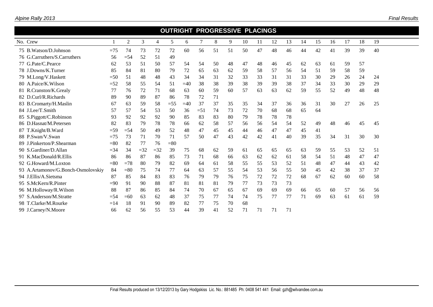|  | Alpine Rally 2013 |  |
|--|-------------------|--|
|--|-------------------|--|

|                                    |        |        |       |       |        | <b>OUTRIGHT PROGRESSIVE PLACINGS</b> |       |    |    |    |    |    |    |    |    |    |    |    |    |  |
|------------------------------------|--------|--------|-------|-------|--------|--------------------------------------|-------|----|----|----|----|----|----|----|----|----|----|----|----|--|
| No. Crew                           |        | 2      | 3     | 4     | 5      | 6                                    | 7     | 8  | 9  | 10 | 11 | 12 | 13 | 14 | 15 | 16 | 17 | 18 | 19 |  |
| 75 B. Watson/D. Johnson            | $=75$  | 74     | 73    | 72    | 72     | 60                                   | 56    | 51 | 51 | 50 | 47 | 48 | 46 | 44 | 42 | 41 | 39 | 39 | 40 |  |
| 76 G.Carruthers/S.Carruthers       | 56     | $=$ 54 | 52    | 51    | 49     |                                      |       |    |    |    |    |    |    |    |    |    |    |    |    |  |
| 77 G.Pate/C.Pearce                 | 62     | 53     | 51    | 50    | 57     | 54                                   | 54    | 50 | 48 | 47 | 48 | 46 | 45 | 62 | 63 | 61 | 59 | 57 |    |  |
| 78 J.Downs/K.Turner                | 85     | 84     | 81    | 80    | 79     | 72                                   | 65    | 63 | 62 | 59 | 58 | 57 | 56 | 54 | 51 | 59 | 58 | 59 |    |  |
| 79 M.Long/V.Haskett                | $=50$  | 51     | 48    | 48    | 43     | 34                                   | 34    | 31 | 32 | 33 | 33 | 31 | 31 | 33 | 30 | 29 | 26 | 24 | 24 |  |
| 80 A.Paice/K.Wilson                | $=52$  | 58     | 55    | 54    | 51     | $=40$                                | 38    | 38 | 39 | 38 | 39 | 39 | 38 | 37 | 34 | 33 | 30 | 29 | 29 |  |
| 81 R.Cranston/K.Grealy             | 77     | 76     | 72    | 71    | 68     | 63                                   | 60    | 59 | 60 | 57 | 63 | 63 | 62 | 59 | 55 | 52 | 49 | 48 | 48 |  |
| 82 D.Curl/R.Richards               | 89     | 90     | 89    | 87    | 86     | 78                                   | 72    | 71 |    |    |    |    |    |    |    |    |    |    |    |  |
| 83 B.Cromarty/H.Maslin             | 67     | 63     | 59    | 58    | $=$ 55 | $=40$                                | 37    | 37 | 35 | 35 | 34 | 37 | 36 | 36 | 31 | 30 | 27 | 26 | 25 |  |
| 84 J.Lee/T.Smith                   | 57     | 57     | 54    | 53    | 50     | 36                                   | $=51$ | 74 | 73 | 72 | 70 | 68 | 68 | 65 | 64 |    |    |    |    |  |
| 85 S.Piggott/C.Robinson            | 93     | 92     | 92    | 92    | 90     | 85                                   | 83    | 83 | 80 | 79 | 78 | 78 | 78 |    |    |    |    |    |    |  |
| 86 D.Hasnat/M.Petersen             | 82     | 83     | 79    | 78    | 78     | 66                                   | 62    | 58 | 57 | 56 | 56 | 54 | 54 | 52 | 49 | 48 | 46 | 45 | 45 |  |
| 87 T.Knight/B.Ward                 | $=$ 59 | $=$ 54 | 50    | 49    | 52     | 48                                   | 47    | 45 | 45 | 44 | 46 | 47 | 47 | 45 | 41 |    |    |    |    |  |
| 88 P.Swan/V.Swan                   | $=75$  | 73     | 71    | 70    | 71     | 57                                   | 50    | 47 | 43 | 42 | 42 | 41 | 40 | 39 | 35 | 34 | 31 | 30 | 30 |  |
| 89 J.Pinkerton/P.Shearman          | $= 80$ | 82     | 77    | 76    | $= 80$ |                                      |       |    |    |    |    |    |    |    |    |    |    |    |    |  |
| 90 S.Gardiner/D.Allan              | $=$ 34 | 34     | $=32$ | $=32$ | 39     | 75                                   | 68    | 62 | 59 | 61 | 65 | 65 | 65 | 63 | 59 | 55 | 53 | 52 | 51 |  |
| 91 K.MacDonald/R.Ellis             | 86     | 86     | 87    | 86    | 85     | 73                                   | 71    | 68 | 66 | 63 | 62 | 62 | 61 | 58 | 54 | 51 | 48 | 47 | 47 |  |
| 92 G.Howard/M.Loxton               | $= 80$ | $=78$  | 80    | 79    | 82     | 69                                   | 64    | 61 | 58 | 55 | 55 | 53 | 52 | 51 | 48 | 47 | 44 | 43 | 42 |  |
| 93 A.Artamonov/G.Bonch-Osmolovskiy | 84     | $= 80$ | 75    | 74    | 77     | -64                                  | 63    | 57 | 55 | 54 | 53 | 56 | 55 | 50 | 45 | 42 | 38 | 37 | 37 |  |
| 94 J.Ellis/A.Sietsma               | 87     | 85     | 84    | 83    | 83     | 76                                   | 79    | 79 | 76 | 75 | 72 | 72 | 72 | 68 | 67 | 62 | 60 | 60 | 58 |  |
| 95 S.McKern/R.Pinter               | $=90$  | 91     | 90    | 88    | 87     | 81                                   | 81    | 81 | 79 | 77 | 73 | 73 | 73 |    |    |    |    |    |    |  |
| 96 M.Holloway/R.Wilson             | 88     | 87     | 86    | 85    | 84     | 74                                   | 70    | 67 | 65 | 67 | 69 | 69 | 69 | 66 | 65 | 60 | 57 | 56 | 56 |  |
| 97 S.Anderson/M.Stratte            | $=$ 54 | $=60$  | 63    | 62    | 48     | 37                                   | 75    | 77 | 74 | 74 | 75 | 77 | 77 | 71 | 69 | 63 | 61 | 61 | 59 |  |
| 98 T.Clarke/M.Rourke               | $=14$  | 18     | 91    | 90    | 89     | 82                                   | 77    | 75 | 70 | 68 |    |    |    |    |    |    |    |    |    |  |
| 99 J.Carney/N.Moore                | 66     | 62     | 56    | 55    | 53     | 44                                   | 39    | 41 | 52 | 71 | 71 | 71 | 71 |    |    |    |    |    |    |  |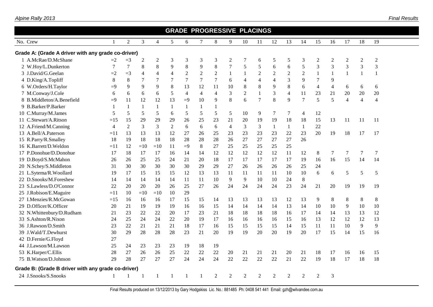|                                                                                                                                                   |                |                |                |              |                |                |                |                | <b>GRADE PROGRESSIVE PLACINGS</b> |                |                |                |                |                |                |                |                |              |                |  |
|---------------------------------------------------------------------------------------------------------------------------------------------------|----------------|----------------|----------------|--------------|----------------|----------------|----------------|----------------|-----------------------------------|----------------|----------------|----------------|----------------|----------------|----------------|----------------|----------------|--------------|----------------|--|
| No. Crew                                                                                                                                          |                | $\overline{2}$ | 3              | 4            | 5              | 6              | $\overline{7}$ | 8              | 9                                 | 10             | 11             | 12             | 13             | 14             | 15             | 16             | 17             | 18           | 19             |  |
| Grade A: (Grade A driver with any grade co-driver)                                                                                                |                |                |                |              |                |                |                |                |                                   |                |                |                |                |                |                |                |                |              |                |  |
| 1 A.McRae/D.McShane                                                                                                                               | $=2$           | $=$ 3          | $\overline{2}$ | $\mathbf{2}$ | 3              | 3              | 3              | 3              | $\overline{2}$                    | 7              | 6              | 5              | 5              | 3              | $\overline{2}$ | $\overline{2}$ | $\mathfrak{2}$ | $\mathbf{2}$ | $\overline{c}$ |  |
| 2 W.Hoy/L.Dunkerton                                                                                                                               | 7              | $\overline{7}$ | 8              | 8            | 9              | 8              | 9              | $8\,$          | $\boldsymbol{7}$                  | 5              | 5              | 6              | 6              | $\sqrt{5}$     | 3              | $\mathfrak{Z}$ | 3              | 3            | 3              |  |
| 3 J.David/G.Geelan                                                                                                                                | $=2$           | $=$ 3          | 4              | 4            | $\overline{4}$ | $\overline{2}$ | $\overline{2}$ | $\overline{2}$ | $\mathbf{1}$                      | 1              | $\overline{2}$ | $\sqrt{2}$     | $\overline{2}$ | $\overline{2}$ | $\mathbf{1}$   | 1              | $\mathbf{1}$   |              | $\mathbf{1}$   |  |
| 4 D.King/A.Topliff                                                                                                                                | $\,8$          | 8              | 7              | 7            | $\tau$         | $\tau$         | 7              | 7              | 6                                 | 4              | $\overline{4}$ | 4              | 3              | 9              | $\overline{7}$ | 9              |                |              |                |  |
| 6 W.Orders/H.Taylor                                                                                                                               | $=9$           | 9              | 9              | 9            | 8              | 13             | 12             | 11             | 10                                | 8              | $8\,$          | 9              | 8              | 6              | $\overline{4}$ | $\overline{4}$ | 6              | 6            | 6              |  |
| 7 M.Conway/J.Cole                                                                                                                                 | 6              | 6              | 6              | 6            | 5              | 4              | $\overline{4}$ | $\overline{4}$ | 3                                 | 2              | -1             | 3              | $\overline{4}$ | 11             | 23             | 21             | 20             | 20           | 20             |  |
| 8 B.Middleton/A.Benefield                                                                                                                         | $=9$           | 11             | 12             | 12           | 13             | $=9$           | 10             | 9              | 8                                 | 6              | 7              | 8              | 9              | $\tau$         | 5              | 5              | $\overline{4}$ | $\Delta$     | $\overline{4}$ |  |
| 9 B.Barker/P.Barker                                                                                                                               | $\mathbf{1}$   | 1              | 1              | 1            | $\mathbf{1}$   | $\mathbf{1}$   | $\mathbf{1}$   |                |                                   |                |                |                |                |                |                |                |                |              |                |  |
| 10 C.Murray/M.James                                                                                                                               | 5              | 5              | 5              | 5            | 6              | 5              | 5              | 5              | 5                                 | 10             | 9              | 7              | 7              | 4              | 12             |                |                |              |                |  |
| 11 C.Stewart/A.Ritson                                                                                                                             | $=15$          | 15             | 29             | 29           | 29             | 26             | 25             | 23             | 21                                | 20             | 19             | 19             | 18             | 18             | 15             | 13             | 11             | 11           | 11             |  |
| 12 A.Friend/M.Canning                                                                                                                             | $\overline{4}$ | $\overline{2}$ | 3              | 3            | $\overline{2}$ | 6              | 6              | 6              | $\overline{4}$                    | 3              | 3              | -1             | $\mathbf{1}$   | 1              | 22             |                |                |              |                |  |
| 13 A.Bell/A.Paterson                                                                                                                              | $=11$          | 13             | 13             | 13           | 12             | 27             | 26             | 25             | 23                                | 23             | 23             | 23             | 22             | 23             | 20             | 19             | 18             | 17           | 17             |  |
| 15 R.Parry/R.Smalley                                                                                                                              | 18             | 19             | 18             | 18           | 18             | 28             | 28             | 28             | 26                                | 27             | 27             | 27             | 27             | 26             |                |                |                |              |                |  |
| 16 K.Barrett/D.Weldon                                                                                                                             | $=11$          | 12             | $=10$          | $=10$        | 11             | $=9$           | $8\,$          | 27             | 25                                | 25             | 25             | 25             | 25             |                |                |                |                |              |                |  |
| 17 P.Donohue/D.Donohue<br>18<br>17<br>17<br>12<br>12<br>12<br>12<br>12<br>11<br>12<br>$8\,$<br>$\tau$<br>$\tau$<br>17<br>14<br>14<br>7<br>16<br>7 |                |                |                |              |                |                |                |                |                                   |                |                |                |                |                |                |                |                |              |                |  |
| 19 D.Boyd/S.McMahon                                                                                                                               | 26             | 26             | 25             | 25           | 24             | 21             | 20             | 18             | 17                                | 17             | 17             | 17             | 17             | 19             | 16             | 16             | 15             | 14           | 14             |  |
| 20 N.Schey/S.Middleton                                                                                                                            | 31             | 30             | 30             | 30           | 30             | 30             | 29             | 29             | 27                                | 26             | 26             | 26             | 26             | 25             | 24             |                |                |              |                |  |
| 21 L.Sytema/R.Woollard                                                                                                                            | 19             | 17             | 15             | 15           | 15             | 12             | 13             | 13             | 11                                | 11             | 11             | 11             | 10             | 10             | 6              | 6              | 5              | 5            | 5              |  |
| 22 D.Snooks/M.Foreshew                                                                                                                            | 14             | 14             | 14             | 14           | 14             | 11             | 11             | 10             | 9                                 | 9              | 10             | 10             | 24             | $8\,$          |                |                |                |              |                |  |
| 23 S.Lawless/D.O'Connor                                                                                                                           | 22             | 20             | 20             | 20           | 26             | 25             | 27             | 26             | 24                                | 24             | 24             | 24             | 23             | 24             | 21             | 20             | 19             | 19           | 19             |  |
| 25 J.Robison/E.Maguire                                                                                                                            | $=11$          | 10             | $=10$          | $=10$        | 10             | 29             |                |                |                                   |                |                |                |                |                |                |                |                |              |                |  |
| 27 I.Menzies/R.McGowan                                                                                                                            | $=15$          | 16             | 16             | 16           | 17             | 15             | 15             | 14             | 13                                | 13             | 13             | 13             | 12             | 13             | 9              | $8\,$          | $8\,$          | $8\,$        | 8              |  |
| 29 D.Officer/K.Officer                                                                                                                            | 20             | 21             | 19             | 19           | 19             | 16             | 16             | 15             | 14                                | 14             | 14             | 14             | 13             | 14             | 10             | 10             | 9              | 10           | 10             |  |
| 32 N.Whittenbury/D.Rudham                                                                                                                         | 21             | 23             | 22             | 22           | 20             | 17             | 23             | 21             | 18                                | 18             | 18             | 18             | 16             | 17             | 14             | 14             | 13             | 13           | 12             |  |
| 33 S.Ashton/R.Nixon                                                                                                                               | 24             | 25             | 24             | 24           | 22             | 20             | 19             | 17             | 16                                | 16             | 16             | 16             | 15             | 16             | 13             | 12             | 12             | 12           | 13             |  |
| 36 J.Rawson/D.Smith                                                                                                                               | 23             | 22             | 21             | 21           | 21             | 18             | 17             | 16             | 15                                | 15             | 15             | 15             | 14             | 15             | 11             | 11             | 10             | 9            | 9              |  |
| 39 J.Wald/T.Dewhurst                                                                                                                              | 30             | 29             | 28             | 28           | 28             | 23             | 21             | 20             | 19                                | 19             | 20             | 20             | 19             | 20             | 17             | 15             | 14             | 15           | 16             |  |
| 42 D.Fernie/G.Floyd                                                                                                                               | 27             |                |                |              |                |                |                |                |                                   |                |                |                |                |                |                |                |                |              |                |  |
| 44 J.Lawson/M.Lawson                                                                                                                              | 25             | 24             | 23             | 23           | 23             | 19             | 18             | 19             |                                   |                |                |                |                |                |                |                |                |              |                |  |
| 53 K.Harper/C.Ellis                                                                                                                               | 28             | 27             | 26             | 26           | 25             | 22             | $22\,$         | $22\,$         | $20\,$                            | 21             | 21             | 21             | 20             | 21             | 18             | 17             | 16             | 16           | 15             |  |
| 75 B.Watson/D.Johnson                                                                                                                             | 29             | 28             | 27             | 27           | 27             | 24             | 24             | 24             | 22                                | 22             | 22             | 22             | 21             | 22             | 19             | 18             | 17             | 18           | 18             |  |
| Grade B: (Grade B driver with any grade co-driver)                                                                                                |                |                |                |              |                |                |                |                |                                   |                |                |                |                |                |                |                |                |              |                |  |
| 24 J.Snooks/S.Snooks                                                                                                                              |                |                |                |              |                |                |                | $\overline{2}$ | $\overline{2}$                    | $\mathfrak{D}$ | $\mathfrak{D}$ | $\overline{2}$ | $\mathfrak{D}$ | 2              | $\overline{2}$ | 3              |                |              |                |  |
|                                                                                                                                                   |                |                |                |              |                |                |                |                |                                   |                |                |                |                |                |                |                |                |              |                |  |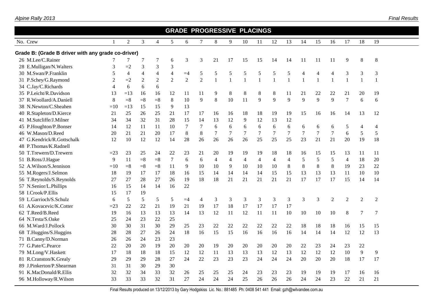|                                                    |              |                |                |                |                |                |                |    |                |                | <b>GRADE PROGRESSIVE PLACINGS</b> |                |              |                |                |                |                |                |                |  |
|----------------------------------------------------|--------------|----------------|----------------|----------------|----------------|----------------|----------------|----|----------------|----------------|-----------------------------------|----------------|--------------|----------------|----------------|----------------|----------------|----------------|----------------|--|
| No. Crew                                           | $\mathbf{1}$ | 2              | 3              | $\overline{4}$ | 5              | 6              | 7              | 8  | 9              | 10             | 11                                | 12             | 13           | 14             | 15             | 16             | 17             | 18             | 19             |  |
| Grade B: (Grade B driver with any grade co-driver) |              |                |                |                |                |                |                |    |                |                |                                   |                |              |                |                |                |                |                |                |  |
| 26 M.Lee/C.Rainer                                  |              | 7              | 7              | 7              | 6              | 3              | 3              | 21 | 17             | 15             | 15                                | 14             | 14           | 11             | 11             | 11             | 9              | 8              | 8              |  |
| 28 E.Mulligan/N.Walters                            | 3            | $=2$           | $\overline{3}$ | 3              | 3              |                |                |    |                |                |                                   |                |              |                |                |                |                |                |                |  |
| 30 M.Swan/P.Franklin                               | 5            | $\overline{4}$ | $\overline{4}$ | $\overline{4}$ | $\overline{4}$ | $=4$           | 5              | 5  | 5              | 5              | 5                                 | 5              | 5            | $\overline{4}$ | 4              | $\overline{4}$ | 3              | 3              | $\mathfrak{Z}$ |  |
| 31 P.Schey/G.Raymond                               | 2            | $=2$           | $\overline{2}$ | $\overline{2}$ | $\overline{2}$ | $\overline{2}$ | $\overline{2}$ | -1 | $\mathbf{1}$   | $\mathbf{1}$   | $\mathbf{1}$                      | $\overline{1}$ | $\mathbf{1}$ | $\mathbf{1}$   | 1              | $\overline{1}$ | $\mathbf{1}$   | $\mathbf{1}$   | $\mathbf{1}$   |  |
| 34 C.Jay/C.Richards                                | 4            | 6              | 6              | 6              |                |                |                |    |                |                |                                   |                |              |                |                |                |                |                |                |  |
| 35 P.Leicht/R.Davidson                             | 13           | $=13$          | 16             | 16             | 12             | 11             | 11             | 9  | 8              | 8              | 8                                 | 8              | 11           | 21             | 22             | 22             | 21             | 20             | 19             |  |
| 37 R.Woollard/A.Daniell                            | 8            | $= 8$          | $= 8$          | $= 8$          | 8              | 10             | 9              | 8  | 10             | 11             | 9                                 | 9              | 9            | 9              | $\mathbf Q$    | 9              | $\overline{7}$ | 6              | 6              |  |
| 38 N.Newton/C.Sheahen                              | $=10$        | $=13$          | 15             | 15             | 9              | 13             |                |    |                |                |                                   |                |              |                |                |                |                |                |                |  |
| 40 R.Stapleton/D.Kierce                            | 21           | 25             | 26             | 25             | 21             | 17             | 17             | 16 | 16             | 18             | 18                                | 19             | 19           | 15             | 16             | 16             | 14             | 13             | 12             |  |
| 41 M.Sutcliffe/J.Milner                            | 34           | 34             | 32             | 31             | 28             | 15             | 14             | 13 | 12             | 9              | 12                                | 13             | 12           |                |                |                |                |                |                |  |
| 45 P.Houghton/P.Bonser                             | 14           | 12             | 11             | 11             | 10             | 7              | 7              | 6  | 6              | 6              | 6                                 | 6              | 6            | 6              | 6              | 6              | 5              | $\overline{4}$ | 4              |  |
| 46 W.Mason/D.Reed                                  | 20           | 21             | 21             | 20             | 17             | 8              | 8              | 7  | $\overline{7}$ | $\overline{7}$ | $\tau$                            | $\overline{7}$ | $\tau$       | $\overline{7}$ | $\overline{7}$ | $\overline{7}$ | 6              | 5              | 5              |  |
| 47 G.Kendrick/R.Gottschalk                         | 12           | 10             | 12             | 12             | 14             | 28             | 26             | 26 | 26             | 26             | 25                                | 25             | 25           | 23             | 21             | 21             | 20             | 19             | 18             |  |
| 48 P.Thomas/K.Radnell                              |              |                |                |                |                |                |                |    |                |                |                                   |                |              |                |                |                |                |                |                |  |
| 50 T.Trewern/D.Trewern                             | $=23$        | 23             | 25             | 24             | 22             | 23             | 21             | 20 | 19             | 19             | 19                                | 18             | 18           | 16             | 15             | 15             | 13             | 11             | 11             |  |
| 51 B.Ross/J.Hague                                  | 9            | 11             | $= 8$          | $= 8$          | $\overline{7}$ | 6              | 6              | 4  | $\overline{4}$ | $\overline{4}$ | 4                                 | $\overline{4}$ | 4            | 5              | 5              | 5              | $\overline{4}$ | 18             | 20             |  |
| 52 A.Wilson/S.Jennison                             | $=10$        | $= 8$          | $= 8$          | $=$ 8          | 11             | 9              | 10             | 10 | 9              | 10             | 10                                | 10             | 8            | $\,8\,$        | $8\,$          | $\,8\,$        | 19             | 23             | 22             |  |
| 55 M.Rogers/J.Selmon                               | 18           | 19             | 17             | 17             | 18             | 16             | 15             | 14 | 14             | 14             | 14                                | 15             | 15           | 13             | 13             | 13             | 11             | 10             | 10             |  |
| 56 T.Reynolds/S.Reynolds                           | 27           | 27             | 28             | 27             | 26             | 19             | 18             | 18 | 21             | 21             | 21                                | 21             | 21           | 17             | 17             | 17             | 15             | 14             | 14             |  |
| 57 N.Senior/L.Phillips                             | 16           | 15             | 14             | 14             | 16             | 22             |                |    |                |                |                                   |                |              |                |                |                |                |                |                |  |
| 58 I.Crook/P.Ellis                                 | 15           | 17             | 19             |                |                |                |                |    |                |                |                                   |                |              |                |                |                |                |                |                |  |
| 59 L.Garrioch/S.Schulz                             | 6            | 5              | 5              | 5              | 5              | $=4$           | 4              | 3  | 3              | 3              | 3                                 | 3              | 3            | 3              | 3              | $\overline{2}$ | 2              | $\overline{2}$ | $\overline{2}$ |  |
| 61 A.Kovacevic/K.Cotter                            | $=23$        | 22             | 22             | 21             | 19             | 21             | 19             | 17 | 18             | 17             | 17                                | 17             | 17           |                |                |                |                |                |                |  |
| 62 T.Reed/B.Reed                                   | 19           | 16             | 13             | 13             | 13             | 14             | 13             | 12 | 11             | 12             | 11                                | 11             | 10           | 10             | 10             | 10             | $8\,$          | 7              | 7              |  |
| 64 N.Testa/S.Oake                                  | 25           | 24             | 23             | 22             | 25             |                |                |    |                |                |                                   |                |              |                |                |                |                |                |                |  |
| 66 M.Ward/J.Pollock                                | 30           | 30             | 31             | 30             | 29             | 25             | 23             | 22 | 22             | 22             | 22                                | 22             | 22           | 18             | 18             | 18             | 16             | 15             | 15             |  |
| 68 T.Huggins/S.Huggins                             | 28           | 28             | 27             | 26             | 24             | 18             | 16             | 15 | 15             | 16             | 16                                | 16             | 16           | 14             | 14             | 14             | 12             | 12             | 13             |  |
| 71 B.Canny/D.Norman                                | 26           | 26             | 24             | 23             | 23             |                |                |    |                |                |                                   |                |              |                |                |                |                |                |                |  |
| 77 G.Pate/C.Pearce                                 | 22           | 20             | 20             | 19             | 20             | 20             | 20             | 19 | 20             | 20             | 20                                | 20             | 20           | 22             | 23             | 24             | 23             | 22             |                |  |
| 79 M.Long/V.Haskett                                | 17           | 18             | 18             | 18             | 15             | 12             | 12             | 11 | 13             | 13             | 13                                | 12             | 13           | 12             | 12             | 12             | 10             | 9              | 9              |  |
| 81 R.Cranston/K.Grealy                             | 29           | 29             | 29             | 28             | 27             | 24             | 22             | 23 | 23             | 23             | 24                                | 24             | 24           | $20\,$         | 20             | 20             | 18             | 17             | 17             |  |
| 89 J.Pinkerton/P.Shearman                          | 31           | 31             | 30             | 29             | 30             |                |                |    |                |                |                                   |                |              |                |                |                |                |                |                |  |
| 91 K.MacDonald/R.Ellis                             | 32           | 32             | 34             | 33             | 32             | 26             | 25             | 25 | 25             | 24             | 23                                | 23             | 23           | 19             | 19             | 19             | 17             | 16             | 16             |  |
| 96 M.Holloway/R.Wilson                             | 33           | 33             | 33             | 32             | 31             | 27             | 24             | 24 | 24             | 25             | 26                                | 26             | 26           | 24             | 24             | 23             | 22             | 21             | 21             |  |
|                                                    |              |                |                |                |                |                |                |    |                |                |                                   |                |              |                |                |                |                |                |                |  |

#### *Alpine Rally 2013*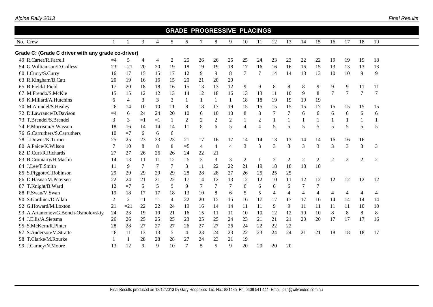| Alpine Rally 2013 |  |
|-------------------|--|
|-------------------|--|

|                                                    |                |                |                |                |                | <b>GRADE PROGRESSIVE PLACINGS</b> |                |                |                |                |                          |                  |                |                  |                |                |                |                |                |  |
|----------------------------------------------------|----------------|----------------|----------------|----------------|----------------|-----------------------------------|----------------|----------------|----------------|----------------|--------------------------|------------------|----------------|------------------|----------------|----------------|----------------|----------------|----------------|--|
| No. Crew                                           |                | $\overline{2}$ | 3              | $\overline{4}$ | 5              | 6                                 | 7              | 8              | 9              | 10             | 11                       | 12               | 13             | 14               | 15             | 16             | 17             | 18             | 19             |  |
| Grade C: (Grade C driver with any grade co-driver) |                |                |                |                |                |                                   |                |                |                |                |                          |                  |                |                  |                |                |                |                |                |  |
| 49 R.Carter/R.Farrell                              | $=4$           | 5              | $\overline{4}$ | $\overline{4}$ | $\overline{2}$ | 25                                | 26             | 26             | 25             | 25             | 24                       | 23               | 23             | 22               | 22             | 19             | 19             | 19             | 18             |  |
| 54 G. Williamson/D. Colless                        | 23             | $=21$          | 20             | 20             | 19             | 18                                | 19             | 19             | 18             | 17             | 16                       | 16               | 16             | 16               | 15             | 13             | 13             | 13             | 13             |  |
| 60 I.Curry/S.Curry                                 | 16             | 17             | 15             | 15             | 17             | 12                                | 9              | 9              | 8              | $\tau$         | 7                        | 14               | 14             | 13               | 13             | 10             | 10             | 9              | 9              |  |
| 63 R.Kingham/B.Catt                                | 20             | 19             | 16             | 16             | 15             | 20                                | 21             | 20             | 20             |                |                          |                  |                |                  |                |                |                |                |                |  |
| 65 B.Field/J.Field                                 | 17             | 20             | 18             | 18             | 16             | 15                                | 13             | 13             | 12             | 9              | 9                        | $8\,$            | 8              | 8                | 9              | 9              | 9              | 11             | 11             |  |
| M.Frendo/S.McKie<br>67                             | 15             | 15             | 12             | 12             | 13             | 14                                | 12             | 18             | 16             | 13             | 13                       | 11               | 10             | 9                | $\,8\,$        | 7              | 7              | 7              | $\overline{7}$ |  |
| 69 K.Millard/A.Hutchins                            | 6              | $\overline{4}$ | 3              | $\mathfrak{Z}$ | 3              | 1                                 | $\mathbf{1}$   | $\mathbf{1}$   | 1              | 18             | 18                       | 19               | 19             | 19               | 19             |                |                |                |                |  |
| 70 M.Arundel/S.Healey                              | $=$ 8          | 14             | 10             | 10             | 11             | 8                                 | 18             | 17             | 19             | 15             | 15                       | 15               | 15             | 15               | 17             | 15             | 15             | 15             | 15             |  |
| 72 D.Lawrance/D.Davison                            | $=4$           | 6              | 24             | 24             | 20             | 10                                | 6              | 10             | 10             | $\,8\,$        | 8                        | $\overline{7}$   | 7              | 6                | 6              | 6              | 6              | 6              | 6              |  |
| 73 T.Brendel/S.Brendel                             | 3              | 3              | $=1$           | $=1$           | 1              | $\overline{2}$                    | 2              | 2              | $\overline{2}$ |                | 2                        | 1                | $\mathbf{1}$   |                  |                | $\mathbf{1}$   |                |                |                |  |
| 74 P.Morrison/S.Wasson                             | 18             | 16             | 14             | 14             | 14             | 11                                | 8              | 6              | 5              | $\overline{4}$ | $\overline{\mathcal{A}}$ | 5                | 5              | 5                | 5              | 5              | 5              | 5              | 5              |  |
| 76 G.Carruthers/S.Carruthers                       | 10             | $=7$           | 6              | 6              | 6              |                                   |                |                |                |                |                          |                  |                |                  |                |                |                |                |                |  |
| 78 J.Downs/K.Turner                                | 25             | 25             | 23             | 23             | 23             | 21                                | 17             | 16             | 17             | 14             | 14                       | 13               | 13             | 14               | 14             | 16             | 16             | 16             |                |  |
| 80 A.Paice/K.Wilson                                | 7              | 10             | 8              | 8              | $\,8\,$        | $=5$                              | $\overline{4}$ | $\overline{4}$ | 4              | $\overline{3}$ | 3                        | 3                | $\overline{3}$ | $\overline{3}$   | 3              | 3              | 3              | 3              | 3              |  |
| 82 D.Curl/R.Richards                               | 27             | 27             | 26             | 26             | 26             | 24                                | 22             | 21             |                |                |                          |                  |                |                  |                |                |                |                |                |  |
| 83 B.Cromarty/H.Maslin                             | 14             | 13             | 11             | 11             | 12             | $=5$                              | $\mathfrak{Z}$ | 3              | 3              | $\overline{2}$ |                          | $\boldsymbol{2}$ | $\overline{2}$ | $\boldsymbol{2}$ | $\sqrt{2}$     | $\overline{2}$ | $\overline{2}$ | $\overline{2}$ | $\overline{2}$ |  |
| 84 J.Lee/T.Smith                                   | 11             | 9              | 7              | 7              | $\tau$         | 3                                 | 11             | 22             | 22             | 21             | 19                       | 18               | 18             | 18               | 18             |                |                |                |                |  |
| 85 S.Piggott/C.Robinson                            | 29             | 29             | 29             | 29             | 29             | 28                                | 28             | 28             | 27             | 26             | 25                       | 25               | 25             |                  |                |                |                |                |                |  |
| 86 D.Hasnat/M.Petersen                             | 22             | 24             | 21             | 21             | 22             | 17                                | 14             | 12             | 13             | 12             | 12                       | 10               | 11             | 12               | 12             | 12             | 12             | 12             | 12             |  |
| 87 T.Knight/B.Ward                                 | 12             | $=7$           | 5              | 5              | 9              | 9                                 | 7              | 7              | 7              | 6              | 6                        | 6                | 6              | 7                | 7              |                |                |                |                |  |
| 88 P.Swan/V.Swan                                   | 19             | 18             | 17             | 17             | 18             | 13                                | 10             | 8              | 6              | 5              | 5                        | 4                | $\overline{4}$ | $\overline{4}$   | $\overline{4}$ | $\overline{4}$ | $\overline{4}$ | $\overline{4}$ | 4              |  |
| 90 S.Gardiner/D.Allan                              | $\overline{2}$ | $\overline{c}$ | $=1$           | $=1$           | 4              | 22                                | 20             | 15             | 15             | 16             | 17                       | 17               | 17             | 17               | 16             | 14             | 14             | 14             | 14             |  |
| G.Howard/M.Loxton<br>92                            | 21             | $=21$          | 22             | 22             | 24             | 19                                | 16             | 14             | 14             | 11             | 11                       | 9                | 9              | 11               | 11             | 11             | 11             | 10             | 10             |  |
| 93 A.Artamonov/G.Bonch-Osmolovskiy                 | 24             | 23             | 19             | 19             | 21             | 16                                | 15             | 11             | 11             | 10             | 10                       | 12               | 12             | 10               | 10             | $\,8\,$        | $\,8\,$        | $\,8\,$        | $8\,$          |  |
| 94 J.Ellis/A.Sietsma                               | 26             | 26             | 25             | 25             | 25             | 23                                | 25             | 25             | 24             | 23             | 21                       | 21               | 21             | 20               | 20             | 17             | 17             | 17             | 16             |  |
| 95 S.McKern/R.Pinter                               | 28             | 28             | 27             | 27             | 27             | 26                                | 27             | 27             | 26             | 24             | 22                       | 22               | 22             |                  |                |                |                |                |                |  |
| 97 S.Anderson/M.Stratte                            | $= 8$          | 11             | 13             | 13             | 5              | 4                                 | 23             | 24             | 23             | $22\,$         | 23                       | 24               | 24             | 21               | 21             | 18             | 18             | 18             | 17             |  |
| 98 T.Clarke/M.Rourke                               |                | 1              | 28             | 28             | 28             | 27                                | 24             | 23             | 21             | 19             |                          |                  |                |                  |                |                |                |                |                |  |
| 99 J.Carney/N.Moore                                | 13             | 12             | 9              | 9              | 10             | 7                                 | 5              | 5              | 9              | 20             | 20                       | 20               | 20             |                  |                |                |                |                |                |  |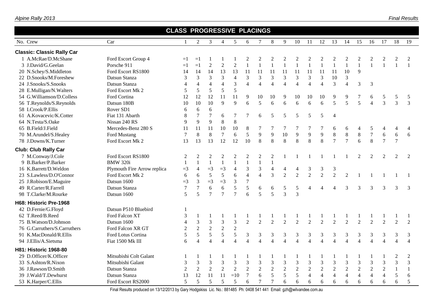|                                   |                             | <b>CLASS PROGRESSIVE PLACINGS</b> |                |                |                          |                |                          |                             |                          |                |                          |                          |                          |                          |                |                          |                |                |                |                |
|-----------------------------------|-----------------------------|-----------------------------------|----------------|----------------|--------------------------|----------------|--------------------------|-----------------------------|--------------------------|----------------|--------------------------|--------------------------|--------------------------|--------------------------|----------------|--------------------------|----------------|----------------|----------------|----------------|
| No. Crew                          | Car                         | 1                                 | $\overline{2}$ | 3              | $\overline{4}$           | 5              | 6                        | 7                           | $8\phantom{.}$           | 9              | 10                       | 11                       | 12                       | 13                       | 14             | 15                       | 16             | 17             | 18             | 19             |
| <b>Classic: Classic Rally Car</b> |                             |                                   |                |                |                          |                |                          |                             |                          |                |                          |                          |                          |                          |                |                          |                |                |                |                |
| 1 A.McRae/D.McShane               | Ford Escort Group 4         | $=1$                              | $=1$           |                | -1                       |                | 2                        | $\overline{2}$              | $\overline{c}$           | $\overline{2}$ | $\overline{c}$           | 2                        | $\overline{2}$           | $\mathbf{2}$             | $\overline{c}$ | $\boldsymbol{2}$         |                | 2              | 2              | 2              |
| 3 J.David/G.Geelan                | Porsche 911                 | $=1$                              | $=1$           | $\sqrt{2}$     | $\sqrt{2}$               | $\overline{2}$ | $\mathbf{1}$             | $\mathbf{1}$                | $\mathbf{1}$             | $\mathbf{1}$   | $\mathbf{1}$             | $\mathbf{1}$             | $\mathbf{1}$             | $\mathbf{1}$             | $\mathbf{1}$   | $\mathbf{1}$             | $\mathbf{1}$   | $\mathbf{1}$   | 1              | $\overline{1}$ |
| 20 N.Schey/S.Middleton            | Ford Escort RS1800          | 14                                | 14             | 14             | 13                       | 13             | 11                       | 11                          | 11                       | 11             | 11                       | 11                       | 11                       | 11                       | 10             | 9                        |                |                |                |                |
| 22 D.Snooks/M.Foreshew            | Datsun Stanza               | 3                                 | $\overline{3}$ | 3              | 3                        | $\overline{4}$ | $\mathfrak{Z}$           | $\mathfrak{Z}$              | 3                        | $\mathfrak{Z}$ | 3                        | 3                        | 3                        | 10                       | $\mathfrak{Z}$ |                          |                |                |                |                |
| 24 J.Snooks/S.Snooks              | Datsun Stanza               | $\overline{4}$                    | $\overline{4}$ | $\overline{4}$ | $\overline{4}$           | 3              | $\overline{4}$           | $\overline{4}$              | $\overline{4}$           | $\overline{4}$ | $\overline{4}$           | $\overline{4}$           | $\overline{4}$           | $\overline{3}$           | $\overline{4}$ | 3                        | 3              |                |                |                |
| 28 E.Mulligan/N.Walters           | Ford Escort Mk 2            | 5                                 | 5              | 5              | 5                        | 5              |                          |                             |                          |                |                          |                          |                          |                          |                |                          |                |                |                |                |
| 54 G.Williamson/D.Colless         | Ford Cortina                | 12                                | 12             | 12             | 11                       | 11             | 9                        | 10                          | 10                       | 9              | 10                       | 10                       | 10                       | 9                        | 9              | 7                        | 6              | 5              | 5              | 5              |
| 56 T.Reynolds/S.Reynolds          | Datsun 180B                 | 10                                | 10             | 10             | 9                        | 9              | 6                        | 5                           | 6                        | 6              | 6                        | 6                        | 6                        | 5                        | 5              | 5                        | $\overline{4}$ | $\overline{3}$ | $\overline{3}$ | $\overline{3}$ |
| 58 I.Crook/P.Ellis                | Rover SD1                   | 6                                 | 6              | 6              |                          |                |                          |                             |                          |                |                          |                          |                          |                          |                |                          |                |                |                |                |
| 61 A.Kovacevic/K.Cotter           | Fiat 131 Abarth             | $8\,$                             | $\overline{7}$ | $\overline{7}$ | 6                        | $\tau$         | $\tau$                   | 6                           | 5                        | 5              | 5                        | 5                        | 5                        | $\overline{A}$           |                |                          |                |                |                |                |
| 64 N.Testa/S.Oake                 | Nissan 240 RS               | 9                                 | 9              | 9              | $8\,$                    | $\,8\,$        |                          |                             |                          |                |                          |                          |                          |                          |                |                          |                |                |                |                |
| 65 B.Field/J.Field                | Mercedes-Benz 280 S         | 11                                | 11             | 11             | 10                       | 10             | 8                        | 7                           |                          |                |                          |                          |                          | 6                        | 6              | 4                        | 5              | 4              | 4              | $\overline{4}$ |
| 70 M.Arundel/S.Healey             | Ford Mustang                | $\boldsymbol{7}$                  | $\,8\,$        | $8\,$          | $\tau$                   | 6              | 5                        | 9                           | $\overline{9}$           | 10             | $\mathbf{9}$             | 9                        | $\overline{9}$           | $8\,$                    | $\,8\,$        | $\,8\,$                  | $\overline{7}$ | $\sqrt{6}$     | $6\,$          | 6              |
| 78 J.Downs/K.Turner               | Ford Escort Mk 2            | 13                                | 13             | 13             | 12                       | 12             | 10                       | 8                           | 8                        | 8              | 8                        | 8                        | 8                        | $\overline{7}$           | $\overline{7}$ | 6                        | 8              | $\overline{7}$ | $\overline{7}$ |                |
| <b>Club: Club Rally Car</b>       |                             |                                   |                |                |                          |                |                          |                             |                          |                |                          |                          |                          |                          |                |                          |                |                |                |                |
| 7 M.Conway/J.Cole                 | Ford Escort RS1800          | $\overline{2}$                    | 2              | $\overline{c}$ | $\overline{c}$           | $\overline{c}$ | $\overline{c}$           | $\overline{2}$              | $\boldsymbol{2}$         |                |                          |                          |                          |                          |                | $\mathfrak{D}$           |                | $\mathcal{D}$  | 2              | 2              |
| 9 B.Barker/P.Barker               | <b>BMW 320i</b>             | $\mathbf{1}$                      | -1             | $\mathbf{1}$   | $\mathbf{1}$             | $\mathbf{1}$   | $\mathbf{1}$             | $\mathbf{1}$                | $\mathbf{1}$             |                |                          |                          |                          |                          |                |                          |                |                |                |                |
| 16 K.Barrett/D.Weldon             | Plymouth Fire Arrow replica | $=$ 3                             | $\overline{4}$ | $=3$           | $=3$                     | $\overline{4}$ | $\mathfrak{Z}$           | $\mathfrak{Z}$              | $\overline{4}$           | $\overline{4}$ | $\overline{4}$           | 3                        | 3                        | $\mathfrak{Z}$           |                |                          |                |                |                |                |
| 23 S.Lawless/D.O'Connor           | Ford Escort Mk 2            | 6                                 | 6              | 5              | 5                        | 6              | $\overline{4}$           | $\overline{4}$              | $\overline{3}$           | $\overline{2}$ | $\overline{2}$           | $\overline{2}$           | $\overline{2}$           | $\overline{2}$           | 2              | $\mathbf{1}$             |                |                |                |                |
| 25 J.Robison/E.Maguire            | Datsun 1600                 | $=$ 3                             | $\overline{3}$ | $=3$           | $=3$                     | 3              | $\overline{7}$           |                             |                          |                |                          |                          |                          |                          |                |                          |                |                |                |                |
| 49 R.Carter/R.Farrell             | Datsun Stanza               | $\tau$                            | $\overline{7}$ | 6              | 6                        | $\sqrt{5}$     | $\sqrt{5}$               | $\sqrt{6}$                  | 6                        | 5              | $\sqrt{5}$               | $\overline{4}$           | $\overline{\mathcal{A}}$ | $\overline{\mathcal{A}}$ | 3              | 3                        | 3              | 3              | 3              | 3              |
| 98 T.Clarke/M.Rourke              | Datsun 1600                 | 5                                 | 5              | $\overline{7}$ | $\tau$                   | $\overline{7}$ | 6                        | 5                           | 5                        | 3              | 3                        |                          |                          |                          |                |                          |                |                |                |                |
| H68: Historic Pre-1968            |                             |                                   |                |                |                          |                |                          |                             |                          |                |                          |                          |                          |                          |                |                          |                |                |                |                |
| 42 D.Fernie/G.Floyd               | Datsun P510 Bluebird        | 1                                 |                |                |                          |                |                          |                             |                          |                |                          |                          |                          |                          |                |                          |                |                |                |                |
| 62 T.Reed/B.Reed                  | Ford Falcon XT              | 3                                 | -1             | -1             | $\mathbf{1}$             |                |                          |                             |                          |                |                          |                          |                          |                          | $\mathbf{1}$   |                          |                |                |                | $\mathbf{1}$   |
| 75 B. Watson/D. Johnson           | Datsun 1600                 | $\overline{4}$                    | $\mathfrak{Z}$ | 3              | $\mathfrak{Z}$           | 3              | $\overline{2}$           | $\overline{2}$              | 2                        | 2              | $\overline{2}$           | $\overline{2}$           | $\overline{2}$           | $\overline{2}$           | $\overline{2}$ | $\overline{2}$           | 2              | $\overline{2}$ | $\overline{2}$ | 2              |
| 76 G.Carruthers/S.Carruthers      | Ford Falcon XR GT           | $\sqrt{2}$                        | $\overline{2}$ | $\overline{2}$ | $\overline{2}$           | $\overline{2}$ |                          |                             |                          |                |                          |                          |                          |                          |                |                          |                |                |                |                |
| 91 K.MacDonald/R.Ellis            | Ford Lotus Cortina          | $\sqrt{5}$                        | 5              | $\mathfrak s$  | $\sqrt{5}$               | $\sqrt{5}$     | 3                        | $\ensuremath{\mathfrak{Z}}$ | $\mathfrak{Z}$           | $\mathfrak{Z}$ | $\mathfrak{Z}$           | 3                        | 3                        | 3                        | $\mathfrak 3$  | 3                        | 3              | $\mathfrak{Z}$ | 3              | 3              |
| 94 J.Ellis/A.Sietsma              | Fiat 1500 Mk III            | 6                                 | $\overline{4}$ | $\overline{4}$ | $\overline{\mathcal{A}}$ | $\overline{4}$ | $\overline{\mathcal{L}}$ | $\overline{A}$              | $\overline{\mathcal{L}}$ | $\Delta$       | $\overline{\mathcal{A}}$ | $\overline{\mathcal{A}}$ | $\overline{4}$           | $\overline{\Lambda}$     | $\Delta$       | $\overline{\mathcal{A}}$ |                | $\overline{4}$ | $\overline{4}$ | $\overline{4}$ |
| H81: Historic 1968-80             |                             |                                   |                |                |                          |                |                          |                             |                          |                |                          |                          |                          |                          |                |                          |                |                |                |                |
| 29 D.Officer/K.Officer            | Mitsubishi Colt Galant      |                                   |                |                | -1                       |                |                          |                             |                          |                |                          |                          |                          |                          | -1             |                          |                |                | 2              | 2              |
| 33 S.Ashton/R.Nixon               | Mitsubishi Galant           | $\mathfrak{Z}$                    | $\mathfrak{Z}$ | 3              | $\mathfrak{Z}$           | $\mathfrak{Z}$ | 3                        | 3                           | $\mathfrak{Z}$           | 3              | $\mathfrak{Z}$           | 3                        | $\mathfrak{Z}$           | 3                        | $\mathfrak{Z}$ | $\mathfrak{Z}$           | 3              | 3              | 3              | 3              |
| 36 J.Rawson/D.Smith               | Datsun Stanza               | $\overline{2}$                    | $\overline{2}$ | $\overline{2}$ | $\overline{2}$           | $\overline{2}$ | $\overline{2}$           | $\overline{2}$              | $\sqrt{2}$               | $\overline{2}$ | $\overline{2}$           | $\overline{2}$           | $\sqrt{2}$               | $\overline{2}$           | $\overline{2}$ | $\overline{c}$           | $\overline{2}$ | $\overline{2}$ | $\mathbf{1}$   | $\mathbf{1}$   |
| 39 J.Wald/T.Dewhurst              | Datsun Stanza               | 13                                | 12             | 11             | 11                       | $=10$          | $\overline{7}$           | 6                           | 5                        | 5              | 5                        | $\overline{4}$           | $\overline{4}$           | $\overline{4}$           | $\overline{4}$ | $\overline{4}$           | $\overline{4}$ | $\overline{4}$ | 5              | 6              |
| 53 K.Harper/C.Ellis               | Ford Escort RS2000          | 5                                 | 5              | 5              | 5                        | 5              | 6                        | $\overline{7}$              | $\overline{7}$           | 6              | 6                        | 6                        | 6                        | 6                        | 6              | 6                        | 6              | 6              | 6              | 5              |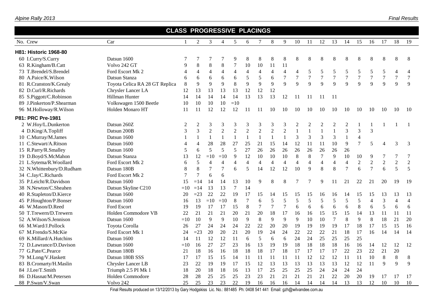|                           | <b>CLASS PROGRESSIVE PLACINGS</b> |                |                |                |                          |                |                |                |                  |                |                          |                |                  |                |                |                  |                  |                |                |                |
|---------------------------|-----------------------------------|----------------|----------------|----------------|--------------------------|----------------|----------------|----------------|------------------|----------------|--------------------------|----------------|------------------|----------------|----------------|------------------|------------------|----------------|----------------|----------------|
| No. Crew                  | Car                               | $\mathbf{1}$   | $\overline{2}$ | 3              | $\overline{4}$           | 5              | 6              | 7              | 8                | 9              | 10                       | 11             | 12               | 13             | 14             | 15               | 16               | 17             | 18             | 19             |
| H81: Historic 1968-80     |                                   |                |                |                |                          |                |                |                |                  |                |                          |                |                  |                |                |                  |                  |                |                |                |
| 60 I.Curry/S.Curry        | Datsun 1600                       |                |                | 7              |                          | 9              | 8              | $\,8\,$        | 8                | 8              | 8                        | 8              | 8                | 8              | 8              | $\,8\,$          | 8                | 8              | 8              | 8              |
| 63 R.Kingham/B.Catt       | Volvo 242 GT                      | 9              | $\,8\,$        | 8              | 8                        | 7              | 10             | 10             | 11               | 11             |                          |                |                  |                |                |                  |                  |                |                |                |
| 73 T.Brendel/S.Brendel    | Ford Escort Mk 2                  | 4              | $\overline{4}$ | $\overline{4}$ | $\overline{4}$           | $\overline{4}$ | $\overline{4}$ | $\overline{4}$ | $\overline{4}$   | $\overline{4}$ | $\overline{\mathcal{L}}$ | $\mathfrak s$  | 5                | 5              | 5              | 5                | 5                | $\sqrt{5}$     | $\overline{4}$ | $\overline{4}$ |
| 80 A.Paice/K.Wilson       | Datsun Stanza                     | 6              | 6              | 6              | 6                        | 6              | 5              | 5              | 6                | $\overline{7}$ | 7                        | 7              | $\boldsymbol{7}$ | $\tau$         | $\overline{7}$ | $\boldsymbol{7}$ | 7                | $\tau$         | 7              | $\tau$         |
| 81 R.Cranston/K.Grealy    | Toyota Celica RA 28 GT Replica    | $\,8\,$        | 9              | 9              | 9                        | 8              | 9              | 9              | 9                | 9              | 9                        | $\mathbf Q$    | 9                | 9              | 9              | 9                | 9                | 9              | 9              | 9              |
| 82 D.Curl/R.Richards      | Chrysler Lancer LA                | 12             | 13             | 13             | 13                       | 13             | 12             | 12             | 12               |                |                          |                |                  |                |                |                  |                  |                |                |                |
| 85 S.Piggott/C.Robinson   | Hillman Hunter                    | 14             | 14             | 14             | 14                       | 14             | 13             | 13             | 13               | 12             | 11                       | 11             | 11               | -11            |                |                  |                  |                |                |                |
| 89 J.Pinkerton/P.Shearman | Volkswagen 1500 Beetle            | 10             | $10\,$         | 10             | 10                       | $=10$          |                |                |                  |                |                          |                |                  |                |                |                  |                  |                |                |                |
| 96 M.Holloway/R.Wilson    | Holden Monaro HT                  | 11             | 11             | 12             | 12                       | 12             | 11             | 11             | 10               | 10             | 10                       | 10             | 10               | 10             | 10             | 10               | 10               | 10             | 10             | 10             |
| P81: PRC Pre-1981         |                                   |                |                |                |                          |                |                |                |                  |                |                          |                |                  |                |                |                  |                  |                |                |                |
| 2 W.Hoy/L.Dunkerton       | Datsun 260Z                       | $\overline{c}$ | $\overline{2}$ | 3              | 3                        | 3              | 3              | 3              | 3                | 3              | $\mathbf{2}$             | $\overline{c}$ | $\overline{2}$   | $\mathbf{2}$   | $\overline{2}$ | $\mathbf{1}$     |                  |                |                | $\mathbf{1}$   |
| 4 D.King/A.Topliff        | Datsun 200B                       | 3              | $\overline{3}$ | $\overline{c}$ | $\overline{c}$           | $\overline{c}$ | $\overline{c}$ | $\overline{2}$ | $\boldsymbol{2}$ | $\overline{2}$ | $\mathbf{1}$             | $\mathbf{1}$   | $\mathbf{1}$     | $\mathbf{1}$   | 3              | 3                | $\overline{3}$   |                |                |                |
| 10 C.Murray/M.James       | Datsun 1600                       |                | $\mathbf{1}$   | $\mathbf{1}$   | $\mathbf{1}$             | $\mathbf{1}$   | $\mathbf{1}$   | $\mathbf{1}$   | $\mathbf{1}$     | $\mathbf{1}$   | 3                        | 3              | 3                | 3              | $\mathbf{1}$   | $\overline{4}$   |                  |                |                |                |
| 11 C.Stewart/A.Ritson     | Datsun 1600                       | $\overline{4}$ | 4              | 28             | 28                       | 27             | 25             | 21             | 15               | 14             | 12                       | 11             | 11               | 10             | $\overline{9}$ | $\overline{7}$   | 5                | $\overline{4}$ | 3              | 3              |
| 15 R.Parry/R.Smalley      | Datsun 1600                       | 5              | 6              | 5              | 5                        | 5              | 27             | 26             | 26               | 26             | 26                       | 26             | 26               | 26             | 26             |                  |                  |                |                |                |
| 19 D.Boyd/S.McMahon       | Datsun Stanza                     | 13             | 12             | $=10$          | $=10$                    | 9              | 12             | 10             | 10               | 10             | 8                        | 8              | $\overline{7}$   | 9              | 10             | 10               | 9                | 7              | 7              | 7              |
| 21 L.Sytema/R.Woollard    | Ford Escort Mk 2                  | 6              | 5              | 4              | $\overline{\mathcal{L}}$ | $\overline{4}$ | $\overline{4}$ | $\overline{4}$ | $\overline{4}$   | 4              | $\overline{\mathcal{L}}$ | $\overline{4}$ | $\overline{4}$   | $\overline{4}$ | $\overline{4}$ | $\sqrt{2}$       | $\boldsymbol{2}$ | $\sqrt{2}$     | $\sqrt{2}$     | $\overline{2}$ |
| 32 N.Whittenbury/D.Rudham | Datsun 180B                       | 8              | 8              | $\tau$         | $\overline{7}$           | 6              | 5              | 14             | 12               | 12             | 10                       | 9              | 8                | 8              | $\overline{7}$ | 6                | $\overline{7}$   | 6              | 5              | 5              |
| 34 C.Jay/C.Richards       | Ford Escort Mk 2                  | 7              | 7              | 6              | 6                        |                |                |                |                  |                |                          |                |                  |                |                |                  |                  |                |                |                |
| 35 P.Leicht/R.Davidson    | Datsun 1600                       | 15             | $=14$          | 14             | 14                       | 13             | 10             | 9              | 8                | 8              |                          |                | 9                | 11             | 21             | 22               | 21               | 20             | 19             | 19             |
| 38 N.Newton/C.Sheahen     | Datsun Skyline C210               | $=10$          | $=14$          | 13             | 13                       | 7              | 14             |                |                  |                |                          |                |                  |                |                |                  |                  |                |                |                |
| 40 R.Stapleton/D.Kierce   | Datsun 1600                       | 20             | $=23$          | 22             | 22                       | 19             | 17             | 15             | 14               | 15             | 15                       | 15             | 16               | 16             | 14             | 15               | 15               | 13             | 13             | 13             |
| 45 P.Houghton/P.Bonser    | Datsun 1600                       | 16             | 13             | $=10$          | $=10$                    | 8              |                | 6              | 5                | 5              | 5                        | 5              | 5                | 5              | 5              | 5                | $\overline{4}$   | 3              | $\overline{4}$ | $\overline{4}$ |
| 46 W.Mason/D.Reed         | <b>Ford Escort</b>                | 19             | 19             | 17             | 17                       | 15             | $\,8\,$        | $\overline{7}$ | 7                | 7              | 6                        | 6              | 6                | 6              | 6              | $\,8\,$          | 6                | 5              | 6              | 6              |
| 50 T.Trewern/D.Trewern    | Holden Commodore VB               | 22             | 21             | 21             | 21                       | 20             | 21             | 20             | 18               | 17             | 16                       | 16             | 15               | 15             | 15             | 14               | 13               | 11             | 11             | 11             |
| 52 A.Wilson/S.Jennison    | Datsun 1600                       | $=10$          | 10             | 9              | 9                        | 10             | 9              | 8              | 9                | 9              | 9                        | 10             | 10               | $\overline{7}$ | 8              | 9                | $8\,$            | 18             | 21             | 20             |
| 66 M.Ward/J.Pollock       | Toyota Corolla                    | 26             | 27             | 24             | 24                       | 24             | 22             | 22             | 20               | 20             | 19                       | 19             | 19               | 19             | 17             | 18               | 17               | 15             | 15             | 16             |
| 67 M.Frendo/S.McKie       | Ford Escort Mk 1                  | 24             | $=23$          | 20             | 20                       | 21             | 20             | 19             | 24               | 24             | 22                       | 22             | 22               | 21             | 18             | 17               | 16               | 14             | 14             | 14             |
| 69 K.Millard/A.Hutchins   | Datsun 1600                       | 14             | 11             | 12             | 12                       | 11             | 6              | 5              | 6                | 6              | 24                       | 24             | 25               | 25             | 25             | 25               |                  |                |                |                |
| 72 D.Lawrance/D.Davison   | Datsun 1600                       | $=10$          | 16             | 27             | 27                       | 23             | 16             | 13             | 19               | 19             | 18                       | 18             | 18               | 18             | 16             | 16               | 14               | 12             | 12             | 12             |
| 77 G.Pate/C.Pearce        | Datsun 180B                       | 21             | 18             | 16             | 16                       | 18             | 18             | 18             | 17               | 18             | 17                       | 17             | 17               | 17             | 22             | 23               | 22               | 21             | 20             |                |
| 79 M.Long/V.Haskett       | Datsun 180B SSS                   | 17             | 17             | 15             | 15                       | 14             | 11             | 11             | 11               | 11             | 11                       | 12             | 12               | 12             | 11             | 11               | 10               | 8              | $\,8\,$        | 8              |
| 83 B.Cromarty/H.Maslin    | Chrysler Lancer LB                | 23             | 22             | 19             | 19                       | 17             | 15             | 12             | 13               | 13             | 13                       | 13             | 13               | 13             | 12             | 12               | 11               | 9              | 9              | $\mathbf{Q}$   |
| 84 J.Lee/T.Smith          | Triumph 2.5 PI Mk 1               | 18             | 20             | 18             | 18                       | 16             | 13             | 17             | 25               | 25             | 25                       | 25             | 24               | 24             | 24             | 24               |                  |                |                |                |
| 86 D.Hasnat/M.Petersen    | Holden Commodore                  | 28             | 28             | 25             | 25                       | 25             | 23             | 23             | 21               | 21             | 21                       | 21             | 21               | 22             | 20             | 20               | 19               | 17             | 17             | 17             |
| 88 P.Swan/V.Swan          | Volvo 242                         | 25             | 25             | 23             | 23                       | 22             | 19             | 16             | 16               | 16             | 14                       | 14             | 14               | 14             | 13             | 13               | 12               | 10             | 10             | 10             |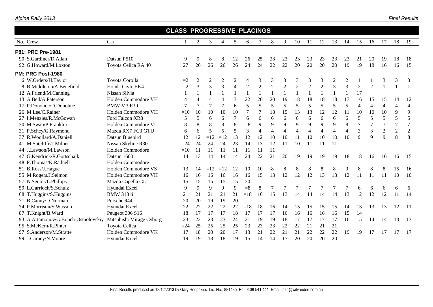|                                    |                            | <b>CLASS PROGRESSIVE PLACINGS</b> |                |                |                |                |                |                |                |                |                |                |                |                |                |                |                |                |                |                |
|------------------------------------|----------------------------|-----------------------------------|----------------|----------------|----------------|----------------|----------------|----------------|----------------|----------------|----------------|----------------|----------------|----------------|----------------|----------------|----------------|----------------|----------------|----------------|
| No. Crew                           | Car                        |                                   | $\overline{2}$ | 3              | $\overline{4}$ | 5              | 6              | $\tau$         | 8              | 9              | 10             | 11             | 12             | 13             | 14             | 15             | 16             | 17             | 18             | 19             |
| P81: PRC Pre-1981                  |                            |                                   |                |                |                |                |                |                |                |                |                |                |                |                |                |                |                |                |                |                |
| 90 S.Gardiner/D.Allan              | Datsun P510                | 9                                 | 9              | 8              | 8              | 12             | 26             | 25             | 23             | 23             | 23             | 23             | 23             | 23             | 23             | 21             | 20             | 19             | 18             | 18             |
| 92 G.Howard/M.Loxton               | Toyota Celica RA 40        | 27                                | 26             | 26             | 26             | 26             | 24             | 24             | 22             | 22             | 20             | 20             | 20             | 20             | 19             | 19             | 18             | 16             | 16             | 15             |
| PM: PRC Post-1980                  |                            |                                   |                |                |                |                |                |                |                |                |                |                |                |                |                |                |                |                |                |                |
| 6 W.Orders/H.Taylor                | Toyota Corolla             | $=2$                              | $\overline{2}$ | $\overline{2}$ | $\overline{c}$ | $\overline{c}$ | 4              | 3              | 3              | 3              | 3              | 3              | 3              | $\overline{2}$ | $\overline{2}$ |                |                | 3              | 3              | 3              |
| 8 B.Middleton/A.Benefield          | Honda Civic EK4            | $=2$                              | 3              | $\overline{3}$ | $\overline{3}$ | $\overline{4}$ | $\overline{2}$ | $\overline{2}$ | $\overline{2}$ | $\overline{2}$ | $\overline{2}$ | $\overline{2}$ | $\overline{2}$ | $\overline{3}$ | $\overline{3}$ | $\overline{2}$ | $\overline{2}$ |                |                |                |
| 12 A.Friend/M.Canning              | Nissan Silvia              | 1                                 |                |                | $\mathbf{1}$   |                |                |                | $\mathbf{1}$   | $\mathbf{1}$   |                |                |                |                |                | 17             |                |                |                |                |
| 13 A.Bell/A.Paterson               | Holden Commodore VH        | $\overline{4}$                    | 4              | $\overline{4}$ | $\overline{4}$ | 3              | 22             | 20             | 20             | 19             | 18             | 18             | 18             | 18             | 17             | 16             | 15             | 15             | 14             | 12             |
| 17 P.Donohue/D.Donohue             | BMW M3 E30                 | $\overline{7}$                    | $\overline{7}$ | 7              | $\overline{7}$ | 6              | 5              | 5              | 5              | 5              | 5              | 5              | 5              | 5              | 5              | $\overline{4}$ | $\overline{4}$ | 4              | $\overline{4}$ | $\overline{4}$ |
| 26 M.Lee/C.Rainer                  | Holden Commodore VH        | $=10$                             | 10             | 10             | 10             | 10             | $\overline{7}$ | 7              | 18             | 15             | 13             | 13             | 12             | 12             | 11             | 10             | 10             | 10             | 9              | 9              |
| 27 I.Menzies/R.McGowan             | Ford Falcon XR8            | 5                                 | 5              | 6              | 6              | $\tau$         | 6              | 6              | 6              | 6              | 6              | 6              | 6              | 6              | 6              | 5              | 5              | 5              | 5              | 5              |
| 30 M.Swan/P.Franklin               | Holden Commodore VL        | 8                                 | 8              | 8              | 8              | 8              | $= 8$          | 9              | 9              | 9              | 9              | 9              | 9              | $\mathbf Q$    | 8              | $\overline{7}$ | $\overline{7}$ | $\overline{7}$ | $\overline{7}$ | $\overline{7}$ |
| 31 P.Schey/G.Raymond               | Mazda RX7 FC3 GTU          | 6                                 | 6              | 5              | 5              | 5              | $\overline{3}$ | $\overline{4}$ | $\overline{4}$ | $\overline{4}$ | $\overline{4}$ | $\overline{4}$ | $\overline{4}$ | $\overline{4}$ | $\overline{4}$ | 3              | 3              | $\overline{2}$ | $\overline{2}$ | $\sqrt{2}$     |
| 37 R.Woollard/A.Daniell            | Datsun Bluebird            | 12                                | 12             | $=12$          | $=12$          | 13             | 12             | 12             | 10             | 10             | 11             | 10             | 10             | 10             | 10             | 9              | 9              | 9              | 8              | 8              |
| 41 M.Sutcliffe/J.Milner            | Nissan Skyline R30         | $=24$                             | 24             | 24             | 24             | 23             | 14             | 13             | 12             | 11             | 10             | 11             | 11             | 11             |                |                |                |                |                |                |
| 44 J.Lawson/M.Lawson               | Holden Commodore           | $=10$                             | 11             | 11             | 11             | 11             | 11             | 11             | 11             |                |                |                |                |                |                |                |                |                |                |                |
| 47 G.Kendrick/R.Gottschalk         | Datsun 1600                | 14                                | 13             | 14             | 14             | 14             | 24             | 22             | 21             | 20             | 19             | 19             | 19             | 19             | 18             | 18             | 16             | 16             | 16             | -15            |
| 48 P.Thomas/K.Radnell              | Holden Commodore           |                                   |                |                |                |                |                |                |                |                |                |                |                |                |                |                |                |                |                |                |
| 51 B.Ross/J.Hague                  | <b>Holden Commodore VS</b> | 13                                | 14             | $=12$          | $=12$          | 12             | 10             | 10             | 8              | 8              | 8              | 8              | 8              | 8              | 9              | 8              |                | 8              | 15             | 16             |
| 55 M.Rogers/J.Selmon               | Holden Commodore VH        | 16                                | 16             | 16             | 16             | 16             | 16             | 15             | 13             | 12             | 12             | 12             | 13             | 13             | 12             | 11             | 11             | <sup>11</sup>  | 10             | 10             |
| 57 N.Senior/L.Phillips             | Mazda Capella GL           | 15                                | 15             | 15             | 15             | 15             | 20             |                |                |                |                |                |                |                |                |                |                |                |                |                |
| 59 L.Garrioch/S.Schulz             | Hyundai Excel              | 9                                 | 9              | 9              | 9              | 9              | $= 8$          | 8              |                |                |                |                |                |                |                | 6              | 6              | 6              | 6              | 6              |
| 68 T.Huggins/S.Huggins             | <b>BMW</b> 318 ti          | 21                                | 21             | 21             | 21             | 21             | $=18$          | 16             | 15             | 13             | 14             | 14             | 14             | 14             | 13             | 12             | 12             | 12             | 11             | 14             |
| 71 B.Canny/D.Norman                | Porsche 944                | 20                                | 20             | 19             | 19             | 20             |                |                |                |                |                |                |                |                |                |                |                |                |                |                |
| 74 P.Morrison/S.Wasson             | Hyundai Excel              | 22                                | 22             | 22             | 22             | 22             | $=18$          | 18             | 16             | 14             | 15             | 15             | 15             | 15             | 14             | 13             | 13             | 13             | 12             | $-11$          |
| 87 T.Knight/B.Ward                 | Peugeot 306 S16            | 18                                | 17             | 17             | 17             | 18             | 17             | 17             | 17             | 16             | 16             | 16             | 16             | 16             | 15             | 14             |                |                |                |                |
| 93 A.Artamonov/G.Bonch-Osmolovskiy | Mitsubishi Mirage Cyborg   | 23                                | 23             | 23             | 23             | 24             | 21             | 19             | 19             | 18             | 17             | 17             | 17             | 17             | 16             | 15             | 14             | 14             | 13             | 13             |
| 95 S.McKern/R.Pinter               | Toyota Celica              | $=24$                             | 25             | 25             | 25             | 25             | 23             | 23             | 23             | 22             | 22             | 21             | 21             | 21             |                |                |                |                |                |                |
| 97 S.Anderson/M.Stratte            | Holden Commodore VK        | 17                                | 18             | 20             | 20             | 17             | 13             | 21             | 22             | 21             | 21             | 22             | 22             | 22             | 19             | 19             | 17             | 17             | 17             | -17            |
| 99 J.Carney/N.Moore                | Hyundai Excel              | 19                                | 19             | 18             | 18             | 19             | 15             | 14             | 14             | 17             | 20             | 20             | 20             | 20             |                |                |                |                |                |                |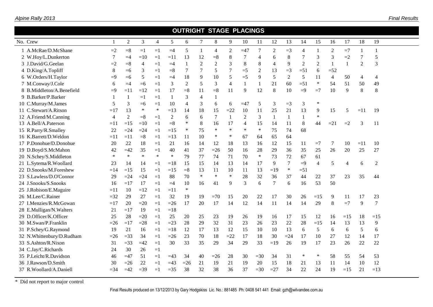| Alpine Rally 2013 |  |
|-------------------|--|
|                   |  |

*Final Results*

|                           |              |                |                |                |        |                |                | <b>OUTRIGHT STAGE PLACINGS</b> |                  |                |                |                  |        |                |                |                |       |              |                |  |
|---------------------------|--------------|----------------|----------------|----------------|--------|----------------|----------------|--------------------------------|------------------|----------------|----------------|------------------|--------|----------------|----------------|----------------|-------|--------------|----------------|--|
| No. Crew                  | $\mathbf{1}$ | $\overline{2}$ | 3              | $\overline{4}$ | 5      | 6              | 7              | $8\,$                          | 9                | 10             | 11             | 12               | 13     | 14             | 15             | 16             | 17    | 18           | 19             |  |
| 1 A.McRae/D.McShane       | $=2$         | $= 8$          | $=1$           | $=1$           | $=4$   | 5              |                | 4                              | $\boldsymbol{2}$ | $=47$          | 7              | $\boldsymbol{2}$ | $=$ 3  | $\overline{4}$ |                | $\overline{2}$ | $=7$  | $\mathbf{1}$ | 1              |  |
| 2 W.Hoy/L.Dunkerton       | 7            | $=4$           | $=10$          | $=1$           | $=11$  | 13             | 12             | $= 8$                          | 8                |                | $\overline{4}$ | 6                | 8      | 7              | 3              | 3              | $=2$  | 7            | 5              |  |
| 3 J.David/G.Geelan        | $=2$         | $= 8$          | $\overline{4}$ | $=1$           | $=4$   | 1              | $\overline{2}$ | 2                              | 3                | 8              | 8              | 4                | 9      | $\overline{2}$ | $\mathfrak{2}$ | 1              |       | 2            | 3              |  |
| 4 D.King/A.Topliff        | 8            | $=6$           | 3              | $=1$           | $=$ 8  | 7              | 7              | 5                              | $\tau$           | $=$ 5          | 2              | 13               | $=$ 3  | $=51$          | 6              | $=52$          |       |              |                |  |
| 6 W.Orders/H.Taylor       | $=9$         | $=6$           | 5              | $=1$           | $=4$   | 18             | 9              | 10                             | 5                | $=$ 5          | 9              | 5                | 2      | 5              | 11             | $\overline{4}$ | 50    | 4            | $\overline{4}$ |  |
| 7 M.Conway/J.Cole         | 6            | $=4$           | $=6$           | $=1$           | 3      | $\overline{c}$ | 5              | 3                              | $\overline{4}$   |                | 1              | 21               | 60     | $=51$          | $\ast$         | 54             | 51    | 50           | 49             |  |
| 8 B.Middleton/A.Benefield | $=9$         | $=11$          | $=12$          | $=1$           | 17     | $= 8$          | 11             | $= 8$                          | 11               | 9              | 12             | 8                | 10     | $=9$           | $=7$           | 10             | 9     | 8            | 8              |  |
| 9 B.Barker/P.Barker       | 1            | $\mathbf{1}$   | $=1$           | $=1$           |        | 3              | 4              | 1                              |                  |                |                |                  |        |                |                |                |       |              |                |  |
| 10 C.Murray/M.James       | 5            | 3              | $=6$           | $=1$           | 10     | $\overline{4}$ | 3              | 6                              | 6                | $=47$          | 5              | 3                | $=3$   | 3              | $\ast$         |                |       |              |                |  |
| 11 C.Stewart/A.Ritson     | $=17$        | 13             | ∗              | $\ast$         | $=13$  | 14             | 18             | 15                             | $=22$            | 10             | 11             | 25               | 21     | 13             | 9              | 15             | 5     | $=11$        | 19             |  |
| 12 A.Friend/M.Canning     | 4            | $\mathbf{2}$   | $=8$           | $=1$           | 2      | 6              | 6              | 7                              | $\mathbf{1}$     | $\overline{2}$ | 3              | $\mathbf{1}$     | 1      |                | $\ast$         |                |       |              |                |  |
| 13 A.Bell/A.Paterson      | $=11$        | $=15$          | $=10$          | $=1$           | $=8$   | $\ast$         | 8              | 16                             | 17               | 4              | 15             | 14               | 11     | $\,8\,$        | 44             | $=21$          | $=2$  | 3            | 11             |  |
| 15 R.Parry/R.Smalley      | 22           | $=24$          | $=24$          | $=1$           | $=15$  | $\ast$         | 75             | $\ast$                         | $\ast$           | $\ast$         | $\ast$         | 75               | 74     | 68             |                |                |       |              |                |  |
| 16 K.Barrett/D.Weldon     | $=11$        | $=11$          | $= 8$          | $=1$           | $=13$  | 11             | 10             | $\ast$                         | $\ast$           | 67             | 64             | 65               | 64     |                |                |                |       |              |                |  |
| 17 P.Donohue/D.Donohue    | 20           | 22             | 18             | $=1$           | 21     | 16             | 14             | 12                             | 18               | 13             | 16             | 12               | 15     | 11             | $=7$           | 7              | 10    | $=11$        | 10             |  |
| 19 D.Boyd/S.McMahon       | 42           | $=42$          | 35             | $=1$           | 40     | 41             | 37             | $=26$                          | 50               | 16             | 28             | 29               | 36     | 35             | 25             | 26             | 20    | 25           | 27             |  |
| 20 N.Schey/S.Middleton    | $\ast$       | $\ast$         | $\ast$         | $\ast$         | $\ast$ | 79             | 77             | 74                             | 71               | 70             | $\ast$         | 73               | 72     | 67             | 61             |                |       |              |                |  |
| 21 L.Sytema/R.Woollard    | 23           | 14             | 14             | $=1$           | $=18$  | 15             | 15             | 14                             | 13               | 14             | 17             | 9                | 7      | $=9$           | $\overline{4}$ | 5              | 4     | 6            | $\overline{2}$ |  |
| 22 D.Snooks/M.Foreshew    | $=14$        | $=15$          | 15             | $=1$           | $=15$  | $= 8$          | 13             | 11                             | 10               | 11             | 13             | $=19$            | $\ast$ | $=51$          |                |                |       |              |                |  |
| 23 S.Lawless/D.O'Connor   | 29           | $=24$          | $=24$          | $=1$           | 88     | 70             | $\ast$         | $\ast$                         | $\ast$           | 28             | 32             | 36               | 37     | 44             | 22             | 37             | 23    | 35           | 44             |  |
| 24 J.Snooks/S.Snooks      | 16           | $=17$          | 17             | $=1$           | $=4$   | 10             | 16             | 41                             | 9                | 3              | 6              | $\tau$           | 6      | 16             | 53             | 50             |       |              |                |  |
| 25 J.Robison/E.Maguire    | $=11$        | 10             | $=12$          | $=1$           | $=11$  | $\ast$         |                |                                |                  |                |                |                  |        |                |                |                |       |              |                |  |
| 26 M.Lee/C.Rainer         | $=32$        | 29             | 27             | $=1$           | 32     | 19             | 19             | $=70$                          | 15               | 20             | 22             | 17               | 30     | 26             | $=15$          | 9              | 11    | 17           | 23             |  |
| 27 I.Menzies/R.McGowan    | $=17$        | 20             | $=20$          | $=1$           | $=26$  | 17             | 20             | 17                             | 14               | 12             | 14             | 11               | 14     | 14             | 29             | 8              | $=7$  | 9            | $\overline{7}$ |  |
| 28 E.Mulligan/N.Walters   | 21           | $=17$          | 19             | $=1$           | $=18$  |                |                |                                |                  |                |                |                  |        |                |                |                |       |              |                |  |
| 29 D.Officer/K.Officer    | 25           | 28             | $=20$          | $=1$           | 25     | $20\,$         | 25             | 23                             | 19               | 26             | 19             | 16               | 17     | 15             | 12             | 16             | $=15$ | 18           | $=15$          |  |
| 30 M.Swan/P.Franklin      | $=26$        | $=17$          | $=28$          | $=1$           | $=23$  | 28             | 29             | 32                             | 31               | 23             | 26             | 23               | 22     | 28             | $=15$          | 14             | 13    | 13           | 9              |  |
| 31 P.Schey/G.Raymond      | 19           | 21             | 16             | $=1$           | $=18$  | 12             | 17             | 13                             | 12               | 15             | 10             | 10               | 13     | 6              | 5              | 6              | 6     | 5            | 6              |  |
| 32 N.Whittenbury/D.Rudham | $=26$        | $=33$          | 34             | $=1$           | $=26$  | 23             | 70             | 18                             | $=22$            | 17             | 18             | 30               | $= 24$ | 17             | 10             | 27             | 12    | 14           | 17             |  |
| 33 S.Ashton/R.Nixon       | 31           | $=$ 33         | $=42$          | $=1$           | 30     | 33             | 35             | 29                             | 34               | 29             | 33             | $=19$            | 26     | 19             | 17             | 23             | 26    | 22           | 22             |  |
| 34 C.Jay/C.Richards       | 24           | 30             | 26             | $=1$           |        |                |                |                                |                  |                |                |                  |        |                |                |                |       |              |                |  |
| 35 P.Leicht/R.Davidson    | 46           | $=47$          | 51             | $=1$           | $=43$  | 34             | 40             | $=26$                          | 28               | 30             | $=30$          | 34               | 31     | ∗              | $\ast$         | 58             | 55    | 54           | 53             |  |
| 36 J.Rawson/D.Smith       | 30           | $=26$          | 22             | $=1$           | $=43$  | $=26$          | 21             | 19                             | 21               | 19             | 20             | 15               | 18     | 21             | 13             | 11             | 14    | 10           | 12             |  |
| 37 R.Woollard/A.Daniell   | $= 34$       | $=42$          | $=39$          | $=1$           | $=35$  | 38             | 32             | 38                             | 36               | 37             | $=30$          | $=27$            | 34     | 22             | 24             | 19             | $=15$ | 21           | $=13$          |  |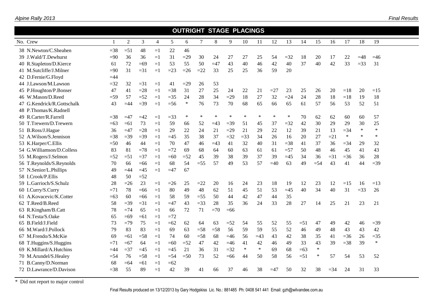| No. Crew                   |        | $\overline{2}$ | $\mathfrak{Z}$ | $\overline{4}$ | 5      | 6      | $\tau$ | $8\,$  | 9      | 10     | 11     | 12    | 13    | 14    | 15     | 16    | 17     | 18     | 19     |
|----------------------------|--------|----------------|----------------|----------------|--------|--------|--------|--------|--------|--------|--------|-------|-------|-------|--------|-------|--------|--------|--------|
| 38 N.Newton/C.Sheahen      | $=38$  | $=51$          | 48             | $=1$           | 22     | 46     |        |        |        |        |        |       |       |       |        |       |        |        |        |
| 39 J.Wald/T.Dewhurst       | $=90$  | 36             | 36             | $=1$           | 31     | $=29$  | 30     | 24     | 27     | 27     | 25     | 54    | $=32$ | 18    | 20     | 17    | 22     | $=48$  | $=46$  |
| 40 R.Stapleton/D.Kierce    | 61     | 72             | $=69$          | $=1$           | 53     | 55     | 50     | $=47$  | 43     | 40     | 46     | 42    | 40    | 37    | 40     | 42    | 33     | $=33$  | 31     |
| 41 M.Sutcliffe/J.Milner    | $=90$  | 31             | $=31$          | $=1$           | $=23$  | $=26$  | $=22$  | 33     | 25     | 25     | 36     | 59    | 20    |       |        |       |        |        |        |
| 42 D.Fernie/G.Floyd        | $=44$  |                |                |                |        |        |        |        |        |        |        |       |       |       |        |       |        |        |        |
| 44 J.Lawson/M.Lawson       | $=$ 32 | 32             | $=31$          | $=1$           | 41     | $=29$  | 26     | 53     |        |        |        |       |       |       |        |       |        |        |        |
| 45 P.Houghton/P.Bonser     | 47     | 41             | $=28$          | $=1$           | $=38$  | 31     | 27     | 25     | 24     | 22     | 21     | $=27$ | 23    | 25    | 26     | 20    | $=18$  | 20     | $=15$  |
| 46 W.Mason/D.Reed          | $=$ 59 | 57             | $=52$          | $=1$           | $=35$  | 24     | 28     | 34     | $=29$  | 18     | 27     | 32    | $=24$ | 24    | $28\,$ | 18    | $=18$  | 19     | 18     |
| 47 G.Kendrick/R.Gottschalk | 43     | $=44$          | $=39$          | $=1$           | $=$ 56 | $\ast$ | 76     | 73     | 70     | 68     | 65     | 66    | 65    | 61    | 57     | 56    | 53     | 52     | 51     |
| 48 P.Thomas/K.Radnell      |        |                |                |                |        |        |        |        |        |        |        |       |       |       |        |       |        |        |        |
| 49 R.Carter/R.Farrell      | $=38$  | $=47$          | $=42$          | $=1$           | $=33$  | ∗      | $\ast$ | $\ast$ | *      | $\ast$ | $\ast$ | ∗     | *     | 70    | 62     | 62    | 60     | 60     | 57     |
| 50 T.Trewern/D.Trewern     | $=63$  | $=61$          | 73             | $=1$           | 59     | 66     | 52     | $=43$  | $=$ 39 | 51     | 45     | 37    | $=32$ | 42    | 30     | 29    | 29     | 30     | 25     |
| 51 B.Ross/J.Hague          | 36     | $=47$          | $=28$          | $=1$           | 29     | 22     | 24     | 21     | $=29$  | 21     | 29     | 22    | 12    | 39    | 21     | 13    | $=$ 34 | $\ast$ | $\ast$ |
| 52 A.Wilson/S.Jennison     | $=38$  | $=39$          | $=39$          | $=1$           | $=45$  | 35     | 38     | 37     | $=32$  | $=33$  | 34     | 26    | 16    | 20    | 27     | $=21$ | $\ast$ | $\ast$ | $\ast$ |
| 53 K.Harper/C.Ellis        | $=50$  | 46             | 44             | $=1$           | 70     | 47     | 46     | $=43$  | 41     | 32     | 40     | 31    | $=38$ | 41    | 37     | 36    | $=$ 34 | 29     | 32     |
| 54 G.Williamson/D.Colless  | 83     | 81             | $=78$          | $=1$           | $=72$  | 69     | 68     | 64     | 60     | 63     | 61     | 61    | $=57$ | 50    | 48     | 46    | 45     | 41     | 43     |
| 55 M.Rogers/J.Selmon       | $=52$  | $=51$          | $=37$          | $=1$           | $=60$  | $=52$  | 45     | 39     | 38     | 39     | 37     | 39    | $=45$ | 34    | 36     | $=31$ | $=36$  | 36     | 28     |
| 56 T.Reynolds/S.Reynolds   | 70     | 66             | $=66$          | $=1$           | 68     | 54     | $=55$  | 57     | 49     | 53     | 57     | $=40$ | 63    | 49    | $=$ 54 | 43    | 41     | 44     | $=39$  |
| 57 N.Senior/L.Phillips     | 49     | $=44$          | $=45$          | $=1$           | $=47$  | 67     |        |        |        |        |        |       |       |       |        |       |        |        |        |
| 58 I.Crook/P.Ellis         | 48     | 50             | $=52$          |                |        |        |        |        |        |        |        |       |       |       |        |       |        |        |        |
| 59 L.Garrioch/S.Schulz     | 28     | $=26$          | 23             | $=1$           | $=26$  | 25     | $=22$  | 20     | 16     | 24     | 23     | 18    | 19    | 12    | 23     | 12    | $=15$  | 16     | $=13$  |
| 60 I.Curry/S.Curry         | $=71$  | 78             | $=66$          | $=1$           | 80     | 49     | 48     | 62     | 51     | 45     | 51     | 53    | $=45$ | 40    | 34     | 40    | 31     | $=33$  | 26     |
| 61 A.Kovacevic/K.Cotter    | $=63$  | 60             | $=66$          | $=1$           | 58     | 59     | $=55$  | 50     | 44     | 42     | 47     | 44    | 35    |       |        |       |        |        |        |
| 62 T.Reed/B.Reed           | 58     | $=39$          | $=31$          | $=1$           | $=47$  | 43     | $=33$  | 28     | 35     | 36     | 24     | 33    | 28    | 27    | 14     | 25    | 21     | 23     | 21     |
| 63 R.Kingham/B.Catt        | 78     | $=74$          | 65             | $=1$           | 66     | 72     | 71     | $=70$  | $=66$  |        |        |       |       |       |        |       |        |        |        |
| 64 N.Testa/S.Oake          | 65     | $=69$          | $=61$          | $=1$           | $=72$  |        |        |        |        |        |        |       |       |       |        |       |        |        |        |
| 65 B.Field/J.Field         | 73     | $=79$          | 75             | $=1$           | $=62$  | 62     | 64     | 63     | $=52$  | 54     | 55     | 52    | 55    | $=51$ | 47     | 49    | 42     | 46     | $=39$  |
| 66 M.Ward/J.Pollock        | 79     | 83             | 83             | $=1$           | 69     | 63     | $=58$  | $=58$  | 56     | 59     | 59     | 55    | 52    | 46    | 49     | 48    | 43     | 43     | 42     |
| 67 M.Frendo/S.McKie        | 69     | $=61$          | $=58$          | $=1$           | 74     | 60     | $=58$  | 68     | $=46$  | 56     | $=43$  | 43    | 42    | 38    | 35     | 41    | $=36$  | 26     | $=35$  |
| 68 T.Huggins/S.Huggins     | $=71$  | $=67$          | 64             | $=1$           | $=60$  | $=52$  | 47     | 42     | $=46$  | 41     | 42     | 46    | 49    | 33    | 43     | 39    | $=38$  | 39     | $\ast$ |
| 69 K.Millard/A.Hutchins    | $=44$  | $=$ 37         | $=45$          | $=1$           | $=45$  | 21     | 36     | 31     | $=32$  | $\ast$ | $\ast$ | 69    | 68    | $=63$ | $\ast$ |       |        |        |        |
| 70 M.Arundel/S.Healey      | $=$ 54 | 76             | $=58$          | $=1$           | $=$ 54 | $=50$  | 73     | 52     | $=66$  | 44     | 50     | 58    | 56    | $=51$ | $\ast$ | 57    | 54     | 53     | 52     |
| 71 B.Canny/D.Norman        | 68     | $=64$          | $=61$          | $=1$           | $=62$  |        |        |        |        |        |        |       |       |       |        |       |        |        |        |
| 72 D.Lawrance/D.Davison    | $=38$  | 55             | 89             | $=1$           | 42     | 39     | 41     | 66     | 37     | 46     | 38     | $=47$ | 50    | 32    | 38     | $=34$ | 24     | 31     | 33     |

 **OUTRIGHT STAGE PLACINGS**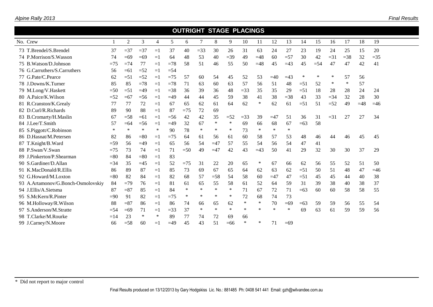|                                    |        |        |        |                |        |        |        |        | <b>OUTRIGHT STAGE PLACINGS</b> |        |             |        |        |        |        |       |        |       |       |  |
|------------------------------------|--------|--------|--------|----------------|--------|--------|--------|--------|--------------------------------|--------|-------------|--------|--------|--------|--------|-------|--------|-------|-------|--|
| No. Crew                           |        | 2      | 3      | $\overline{4}$ | 5      | 6      | 7      | 8      | 9                              | 10     | 11          | 12     | 13     | 14     | 15     | 16    | 17     | 18    | 19    |  |
| 73 T.Brendel/S.Brendel             | 37     | $=37$  | $=37$  | $=1$           | 37     | 40     | $=$ 33 | 30     | 26                             | 31     | 63          | 24     | 27     | 23     | 19     | 24    | 25     | 15    | 20    |  |
| 74 P.Morrison/S.Wasson             | 74     | $=69$  | $=69$  | $=1$           | 64     | 48     | 53     | 40     | $=39$                          | 49     | $=48$       | 60     | $=57$  | 30     | 42     | $=31$ | $=38$  | 32    | $=35$ |  |
| 75 B. Watson/D. Johnson            | $=75$  | $=74$  | 77     | $=1$           | $=78$  | 58     | 51     | 46     | 55                             | 50     | $=48$       | 45     | $=43$  | 45     | $=$ 54 | 47    | 47     | 42    | 41    |  |
| 76 G.Carruthers/S.Carruthers       | 56     | $=61$  | $=52$  | $=1$           | $=$ 54 |        |        |        |                                |        |             |        |        |        |        |       |        |       |       |  |
| 77 G.Pate/C.Pearce                 | 62     | $=51$  | $=52$  | $=1$           | $=75$  | 57     | 60     | 54     | 45                             | 52     | 53          | $=40$  | $=43$  | ∗      | ∗      |       | 57     | 56    |       |  |
| 78 J.Downs/K.Turner                | 85     | 85     | $=78$  | $=$            | $=78$  | 71     | 63     | 60     | 63                             | 57     | 56          | 51     | 48     | $=51$  | 52     | ∗     | $\ast$ | 57    |       |  |
| 79 M.Long/V.Haskett                | $=50$  | $=51$  | $=49$  | $=1$           | $=38$  | 36     | 39     | 36     | 48                             | $=$ 33 | 35          | 35     | 29     | $= 51$ | 18     | 28    | 28     | 24    | 24    |  |
| 80 A.Paice/K.Wilson                | $=52$  | $=67$  | $=$ 56 | $=1$           | $=49$  | 44     | 44     | 45     | 59                             | 38     | 41          | 38     | $=38$  | 43     | 33     | $=34$ | 32     | 28    | 30    |  |
| 81 R.Cranston/K.Grealy             | 77     | 77     | 72     | $=1$           | 67     | 65     | 62     | 61     | 64                             | 62     | $\ast$      | 62     | 61     | $=51$  | 51     | $=52$ | 49     | $=48$ | $=46$ |  |
| 82 D.Curl/R.Richards               | 89     | 90     | 88     | $=1$           | 87     | $=75$  | 72     | 69     |                                |        |             |        |        |        |        |       |        |       |       |  |
| 83 B.Cromarty/H.Maslin             | 67     | $=58$  | $=61$  | $=1$           | $=$ 56 | 42     | 42     | 35     | $=52$                          | $=$ 33 | 39          | $=47$  | 51     | 36     | 31     | $=31$ | 27     | 27    | 34    |  |
| 84 J.Lee/T.Smith                   | 57     | $=64$  | $=$ 56 | $=1$           | $=49$  | 32     | 67     | ∗      | $\ast$                         | 69     | 66          | 68     | 67     | $=63$  | 58     |       |        |       |       |  |
| 85 S.Piggott/C.Robinson            | $\ast$ | $\ast$ | $\ast$ | $\ast$         | 90     | 78     | $\ast$ | ∗      | ∗                              | 73     | $\ast$      | $\ast$ | $\ast$ |        |        |       |        |       |       |  |
| 86 D.Hasnat/M.Petersen             | 82     | 86     | $= 80$ | $=1$           | $=75$  | 64     | 61     | 56     | 61                             | 60     | 58          | 57     | 53     | 48     | 46     | 44    | 46     | 45    | 45    |  |
| T.Knight/B.Ward<br>87              | $=$ 59 | 56     | $=49$  | $=1$           | 65     | 56     | 54     | $=47$  | 57                             | 55     | 54          | 56     | 54     | 47     | 41     |       |        |       |       |  |
| 88 P.Swan/V.Swan                   | $=75$  | 73     | 74     | $=1$           | 71     | $=50$  | 49     | $=47$  | 42                             | 43     | $\equiv$ 43 | 50     | 41     | 29     | 32     | 30    | 30     | 37    | 29    |  |
| J.Pinkerton/P.Shearman             | $= 80$ | 84     | $= 80$ | $=1$           | 83     |        |        |        |                                |        |             |        |        |        |        |       |        |       |       |  |
| 90 S.Gardiner/D.Allan              | $=34$  | 35     | $=45$  | $=1$           | 52     | $=75$  | 31     | 22     | 20                             | 65     | $\ast$      | 67     | 66     | 62     | 56     | 55    | 52     | 51    | 50    |  |
| 91 K.MacDonald/R.Ellis             | 86     | 89     | 87     | $=1$           | 85     | 73     | 69     | 67     | 65                             | 64     | 62          | 63     | 62     | $=51$  | 50     | 51    | 48     | 47    | $=46$ |  |
| 92 G.Howard/M.Loxton               | $= 80$ | 82     | 84     | $=1$           | 82     | 68     | 57     | $=58$  | 54                             | 58     | 60          | $=47$  | 47     | $=51$  | 45     | 45    | 44     | 40    | 38    |  |
| 93 A.Artamonov/G.Bonch-Osmolovskiy | 84     | $=79$  | 76     | $=1$           | 81     | 61     | 65     | 55     | 58                             | 61     | 52          | 64     | 59     | 31     | 39     | 38    | 40     | 38    | 37    |  |
| 94 J.Ellis/A.Sietsma               | -87    | $= 87$ | 85     | $=1$           | 84     | $\ast$ | $\ast$ | ∗      | ∗                              | 71     | 67          | 72     | 71     | $=63$  | 60     | 60    | 58     | 58    | 55    |  |
| 95 S.McKern/R.Pinter               | $=90$  | 91     | 82     | $=1$           | $=75$  | $\ast$ | $\ast$ | $\ast$ | ∗                              | 72     | 68          | 74     | 73     |        |        |       |        |       |       |  |
| 96 M.Holloway/R.Wilson             | 88     | $= 87$ | 86     | $=1$           | 86     | 74     | 66     | 65     | 62                             | $\ast$ | $\ast$      | 70     | $=69$  | $=63$  | 59     | 59    | 56     | 55    | 54    |  |
| S.Anderson/M.Stratte               | $=$ 54 | $=69$  | 71     | $=1$           | $=$ 33 | 37     | $\ast$ | $\ast$ | $\ast$                         | $\ast$ | $\ast$      | $\ast$ | $\ast$ | 69     | 63     | 61    | 59     | 59    | 56    |  |
| 98 T.Clarke/M.Rourke               | $=14$  | 23     | $\ast$ | $\ast$         | 89     | 77     | 74     | 72     | 69                             | 66     |             |        |        |        |        |       |        |       |       |  |
| 99 J.Carney/N.Moore                | 66     | $=58$  | 60     | $=1$           | $=49$  | 45     | 43     | 51     | $=66$                          | $\ast$ | ∗           | 71     | $=69$  |        |        |       |        |       |       |  |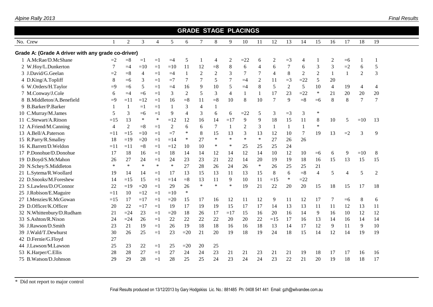|                                                    |                |        |        |                |              |                |                |                | <b>GRADE STAGE PLACINGS</b> |                |                |                |                  |                |                |                |              |                |                |  |
|----------------------------------------------------|----------------|--------|--------|----------------|--------------|----------------|----------------|----------------|-----------------------------|----------------|----------------|----------------|------------------|----------------|----------------|----------------|--------------|----------------|----------------|--|
| No. Crew                                           | -1             | 2      | 3      | $\overline{4}$ | 5            | 6              | $\tau$         | 8              | 9                           | 10             | 11             | 12             | 13               | 14             | 15             | 16             | 17           | 18             | 19             |  |
| Grade A: (Grade A driver with any grade co-driver) |                |        |        |                |              |                |                |                |                             |                |                |                |                  |                |                |                |              |                |                |  |
| 1 A.McRae/D.McShane                                | $=2$           | $= 8$  | $=1$   | $=1$           | $=4$         | 5              | -1             | 4              | $\overline{c}$              | $=22$          | 6              | 2              | $=3$             | $\overline{4}$ |                | 2              | $=6$         |                |                |  |
| 2 W.Hoy/L.Dunkerton                                | 7              | $=4$   | $=10$  | $=1$           | $=10$        | 11             | 12             | $= 8$          | $\,8\,$                     | 6              | 4              | 6              | $\boldsymbol{7}$ | 6              | 3              | 3              | $=2$         | 6              | 5              |  |
| 3 J.David/G.Geelan                                 | $=2$           | $= 8$  | 4      | $=1$           | $=4$         | $\mathbf{1}$   | $\overline{2}$ | $\sqrt{2}$     | 3                           | $\tau$         | 7              | $\overline{4}$ | 8                | $\overline{2}$ | $\overline{2}$ | $\mathbf{1}$   | $\mathbf{1}$ | $\overline{2}$ | 3              |  |
| 4 D.King/A.Topliff                                 | 8              | $=6$   | 3      | $=1$           | $=7$         | $\tau$         | $\overline{7}$ | 5              | $\overline{7}$              | $=4$           | $\overline{2}$ | 11             | $=3$             | $=22$          | 5              | 20             |              |                |                |  |
| 6 W.Orders/H.Taylor                                | $=9$           | $=6$   | 5      | $=1$           | $=4$         | 16             | 9              | 10             | 5                           | $=4$           | $8\,$          | 5              | $\overline{2}$   | 5              | 10             | $\overline{4}$ | 19           | $\overline{4}$ | 4              |  |
| 7 M.Conway/J.Cole                                  | 6              | $=4$   | $=6$   | $=1$           | 3            | $\overline{2}$ | 5              | 3              | $\overline{4}$              | $\mathbf{1}$   | 1              | 17             | 23               | $=22$          | $\ast$         | 21             | 20           | 20             | 20             |  |
| 8 B.Middleton/A.Benefield                          | $=9$           | $=11$  | $=12$  | $=1$           | 16           | $= 8$          | 11             | $= 8$          | 10                          | 8              | 10             | $\tau$         | 9                | $= 8$          | $=6$           | 8              | 8            | $\overline{7}$ | $\tau$         |  |
| 9 B.Barker/P.Barker                                |                | -1     | $=1$   | $=1$           | $\mathbf{1}$ | 3              | $\overline{4}$ | $\mathbf{1}$   |                             |                |                |                |                  |                |                |                |              |                |                |  |
| 10 C.Murray/M.James                                | 5              | 3      | $=6$   | $=1$           | 9            | $\overline{4}$ | 3              | 6              | 6                           | $=22$          | 5              | 3              | $=3$             | 3              | ∗              |                |              |                |                |  |
| 11 C.Stewart/A.Ritson                              | $=15$          | 13     | $\ast$ | ∗              | $=12$        | 12             | 16             | 14             | $=17$                       | 9              | 9              | 18             | 15               | 11             | 8              | 10             | 5            | $=10$          | 13             |  |
| 12 A.Friend/M.Canning                              | $\overline{4}$ | 2      | $=8$   | $=1$           | 2            | 6              | 6              | $\overline{7}$ | $\mathbf{1}$                | $\overline{2}$ | 3              | $\mathbf{1}$   | $\mathbf{1}$     | $\mathbf{1}$   | $\ast$         |                |              |                |                |  |
| 13 A.Bell/A.Paterson                               | $=11$          | $=15$  | $=10$  | $=1$           | $=7$         | $\ast$         | 8              | 15             | 13                          | 3              | 13             | 12             | 10               | 7              | 19             | 13             | $=2$         | 3              | 9              |  |
| 15 R.Parry/R.Smalley                               | 18             | $=19$  | $=20$  | $=1$           | $=14$        | ∗              | 27             | $\ast$         | $\ast$                      | $\ast$         | $\ast$         | 27             | 26               | 26             |                |                |              |                |                |  |
| 16 K.Barrett/D.Weldon                              | $=11$          | $=11$  | $= 8$  | $=1$           | $=12$        | 10             | 10             | ∗              | $\ast$                      | 25             | 25             | 25             | 24               |                |                |                |              |                |                |  |
| 17 P.Donohue/D.Donohue                             | 17             | 18     | 16     | $=1$           | 18           | 14             | 14             | 12             | 14                          | 12             | 14             | 10             | 12               | 10             | $=6$           | 6              | 9            | $=10$          | 8              |  |
| 19 D.Boyd/S.McMahon                                | 26             | 27     | 24     | $=1$           | 24           | 23             | 23             | 21             | 22                          | 14             | 20             | 19             | 19               | 18             | 16             | 15             | 13           | 15             | 15             |  |
| 20 N.Schey/S.Middleton                             | $\ast$         | $\ast$ | $\ast$ | $\ast$         | $\ast$       | 27             | 28             | 26             | 24                          | 26             | $\ast$         | 26             | 25               | 25             | 21             |                |              |                |                |  |
| 21 L.Sytema/R.Woollard                             | 19             | 14     | 14     | $=1$           | 17           | 13             | 15             | 13             | 11                          | 13             | 15             | 8              | 6                | $= 8$          | $\overline{4}$ | 5              | 4            | 5              | $\overline{2}$ |  |
| 22 D.Snooks/M.Foreshew                             | 14             | $=15$  | 15     | $=1$           | $=14$        | $= 8$          | 13             | 11             | 9                           | 10             | 11             | $=15$          | $\ast$           | $=22$          |                |                |              |                |                |  |
| 23 S.Lawless/D.O'Connor                            | 22             | $=19$  | $=20$  | $=1$           | 29           | 26             | $\ast$         | $\ast$         | $\ast$                      | 19             | 21             | 22             | 20               | 20             | 15             | 18             | 15           | 17             | 18             |  |
| 25 J.Robison/E.Maguire                             | $=11$          | 10     | $=12$  | $=1$           | $=10$        | $\ast$         |                |                |                             |                |                |                |                  |                |                |                |              |                |                |  |
| 27 I.Menzies/R.McGowan                             | $=15$          | 17     | $=17$  | $=1$           | $=20$        | 15             | 17             | 16             | 12                          | 11             | 12             | 9              | 11               | 12             | 17             | 7              | $=6$         | 8              | 6              |  |
| 29 D.Officer/K.Officer                             | 20             | 22     | $=17$  | $=1$           | 19           | 17             | 19             | 19             | 15                          | 17             | 17             | 14             | 13               | 13             | 11             | 11             | 12           | 13             | 11             |  |
| 32 N.Whittenbury/D.Rudham                          | 21             | $=24$  | 23     | $=1$           | $=20$        | 18             | 26             | 17             | $=17$                       | 15             | 16             | 20             | 16               | 14             | 9              | 16             | 10           | 12             | 12             |  |
| 33 S.Ashton/R.Nixon                                | 24             | $=24$  | 26     | $=1$           | 22           | 22             | 22             | 22             | 20                          | 20             | 22             | $=15$          | 17               | 16             | 13             | 14             | 16           | 14             | 14             |  |
| 36 J.Rawson/D.Smith                                | 23             | 21     | 19     | $=1$           | 26           | 19             | 18             | 18             | 16                          | 16             | 18             | 13             | 14               | 17             | 12             | 9              | 11           | 9              | 10             |  |
| 39 J.Wald/T.Dewhurst                               | 30             | 26     | 25     | $=1$           | 23           | $=20$          | 21             | 20             | 19                          | 18             | 19             | 24             | 18               | 15             | 14             | 12             | 14           | 19             | 19             |  |
| 42 D.Fernie/G.Floyd                                | 27             |        |        |                |              |                |                |                |                             |                |                |                |                  |                |                |                |              |                |                |  |
| 44 J.Lawson/M.Lawson                               | 25             | 23     | 22     | $=1$           | 25           | $=20$          | 20             | 25             |                             |                |                |                |                  |                |                |                |              |                |                |  |
| 53 K.Harper/C.Ellis                                | 28             | 28     | 27     | $=1$           | 27           | 24             | 24             | 23             | 21                          | 21             | 23             | 21             | 21               | 19             | 18             | 17             | 17           | 16             | 16             |  |
| 75 B. Watson/D. Johnson                            | 29             | 29     | 28     | $=1$           | 28           | 25             | 25             | 24             | 23                          | 24             | 24             | 23             | 22               | 21             | 20             | 19             | 18           | 18             | 17             |  |
|                                                    |                |        |        |                |              |                |                |                |                             |                |                |                |                  |                |                |                |              |                |                |  |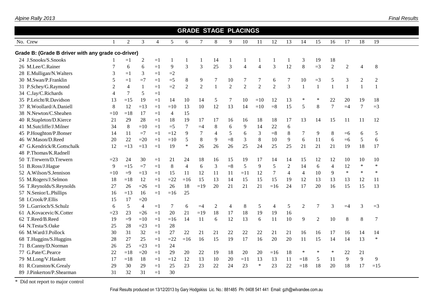|                                                    |                |                |                |                |                          |                |                |                |                | <b>GRADE STAGE PLACINGS</b> |                |                |                |                |                |                |                  |                |                |  |
|----------------------------------------------------|----------------|----------------|----------------|----------------|--------------------------|----------------|----------------|----------------|----------------|-----------------------------|----------------|----------------|----------------|----------------|----------------|----------------|------------------|----------------|----------------|--|
| No. Crew                                           |                | $\overline{2}$ | 3              | $\overline{4}$ | 5                        | 6              | 7              | 8              | 9              | 10                          | 11             | 12             | 13             | 14             | 15             | 16             | 17               | 18             | 19             |  |
| Grade B: (Grade B driver with any grade co-driver) |                |                |                |                |                          |                |                |                |                |                             |                |                |                |                |                |                |                  |                |                |  |
| 24 J.Snooks/S.Snooks                               |                | $=1$           | $\overline{c}$ | $=1$           | 1                        | 1              |                | 14             | -1             | -1                          |                |                |                | 3              | 19             | 18             |                  |                |                |  |
| 26 M.Lee/C.Rainer                                  | 7              | 6              | 6              | $=1$           | 9                        | 3              | 3              | 25             | 3              | $\overline{4}$              | $\overline{4}$ | 3              | 12             | 8              | $=3$           | $\mathbf{2}$   | $\boldsymbol{2}$ | $\overline{4}$ | 8              |  |
| 28 E.Mulligan/N.Walters                            | 3              | $=1$           | 3              | $=1$           | $=2$                     |                |                |                |                |                             |                |                |                |                |                |                |                  |                |                |  |
| 30 M.Swan/P.Franklin                               | 5              | $=1$           | $=7$           | $=1$           | $=5$                     | $\,8\,$        | 9              | 7              | 10             | 7                           | 7              | 6              | 7              | 10             | $=3$           | 5              | 3                | $\overline{c}$ | $\overline{2}$ |  |
| 31 P.Schey/G.Raymond                               | $\overline{2}$ | $\overline{4}$ | $\mathbf{1}$   | $=1$           | $=2$                     | $\overline{2}$ | $\overline{2}$ | $\mathbf{1}$   | $\overline{2}$ | $\overline{2}$              | $\overline{2}$ | $\overline{2}$ | $\overline{3}$ | $\mathbf{1}$   | $\overline{1}$ | $\mathbf{1}$   | $\mathbf{1}$     |                | $\mathbf{1}$   |  |
| 34 C.Jay/C.Richards                                | $\overline{4}$ | $\tau$         | 5              | $=1$           |                          |                |                |                |                |                             |                |                |                |                |                |                |                  |                |                |  |
| 35 P.Leicht/R.Davidson                             | 13             | $=15$          | 19             | $=1$           | 14                       | 10             | 14             | 5              | 7              | 10                          | $=10$          | 12             | 13             | $\ast$         | ∗              | 22             | 20               | 19             | 18             |  |
| 37 R.Woollard/A.Daniell                            | $\,8\,$        | 12             | $=13$          | $=1$           | $=10$                    | 13             | 10             | 12             | 13             | 14                          | $=10$          | $= 8$          | 15             | 5              | 8              | $\overline{7}$ | $=4$             | 7              | $=3$           |  |
| 38 N.Newton/C.Sheahen                              | $=10$          | $=18$          | 17             | $=1$           | $\overline{\mathcal{A}}$ | 15             |                |                |                |                             |                |                |                |                |                |                |                  |                |                |  |
| 40 R.Stapleton/D.Kierce                            | 21             | 29             | 28             | $=1$           | 18                       | 19             | 17             | 17             | 16             | 16                          | 18             | 18             | 17             | 13             | 14             | 15             | 11               | 11             | 12             |  |
| 41 M.Sutcliffe/J.Milner                            | 34             | 8              | $=10$          | $=1$           | $=5$                     | $\overline{7}$ | $=4$           | 8              | 6              | 9                           | 14             | 22             | 6              |                |                |                |                  |                |                |  |
| 45 P.Houghton/P.Bonser                             | 14             | 11             | $=7$           | $=1$           | $=12$                    | 9              | 7              | $\overline{4}$ | $\mathfrak{S}$ | 6                           | 3              | $\equiv$ 8     | $\,8\,$        | $\tau$         | 9              | 8              | $=6$             | 6              | 5              |  |
| 46 W.Mason/D.Reed                                  | 20             | 22             | $=20$          | $=1$           | $=10$                    | 5              | $\,8\,$        | 9              | $= 8$          | 3                           | $\,8\,$        | 10             | 9              | 6              | 11             | 6              | $=6$             | 5              | 6              |  |
| 47 G.Kendrick/R.Gottschalk                         | 12             | $=13$          | $=13$          | $=1$           | 19                       | $\ast$         | 26             | 26             | 26             | 25                          | 24             | 25             | 25             | 21             | 21             | 21             | 19               | 18             | 17             |  |
| 48 P.Thomas/K.Radnell                              |                |                |                |                |                          |                |                |                |                |                             |                |                |                |                |                |                |                  |                |                |  |
| 50 T.Trewern/D.Trewern                             | $=23$          | 24             | 30             | $=1$           | 21                       | 24             | 18             | 16             | 15             | 19                          | 17             | 14             | 14             | 15             | 12             | 12             | 10               | 10             | 10             |  |
| 51 B.Ross/J.Hague                                  | 9              | $=15$          | $=7$           | $=1$           | $\,8\,$                  | $\overline{4}$ | 6              | 3              | $= 8$          | 5                           | 9              | 5              | $\overline{2}$ | 14             | 6              | $\overline{4}$ | 12               | $\ast$         | $\ast$         |  |
| 52 A.Wilson/S.Jennison                             | $=10$          | $=9$           | $=13$          | $=1$           | 15                       | 11             | 12             | 11             | 11             | $=11$                       | 12             | $\tau$         | $\overline{4}$ | $\overline{4}$ | 10             | 9              | $\ast$           | $\ast$         | $\ast$         |  |
| 55 M.Rogers/J.Selmon                               | 18             | $=18$          | 12             | $=1$           | $=22$                    | $=16$          | 15             | 13             | 14             | 15                          | 15             | 15             | 19             | 12             | 13             | 13             | 13               | 12             | 11             |  |
| 56 T.Reynolds/S.Reynolds                           | 27             | 26             | $=26$          | $=1$           | 26                       | 18             | $=19$          | 20             | 21             | 21                          | 21             | $=16$          | 24             | 17             | 20             | 16             | 15               | 15             | 13             |  |
| 57 N.Senior/L.Phillips                             | 16             | $=13$          | 16             | $=1$           | $=16$                    | 25             |                |                |                |                             |                |                |                |                |                |                |                  |                |                |  |
| 58 I.Crook/P.Ellis                                 | 15             | 17             | $=20$          |                |                          |                |                |                |                |                             |                |                |                |                |                |                |                  |                |                |  |
| 59 L.Garrioch/S.Schulz                             | 6              | 5              | $\overline{4}$ | $=1$           | 7                        | 6              | $=4$           | $\overline{c}$ | $\overline{4}$ | $\,8\,$                     | 5              | $\overline{4}$ | 5              | $\overline{2}$ | 7              | 3              | $=4$             | 3              | $=3$           |  |
| 61 A.Kovacevic/K.Cotter                            | $=23$          | 23             | $=26$          | $=1$           | 20                       | 21             | $=19$          | 18             | 17             | 18                          | 19             | 19             | 16             |                |                |                |                  |                |                |  |
| 62 T.Reed/B.Reed                                   | 19             | $=9$           | $=10$          | $=1$           | $=16$                    | 14             | 11             | 6              | 12             | 13                          | 6              | 11             | 10             | 9              | $\overline{2}$ | 10             | 8                | 8              | 7              |  |
| 64 N.Testa/S.Oake                                  | 25             | 28             | $=23$          | $=1$           | 28                       |                |                |                |                |                             |                |                |                |                |                |                |                  |                |                |  |
| 66 M.Ward/J.Pollock                                | 30             | 31             | 32             | $=1$           | 27                       | 22             | 21             | 21             | 22             | 22                          | 22             | 21             | 21             | 16             | 16             | 17             | 16               | 14             | 14             |  |
| 68 T.Huggins/S.Huggins                             | 28             | 27             | 25             | $=1$           | $=22$                    | $=16$          | 16             | 15             | 19             | 17                          | 16             | 20             | 20             | 11             | 15             | 14             | 14               | 13             | $\ast$         |  |
| 71 B.Canny/D.Norman                                | 26             | 25             | $=23$          | $=1$           | 24                       |                |                |                |                |                             |                |                |                |                |                |                |                  |                |                |  |
| 77 G.Pate/C.Pearce                                 | 22             | $=18$          | $=20$          | $=1$           | 29                       | $20\,$         | 22             | 19             | 18             | 20                          | 20             | $=16$          | 18             | $\ast$         | $\ast$         | $\ast$         | 22               | 21             |                |  |
| 79 M.Long/V.Haskett                                | 17             | $=18$          | 18             | $=1$           | $=12$                    | 12             | 13             | 10             | 20             | $=11$                       | 13             | 13             | 11             | $=18$          | 5              | 11             | 9                | 9              | 9              |  |
| 81 R.Cranston/K.Grealy                             | 29             | 30             | 29             | $=1$           | 25                       | 23             | 23             | 22             | 24             | 23                          | $\ast$         | 23             | 22             | $=18$          | 18             | 20             | 18               | 17             | $=15$          |  |
| 89 J.Pinkerton/P.Shearman                          | 31             | 32             | 31             | $=1$           | 30                       |                |                |                |                |                             |                |                |                |                |                |                |                  |                |                |  |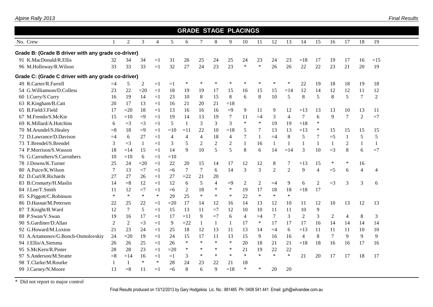|                                                                                                                                                                                                                                                                                                                                                                                                                                                             |              |                |                |                |                |                |                |                          | <b>GRADE STAGE PLACINGS</b> |                |                |                |                |                |                |      |                |                |                |  |
|-------------------------------------------------------------------------------------------------------------------------------------------------------------------------------------------------------------------------------------------------------------------------------------------------------------------------------------------------------------------------------------------------------------------------------------------------------------|--------------|----------------|----------------|----------------|----------------|----------------|----------------|--------------------------|-----------------------------|----------------|----------------|----------------|----------------|----------------|----------------|------|----------------|----------------|----------------|--|
| No. Crew                                                                                                                                                                                                                                                                                                                                                                                                                                                    |              | 2              | $\overline{3}$ | $\overline{4}$ | 5              | 6              | $\tau$         | $8\,$                    | 9                           | 10             | 11             | 12             | 13             | 14             | 15             | 16   | 17             | 18             | 19             |  |
| Grade B: (Grade B driver with any grade co-driver)                                                                                                                                                                                                                                                                                                                                                                                                          |              |                |                |                |                |                |                |                          |                             |                |                |                |                |                |                |      |                |                |                |  |
| 91 K.MacDonald/R.Ellis                                                                                                                                                                                                                                                                                                                                                                                                                                      | 32           | 34             | 34             | $=1$           | 31             | 26             | 25             | 24                       | 25                          | 24             | 23             | 24             | 23             | $=18$          | 17             | 19   | 17             | 16             | $=15$          |  |
| 96 M.Holloway/R.Wilson                                                                                                                                                                                                                                                                                                                                                                                                                                      | 33           | 33             | 33             | $=1$           | 32             | 27             | 24             | 23                       | 23                          | $\ast$         | $\ast$         | 26             | 26             | 22             | 22             | 23   | 21             | 20             | 19             |  |
| Grade C: (Grade C driver with any grade co-driver)                                                                                                                                                                                                                                                                                                                                                                                                          |              |                |                |                |                |                |                |                          |                             |                |                |                |                |                |                |      |                |                |                |  |
| 49 R.Carter/R.Farrell                                                                                                                                                                                                                                                                                                                                                                                                                                       | $=4$         | 5              | 2              | $=1$           | $=1$           | $\ast$         | $\ast$         | $\ast$                   | $\ast$                      | $\ast$         | ×              | $\ast$         | $\ast$         | 22             | 19             | 18   | 18             | 19             | 18             |  |
| 54 G.Williamson/D.Colless                                                                                                                                                                                                                                                                                                                                                                                                                                   | 23           | 22             | $=20$          | $=1$           | 18             | 19             | 19             | 17                       | 15                          | 16             | 15             | 15             | $=14$          | 12             | 14             | 12   | 12             | 11             | 12             |  |
| 60 I.Curry/S.Curry                                                                                                                                                                                                                                                                                                                                                                                                                                          | 16           | 19             | 14             | $=1$           | 23             | 10             | 8              | 15                       | 8                           | 6              | 8              | 10             | 5              | 8              | 5              | 8    | 5              | $\tau$         | $\overline{2}$ |  |
| 63 R.Kingham/B.Catt                                                                                                                                                                                                                                                                                                                                                                                                                                         | 20           | 17             | 13             | $=1$           | 16             | 21             | 20             | 21                       | $=18$                       |                |                |                |                |                |                |      |                |                |                |  |
| 18<br>13<br>65 B.Field/J.Field<br>17<br>$=20$<br>16<br>16<br>$=9$<br>9<br>12<br>$=13$<br>10<br>16<br>11<br>9<br>13<br>13<br>13<br>11<br>$=1$<br>19<br>$\tau$<br>3<br>$\overline{4}$<br>7<br>9<br>7<br>$\overline{2}$<br>$=7$<br>67 M.Frendo/S.McKie<br>15<br>$=10$<br>$=9$<br>14<br>13<br>19<br>11<br>6<br>$=1$<br>$=4$<br>3<br>$\ast$<br>$\ast$<br>19<br>$\ast$<br>$=3$<br>5<br>3<br>3<br>19<br>$=18$<br>69 K.Millard/A.Hutchins<br>$=3$<br>1<br>6<br>$=1$ |              |                |                |                |                |                |                |                          |                             |                |                |                |                |                |                |      |                |                |                |  |
| 18<br>13<br>$\ast$<br>70 M.Arundel/S.Healey<br>$= 8$<br>$=9$<br>$=10$<br>$=11$<br>22<br>10<br>5<br>7<br>13<br>$=13$<br>15<br>$=18$<br>15<br>15<br>15<br>$=1$                                                                                                                                                                                                                                                                                                |              |                |                |                |                |                |                |                          |                             |                |                |                |                |                |                |      |                |                |                |  |
|                                                                                                                                                                                                                                                                                                                                                                                                                                                             |              |                |                |                |                |                |                |                          |                             |                |                |                |                |                |                |      |                |                |                |  |
|                                                                                                                                                                                                                                                                                                                                                                                                                                                             |              |                |                |                |                |                |                |                          |                             |                |                |                |                |                |                |      |                |                |                |  |
| 72 D.Lawrance/D.Davison                                                                                                                                                                                                                                                                                                                                                                                                                                     | $=4$         | 6              | 27             | $=1$           | $\overline{4}$ | $\overline{4}$ | $\overline{4}$ | 18                       | 4                           | $\tau$         | $\mathbf{1}$   | $=4$           | 8              | 5              | 7              | $=5$ | 1              | 5              | 5              |  |
| 73 T.Brendel/S.Brendel                                                                                                                                                                                                                                                                                                                                                                                                                                      | 3            | $=$ 3          | 1              | $=1$           | 3              | 5              | $\mathfrak{2}$ | $\overline{2}$           | $\overline{2}$              | $\mathbf{1}$   | 16             | 1              | 1              | 1              | $\overline{1}$ | 1    | $\overline{2}$ |                | $\mathbf{1}$   |  |
| 74 P.Morrison/S.Wasson                                                                                                                                                                                                                                                                                                                                                                                                                                      | 18           | $=14$          | 15             | $=1$           | 14             | 9              | 10             | 5                        | 5                           | 8              | 6              | 14             | $=14$          | 3              | 10             | $=3$ | 8              | 6              | $=7$           |  |
| 76 G.Carruthers/S.Carruthers                                                                                                                                                                                                                                                                                                                                                                                                                                | 10           | $=10$          | 6              | $=1$           | $=10$          |                |                |                          |                             |                |                |                |                |                |                |      |                |                |                |  |
| 78 J.Downs/K.Turner                                                                                                                                                                                                                                                                                                                                                                                                                                         | 25           | 24             | $=20$          | $=1$           | 22             | 20             | 15             | 14                       | 17                          | 12             | 12             | 8              | 7              | $=13$          | 15             | ∗    | $\ast$         | 16             |                |  |
| 80 A.Paice/K.Wilson                                                                                                                                                                                                                                                                                                                                                                                                                                         | 7            | 13             | $=7$           | $=1$           | $=6$           | $\tau$         | $\tau$         | 6                        | 14                          | 3              | $\overline{3}$ | $\overline{2}$ | $\overline{2}$ | 9              | $\overline{4}$ | $=5$ | 6              | $\overline{4}$ | 4              |  |
| 82 D.Curl/R.Richards                                                                                                                                                                                                                                                                                                                                                                                                                                        | 27           | 27             | 26             | $=1$           | 27             | $=22$          | 21             | 20                       |                             |                |                |                |                |                |                |      |                |                |                |  |
| 83 B.Cromarty/H.Maslin                                                                                                                                                                                                                                                                                                                                                                                                                                      | 14           | $= 8$          | 12             | $=1$           | 12             | 6              | 5              | $\overline{\mathcal{L}}$ | $=9$                        | $\overline{c}$ | $\sqrt{2}$     | $=4$           | 9              | 6              | $\overline{2}$ | $=3$ | 3              | 3              | 6              |  |
| 84 J.Lee/T.Smith                                                                                                                                                                                                                                                                                                                                                                                                                                            | 11           | 12             | $=7$           | $=1$           | $=6$           | 2              | 18             | $\ast$                   | ∗                           | 19             | 17             | 18             | 18             | $=18$          | 17             |      |                |                |                |  |
| 85 S.Piggott/C.Robinson                                                                                                                                                                                                                                                                                                                                                                                                                                     | $\ast$       | $\ast$         | $\ast$         | $\ast$         | 29             | 25             | $\ast$         | $\ast$                   | $\ast$                      | 22             | $\ast$         | $\ast$         | $\ast$         |                |                |      |                |                |                |  |
| 86 D.Hasnat/M.Petersen                                                                                                                                                                                                                                                                                                                                                                                                                                      | 22           | 25             | 22             | $=1$           | $=20$          | 17             | 14             | 12                       | 16                          | 14             | 13             | 12             | 10             | 11             | 12             | 10   | 13             | 12             | 13             |  |
| 87 T.Knight/B.Ward                                                                                                                                                                                                                                                                                                                                                                                                                                          | 12           | $\tau$         | 5              | $=1$           | 15             | 13             | 11             | $=7$                     | 12                          | 10             | 10             | 11             | 11             | 10             | 9              |      |                |                |                |  |
| 88 P.Swan/V.Swan                                                                                                                                                                                                                                                                                                                                                                                                                                            | 19           | 16             | 17             | $=1$           | 17             | $=11$          | 9              | $=7$                     | 6                           | 4              | $=4$           | $\tau$         | 3              | $\overline{2}$ | 3              | 2    | 4              | 8              | 3              |  |
| 90 S.Gardiner/D.Allan                                                                                                                                                                                                                                                                                                                                                                                                                                       | $\sqrt{2}$   | $\sqrt{2}$     | $=3$           | $=1$           | 9              | $=22$          |                | -1                       | 1                           | 17             | $\ast$         | 17             | 17             | 17             | 16             | 14   | 14             | 14             | 14             |  |
| 92 G.Howard/M.Loxton                                                                                                                                                                                                                                                                                                                                                                                                                                        | 21           | 23             | 24             | $=1$           | 25             | 18             | 12             | 13                       | 11                          | 13             | 14             | $=4$           | 6              | $=13$          | 11             | 11   | 11             | 10             | 10             |  |
| 93 A.Artamonov/G.Bonch-Osmolovskiy                                                                                                                                                                                                                                                                                                                                                                                                                          | 24           | $=20$          | 19             | $=1$           | 24             | 15             | 17             | 11                       | 13                          | 15             | 9              | 16             | 16             | $\overline{4}$ | 8              | 7    | 9              | 9              | 9              |  |
| 94 J.Ellis/A.Sietsma                                                                                                                                                                                                                                                                                                                                                                                                                                        | 26           | 26             | 25             | $=1$           | 26             | $\ast$         | $\ast$         | $\ast$                   | $\ast$                      | 20             | 18             | 21             | 21             | $=18$          | 18             | 16   | 16             | 17             | 16             |  |
| 95 S.McKern/R.Pinter                                                                                                                                                                                                                                                                                                                                                                                                                                        | 28           | 28             | 23             | $=1$           | $=20$          | $\ast$         | $\ast$         | $\ast$                   | ∗                           | 21             | 19             | 22             | $22\,$         |                |                |      |                |                |                |  |
| 97 S.Anderson/M.Stratte                                                                                                                                                                                                                                                                                                                                                                                                                                     | $= 8$        | $=14$          | 16             | $=1$           | $=1$           | 3              | $\ast$         | $\ast$                   | $\ast$                      | $\ast$         | $\ast$         | $\ast$         | $\ast$         | 21             | 20             | 17   | 17             | 18             | 17             |  |
| 98 T.Clarke/M.Rourke                                                                                                                                                                                                                                                                                                                                                                                                                                        | $\mathbf{1}$ | $\overline{1}$ | $\ast$         | $\ast$         | 28             | 24             | 23             | 22                       | 21                          | 18             |                |                |                |                |                |      |                |                |                |  |
| 99 J.Carney/N.Moore                                                                                                                                                                                                                                                                                                                                                                                                                                         | 13           | $= 8$          | 11             | $=1$           | $=6$           | 8              | 6              | 9                        | $=18$                       | $\ast$         | $\ast$         | 20             | 20             |                |                |      |                |                |                |  |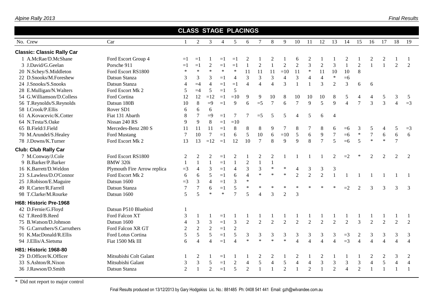|                                                                                                                                                                                                                                                                                                                                                                                                                                                                                                                                                                                             |                             |                  |                |                |        | <b>CLASS STAGE PLACINGS</b> |                |                  |                |                |                |                |                  |                  |                |                |                |                |                |                |
|---------------------------------------------------------------------------------------------------------------------------------------------------------------------------------------------------------------------------------------------------------------------------------------------------------------------------------------------------------------------------------------------------------------------------------------------------------------------------------------------------------------------------------------------------------------------------------------------|-----------------------------|------------------|----------------|----------------|--------|-----------------------------|----------------|------------------|----------------|----------------|----------------|----------------|------------------|------------------|----------------|----------------|----------------|----------------|----------------|----------------|
| 17<br>No. Crew<br>Car<br>$\overline{2}$<br>3<br>5<br>8<br>9<br>10<br>11<br>12<br>13<br>14<br>15<br>18<br>19<br>$\mathbf{1}$<br>$\overline{4}$<br>6<br>7<br>16<br>1 A.McRae/D.McShane<br>Ford Escort Group 4<br>2<br>2<br>2<br>2<br>2<br>$=1$<br>6<br>2<br>$=1$<br>$=1$<br>$=1$<br>$\overline{3}$<br>$\overline{2}$<br>$\overline{2}$<br>$\mathbf{1}$<br>$\overline{1}$<br>$\mathbf{1}$<br>$\sqrt{2}$<br>$\overline{2}$<br>3<br>$\overline{2}$<br>$\overline{2}$<br>$\overline{2}$<br>$\mathbf{1}$<br>$\mathbf{1}$<br>2<br>3 J.David/G.Geelan<br>Porsche 911<br>$=1$<br>$=1$<br>$=1$<br>$=1$ |                             |                  |                |                |        |                             |                |                  |                |                |                |                |                  |                  |                |                |                |                |                |                |
| <b>Classic: Classic Rally Car</b>                                                                                                                                                                                                                                                                                                                                                                                                                                                                                                                                                           |                             |                  |                |                |        |                             |                |                  |                |                |                |                |                  |                  |                |                |                |                |                |                |
|                                                                                                                                                                                                                                                                                                                                                                                                                                                                                                                                                                                             |                             |                  |                |                |        |                             |                |                  |                |                |                |                |                  |                  |                |                |                |                |                |                |
|                                                                                                                                                                                                                                                                                                                                                                                                                                                                                                                                                                                             |                             |                  |                |                |        |                             |                |                  |                |                |                |                |                  |                  |                |                |                |                |                |                |
| 20 N.Schey/S.Middleton                                                                                                                                                                                                                                                                                                                                                                                                                                                                                                                                                                      | Ford Escort RS1800          | $\ast$           | $\ast$         | $\ast$         | $\ast$ | $\ast$                      | 11             | 11               | 11             | $=10$          | 11             | $\ast$         | 11               | 10               | 10             | 8              |                |                |                |                |
| 22 D.Snooks/M.Foreshew                                                                                                                                                                                                                                                                                                                                                                                                                                                                                                                                                                      | Datsun Stanza               | 3                | 3              | 3              | $=1$   | $\overline{4}$              | 3              | 3                | 3              | $\overline{4}$ | $\mathfrak{Z}$ | $\overline{4}$ | $\overline{4}$   | $\ast$           | $=6$           |                |                |                |                |                |
| 24 J.Snooks/S.Snooks                                                                                                                                                                                                                                                                                                                                                                                                                                                                                                                                                                        | Datsun Stanza               | $\overline{4}$   | $=4$           | $\overline{4}$ | $=1$   | $=1$                        | $\overline{4}$ | $\overline{4}$   | $\overline{4}$ | $\overline{3}$ | $\mathbf{1}$   | $\mathbf{1}$   | 3                | 2                | $\overline{3}$ | 6              | 6              |                |                |                |
| 28 E.Mulligan/N.Walters                                                                                                                                                                                                                                                                                                                                                                                                                                                                                                                                                                     | Ford Escort Mk 2            | 5                | $=4$           | 5              | $=1$   | 5                           |                |                  |                |                |                |                |                  |                  |                |                |                |                |                |                |
| 54 G.Williamson/D.Colless                                                                                                                                                                                                                                                                                                                                                                                                                                                                                                                                                                   | Ford Cortina                | 12               | 12             | $=12$          | $=1$   | $=10$                       | 9              | 9                | 10             | $\,8\,$        | 10             | 10             | 10               | 8                | 5              | 4              | 4              | 5              | 3              | 5              |
| 56 T.Reynolds/S.Reynolds                                                                                                                                                                                                                                                                                                                                                                                                                                                                                                                                                                    | Datsun 180B                 | 10               | 8              | $=9$           | $=1$   | 9                           | 6              | $=5$             | $\tau$         | 6              | $\overline{7}$ | 9              | 5                | $\mathbf{Q}$     | $\overline{4}$ | $\overline{7}$ | 3              | $\overline{3}$ | $\overline{4}$ | $=3$           |
| 58 I.Crook/P.Ellis<br>Rover SD1<br>6<br>6<br>6<br>$8\phantom{1}$<br>$\overline{7}$<br>$\tau$<br>61 A.Kovacevic/K.Cotter<br>Fiat 131 Abarth<br>$=9$<br>$\tau$<br>5<br>5<br>5<br>$=$ 5<br>$\overline{4}$<br>6<br>$\overline{4}$<br>$=1$                                                                                                                                                                                                                                                                                                                                                       |                             |                  |                |                |        |                             |                |                  |                |                |                |                |                  |                  |                |                |                |                |                |                |
|                                                                                                                                                                                                                                                                                                                                                                                                                                                                                                                                                                                             |                             |                  |                |                |        |                             |                |                  |                |                |                |                |                  |                  |                |                |                |                |                |                |
| 64 N.Testa/S.Oake                                                                                                                                                                                                                                                                                                                                                                                                                                                                                                                                                                           | Nissan 240 RS               | 9                | 9              | $\,8\,$        | $=1$   | $=10$                       |                |                  |                |                |                |                |                  |                  |                |                |                |                |                |                |
| 65 B.Field/J.Field                                                                                                                                                                                                                                                                                                                                                                                                                                                                                                                                                                          | Mercedes-Benz 280 S         | 11               | 11             | 11             | $=1$   | $8\,$                       | $\, 8$         | $\,8\,$          | 9              | 7              | 8              | $\overline{7}$ | 8                | 6                | $=6$           | 3              | 5              | 4              | 5              | $=$ 3          |
| 70 M.Arundel/S.Healey                                                                                                                                                                                                                                                                                                                                                                                                                                                                                                                                                                       | Ford Mustang                | $\overline{7}$   | 10             | $\tau$         | $=1$   | $6\,$                       | 5              | 10               | 6              | $=10$          | 5              | 6              | $\boldsymbol{9}$ | $\boldsymbol{7}$ | $=6$           | $\ast$         | $\overline{7}$ | 6              | 6              | 6              |
| 78 J.Downs/K.Turner                                                                                                                                                                                                                                                                                                                                                                                                                                                                                                                                                                         | Ford Escort Mk 2            | 13               | 13             | $=12$          | $=1$   | 12                          | 10             | $\tau$           | 8              | 9              | 9              | 8              | $\overline{7}$   | 5                | $=6$           | 5              | $\ast$         | $\ast$         | $\overline{7}$ |                |
| <b>Club: Club Rally Car</b>                                                                                                                                                                                                                                                                                                                                                                                                                                                                                                                                                                 |                             |                  |                |                |        |                             |                |                  |                |                |                |                |                  |                  |                |                |                |                |                |                |
| 7 M.Conway/J.Cole                                                                                                                                                                                                                                                                                                                                                                                                                                                                                                                                                                           | Ford Escort RS1800          | $\overline{2}$   | $\overline{c}$ | $\overline{2}$ | $=1$   | $\sqrt{2}$                  |                | $\boldsymbol{2}$ | $\mathfrak 2$  |                |                |                |                  | $\mathfrak{D}$   | $=2$           |                | $\mathfrak{D}$ | $\mathfrak{D}$ | $\mathfrak{D}$ | 2              |
| 9 B.Barker/P.Barker                                                                                                                                                                                                                                                                                                                                                                                                                                                                                                                                                                         | <b>BMW 320i</b>             | $\mathbf{1}$     | $\mathbf{1}$   | $\mathbf{1}$   | $=1$   | $\mathbf{1}$                | $\sqrt{2}$     | $\mathbf{1}$     | $\mathbf{1}$   |                |                |                |                  |                  |                |                |                |                |                |                |
| 16 K.Barrett/D.Weldon                                                                                                                                                                                                                                                                                                                                                                                                                                                                                                                                                                       | Plymouth Fire Arrow replica | $=3$             | $\overline{4}$ | 3              | $=1$   | $\overline{4}$              | $\mathfrak{Z}$ | $\overline{3}$   | $\ast$         | $\ast$         | 4              | 3              | 3                | 3                |                |                |                |                |                |                |
| 23 S.Lawless/D.O'Connor                                                                                                                                                                                                                                                                                                                                                                                                                                                                                                                                                                     | Ford Escort Mk 2            | 6                | 6              | 5              | $=1$   | 6                           | $\overline{4}$ | $\ast$           | $\ast$         | $\ast$         | $\overline{2}$ | $\overline{2}$ | $\overline{2}$   | $\mathbf{1}$     |                |                | $\mathbf{1}$   |                |                |                |
| 25 J.Robison/E.Maguire                                                                                                                                                                                                                                                                                                                                                                                                                                                                                                                                                                      | Datsun 1600                 | $=3$             | $\overline{3}$ | $\overline{4}$ | $=1$   | $\overline{3}$              | $\ast$         |                  |                |                |                |                |                  |                  |                |                |                |                |                |                |
| 49 R.Carter/R.Farrell                                                                                                                                                                                                                                                                                                                                                                                                                                                                                                                                                                       | Datsun Stanza               | $\boldsymbol{7}$ | $\overline{7}$ | 6              | $=1$   | 5                           | $\ast$         | $\ast$           | $\ast$         | $\ast$         | $\ast$         |                | $\ast$           | $\ast$           | $=2$           | $\overline{2}$ | 3              | 3              | 3              | 3              |
| 98 T.Clarke/M.Rourke                                                                                                                                                                                                                                                                                                                                                                                                                                                                                                                                                                        | Datsun 1600                 | 5                | 5              | $\ast$         | $\ast$ | $\tau$                      | 5              | 4                | 3              | $\overline{2}$ | 3              |                |                  |                  |                |                |                |                |                |                |
| H68: Historic Pre-1968                                                                                                                                                                                                                                                                                                                                                                                                                                                                                                                                                                      |                             |                  |                |                |        |                             |                |                  |                |                |                |                |                  |                  |                |                |                |                |                |                |
| 42 D.Fernie/G.Floyd                                                                                                                                                                                                                                                                                                                                                                                                                                                                                                                                                                         | Datsun P510 Bluebird        | -1               |                |                |        |                             |                |                  |                |                |                |                |                  |                  |                |                |                |                |                |                |
| 62 T.Reed/B.Reed                                                                                                                                                                                                                                                                                                                                                                                                                                                                                                                                                                            | Ford Falcon XT              | 3                | 1              | $\mathbf{1}$   | $=1$   |                             | -1             |                  |                | 1              | 1              |                |                  |                  |                |                | $\mathbf{1}$   |                |                |                |
| 75 B. Watson/D. Johnson                                                                                                                                                                                                                                                                                                                                                                                                                                                                                                                                                                     | Datsun 1600                 | $\overline{4}$   | 3              | $\mathfrak{Z}$ | $=1$   | $\overline{3}$              | 2              | 2                | 2              | $\overline{2}$ | $\overline{2}$ | 2              | $\overline{2}$   | $\overline{2}$   | $\overline{2}$ | $\overline{3}$ | 2              | 2              | $\overline{2}$ | $\overline{2}$ |
| 76 G.Carruthers/S.Carruthers                                                                                                                                                                                                                                                                                                                                                                                                                                                                                                                                                                | Ford Falcon XR GT           | $\sqrt{2}$       | $\overline{2}$ | 2              | $=1$   | $\sqrt{2}$                  |                |                  |                |                |                |                |                  |                  |                |                |                |                |                |                |
| 91 K.MacDonald/R.Ellis                                                                                                                                                                                                                                                                                                                                                                                                                                                                                                                                                                      | Ford Lotus Cortina          | 5                | 5              | 5              | $=1$   | 5                           | $\mathfrak{Z}$ | 3                | 3              | $\mathfrak{Z}$ | $\mathfrak{Z}$ | $\mathfrak{Z}$ | 3                | $\mathfrak{Z}$   | $=3$           | $\overline{c}$ | $\mathfrak{Z}$ | 3              | 3              | 3              |
| 94 J.Ellis/A.Sietsma                                                                                                                                                                                                                                                                                                                                                                                                                                                                                                                                                                        | Fiat 1500 Mk III            | 6                | $\overline{4}$ | $\overline{4}$ | $=1$   | $\overline{4}$              | $\ast$         | $\ast$           | $\ast$         | $\ast$         | $\overline{4}$ | $\overline{4}$ | $\overline{4}$   | $\overline{4}$   | $=3$           | $\overline{4}$ | $\overline{4}$ | $\overline{4}$ | $\overline{4}$ | $\overline{4}$ |
| H81: Historic 1968-80                                                                                                                                                                                                                                                                                                                                                                                                                                                                                                                                                                       |                             |                  |                |                |        |                             |                |                  |                |                |                |                |                  |                  |                |                |                |                |                |                |
| 29 D.Officer/K.Officer                                                                                                                                                                                                                                                                                                                                                                                                                                                                                                                                                                      | Mitsubishi Colt Galant      |                  | 2              |                | $=1$   |                             |                | 2                | $\overline{c}$ | 1              | $\overline{c}$ |                | $\overline{c}$   |                  |                |                | 2              | $\overline{c}$ | 3              | 2              |
| 33 S.Ashton/R.Nixon                                                                                                                                                                                                                                                                                                                                                                                                                                                                                                                                                                         | Mitsubishi Galant           | 3                | 3              | 5              | $=1$   | $\sqrt{2}$                  | $\overline{4}$ | 5                | $\overline{4}$ | $\mathfrak{S}$ | $\overline{4}$ | $\overline{4}$ | 3                | $\mathfrak{Z}$   | 3              | 3              | $\overline{4}$ | 5              | $\overline{4}$ | $\overline{4}$ |
| 36 J.Rawson/D.Smith                                                                                                                                                                                                                                                                                                                                                                                                                                                                                                                                                                         | Datsun Stanza               | $\overline{2}$   |                | $\overline{2}$ | $=1$   | 5                           | $\overline{2}$ | $\mathbf{1}$     | $\mathbf{1}$   | $\overline{2}$ | $\mathbf{1}$   | $\overline{2}$ | $\mathbf{1}$     | $\overline{2}$   | $\overline{4}$ | $\overline{2}$ | $\mathbf{1}$   | $\mathbf{1}$   |                |                |
|                                                                                                                                                                                                                                                                                                                                                                                                                                                                                                                                                                                             |                             |                  |                |                |        |                             |                |                  |                |                |                |                |                  |                  |                |                |                |                |                |                |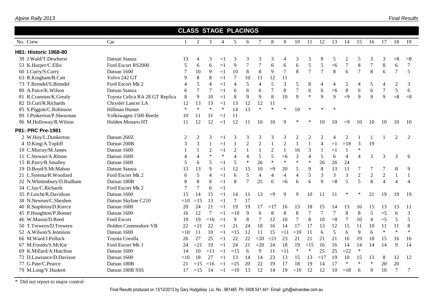| Alpine Rally 2013 |  |
|-------------------|--|
|                   |  |

|                           |                                |                |                          |                |                | <b>CLASS STAGE PLACINGS</b> |                  |                |                |                |                |                |                |        |                |                |                |                  |                          |                |
|---------------------------|--------------------------------|----------------|--------------------------|----------------|----------------|-----------------------------|------------------|----------------|----------------|----------------|----------------|----------------|----------------|--------|----------------|----------------|----------------|------------------|--------------------------|----------------|
| No. Crew                  | Car                            | $\overline{1}$ | $\overline{2}$           | 3              | $\overline{4}$ | 5                           | 6                | 7              | 8              | 9              | 10             | 11             | 12             | 13     | 14             | 15             | 16             | 17               | 18                       | 19             |
| H81: Historic 1968-80     |                                |                |                          |                |                |                             |                  |                |                |                |                |                |                |        |                |                |                |                  |                          |                |
| 39 J.Wald/T.Dewhurst      | Datsun Stanza                  | 13             | 4                        | 3              | $=1$           | 3                           | 3                | 3              | 3              | 4              | 3              | 3              | 8              | 5      | 2              | 5              | 3              | 3                | $=8$                     | $=8$           |
| 53 K.Harper/C.Ellis       | Ford Escort RS2000             | 5              | 6                        | 6              | $=1$           | 9                           | $\boldsymbol{7}$ | $\overline{7}$ | 6              | $\sqrt{6}$     | 6              | 5              | 5              | $=6$   | $\overline{7}$ | 8              | $\overline{7}$ | $\,8\,$          | 6                        | $\overline{7}$ |
| 60 I.Curry/S.Curry        | Datsun 1600                    | 7              | 10                       | 9              | $=1$           | 10                          | $\,8\,$          | 8              | 9              | $\overline{7}$ | 8              | $\overline{7}$ | $\overline{7}$ | 8      | 6              | $\overline{7}$ | 8              | 6                | $\overline{7}$           | 5              |
| 63 R.Kingham/B.Catt       | Volvo 242 GT                   | 9              | $8\,$                    | $\,8\,$        | $=1$           | $\overline{7}$              | 10               | 11             | 12             | 11             |                |                |                |        |                |                |                |                  |                          |                |
| 73 T.Brendel/S.Brendel    | Ford Escort Mk 2               | 4              | 5                        | $\overline{4}$ | $=1$           | $\overline{4}$              | 5                | $\overline{4}$ | 5              | 3              | 5              | 8              | $\overline{4}$ | 4      | 5              | 4              | 5              | $\overline{4}$   | $\mathbf{2}$             | 3              |
| 80 A.Paice/K.Wilson       | Datsun Stanza                  | 6              | $\overline{7}$           | 7              | $=1$           | 6                           | 6                | 6              | $\overline{7}$ | 8              | $\overline{7}$ | 6              | $\sqrt{6}$     | $=6$   | $\,8\,$        | 6              | 6              | $\boldsymbol{7}$ | 5                        | 6              |
| 81 R.Cranston/K.Grealy    | Toyota Celica RA 28 GT Replica | 8              | 9                        | 10             | $=1$           | 8                           | 9                | 9              | 8              | 10             | $\mathbf{Q}$   | $\ast$         | 9              | 9      | $\equiv 9$     | 9              | 9              | 9                | $= 8$                    | $=8$           |
| 82 D.Curl/R.Richards      | Chrysler Lancer LA             | 12             | 13                       | 13             | $=1$           | 13                          | 12               | 12             | 11             |                |                |                |                |        |                |                |                |                  |                          |                |
| 85 S.Piggott/C.Robinson   | Hillman Hunter                 | $\ast$         | $\ast$                   | $\ast$         | $\ast$         | 14                          | 13               | $\ast$         | $\ast$         | $\ast$         | 10             |                |                | $\ast$ |                |                |                |                  |                          |                |
| 89 J.Pinkerton/P.Shearman | Volkswagen 1500 Beetle         | 10             | 11                       | 11             | $=1$           | 11                          |                  |                |                |                |                |                |                |        |                |                |                |                  |                          |                |
| 96 M.Holloway/R.Wilson    | Holden Monaro HT               | 11             | 12                       | 12             | $=1$           | 12                          | 11               | 10             | 10             |                |                |                | 10             | 10     | $=9$           | 10             | 10             | 10               | 10                       | 10             |
| P81: PRC Pre-1981         |                                |                |                          |                |                |                             |                  |                |                |                |                |                |                |        |                |                |                |                  |                          |                |
| 2 W.Hoy/L.Dunkerton       | Datsun 260Z                    | 2              | 2                        | 3              | $=1$           | 3                           | 3                | 3              | 3              | 3              | $\overline{2}$ | 2              | $\overline{2}$ | 4      | 2              |                | $\mathbf{1}$   |                  | 2                        | 2              |
| 4 D.King/A.Topliff        | Datsun 200B                    | 3              | 3                        | $\mathbf{1}$   | $=1$           | $\mathbf{1}$                | $\overline{2}$   | $\overline{2}$ | $\mathbf{1}$   | $\overline{2}$ | $\overline{1}$ | $\mathbf{1}$   | $\overline{4}$ | $=1$   | $=18$          | $\overline{3}$ | 19             |                  |                          |                |
| 10 C.Murray/M.James       | Datsun 1600                    |                | 1                        | $\overline{2}$ | $=1$           | $\sqrt{2}$                  | $\mathbf{1}$     | $\mathbf{1}$   | $\overline{2}$ | $\mathbf{1}$   | 16             | $\mathfrak{Z}$ | $\mathbf{1}$   | $=1$   | $\mathbf{1}$   | $\ast$         |                |                  |                          |                |
| 11 C.Stewart/A.Ritson     | Datsun 1600                    | $\overline{4}$ | $\overline{\mathcal{A}}$ | $\ast$         | $\ast$         | $\overline{4}$              | $\overline{4}$   | 5              | 5              | $=6$           | 3              | $\overline{4}$ | 5              | 6      | $\overline{4}$ | $\overline{4}$ | $\overline{3}$ | 3                | 3                        | 6              |
| 15 R.Parry/R.Smalley      | Datsun 1600                    | 5              | 6                        | 5              | $=1$           | 5                           | $\ast$           | 26             | $\ast$         | $\ast$         | $\ast$         | $\ast$         | 26             | 26     | 24             |                |                |                  |                          |                |
| 19 D.Boyd/S.McMahon       | Datsun Stanza                  | 13             | 13                       | 9              | $=1$           | 12                          | 15               | 10             | $=9$           | 20             | 5              | 9              | 8              | 13     | 11             | 7              | 7              | 7                | 8                        | 9              |
| 21 L.Sytema/R.Woollard    | Ford Escort Mk 2               | 6              | 5                        | $\overline{4}$ | $=1$           | 6                           | 5                | $\overline{4}$ | $\overline{4}$ | $\overline{4}$ | $\overline{4}$ | 5              | 3              | 3      | 3              | $\overline{2}$ | $\overline{2}$ | $\overline{2}$   | $\mathbf{1}$             | 1              |
| 32 N.Whittenbury/D.Rudham | Datsun 180B                    | 8              | 8                        | 8              | $=1$           | 8                           | $\tau$           | 25             | 6              | $=6$           | 6              | 6              | $\mathbf Q$    | $= 8$  | 5              | 5              | 8              | $\overline{4}$   | $\overline{\mathcal{A}}$ | $\overline{4}$ |
| 34 C.Jay/C.Richards       | Ford Escort Mk 2               | 7              | $\overline{7}$           | 6              | $=1$           |                             |                  |                |                |                |                |                |                |        |                |                |                |                  |                          |                |
| 35 P.Leicht/R.Davidson    | Datsun 1600                    | 15             | 14                       | 15             | $=1$           | 14                          | 11               | 13             | $=9$           | 9              | 9              | 10             | 11             | 11     |                |                | 21             | 19               | 19                       | 19             |
| 38 N.Newton/C.Sheahen     | Datsun Skyline C210            | $=10$          | $=15$                    | 13             | $=1$           | $\overline{7}$              | 17               |                |                |                |                |                |                |        |                |                |                |                  |                          |                |
| 40 R.Stapleton/D.Kierce   | Datsun 1600                    | 20             | 24                       | 21             | $=1$           | 19                          | 19               | 17             | $=17$          | 16             | 13             | 18             | 15             | 14     | 13             | 16             | 15             | 13               | 13                       | 11             |
| 45 P.Houghton/P.Bonser    | Datsun 1600                    | 16             | 12                       | $\overline{7}$ | $=1$           | $=10$                       | 9                | 6              | 8              | 8              | 8              | 7              | $\overline{7}$ | $\tau$ | 8              | 8              | 5              | $=5$             | 6                        | 3              |
| 46 W.Mason/D.Reed         | Ford Escort                    | 19             | 19                       | $=16$          | $=1$           | 9                           | 8                | $\overline{7}$ | 12             | 10             | $\overline{7}$ | $8\,$          | 10             | $= 8$  | $\overline{7}$ | 10             | $\overline{4}$ | $=5$             | 5                        | 5              |
| 50 T.Trewern/D.Trewern    | Holden Commodore VB            | 22             | $=21$                    | 22             | $=1$           | 21                          | 24               | 18             | 16             | 14             | 17             | 17             | 13             | 12     | 15             | 11             | 10             | 11               | 11                       | 8              |
| 52 A.Wilson/S.Jennison    | Datsun 1600                    | $=10$          | 11                       | 10             | $=1$           | $=15$                       | 12               | 11             | 15             | $=11$          | $=10$          | 11             | 6              | 5      | 6              | 9              | 6              | $\ast$           | $\ast$                   | $\ast$         |
| 66 M.Ward/J.Pollock       | Toyota Corolla                 | 26             | 27                       | 25             | $=1$           | 22                          | 22               | $=20$          | $=21$          | 23             | 21             | 21             | 21             | 21     | 16             | 19             | 18             | 15               | 16                       | 16             |
| 67 M.Frendo/S.McKie       | Ford Escort Mk 1               | 24             | $=21$                    | 19             | $=1$           | 24                          | 21               | $=20$          | 24             | 18             | 19             | $=15$          | 16             | 16     | 14             | 14             | 14             | 14               | 9                        | 14             |
| 69 K.Millard/A.Hutchins   | Datsun 1600                    | 14             | 10                       | $=11$          | $=1$           | $=15$                       | 6                | 9              | 11             | $=11$          | $\ast$         | $\ast$         | 25             | 25     | $=22$          | $\ast$         |                |                  |                          |                |
| 72 D.Lawrance/D.Davison   | Datsun 1600                    | $=10$          | 18                       | 27             | $=1$           | 13                          | 14               | 14             | 23             | 13             | 15             | 13             | $=17$          | 19     | 10             | 15             | 13             | 8                | 12                       | 12             |
| 77 G.Pate/C.Pearce        | Datsun 180B                    | 21             | $=15$                    | $=16$          | $=1$           | $=25$                       | 20               | 22             | 19             | 17             | 18             | 19             | 14             | 17     | $\ast$         | $\ast$         | $\ast$         | 20               | 20                       |                |
| 79 M.Long/V.Haskett       | Datsun 180B SSS                | 17             | $=15$                    | 14             | $=1$           | $=10$                       | 13               | 12             | 14             | 19             | $=10$          | 12             | 12             | 10     | $=18$          | 6              | 9              | 10               | $\overline{7}$           | 7              |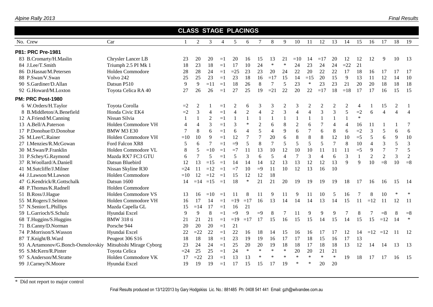|                                    |                          | <b>CLASS STAGE PLACINGS</b> |                |                |                |                |                |                |                |                |                |                |                |                |                |                |                |                |                |                |
|------------------------------------|--------------------------|-----------------------------|----------------|----------------|----------------|----------------|----------------|----------------|----------------|----------------|----------------|----------------|----------------|----------------|----------------|----------------|----------------|----------------|----------------|----------------|
| No. Crew                           | Car                      | $\mathbf{1}$                | 2              | 3              | $\overline{4}$ | 5              | 6              | 7              | 8              | 9              | 10             | 11             | 12             | 13             | 14             | 15             | 16             | 17             | 18             | 19             |
| P81: PRC Pre-1981                  |                          |                             |                |                |                |                |                |                |                |                |                |                |                |                |                |                |                |                |                |                |
| 83 B.Cromarty/H.Maslin             | Chrysler Lancer LB       | 23                          | 20             | 20             | $=1$           | 20             | 16             | 15             | 13             | 21             | $=10$          | 14             | $=17$          | 20             | 12             | 12             | 12             | 9              | 10             | -13            |
| 84 J.Lee/T.Smith                   | Triumph 2.5 PI Mk 1      | 18                          | 23             | 18             | $=1$           | 17             | 10             | 24             | $\ast$         | $\ast$         | 24             | 23             | 24             | 24             | $=22$          | 21             |                |                |                |                |
| 86 D.Hasnat/M.Petersen             | Holden Commodore         | 28                          | 28             | 24             | $=1$           | $=25$          | 23             | 23             | 20             | 24             | 22             | 20             | 22             | 22             | 17             | 18             | 16             | 17             | 17             | 17             |
| 88 P.Swan/V.Swan                   | Volvo 242                | 25                          | 25             | 23             | $=1$           | 23             | 18             | 16             | $=17$          | 15             | 14             | $=15$          | 20             | 15             | 9              | 13             | <sup>11</sup>  | 12             | 14             | 10             |
| 90 S.Gardiner/D.Allan              | Datsun P510              | 9                           | 9              | $=11$          | $=1$           | 18             | 26             | $\,8\,$        | 7              | 5              | 23             | $\ast$         | 23             | 23             | 21             | 20             | 20             | 18             | 18             | 18             |
| 92 G.Howard/M.Loxton               | Toyota Celica RA 40      | 27                          | 26             | 26             | $=1$           | 27             | 25             | 19             | $=21$          | 22             | 20             | 22             | $=17$          | 18             | $=18$          | 17             | 17             | 16             | 15             | 15             |
| <b>PM: PRC Post-1980</b>           |                          |                             |                |                |                |                |                |                |                |                |                |                |                |                |                |                |                |                |                |                |
| 6 W.Orders/H.Taylor                | Toyota Corolla           | $=2$                        | 2              |                | $=1$           | $\overline{c}$ | 6              | 3              | 3              | $\overline{c}$ | 3              | $\overline{c}$ | $\mathfrak{2}$ | $\overline{c}$ | 2              | $\overline{4}$ |                | 15             | $\overline{c}$ |                |
| 8 B.Middleton/A.Benefield          | Honda Civic EK4          | $=2$                        | $\overline{3}$ | $\overline{4}$ | $=1$           | $\overline{4}$ | $\overline{2}$ | $\overline{4}$ | $\overline{2}$ | 3              | $\overline{4}$ | $\overline{4}$ | 3              | $\overline{3}$ | 5              | $=2$           | 6              | $\overline{4}$ | $\overline{4}$ | $\overline{4}$ |
| 12 A.Friend/M.Canning              | Nissan Silvia            | $\mathbf{1}$                | $\mathbf{1}$   | $\mathfrak{2}$ | $=1$           | $\mathbf{1}$   | $\mathbf{1}$   | $\mathbf{1}$   |                | $\mathbf{1}$   | $\mathbf{1}$   |                | $\mathbf{1}$   | $\mathbf{1}$   | $\mathbf{1}$   | $\ast$         |                |                |                |                |
| 13 A.Bell/A.Paterson               | Holden Commodore VH      | $\overline{\mathcal{A}}$    | $\overline{4}$ | 3              | $=1$           | 3              | $\ast$         | $\overline{2}$ | 6              | 8              | $\overline{2}$ | 6              | $\overline{7}$ | $\overline{4}$ | $\overline{4}$ | 16             | 11             |                |                | 7              |
| 17 P.Donohue/D.Donohue             | BMW M3 E30               | $\tau$                      | 8              | 6              | $=1$           | 6              | $\overline{4}$ | 5              | $\overline{4}$ | 9              | 6              | $\overline{7}$ | 6              | 8              | 6              | $=2$           | 3              | 5              | 6              | 6              |
| 26 M.Lee/C.Rainer                  | Holden Commodore VH      | $=10$                       | 10             | 9              | $=1$           | 12             | $\overline{7}$ | $\overline{7}$ | 20             | 6              | 8              | 8              | 8              | 12             | 10             | $=$ 5          | 5              | 6              | 9              | 10             |
| 27 I.Menzies/R.McGowan             | Ford Falcon XR8          | 5                           | 6              | $\tau$         | $=1$           | $\equiv 9$     | 5              | 8              | $\tau$         | 5              | 5              | 5              | 5              | $\overline{7}$ | 8              | 10             | $\overline{4}$ | $\overline{3}$ | 5              | $\mathfrak{Z}$ |
| 30 M.Swan/P.Franklin               | Holden Commodore VL      | 8                           | 5              | $=10$          | $=1$           | $=7$           | 11             | 13             | 10             | 12             | 10             | 10             | 11             | 11             | 11             | $=$ 5          | 9              | $\overline{7}$ | $\overline{7}$ | 5              |
| 31 P.Schey/G.Raymond               | Mazda RX7 FC3 GTU        | 6                           | $\overline{7}$ | 5              | $=1$           | 5              | 3              | 6              | 5              | $\overline{4}$ | $\overline{7}$ | 3              | $\overline{4}$ | 6              | 3              |                | $\overline{2}$ | $\overline{2}$ | 3              | $\mathbf{2}$   |
| 37 R.Woollard/A.Daniell            | Datsun Bluebird          | 12                          | 13             | $=15$          | $=1$           | 14             | 14             | 14             | 12             | 13             | 13             | 12             | 12             | 13             | 9              | 9              | 10             | $= 8$          | 10             | $= 8$          |
| 41 M.Sutcliffe/J.Milner            | Nissan Skyline R30       | $=24$                       | 11             | $=12$          | $=1$           | $=7$           | 10             | $=9$           | 11             | 10             | 12             | 13             | 16             | 10             |                |                |                |                |                |                |
| 44 J.Lawson/M.Lawson               | Holden Commodore         | $=10$                       | 12             | $=12$          | $=1$           | 15             | 12             | 12             | 18             |                |                |                |                |                |                |                |                |                |                |                |
| 47 G.Kendrick/R.Gottschalk         | Datsun 1600              | 14                          | $=14$          | $=15$          | $=1$           | 18             | $\ast$         | 21             | 21             | 20             | 19             | 19             | 19             | 19             | 18             | 17             | 16             | 16             | 15             | -14            |
| 48 P.Thomas/K.Radnell              | Holden Commodore         |                             |                |                |                |                |                |                |                |                |                |                |                |                |                |                |                |                |                |                |
| 51 B.Ross/J.Hague                  | Holden Commodore VS      | 13                          | 16             | $=10$          | $=1$           | 11             | 8              | 11             | 9              | 11             | 9              | 11             | 10             | 5              | 16             | 7              | 8              | 10             | $\ast$         |                |
| 55 M.Rogers/J.Selmon               | Holden Commodore VH      | 16                          | 17             | 14             | $=1$           | $=19$          | $=17$          | 16             | 13             | 14             | 14             | 14             | 13             | 14             | 15             | 11             | $=12$          | 11             | 12             | 11             |
| 57 N.Senior/L.Phillips             | Mazda Capella GL         | 15                          | $=14$          | 17             | $=1$           | 16             | 21             |                |                |                |                |                |                |                |                |                |                |                |                |                |
| 59 L.Garrioch/S.Schulz             | Hyundai Excel            | 9                           | 9              | 8              | $=1$           | $=9$           | $\mathbf{Q}$   | $=9$           | 8              | 7              | 11             | 9              | 9              | 9              |                | 8              |                | $= 8$          | 8              | $=8$           |
| 68 T.Huggins/S.Huggins             | <b>BMW</b> 318 ti        | 21                          | 21             | 21             | $=1$           | $=19$          | $=17$          | 17             | 15             | 16             | 15             | 15             | 14             | 15             | 14             | 15             | 15             | $=12$          | 14             | $\ast$         |
| 71 B.Canny/D.Norman                | Porsche 944              | 20                          | 20             | 20             | $=1$           | 21             |                |                |                |                |                |                |                |                |                |                |                |                |                |                |
| 74 P.Morrison/S.Wasson             | Hyundai Excel            | 22                          | $=22$          | 22             | $=1$           | 22             | 16             | 18             | 14             | 15             | 16             | 16             | 17             | 17             | 12             | 14             |                | $=12$ $=12$    | $-11$          | 12             |
| 87 T.Knight/B.Ward                 | Peugeot 306 S16          | 18                          | 18             | 18             | $=1$           | 23             | 19             | 19             | 16             | 17             | 17             | 18             | 15             | 16             | 17             | 13             |                |                |                |                |
| 93 A.Artamonov/G.Bonch-Osmolovskiy | Mitsubishi Mirage Cyborg | 23                          | 24             | 24             | $=1$           | 25             | 20             | 20             | 19             | 18             | 18             | 17             | 18             | 18             | 13             | 12             | 14             | 14             | 13             | 13             |
| 95 S.McKern/R.Pinter               | Toyota Celica            | $=24$                       | 25             | 25             | $=1$           | 24             | $\ast$         | $\ast$         | $\ast$         | $\ast$         | 20             | 20             | 21             | 21             |                |                |                |                |                |                |
| 97 S.Anderson/M.Stratte            | Holden Commodore VK      | 17                          | $=22$          | 23             | $=1$           | 13             | 13             | $\ast$         | $\ast$         | $\ast$         | $\ast$         | $\ast$         | $\ast$         | $\ast$         | 19             | 18             | 17             | 17             | 16             | -15            |
| 99 J.Carney/N.Moore                | Hyundai Excel            | 19                          | 19             | 19             | $=1$           | 17             | 15             | 15             | 17             | 19             | $\ast$         | $\ast$         | 20             | 20             |                |                |                |                |                |                |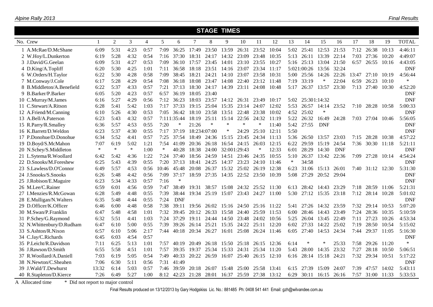|                           |              |                |        |                |        |             |              | <b>STAGE TIMES</b> |              |             |             |       |        |                   |            |            |             |            |       |              |
|---------------------------|--------------|----------------|--------|----------------|--------|-------------|--------------|--------------------|--------------|-------------|-------------|-------|--------|-------------------|------------|------------|-------------|------------|-------|--------------|
| No. Crew                  | $\mathbf{1}$ | $\mathfrak{2}$ | 3      | $\overline{4}$ | 5      | 6           | 7            | 8                  | 9            | 10          | 11          | 12    | 13     | 14                | 15         | 16         | 17          | 18         | 19    | <b>TOTAL</b> |
| 1 A.McRae/D.McShane       | 6:09         | 5:31           | 4:23   | 0:57           | 7:09   | 36:25       | 17:49        | 23:50              | 13:59        | 26:31       | 23:52       | 10:04 | 5:02   | 25:41             | 12:53      | 21:53      | 7:12        | 26:38      | 10:13 | 4:46:11      |
| 2 W.Hoy/L.Dunkerton       | 6:19         | 5:28           | 4:32   | 0:54           | 7:16   | 37:30       | 18:31        | 24:17              | 14:32        | 23:09       | 23:48       | 10:35 | 5:13   | 26:11             | 13:39      | 22:14      | 7:03        | 27:36      | 10:20 | 4:49:07      |
| 3 J.David/G.Geelan        | 6:09         | 5:31           | 4:27   | 0:53           | 7:09   | 36:10       | 17:57        | 23:45              | 14:01        | 23:10       | 23:55       | 10:27 | 5:16   | 25:13             | 13:04      | 21:50      | 6:57        | 26:55      | 10:16 | 4:43:05      |
| 4 D.King/A.Topliff        | 6:20         | 5:30           | 4:25   | 1:01           | 7:11   | 36:58       | 18:18        | 23:51              | 14:16        | 23:07       | 23:34       | 11:17 |        | 5:021:00:26       | 13:56      | 32:24      |             |            |       | <b>DNF</b>   |
| 6 W.Orders/H.Taylor       | 6:22         | 5:30           | 4:28   | 0:58           | 7:09   | 38:45       | 18:21        | 24:21              | 14:10        | 23:07       | 23:58       | 10:31 | 5:00   | 25:56             | 14:26      | 22:26      | 13:47       | 27:10      | 10:19 | 4:56:44      |
| 7 M.Conway/J.Cole         | 6:17         | 5:28           | 4:29   | 0:54           | 7:08   | 36:18       | 18:08        | 23:47              | 14:08        | 22:40       | 23:12       | 11:48 | 7:19   | 33:19             | $\ast$     | 22:04      | 6:59        | 26:23      | 10:10 | $\ast$       |
| 8 B.Middleton/A.Benefield | 6:22         | 5:37           | 4:33   | 0:57           | 7:21   | 37:13       | 18:30        | 24:17              | 14:39        | 23:11       | 24:08       | 10:48 | 5:17   | 26:37             | 13:57      | 23:30      | 7:13        | 27:40      | 10:30 | 4:52:20      |
| 9 B.Barker/P.Barker       | 6:05         | 5:20           | 4:23   | 0:57           | 6:57   | 36:19       | 18:05        | 23:40              |              |             |             |       |        |                   |            |            |             |            |       | <b>DNF</b>   |
| 10 C.Murray/M.James       | 6:16         | 5:27           | 4:29   | 0:56           | 7:12   | 36:23       | 18:03        | 23:57              |              | 14:12 26:31 | 23:49       | 10:17 |        | 5:02 25:301:14:32 |            |            |             |            |       | <b>DNF</b>   |
| 11 C.Stewart/A.Ritson     | 6:28         | 5:41           | 5:42   | 1:03           | 7:17   | 37:33       | 19:15        | 25:04              | 15:35        | 23:14       | 24:07       | 12:02 | 5:53   | 26:57             | 14:14      | 23:52      | $7:10^{-7}$ | 28:28      | 10:58 | 5:00:33      |
| 12 A.Friend/M.Canning     | 6:10         | 5:26           | 4:30   | 0:53           | 7:05   | 36:42       | 18:10        | 23:58              | 13:51        | 22:48       | 23:38       | 10:02 | 4:52   | 25:02             | $\ast$     |            |             |            |       | <b>DNF</b>   |
| 13 A.Bell/A.Paterson      | 6:23         | 5:43           | 4:32   | 0:57           |        | 7:111:35:44 | 18:19        | 25:11              | 15:14        | 22:56       | 24:32       | 11:19 | 5:22   | 26:32             | 16:49      | 24:28      |             | 7:03 27:04 | 10:46 | 5:56:05      |
| 15 R.Parry/R.Smalley      | 6:36         | 5:57           | 4:53   | 0:55           | 7:20   | $\ast$      | 21:26        | $\ast$             | $\ast$       | $\ast$      | ∗           | 11:40 | 5:42   | 27:55             | <b>DNF</b> |            |             |            |       | <b>DNF</b>   |
| 16 K.Barrett/D.Weldon     | 6:23         | 5:37           | 4:30   | 0:55           | 7:17   | 37:19       | 18:234:07:00 |                    | $\ast$       | 24:29       | 25:10       | 12:11 | 5:50   |                   |            |            |             |            |       | <b>DNF</b>   |
| 17 P.Donohue/D.Donohue    | 6:34         | 5:52           | 4:41   | 0:57           | 7:25   | 37:54       | 18:49        | 24:36              | 15:15        | 23:45       | 24:34       | 11:13 | 5:36   | 26:50             | 13:57      | 23:03      | 7:15        | 28:28      | 10:38 | 4:57:22      |
| 19 D.Boyd/S.McMahon       | 7:07         | 6:19           | 5:02   | 1:21           | 7:54   | 41:09       | 20:36        | 26:18              | 16:54        | 24:15       | 26:03       | 12:15 | 6:22   | 29:59             | 15:19      | 24:54      | 7:36        | 30:30      | 11:18 | 5:21:11      |
| 20 N.Schey/S.Middleton    | $\ast$       | $\ast$         | $\ast$ | 1:00           | $\ast$ | 40:28       | 18:38        | 24:00              | 32:001:29:43 |             | $\ast$      | 12:33 | 6:01   | 28:29             | 14:30      | <b>DNF</b> |             |            |       | <b>DNF</b>   |
| 21 L.Sytema/R.Woollard    | 6:42         | 5:42           | 4:36   | 1:22           | 7:24   | 37:40       | 18:56        | 24:59              | 14:51        | 23:46 24:35 |             | 10:55 | 5:10   | 26:37             | 13:42      | 22:36      | 7:09        | 27:28      | 10:14 | 4:54:24      |
| 22 D.Snooks/M.Foreshew    | 6:25         | 5:43           | 4:39   | 0:55           | 7:20   | 37:13       | 18:41        | 24:25              | 14:37        | 23:23       | 24:10 11:46 |       | $\ast$ | 34:58             |            |            |             |            |       | <b>DNF</b>   |
| 23 S.Lawless/D.O'Connor   | 6:49         | 5:57           | 4:53   | 0:56           | 10:46  | 45:48       | 20:08        | 26:37              | 15:32        | 25:02       | 26:19       | 12:38 | 6:23   | 31:06             | 15:13      | 26:01      | 7:40        | 31:12      | 12:30 | 5:31:30      |
| 24 J.Snooks/S.Snooks      | 6:26         | 5:48           | 4:42   | 0:56           | 7:09   | 37:17       | 18:59        | 27:35              | 14:35        | 22:52       | 23:50       | 10:39 | 5:08   | 27:29             | 20:52      | 29:04      |             |            |       | <b>DNF</b>   |
| 25 J.Robison/E.Maguire    | 6:23         | 5:34           | 4:33   | 0:57           | 7:16   | $\ast$      |              |                    |              |             |             |       |        |                   |            |            |             |            |       | <b>DNF</b>   |
| 26 M.Lee/C.Rainer         | 6:59         | 6:01           | 4:56   | 0:59           | 7:47   | 38:49       | 19:31        | 38:57              | 15:08        | 24:32       | 25:52       | 11:30 | 6:13   | 28:42             | 14:43      | 23:29      | 7:18        | 28:59      | 11:06 | 5:21:31      |
| 27 I.Menzies/R.McGowan    | 6:28         | 5:49           | 4:48   | 0:55           | 7:39   | 38:44       | 19:34        | 25:19              | 15:07        | 23:43       | 24:27       | 11:00 | 5:30   | 27:12             | 15:35      | 23:18      | 7:12        | 28:14      | 10:28 | 5:01:02      |
| 28 E.Mulligan/N.Walters   | 6:35         | 5:48           | 4:44   | 0:55           | 7:24   | <b>DNF</b>  |              |                    |              |             |             |       |        |                   |            |            |             |            |       | <b>DNF</b>   |
| 29 D.Officer/K.Officer    | 6:46         | 6:00           | 4:48   | 0:58           | 7:38   | 39:11       | 19:56 26:02  |                    |              | 15:16 24:50 | 25:16       | 11:22 | 5:41   | 27:26             | 14:32      | 23:59      | 7:32        | 29:14      | 10:53 | 5:07:20      |
| 30 M.Swan/P.Franklin      | 6:47         | 5:48           | 4:58   | 1:01           | 7:32   | 39:45       | 20:12        | 26:33              | 15:58        | 24:40       | 25:59       | 11:53 | 6:00   | 28:46             | 14:43      | 23:49      | 7:24        | 28:36      | 10:35 | 5:10:59      |
| 31 P.Schey/G.Raymond      | 6:32         | 5:51           | 4:41   | 1:03           | 7:24   | 37:29       | 19:11        | 24:44              | 14:50        | 23:48       | 24:02       | 10:56 | 5:25   | 26:04             | 13:45      | 22:49      | 7:11        | 27:23      | 10:26 | 4:53:34      |
| 32 N.Whittenbury/D.Rudham | 6:47         | 6:10           | 5:00   | 0:55           | 7:39   | 39:26       | 26:14        | 25:21              | 15:35        | 24:22       | 25:11       | 12:20 | 6:02   | 27:33             | 14:22      | 25:02      | 7:19        | 28:50      | 10:54 | 5:15:02      |
| 33 S.Ashton/R.Nixon       | 6:57         | 6:10           | 5:06   | 2:17           | 7:44   | 40:18       | 20:34        | 26:27              | 16:01        | 25:08       | 26:24       | 11:46 | 6:05   | 27:40             | 14:53      | 24:34      | 7:44        | 29:37      | 11:05 | 5:16:30      |
| 34 C.Jay/C.Richards       | 6:45         | 6:03           | 4:54   | 0:57           |        |             |              |                    |              |             |             |       |        |                   |            |            |             |            |       | <b>DNF</b>   |
| 35 P.Leicht/R.Davidson    | 7:11         | 6:25           | 5:13   | 1:01           | 7:57   | 40:19       | 20:49        | 26:18              | 15:50        | 25:18       | 26:15       | 12:36 | 6:14   | ∗                 | ∗          | 25:33      | 7:58        | 29:26      | 11:20 | $\ast$       |
| 36 J.Rawson/D.Smith       | 6:55         | 5:58           | 4:51   | 1:01           | 7:57   | 39:35       | 19:37        | 25:34              | 15:33        | 24:31       | 25:34       | 11:20 | 5:43   | 28:00             | 14:35      | 23:32      | 7:27        | 28:18      | 10:50 | 5:06:51      |
| 37 R.Woollard/A.Daniell   | 7:03         | 6:19           | 5:05   | 0:54           | 7:49   | 40:33       | 20:22        | 26:59              | 16:07        | 25:40       | 26:15       | 12:10 | 6:16   | 28:14             | 15:18      | 24:21      | 7:32        | 29:34      | 10:51 | 5:17:22      |
| 38 N.Newton/C.Sheahen     | 7:06         | 6:30           | 5:11   | 0:56           | 7:31   | 41:49       |              |                    |              |             |             |       |        |                   |            |            |             |            |       | <b>DNF</b>   |
| 39 J.Wald/T.Dewhurst      | 13:32        | 6:14           | 5:03   | 0:57           | 7:46   | 39:59       | 20:18        | 26:07              | 15:48        | 25:00       | 25:58       | 13:41 | 6:15   | 27:39             | 15:09      | 24:07      | 7:39        | 47:57      | 14:02 | 5:43:11      |
| 40 R.Stapleton/D.Kierce   | 7:26         | 6:49           | 5:27   | 1:00           | 8:12   | 42:23       | 21:28        | 28:01              | 16:37        | 25:59       | 27:38       | 13:12 | 6:29   | 30:11             | 16:15      | 26:16      | 7:57        | 31:00      | 11:33 | 5:33:53      |

A Allocated time \* Did not report to major control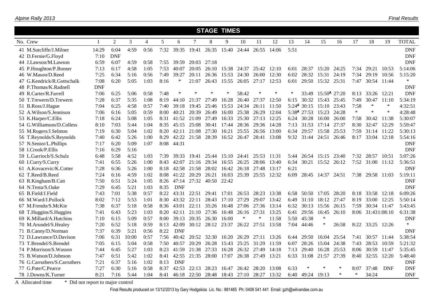|                              |              |                |       |                |      |            |             | <b>STAGE TIMES</b> |       |        |       |        |        |                          |                          |        |        |              |            |              |
|------------------------------|--------------|----------------|-------|----------------|------|------------|-------------|--------------------|-------|--------|-------|--------|--------|--------------------------|--------------------------|--------|--------|--------------|------------|--------------|
| No. Crew                     | $\mathbf{1}$ | $\overline{2}$ | 3     | $\overline{4}$ | 5    | 6          | 7           | 8                  | 9     | 10     | 11    | 12     | 13     | 14                       | 15                       | 16     | 17     | 18           | 19         | <b>TOTAL</b> |
| 41 M.Sutcliffe/J.Milner      | 14:29        | 6:04           | 4:59  | 0:56           | 7:32 | 39:35      | 19:41       | 26:35              | 15:40 | 24:44  | 26:55 | 14:06  | 5:51   |                          |                          |        |        |              |            | <b>DNF</b>   |
| 42 D.Fernie/G.Floyd          | 7:10         | <b>DNF</b>     |       |                |      |            |             |                    |       |        |       |        |        |                          |                          |        |        |              |            | <b>DNF</b>   |
| 44 J.Lawson/M.Lawson         | 6:59         | 6:07           | 4:59  | 0:58           | 7:55 | 39:59      | 20:03       | 27:18              |       |        |       |        |        |                          |                          |        |        |              |            | <b>DNF</b>   |
| 45 P.Houghton/P.Bonser       | 7:13         | 6:17           | 4:58  | 1:05           | 7:53 | 40:07      | 20:05       | 26:10              | 15:38 | 24:37  | 25:42 | 12:10  | 6:01   | 28:37                    | 15:20                    | 24:25  | 7:34   | 29:21        | 10:53      | 5:14:06      |
| 46 W.Mason/D.Reed            | 7:25         | 6:34           | 5:16  | 0:56           | 7:49 | 39:27      | 20:11       | 26:36              | 15:53 | 24:30  | 26:00 | 12:30  | 6:02   | 28:32                    | 15:31                    | 24:19  | 7:34   | 29:19        | 10:56      | 5:15:20      |
| 47 G.Kendrick/R.Gottschalk   | 7:08         | 6:20           | 5:05  | 1:03           | 8:16 | $\ast$     | 21:07       | 26:43              | 15:55 | 26:05  | 27:17 | 12:53  | 6:01   | 29:50                    | 15:32                    | 25:31  | 7:47   | 30:54        | 11:44      | $\ast$       |
| 48 P.Thomas/K.Radnell        | <b>DNF</b>   |                |       |                |      |            |             |                    |       |        |       |        |        |                          |                          |        |        |              |            | <b>DNF</b>   |
| 49 R.Carter/R.Farrell        | 7:06         | 6:25           | 5:06  | 0:58           | 7:48 | $\ast$     |             | ∗                  | ∗     | 58:42  | ∗     | $\ast$ | $\ast$ | 33:49                    | 15:50 <sup>A</sup> 27:20 |        | 8:13   | 33:26        | 12:21      | <b>DNF</b>   |
| 50 T.Trewern/D.Trewern       | 7:28         | 6:37           | 5:35  | 1:08           | 8:19 | 44:10      | 21:37       | 27:49              | 16:28 | 26:40  | 27:37 | 12:50  | 6:15   | 30:32                    | 15:43                    | 25:45  | 7:49   | 30:47        | 11:10      | 5:34:19      |
| 51 B.Ross/J.Hague            | 7:04         | 6:25           | 4:58  | 0:57           | 7:40 | 39:18      | 19:45       | 25:46              | 15:53 | 24:34  | 26:11 | 11:50  |        | $5:24^{\mathsf{A}}30:15$ | 15:10                    | 23:43  | 7:58   | ∗            | $\ast$     | 4:32:51      |
| 52 A.Wilson/S.Jennison       | 7:06         | 6:16           | 5:05  | 0:59           | 8:00 | 40:21      | 20:39       | 26:49              | 16:00 | 25:38  | 26:29 | 12:04  |        | 5:38A 27:53              | 15:23                    | 24:28  | $\ast$ | $\ast$       | $\ast$     | 4:28:48      |
| 53 K.Harper/C.Ellis          | 7:18         | 6:24           | 5:08  | 1:05           | 8:31 | 41:52      | 21:09       | 27:49              | 16:33 | 25:30  | 27:13 | 12:25  | 6:24   | 30:28                    | 16:00                    | 26:00  | 7:58   | 30:42        | 11:38      | 5:30:07      |
| 54 G. Williamson/D. Colless  | 8:10         | 7:03           | 5:44  | 1:04           | 8:35 | 45:15      | 25:08       | 30:41              | 17:44 | 28:36  | 29:36 | 14:28  | 7:13   | 31:53                    | 17:14                    | 27:37  | 8:30   | 32:47        | 12:29      | 5:59:47      |
| 55 M.Rogers/J.Selmon         | 7:19         | 6:30           | 5:04  | 1:02           | 8:20 | 42:11      | 21:08       | 27:30              | 16:21 | 25:55  | 26:56 | 13:00  | 6:34   | 29:57                    | 15:58                    | 25:53  | 7:59   | 31:14        | 11:22      | 5:30:13      |
| 56 T.Reynolds/S.Reynolds     | 7:40         | 6:42           | 5:26  | 1:00           | 8:29 | 42:22      | 21:58       | 28:39              | 16:52 | 26:47  | 28:41 | 13:08  | 9:32   | 31:44                    | 24:51                    | 26:46  | 8:17   | 33:04        | 12:18      | 5:54:16      |
| 57 N.Senior/L.Phillips       | 7:17         | 6:20           | 5:09  | 1:07           | 8:08 | 44:31      |             |                    |       |        |       |        |        |                          |                          |        |        |              |            | <b>DNF</b>   |
| 58 I.Crook/P.Ellis           | 7:16         | 6:29           | 5:16  |                |      |            |             |                    |       |        |       |        |        |                          |                          |        |        |              |            | <b>DNF</b>   |
| 59 L.Garrioch/S.Schulz       | 6:48         | 5:58           | 4:52  | 1:03           | 7:39 | 39:33      | 19:41       | 25:44              | 15:10 | 24:41  | 25:53 | 11:31  | 5:44   | 26:54                    | 15:15                    | 23:40  | 7:32   | 28:57        | 10:51      | 5:07:26      |
| 60 I.Curry/S.Curry           | 7:41         | 6:55           | 5:26  | 1:00           | 8:43 | 42:07      | 21:16       | 29:34              | 16:55 | 26:25  | 28:06 | 13:40  | 6:34   | 30:21                    | 15:52                    | 26:12  | 7:52   | 31:00        | 11:12      | 5:36:51      |
| 61 A.Kovacevic/K.Cotter      | 7:28         | 6:36           | 5:26  | 1:00           | 8:18 | 42:58      | 21:58       | 28:02              | 16:42 | 26:18  | 27:48 | 13:17  | 6:21   |                          |                          |        |        |              |            | <b>DNF</b>   |
| 62 T.Reed/B.Reed             | 7:24         | 6:16           | 4:59  | 1:02           | 8:08 | 41:22      | 20:29       | 26:21              | 16:03 | 25:39  | 25:55 | 12:32  | 6:09   | 28:45                    | 14:37                    | 24:51  | 7:38   | 29:58        | 11:03      | 5:19:11      |
| 63 R.Kingham/B.Catt          | 7:50         | 6:51           | 5:24  | 1:05           | 8:26 | 47:14      | 27:32       | 40:50              | 22:42 |        |       |        |        |                          |                          |        |        |              |            | <b>DNF</b>   |
| 64 N.Testa/S.Oake            | 7:29         | 6:45           | 5:21  | 1:03           | 8:35 | <b>DNF</b> |             |                    |       |        |       |        |        |                          |                          |        |        |              |            | <b>DNF</b>   |
| 65 B.Field/J.Field           | 7:43         | 7:01           | 5:38  | 0:57           | 8:22 | 43:31      | 22:51       | 29:41              | 17:01 | 26:53  | 28:23 | 13:38  | 6:58   | 50:50                    | 17:05                    | 28:20  | 8:18   | 33:58        | 12:18      | 6:09:26      |
| 66 M.Ward/J.Pollock          | 8:02         | 7:12           | 5:53  | 1:01           | 8:30 | 43:32      | 22:11       | 28:43              | 17:10 | 27:29  | 29:07 | 13:42  | 6:49   | 31:10                    | 18:12                    | 27:47  | 8:19   | 33:00        | 12:25      | 5:50:14      |
| 67 M.Frendo/S.McKie          | 7:38         | 6:37           | 5:18  | 0:58           | 8:36 | 43:01      | 22:11       | 35:26              | 16:48 | 27:06  | 27:36 | 13:14  | 6:32   | 30:13                    | 15:56                    | 26:15  | 7:59   | 30:34 11:47  |            | 5:43:45      |
| 68 T.Huggins/S.Huggins       | 7:41         | 6:43           | 5:23  | 1:03           | 8:20 | 42:11      | 21:10       | 27:36              | 16:48 | 26:16  | 27:31 | 13:25  | 6:41   | 29:56                    | 16:45                    | 26:10  | 8:06   | 31:431:08:10 |            | 6:31:38      |
| 69 K.Millard/A.Hutchins      | 7:10         | 6:15           | 5:09  | 0:57           | 8:00 | 39:13      | 20:35       | 26:30              | 16:00 | $\ast$ | ∗     | 11:58  | 5:50   | 45:38                    | $\ast$                   |        |        |              |            | <b>DNF</b>   |
| 70 M.Arundel/S.Healey        | 7:20         | 6:52           | 5:18  | 0:59           | 8:13 | 42:09      | 30:12       | 28:12              | 23:37 | 26:22  | 27:51 | 13:58  | 7:04   | 44:46                    | $\ast$                   | 26:58  | 8:22   | 33:25        | 12:26      | $\ast$       |
| 71 B.Canny/D.Norman          | 7:37         | 6:39           | 5:21  | 0:56           | 8:22 | <b>DNF</b> |             |                    |       |        |       |        |        |                          |                          |        |        |              |            | <b>DNF</b>   |
| 72 D.Lawrance/D.Davison      | 7:06         | 6:31           | 10:00 | 0:57           | 7:56 | 40:42      | 20:52       | 32:30              | 16:20 | 26:29  | 27:11 | 13:26  | 6:44   | 29:50                    | 16:04                    | 25:54  | 7:41   | 30:57        | 11:44      | 5:38:54      |
| 73 T.Brendel/S.Brendel       | 7:05         | 6:15           | 5:04  | 0:58           | 7:50 | 40:57      | 20:29       | 26:28              | 15:43 | 25:25  | 31:29 | 11:59  | 6:07   | 28:26                    | 15:04                    | 24:38  | 7:43   | 28:53        | 10:59      | 5:21:32      |
| 74 P.Morrison/S.Wasson       | 7:44         | 6:45           | 5:27  | 1:03           | 8:23 | 41:59      | 21:38       | 27:33              | 16:28 | 26:32  | 27:49 | 14:18  | 7:13   | 29:40                    | 16:28                    | 25:53  | 8:06   | 30:59        | 11:47      | 5:35:45      |
| 75 B.Watson/D.Johnson        | 7:47         | 6:51           | 5:42  | 1:02           | 8:41 |            | 42:55 21:35 | 28:00              | 17:07 | 26:38  | 27:49 | 13:21  | 6:33   | 31:08                    | 21:57                    | 27:39  | 8:40   | 32:55        | 12:20      | 5:48:40      |
| 76 G.Carruthers/S.Carruthers | 7:21         | 6:37           | 5:16  | 1:02           | 8:13 | <b>DNF</b> |             |                    |       |        |       |        |        |                          |                          |        |        |              |            | <b>DNF</b>   |
| 77 G.Pate/C.Pearce           | 7:27         | 6:30           | 5:16  | 0:58           | 8:37 | 42:53      | 22:13       | 28:23              | 16:47 | 26:42  | 28:20 | 13:08  | 6:33   | ∗                        | $\ast$                   | $\ast$ | 8:07   | 37:48        | <b>DNF</b> | <b>DNF</b>   |
| 78 J.Downs/K.Turner          | 8:21         | 7:16           | 5:44  | 1:04           | 8:41 | 46:18      | 22:50       | 28:48              | 18:43 | 27:10  | 28:27 | 13:32  | 6:40   | 49:24                    | 19:13                    | $\ast$ | $\ast$ | 34:24        |            | <b>DNF</b>   |

A Allocated time \* Did not report to major control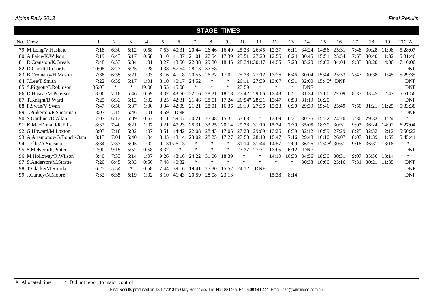|                            |       |      |      |       |      |             |        | <b>STAGE TIMES</b> |        |                            |              |        |        |            |                          |             |      |             |       |              |
|----------------------------|-------|------|------|-------|------|-------------|--------|--------------------|--------|----------------------------|--------------|--------|--------|------------|--------------------------|-------------|------|-------------|-------|--------------|
| No. Crew                   |       | 2    | 3    | 4     | 5    | 6           |        | 8                  | 9      | 10                         | 11           | 12     | 13     | 14         | 15                       | 16          | 17   | 18          | 19    | <b>TOTAL</b> |
| 79 M.Long/V.Haskett        | 7:18  | 6:30 | 5:12 | 0:58  | 7:53 | 40:31       | 20:44  | 26:46              | 16:49  | 25:38                      | 26:45        | 12:37  | 6:11   | 34:24      | 14:56                    | 25:31       | 7:48 | 30:28       | 11:08 | 5:28:07      |
| 80 A.Paice/K.Wilson        | 7:19  | 6:43 | 5:17 | 0:58  | 8:10 | 41:37       | 21:01  | 27:54              | 17:39  | 25:51                      | 27:20        | 12:56  | 6:24   | 30:45      | 15:51                    | 25:54       | 7:55 | 30:40       | 11:32 | 5:31:46      |
| 81 R.Cranston/K.Grealy     | 7:48  | 6:53 | 5:34 | 1:01  | 8:27 | 43:56       | 22:38  | 29:30              | 18:45  |                            | 28:341:30:17 | 14:55  | 7:23   | 35:20      | 19:02                    | 34:04       | 9:33 | 38:20       | 14:00 | 7:16:00      |
| 82 D.Curl/R.Richards       | 10:08 | 8:23 | 6:25 | 1:28  | 9:38 | 57:54       | 28:13  | 37:58              |        |                            |              |        |        |            |                          |             |      |             |       | <b>DNF</b>   |
| 83 B.Cromarty/H.Maslin     | 7:36  | 6:35 | 5:21 | 1:03  | 8:16 | 41:18       | 20:55  | 26:37              | 17:01  | 25:38                      | 27:12        | 13:26  | 6:46   | 30:04      |                          | 15:44 25:53 | 7:47 | 30:38 11:45 |       | 5:29:35      |
| 84 J.Lee/T.Smith           | 7:22  | 6:39 | 5:17 | 1:01  | 8:10 | 40:17       | 24:52  | ∗                  | ∗      | 26:11                      | 27:39        | 13:07  | 6:31   | 32:00      | $15:45^{\text{A}}$       | <b>DNF</b>  |      |             |       | <b>DNF</b>   |
| 85 S.Piggott/C.Robinson    | 36:03 | ∗    | ∗    | 19:00 | 8:55 | 45:08       | $\ast$ | ∗                  | ∗      | 27:59                      | ∗            | ∗      | $\ast$ | <b>DNF</b> |                          |             |      |             |       | <b>DNF</b>   |
| 86 D.Hasnat/M.Petersen     | 8:06  | 7:18 | 5:46 | 0:59  | 8:37 | 43:50       | 22:16  | 28:31              | 18:18  | 27:42                      | 29:06        | 13:48  | 6:51   | 31:34      | 17:00                    | 27:09       | 8:33 | 33:45       | 12:47 | 5:51:56      |
| 87 T.Knight/B.Ward         | 7:25  | 6:33 | 5:12 | 1:02  | 8:25 | 42:31       | 21:46  | 28:01              | 17:24  | $26:54$ <sup>A</sup> 28:21 |              | 13:47  | 6:53   | 31:19      | 16:20                    |             |      |             |       | <b>DNF</b>   |
| 88 P.Swan/V.Swan           | 7:47  | 6:50 | 5:37 | 1:00  | 8:34 | 42:09       | 21:21  | 28:01              | 16:36  | 26:19                      | 27:36        | 13:28  | 6:30   | 29:39      | 15:46                    | 25:49       | 7:50 | 31:21 11:25 |       | 5:33:38      |
| 89 J.Pinkerton/P.Shearman  | 8:03  | 7:15 | 5:46 | 1:01  | 8:59 | <b>DNF</b>  |        |                    |        |                            |              |        |        |            |                          |             |      |             |       | <b>DNF</b>   |
| 90 S.Gardiner/D.Allan      | 7:03  | 6:12 | 5:09 | 0:57  | 8:11 | 59:07       | 20:21  | 25:48              | 15:31  | 57:03                      | ∗            | 13:09  | 6:21   | 30:26      | 15:22                    | 24:20       | 7:30 | 29:32       | 11:24 | $\ast$       |
| 91 K.MacDonald/R.Ellis     | 8:32  | 7:40 | 6:21 | 1:07  | 9:21 | 47:23       | 25:31  | 33:25              | 20:14  | 29:28                      | 31:10        | 15:34  | 7:39   | 35:05      | 18:30                    | 30:31       | 9:07 | 36:24       | 14:02 | 6:27:04      |
| 92 G.Howard/M.Loxton       | 8:03  | 7:10 | 6:02 | 1:07  | 8:51 | 44:42       | 22:08  | 28:43              | 17:05  | 27:28                      | 29:09        | 13:26  | 6:39   | 32:12      | 16:59                    | 27:29       | 8:25 | 32:32       | 12:12 | 5:50:22      |
| 93 A.Artamonov/G.Bonch-Osm | 8:13  | 7:01 | 5:40 | 1:04  | 8:45 | 43:14       | 23:02  | 28:25              | 17:27  | 27:50                      | 28:10        | 15:47  | 7:16   | 29:48      | 16:10                    | 26:07       | 8:07 | 31:39       | 11:59 | 5:45:44      |
| 94 J.Ellis/A.Sietsma       | 8:34  | 7:33 | 6:05 | 1:02  |      | 9:131:26:13 | $\ast$ | $\ast$             | ∗      | 31:14                      | 31:44        | 14:57  | 7:09   | 36:26      | $17:47^{\text{A}} 30:51$ |             | 9:18 | 36:31 13:18 |       | $\ast$       |
| 95 S.McKern/R.Pinter       | 12:00 | 9:15 | 5:52 | 0:58  | 8:37 | ∗           | $\ast$ | ∗                  | ∗      | 27:27                      | 27:31        | 13:05  | 6:12   | <b>DNF</b> |                          |             |      |             |       | <b>DNF</b>   |
| 96 M.Holloway/R.Wilson     | 8:40  | 7:33 | 6:14 | 1:07  | 9:26 | 48:16       | 24:22  | 31:06              | 18:39  | $\ast$                     | *            | 14:10  | 10:33  | 34:56      | 18:30                    | 30:31       | 9:07 | 35:36 13:14 |       | $\ast$       |
| 97 S.Anderson/M.Stratte    | 7:20  | 6:45 | 5:33 | 0:56  | 7:48 | 40:32       | ∗      | $\ast$             | $\ast$ | ∗                          | $\ast$       | $\ast$ | ∗      | 30:33      | 16:00                    | 25:16       | 7:31 | 30:21       | 11:35 | <b>DNF</b>   |
| 98 T.Clarke/M.Rourke       | 6:25  | 5:54 | ∗    | 0:58  | 7:44 | 39:16       | 19:41  | 25:30              | 15:52  | 24:12                      | <b>DNF</b>   |        |        |            |                          |             |      |             |       | <b>DNF</b>   |
| 99 J.Carney/N.Moore        | 7:32  | 6:35 | 5:19 | 1:02  | 8:10 | 41:43       | 20:59  | 28:08              | 23:13  | $\ast$                     | *            | 15:38  | 8:14   |            |                          |             |      |             |       | <b>DNF</b>   |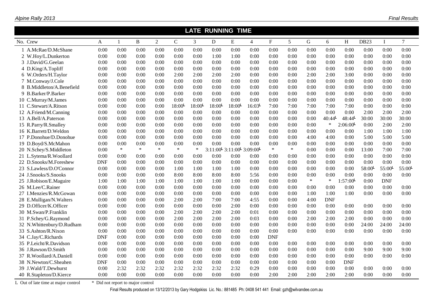|                                     |                                   |        |          |                |                    |                    | <b>LATE RUNNING TIME</b>                                       |                    |                      |            |                 |             |                    |             |                    |                    |                    |
|-------------------------------------|-----------------------------------|--------|----------|----------------|--------------------|--------------------|----------------------------------------------------------------|--------------------|----------------------|------------|-----------------|-------------|--------------------|-------------|--------------------|--------------------|--------------------|
| No. Crew                            | A                                 |        | $\bf{B}$ | $\overline{2}$ | $\mathsf{C}$       | 3                  | D                                                              | ${\bf E}$          | $\overline{4}$       | ${\bf F}$  | $5\overline{)}$ | $\mathbf G$ | 6                  | H           | DB <sub>23</sub>   | $\mathbf{I}$       | $\tau$             |
| 1 A.McRae/D.McShane                 | 0:00                              | 0:00   | 0:00     | 0:00           | 0:00               | 0:00               | 0:00                                                           | 0:00               | 0:00                 | 0:00       | 0:00            | 0:00        | 0:00               | 0:00        | 0:00               | 0:00               | 0:00               |
| 2 W.Hoy/L.Dunkerton                 | 0:00                              | 0:00   | 0:00     | 0:00           | 0:00               | 0:00               | 1:00                                                           | 1:00               | 0:00                 | 0:00       | 0:00            | 0:00        | 0:00               | 0:00        | 0:00               | 0:00               | 0:00               |
| 3 J.David/G.Geelan                  | 0:00                              | 0:00   | 0:00     | 0:00           | 0:00               | 0:00               | 0:00                                                           | 0:00               | 0:00                 | 0:00       | 0:00            | 0:00        | 0:00               | 0:00        | 0:00               | 0:00               | 0:00               |
| 4 D.King/A.Topliff                  | 0:00                              | 0:00   | 0:00     | 0:00           | 0:00               | 0:00               | 0:00                                                           | 0:00               | 0:00                 | 0:00       | 0:00            | 0:00        | 0:00               | 0:00        | 0:00               | 0:00               | 0:00               |
| 6 W.Orders/H.Taylor                 | 0:00                              | 0:00   | 0:00     | 0:00           | 2:00               | 2:00               | 2:00                                                           | 2:00               | 0:00                 | 0:00       | 0:00            | 2:00        | 2:00               | 3:00        | 0:00               | 0:00               | 0:00               |
| 7 M.Conway/J.Cole                   | 0:00                              | 0:00   | 0:00     | 0:00           | 0:00               | 0:00               | 0:00                                                           | 0:00               | 0:00                 | 0:00       | 0:00            | 0:00        | 0:00               | 0:00        | 0:00               | 0:00               | 0:00               |
| 8 B.Middleton/A.Benefield           | 0:00                              | 0:00   | 0:00     | 0:00           | 0:00               | 0:00               | 0:00                                                           | 0:00               | 0:00                 | 0:00       | 0:00            | 0:00        | 0:00               | 0:00        | 0:00               | 0:00               | 0:00               |
| 9 B.Barker/P.Barker                 | 0:00                              | 0:00   | 0:00     | 0:00           | 0:00               | 0:00               | 0:00                                                           | 0:00               | 0:00                 | 0:00       | 0:00            | 0:00        | 0:00               | 0:00        | 0:00               | 0:00               | 0:00               |
| 10 C.Murray/M.James                 | 0:00                              | 0:00   | 0:00     | 0:00           | 0:00               | 0:00               | 0:00                                                           | 0:00               | 0:00                 | 0:00       | 0:00            | 0:00        | 0:00               | 0:00        | 0:00               | 0:00               | 0:00               |
| 11 C.Stewart/A.Ritson               | 0:00                              | 0:00   | 0:00     | 0:00           | $18:00^{\text{L}}$ | $18:00^{\text{L}}$ | $18:00^{\text{L}}$                                             | $18:00^{\text{L}}$ | $16:03^{\mathsf{L}}$ | 7:00       | 7:00            | 7:00        | 7:00               | 7:00        | 0:00               | 0:00               | 0:00               |
| 12 A.Friend/M.Canning               | 0:00                              | 0:00   | 0:00     | 0:00           | 0:00               | 0:00               | 0:00                                                           | 0:00               | 0:00                 | 0:00       | 0:00            | 0:00        | 0:00               | 0:00        | 2:00               | 2:00               | 2:00               |
| 13 A.Bell/A.Paterson                | 0:00                              | 0:00   | 0:00     | 0:00           | 0:00               | 0:00               | 0:00                                                           | 0:00               | 0:00                 | 0:00       | 0:00            | 0:00        | 40:44 <sup>L</sup> | 48:44       | 30:00              | 30:00              | 30:00              |
| 15 R.Parry/R.Smalley                | 0:00                              | 0:00   | 0:00     | 0:00           | 0:00               | 0:00               | 0:00                                                           | 0:00               | 0:00                 | 0:00       | 0:00            | 0:00        | $\ast$             | 2:06:00     | 0:00               | 2:00               | 2:00               |
| 16 K.Barrett/D.Weldon               | 0:00                              | 0:00   | 0:00     | 0:00           | 0:00               | 0:00               | 0:00                                                           | 0:00               | 0:00                 | 0:00       | 0:00            | 0:00        | 0:00               | 0:00        | 1:00               | 1:00               | 1:00               |
| 17 P.Donohue/D.Donohue              | 0:00                              | 0:00   | 0:00     | 0:00           | 0:00               | 0:00               | 0:00                                                           | 0:00               | 0:00                 | 0:00       | 0:00            | 4:00        | 4:00               | 0:00        | 5:00               | 5:00               | 5:00               |
| 19 D.Boyd/S.McMahon                 | 0:00                              | 0:00   | 0:00     | 0:00           | 0:00               | 0:00               | 0:00                                                           | 0:00               | 0:00                 | 0:00       | 0:00            | 0:00        | 0:00               | 0:00        | 0:00               | 0:00               | 0:00               |
| 20 N.Schey/S.Middleton              | 0:00                              | $\ast$ | $\ast$   | $\ast$         | $\ast$             | $\ast$             | 3:11:00 <sup>L</sup> 3:11:00 <sup>L</sup> 3:09:00 <sup>L</sup> |                    |                      | $\ast$     | $\ast$          | 0:00        | 0:00               | 0:00        | 13:00              | 7:00               | 7:00               |
| 21 L.Sytema/R.Woollard              | 0:00                              | 0:00   | 0:00     | 0:00           | 0:00               | 0:00               | 0:00                                                           | 0:00               | 0:00                 | 0:00       | 0:00            | 0:00        | 0:00               | 0:00        | 0:00               | 0:00               | 0:00               |
| 22 D.Snooks/M.Foreshew              | <b>DNF</b>                        | 0:00   | 0:00     | 0:00           | 0:00               | 0:00               | 0:00                                                           | 0:00               | 0:00                 | 0:00       | 0:00            | 0:00        | 0:00               | 0:00        | 0:00               | 0:00               | 0:00               |
| 23 S.Lawless/D.O'Connor             | 0:00                              | 0:00   | 0:00     | 0:00           | 1:00               | 1:00               | 1:00                                                           | 1:00               | 0:00                 | 0:00       | 0:00            | 0:00        | 0:00               | 0:00        | $58:00^{\text{L}}$ | $55:00^{\text{L}}$ | 55:00 <sup>L</sup> |
| 24 J.Snooks/S.Snooks                | 0:00                              | 0:00   | 0:00     | 0:00           | 8:00               | 8:00               | 8:00                                                           | 8:00               | 5:56                 | 0:00       | 0:00            | 0:00        | 0:00               | 0:00        | 0:00               | 0:00               | 0:00               |
| 25 J.Robison/E.Maguire              | 1:00                              | 1:00   | 1:00     | 1:00           | 1:00               | 1:00               | 1:00                                                           | 1:00               | 0:00                 | 0:00       | 0:00            | $\ast$      | $\ast$             | $1:57:00$ L | 0:00               | <b>DNF</b>         |                    |
| 26 M.Lee/C.Rainer                   | 0:00                              | 0:00   | 0:00     | 0:00           | 0:00               | 0:00               | 0:00                                                           | 0:00               | 0:00                 | 0:00       | 0:00            | 0:00        | 0:00               | 0:00        | 0:00               | 0:00               | 0:00               |
| 27 I.Menzies/R.McGowan              | 0:00                              | 0:00   | 0:00     | 0:00           | 0:00               | 0:00               | 0:00                                                           | 0:00               | 0:00                 | 0:00       | 0:00            | 1:00        | 1:00               | 1:00        | 0:00               | 0:00               | 0:00               |
| 28 E.Mulligan/N.Walters             | 0:00                              | 0:00   | 0:00     | 0:00           | 2:00               | 2:00               | 7:00                                                           | 7:00               | 4:55                 | 0:00       | 0:00            | 4:00        | <b>DNF</b>         |             |                    |                    |                    |
| 29 D.Officer/K.Officer              | 0:00                              | 0:00   | 0:00     | 0:00           | 0:00               | 0:00               | 0:00                                                           | 2:00               | 0:00                 | 0:00       | 0:00            | 0:00        | 0:00               | 0:00        | 0:00               | 0:00               | 0:00               |
| 30 M.Swan/P.Franklin                | 0:00                              | 0:00   | 0:00     | 0:00           | 2:00               | 2:00               | 2:00                                                           | 2:00               | 0:01                 | 0:00       | 0:00            | 0:00        | 0:00               | 0:00        | 0:00               | 0:00               | 0:00               |
| 31 P.Schey/G.Raymond                | 0:00                              | 0:00   | 0:00     | 0:00           | 2:00               | 2:00               | 2:00                                                           | 2:00               | 0:03                 | 0:00       | 0:00            | 2:00        | 2:00               | 2:00        | 0:00               | 0:00               | 0:00               |
| 32 N.Whittenbury/D.Rudham           | 0:00                              | 0:00   | 0:00     | 0:00           | 0:00               | 0:00               | 0:00                                                           | 0:00               | 0:00                 | 0:00       | 0:00            | 0:00        | 0:00               | 0:00        | 24:00              | 24:00              | 24:00              |
| 33 S.Ashton/R.Nixon                 | 0:00                              | 0:00   | 0:00     | 0:00           | 0:00               | 0:00               | 0:00                                                           | 0:00               | 0:00                 | 0:00       | 0:00            | 0:00        | 0:00               | 0:00        | 0:00               | 0:00               | 0:00               |
| 34 C.Jay/C.Richards                 | <b>DNF</b>                        | 0:00   | 0:00     | 0:00           | 0:00               | 0:00               | 0:00                                                           | 0:00               | 0:00                 | <b>DNF</b> |                 |             |                    |             |                    |                    |                    |
| 35 P.Leicht/R.Davidson              | 0:00                              | 0:00   | 0:00     | 0:00           | 0:00               | 0:00               | 0:00                                                           | 0:00               | 0:00                 | 0:00       | 0:00            | 0:00        | 0:00               | 0:00        | 0:00               | 0:00               | 0:00               |
| 36 J.Rawson/D.Smith                 | 0:00                              | 0:00   | 0:00     | 0:00           | 0:00               | 0:00               | 0:00                                                           | 0:00               | 0:00                 | 0:00       | 0:00            | 0:00        | 0:00               | 0:00        | 9:00               | 9:00               | 9:00               |
| 37 R.Woollard/A.Daniell             | 0:00                              | 0:00   | 0:00     | 0:00           | 0:00               | 0:00               | 0:00                                                           | 0:00               | 0:00                 | 0:00       | 0:00            | 0:00        | 0:00               | 0:00        | 0:00               | 0:00               | 0:00               |
| 38 N.Newton/C.Sheahen               | <b>DNF</b>                        | 0:00   | 0:00     | 0:00           | 0:00               | 0:00               | 0:00                                                           | 0:00               | 0:00                 | 0:00       | 0:00            | 0:00        | 0:00               | <b>DNF</b>  |                    |                    |                    |
| 39 J.Wald/T.Dewhurst                | 0:00                              | 2:32   | 2:32     | 2:32           | 2:32               | 2:32               | 2:32                                                           | 2:32               | 0:29                 | 0:00       | 0:00            | 0:00        | 0:00               | 0:00        | 0:00               | 0:00               | 0:00               |
| 40 R.Stapleton/D.Kierce             | 0:00                              | 0:00   | 0:00     | 0:00           | 0:00               | 0:00               | 0:00                                                           | 0:00               | 0:00                 | 2:00       | 2:00            | 2:00        | 2:00               | 2:00        | 0:00               | 0:00               | 0:00               |
| L Out of late time at major control | * Did not report to major control |        |          |                |                    |                    |                                                                |                    |                      |            |                 |             |                    |             |                    |                    |                    |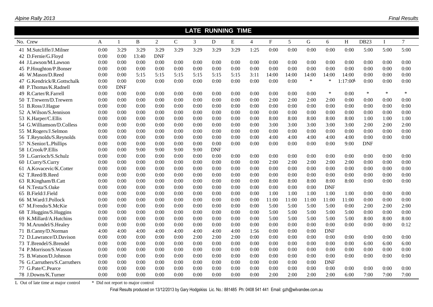|                              |      |            |       |                |              |      | <b>LATE RUNNING TIME</b> |      |                |             |       |        |            |             |             |              |        |
|------------------------------|------|------------|-------|----------------|--------------|------|--------------------------|------|----------------|-------------|-------|--------|------------|-------------|-------------|--------------|--------|
| No. Crew                     | A    | -1         | B     | $\overline{2}$ | $\mathsf{C}$ | 3    | D                        | E    | $\overline{4}$ | $\mathbf F$ | 5     | G      | 6          | H           | <b>DB23</b> | $\mathbf{I}$ | $\tau$ |
| 41 M.Sutcliffe/J.Milner      | 0:00 | 3:29       | 3:29  | 3:29           | 3:29         | 3:29 | 3:29                     | 3:29 | 1:25           | 0:00        | 0:00  | 0:00   | 0:00       | 0:00        | 5:00        | 5:00         | 5:00   |
| 42 D.Fernie/G.Floyd          | 0:00 | 0:00       | 13:40 | <b>DNF</b>     |              |      |                          |      |                |             |       |        |            |             |             |              |        |
| 44 J.Lawson/M.Lawson         | 0:00 | 0:00       | 0:00  | 0:00           | 0:00         | 0:00 | 0:00                     | 0:00 | 0:00           | 0:00        | 0:00  | 0:00   | 0:00       | 0:00        | 0:00        | 0:00         | 0:00   |
| 45 P.Houghton/P.Bonser       | 0:00 | 0:00       | 0:00  | 0:00           | 0:00         | 0:00 | 0:00                     | 0:00 | 0:00           | 0:00        | 0:00  | 0:00   | 0:00       | 0:00        | 0:00        | 0:00         | 0:00   |
| 46 W.Mason/D.Reed            | 0:00 | 0:00       | 5:15  | 5:15           | 5:15         | 5:15 | 5:15                     | 5:15 | 3:11           | 14:00       | 14:00 | 14:00  | 14:00      | 14:00       | 0:00        | 0:00         | 0:00   |
| 47 G.Kendrick/R.Gottschalk   | 0:00 | 0:00       | 0:00  | 0:00           | 0:00         | 0:00 | 0:00                     | 0:00 | 0:00           | 0:00        | 0:00  | $\ast$ | $\ast$     | $1:17:00$ L | 0:00        | 0:00         | 0:00   |
| 48 P.Thomas/K.Radnell        | 0:00 | <b>DNF</b> |       |                |              |      |                          |      |                |             |       |        |            |             |             |              |        |
| 49 R.Carter/R.Farrell        | 0:00 | 0:00       | 0:00  | 0:00           | 0:00         | 0:00 | 0:00                     | 0:00 | 0:00           | 0:00        | 0:00  | 0:00   | $\ast$     | 0:00        | $\ast$      | $\ast$       | $\ast$ |
| 50 T.Trewern/D.Trewern       | 0:00 | 0:00       | 0:00  | 0:00           | 0:00         | 0:00 | 0:00                     | 0:00 | 0:00           | 2:00        | 2:00  | 2:00   | 2:00       | 0:00        | 0:00        | 0:00         | 0:00   |
| 51 B.Ross/J.Hague            | 0:00 | 0:00       | 0:00  | 0:00           | 0:00         | 0:00 | 0:00                     | 0:00 | 0:00           | 0:00        | 0:00  | 0:00   | 0:00       | 0:00        | 0:00        | 0:00         | 0:00   |
| 52 A.Wilson/S.Jennison       | 0:00 | 0:00       | 0:00  | 0:00           | 0:00         | 0:00 | 0:00                     | 0:00 | 0:00           | 0:00        | 0:00  | 0:00   | 0:00       | 0:00        | 0:00        | 0:00         | 0:00   |
| 53 K.Harper/C.Ellis          | 0:00 | 0:00       | 0:00  | 0:00           | 0:00         | 0:00 | 0:00                     | 0:00 | 0:00           | 8:00        | 8:00  | 8:00   | 8:00       | 8:00        | 1:00        | 1:00         | 1:00   |
| 54 G.Williamson/D.Colless    | 0:00 | 0:00       | 0:00  | 0:00           | 0:00         | 0:00 | 0:00                     | 0:00 | 0:00           | 3:00        | 3:00  | 3:00   | 3:00       | 3:00        | 2:00        | 2:00         | 2:00   |
| 55 M.Rogers/J.Selmon         | 0:00 | 0:00       | 0:00  | 0:00           | 0:00         | 0:00 | 0:00                     | 0:00 | 0:00           | 0:00        | 0:00  | 0:00   | 0:00       | 0:00        | 0:00        | 0:00         | 0:00   |
| 56 T.Reynolds/S.Reynolds     | 0:00 | 0:00       | 0:00  | 0:00           | 0:00         | 0:00 | 0:00                     | 0:00 | 0:00           | 4:00        | 4:00  | 4:00   | 4:00       | 4:00        | 0:00        | 0:00         | 0:00   |
| 57 N.Senior/L.Phillips       | 0:00 | 0:00       | 0:00  | 0:00           | 0:00         | 0:00 | 0:00                     | 0:00 | 0:00           | 0:00        | 0:00  | 0:00   | 0:00       | 9:00        | <b>DNF</b>  |              |        |
| 58 I.Crook/P.Ellis           | 0:00 | 0:00       | 9:00  | 9:00           | 9:00         | 9:00 | <b>DNF</b>               |      |                |             |       |        |            |             |             |              |        |
| 59 L.Garrioch/S.Schulz       | 0:00 | 0:00       | 0:00  | 0:00           | 0:00         | 0:00 | 0:00                     | 0:00 | 0:00           | 0:00        | 0:00  | 0:00   | 0:00       | 0:00        | 0:00        | 0:00         | 0:00   |
| 60 I.Curry/S.Curry           | 0:00 | 0:00       | 0:00  | 0:00           | 0:00         | 0:00 | 0:00                     | 0:00 | 0:00           | 2:00        | 2:00  | 2:00   | 2:00       | 2:00        | 0:00        | 0:00         | 0:00   |
| 61 A.Kovacevic/K.Cotter      | 0:00 | 0:00       | 0:00  | 0:00           | 0:00         | 0:00 | 0:00                     | 0:00 | 0:00           | 0:00        | 0:00  | 0:00   | 0:00       | 0:00        | 0:00        | 0:00         | 0:00   |
| 62 T.Reed/B.Reed             | 0:00 | 0:00       | 0:00  | 0:00           | 0:00         | 0:00 | 0:00                     | 0:00 | 0:00           | 0:00        | 0:00  | 0:00   | 0:00       | 0:00        | 0:00        | 0:00         | 0:00   |
| 63 R.Kingham/B.Catt          | 0:00 | 0:00       | 0:00  | 0:00           | 0:00         | 0:00 | 0:00                     | 0:00 | 0:00           | 8:00        | 8:00  | 8:00   | 8:00       | 8:00        | 0:00        | 0:00         | 0:00   |
| 64 N.Testa/S.Oake            | 0:00 | 0:00       | 0:00  | 0:00           | 0:00         | 0:00 | 0:00                     | 0:00 | 0:00           | 0:00        | 0:00  | 0:00   | <b>DNF</b> |             |             |              |        |
| 65 B.Field/J.Field           | 0:00 | 0:00       | 0:00  | 0:00           | 0:00         | 0:00 | 0:00                     | 0:00 | 0:00           | 1:00        | 1:00  | 1:00   | 1:00       | 1:00        | 0:00        | 0:00         | 0:00   |
| 66 M.Ward/J.Pollock          | 0:00 | 0:00       | 0:00  | 0:00           | 0:00         | 0:00 | 0:00                     | 0:00 | 0:00           | 11:00       | 11:00 | 11:00  | 11:00      | 11:00       | 0:00        | 0:00         | 0:00   |
| 67 M.Frendo/S.McKie          | 0:00 | 0:00       | 0:00  | 0:00           | 0:00         | 0:00 | 0:00                     | 0:00 | 0:00           | 5:00        | 5:00  | 5:00   | 5:00       | 0:00        | 2:00        | 2:00         | 2:00   |
| 68 T.Huggins/S.Huggins       | 0:00 | 0:00       | 0:00  | 0:00           | 0:00         | 0:00 | 0:00                     | 0:00 | 0:00           | 5:00        | 5:00  | 5:00   | 5:00       | 5:00        | 0:00        | 0:00         | 0:00   |
| 69 K.Millard/A.Hutchins      | 0:00 | 0:00       | 0:00  | 0:00           | 0:00         | 0:00 | 0:00                     | 0:00 | 0:00           | 5:00        | 5:00  | 5:00   | 5:00       | 5:00        | 8:00        | 8:00         | 8:00   |
| 70 M.Arundel/S.Healey        | 0:00 | 0:00       | 0:00  | 0:00           | 0:00         | 0:00 | 0:00                     | 0:00 | 0:00           | 0:00        | 0:00  | 0:00   | 0:00       | 0:00        | 0:00        | 0:00         | 0:12   |
| 71 B.Canny/D.Norman          | 4:00 | 4:00       | 4:00  | 4:00           | 4:00         | 4:00 | 4:00                     | 4:00 | 1:56           | 0:00        | 0:00  | 0:00   | <b>DNF</b> |             |             |              |        |
| 72 D.Lawrance/D.Davison      | 0:00 | 0:00       | 0:00  | 0:00           | 0:00         | 2:00 | 2:00                     | 2:00 | 0:00           | 0:00        | 0:00  | 0:00   | 0:00       | 0:00        | 0:00        | 0:00         | 0:00   |
| 73 T.Brendel/S.Brendel       | 0:00 | 0:00       | 0:00  | 0:00           | 0:00         | 0:00 | 0:00                     | 0:00 | 0:00           | 0:00        | 0:00  | 0:00   | 0:00       | 0:00        | 6:00        | 6:00         | 6:00   |
| 74 P.Morrison/S.Wasson       | 0:00 | 0:00       | 0:00  | 0:00           | 0:00         | 0:00 | 0:00                     | 0:00 | 0:00           | 0:00        | 0:00  | 0:00   | 0:00       | 0:00        | 0:00        | 0:00         | 0:00   |
| 75 B. Watson/D. Johnson      | 0:00 | 0:00       | 0:00  | 0:00           | 0:00         | 0:00 | 0:00                     | 0:00 | 0:00           | 0:00        | 0:00  | 0:00   | 0:00       | 0:00        | 0:00        | 0:00         | 0:00   |
| 76 G.Carruthers/S.Carruthers | 0:00 | 0:00       | 0:00  | 0:00           | 0:00         | 0:00 | 0:00                     | 0:00 | 0:00           | 0:00        | 0:00  | 0:00   | <b>DNF</b> |             |             |              |        |
| 77 G.Pate/C.Pearce           | 0:00 | 0:00       | 0:00  | 0:00           | 0:00         | 0:00 | 0:00                     | 0:00 | 0:00           | 0:00        | 0:00  | 0:00   | 0:00       | 0:00        | 0:00        | 0:00         | 0:00   |
| 78 J.Downs/K.Turner          | 0:00 | 0:00       | 0:00  | 0:00           | 0:00         | 0:00 | 0:00                     | 0:00 | 0:00           | 2:00        | 2:00  | 2:00   | 2:00       | 6:00        | 7:00        | 7:00         | 7:00   |

L Out of late time at major control  $*$  Did not report to major control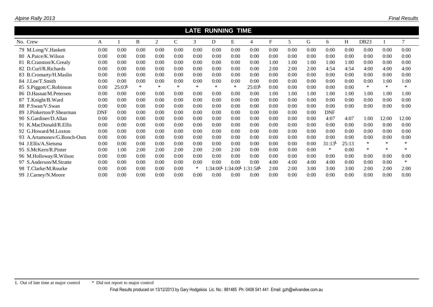|                            |            |       |        |        |        |        | <b>LATE RUNNING TIME</b> |                                             |                    |      |      |      |            |       |                  |        |        |
|----------------------------|------------|-------|--------|--------|--------|--------|--------------------------|---------------------------------------------|--------------------|------|------|------|------------|-------|------------------|--------|--------|
| No. Crew                   | A          |       | B.     | 2      | C      | 3      | D                        | E                                           | 4                  | F    | 5.   | G    | 6          | H     | DB <sub>23</sub> |        |        |
| 79 M.Long/V.Haskett        | 0:00       | 0:00  | 0:00   | 0:00   | 0:00   | 0:00   | 0:00                     | 0:00                                        | 0:00               | 0:00 | 0:00 | 0:00 | 0:00       | 0:00  | 0:00             | 0:00   | 0:00   |
| 80 A.Paice/K.Wilson        | 0:00       | 0:00  | 0:00   | 0:00   | 0:00   | 0:00   | 0:00                     | 0:00                                        | 0:00               | 0:00 | 0:00 | 0:00 | 0:00       | 0:00  | 0:00             | 0:00   | 0:00   |
| 81 R.Cranston/K.Grealy     | 0:00       | 0:00  | 0:00   | 0:00   | 0:00   | 0:00   | 0:00                     | 0:00                                        | 0:00               | 1:00 | 1:00 | 1:00 | 1:00       | 1:00  | 0:00             | 0:00   | 0:00   |
| 82 D.Curl/R.Richards       | 0:00       | 0:00  | 0:00   | 0:00   | 0:00   | 0:00   | 0:00                     | 0:00                                        | 0:00               | 2:00 | 2:00 | 2:00 | 4:54       | 4:54  | 4:00             | 4:00   | 4:00   |
| 83 B.Cromarty/H.Maslin     | 0:00       | 0:00  | 0:00   | 0:00   | 0:00   | 0:00   | 0:00                     | 0:00                                        | 0:00               | 0:00 | 0:00 | 0:00 | 0:00       | 0:00  | 0:00             | 0:00   | 0:00   |
| 84 J.Lee/T.Smith           | 0:00       | 0:00  | 0:00   | 0:00   | 0:00   | 0:00   | 0:00                     | 0:00                                        | 0:00               | 0:00 | 0:00 | 0:00 | 0:00       | 0:00  | 0:00             | 1:00   | 1:00   |
| 85 S.Piggott/C.Robinson    | 0:00       | 25:03 | $\ast$ | $\ast$ | $\ast$ | $\ast$ | $\ast$                   | *                                           | 25:03 <sup>L</sup> | 0:00 | 0:00 | 0:00 | 0:00       | 0:00  | $\ast$           | $\ast$ |        |
| 86 D.Hasnat/M.Petersen     | 0:00       | 0:00  | 0:00   | 0:00   | 0:00   | 0:00   | 0:00                     | 0:00                                        | 0:00               | 1:00 | 1:00 | 1:00 | 1:00       | 1:00  | 1:00             | 1:00   | 1:00   |
| 87 T.Knight/B.Ward         | 0:00       | 0:00  | 0:00   | 0:00   | 0:00   | 0:00   | 0:00                     | 0:00                                        | 0:00               | 0:00 | 0:00 | 0:00 | 0:00       | 0:00  | 0:00             | 0:00   | 0:00   |
| 88 P.Swan/V.Swan           | 0:00       | 0:00  | 0:00   | 0:00   | 0:00   | 0:00   | 0:00                     | 0:00                                        | 0:00               | 0:00 | 0:00 | 0:00 | 0:00       | 0:00  | 0:00             | 0:00   | 0:00   |
| 89 J.Pinkerton/P.Shearman  | <b>DNF</b> | 0:00  | 0:00   | 0:00   | 0:00   | 0:00   | 0:00                     | 0:00                                        | 0:00               | 0:00 | 0:00 | 0:00 | <b>DNF</b> |       |                  |        |        |
| 90 S.Gardiner/D.Allan      | 0:00       | 0:00  | 0:00   | 0:00   | 0:00   | 0:00   | 0:00                     | 0:00                                        | 0:00               | 0:00 | 0:00 | 0:00 | 4:07       | 4:07  | 1:00             | 12:00  | 12:00  |
| 91 K.MacDonald/R.Ellis     | 0:00       | 0:00  | 0:00   | 0:00   | 0:00   | 0:00   | 0:00                     | 0:00                                        | 0:00               | 0:00 | 0:00 | 0:00 | 0:00       | 0:00  | 0:00             | 0:00   | 0:00   |
| 92 G.Howard/M.Loxton       | 0:00       | 0:00  | 0:00   | 0:00   | 0:00   | 0:00   | 0:00                     | 0:00                                        | 0:00               | 0:00 | 0:00 | 0:00 | 0:00       | 0:00  | 0:00             | 0:00   | 0:00   |
| 93 A.Artamonov/G.Bonch-Osm | 0:00       | 0:00  | 0:00   | 0:00   | 0:00   | 0:00   | 0:00                     | 0:00                                        | 0:00               | 0:00 | 0:00 | 0:00 | 0:00       | 0:00  | 0:00             | 0:00   | 0:00   |
| 94 J.Ellis/A.Sietsma       | 0:00       | 0:00  | 0:00   | 0:00   | 0:00   | 0:00   | 0:00                     | 0:00                                        | 0:00               | 0:00 | 0:00 | 0:00 | 31:13      | 25:13 | $\ast$           | $\ast$ |        |
| 95 S.McKern/R.Pinter       | 0:00       | 1:00  | 2:00   | 2:00   | 2:00   | 2:00   | 2:00                     | 2:00                                        | 0:00               | 0:00 | 0:00 | 0:00 | $\ast$     | 0:00  | $\ast$           | $\ast$ |        |
| 96 M.Holloway/R.Wilson     | 0:00       | 0:00  | 0:00   | 0:00   | 0:00   | 0:00   | 0:00                     | 0:00                                        | 0:00               | 0:00 | 0:00 | 0:00 | 0:00       | 0:00  | 0:00             | 0:00   | 0:00   |
| 97 S.Anderson/M.Stratte    | 0:00       | 0:00  | 0:00   | 0:00   | 0:00   | 0:00   | 0:00                     | 0:00                                        | 0:00               | 4:00 | 4:00 | 4:00 | 4:00       | 0:00  | 0:00             | 0:00   | $\ast$ |
| 98 T.Clarke/M.Rourke       | 0:00       | 0:00  | 0:00   | 0:00   | 0:00   | $\ast$ | $1:34:00^{\mathsf{L}}$ . | $1:34:00^{\mathsf{L}} 1:31:58^{\mathsf{L}}$ |                    | 2:00 | 2:00 | 3:00 | 3:00       | 3:00  | 2:00             | 2:00   | 2:00   |
| 99 J.Carney/N.Moore        | 0:00       | 0:00  | 0:00   | 0:00   | 0:00   | 0:00   | 0:00                     | 0:00                                        | 0:00               | 0:00 | 0:00 | 0:00 | 0:00       | 0:00  | 0:00             | 0:00   | 0:00   |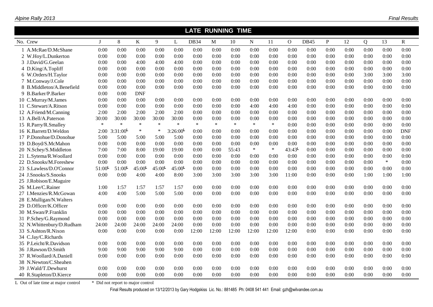|                                     |              |                                   |                    |                    |         | <b>LATE RUNNING TIME</b> |             |        |             |        |                |             |              |      |      |        |            |
|-------------------------------------|--------------|-----------------------------------|--------------------|--------------------|---------|--------------------------|-------------|--------|-------------|--------|----------------|-------------|--------------|------|------|--------|------------|
| No. Crew                            | $\mathbf{I}$ | 8                                 | K                  | 9                  | L       | <b>DB34</b>              | $\mathbf M$ | 10     | $\mathbf N$ | 11     | $\overline{O}$ | <b>DB45</b> | $\mathbf{P}$ | 12   | Q    | 13     | R          |
| 1 A.McRae/D.McShane                 | 0:00         | 0:00                              | 0:00               | 0:00               | 0:00    | 0:00                     | 0:00        | 0:00   | 0:00        | 0:00   | 0:00           | 0:00        | 0:00         | 0:00 | 0:00 | 0:00   | 0:00       |
| 2 W.Hoy/L.Dunkerton                 | 0:00         | 0:00                              | 0:00               | 0:00               | 0:00    | 0:00                     | 0:00        | 0:00   | 0:00        | 0:00   | 0:00           | 0:00        | 0:00         | 0:00 | 0:00 | 0:00   | 0:00       |
| 3 J.David/G.Geelan                  | 0:00         | 0:00                              | 4:00               | 4:00               | 4:00    | 0:00                     | 0:00        | 0:00   | 0:00        | 0:00   | 0:00           | 0:00        | 0:00         | 0:00 | 0:00 | 0:00   | 0:00       |
| 4 D.King/A.Topliff                  | 0:00         | 0:00                              | 0:00               | 0:00               | 0:00    | 0:00                     | 0:00        | 0:00   | 0:00        | 0:00   | 0:00           | 0:00        | 0:00         | 0:00 | 0:00 | 0:00   | 0:00       |
| 6 W.Orders/H.Taylor                 | 0:00         | 0:00                              | 0:00               | 0:00               | 0:00    | 0:00                     | 0:00        | 0:00   | 0:00        | 0:00   | 0:00           | 0:00        | 0:00         | 0:00 | 3:00 | 3:00   | 3:00       |
| 7 M.Conway/J.Cole                   | 0:00         | 0:00                              | 0:00               | 0:00               | 0:00    | 0:00                     | 0:00        | 0:00   | 0:00        | 0:00   | 0:00           | 0:00        | 0:00         | 0:00 | 0:00 | 0:00   | 0:00       |
| 8 B.Middleton/A.Benefield           | 0:00         | 0:00                              | 0:00               | 0:00               | 0:00    | 0:00                     | 0:00        | 0:00   | 0:00        | 0:00   | 0:00           | 0:00        | 0:00         | 0:00 | 0:00 | 0:00   | 0:00       |
| 9 B.Barker/P.Barker                 | 0:00         | 0:00                              | <b>DNF</b>         |                    |         |                          |             |        |             |        |                |             |              |      |      |        |            |
| 10 C.Murray/M.James                 | 0:00         | 0:00                              | 0:00               | 0:00               | 0:00    | 0:00                     | 0:00        | 0:00   | 0:00        | 0:00   | 0:00           | 0:00        | 0:00         | 0:00 | 0:00 | 0:00   | 0:00       |
| 11 C.Stewart/A.Ritson               | 0:00         | 0:00                              | 0:00               | 0:00               | 0:00    | 0:00                     | 0:00        | 0:00   | 4:00        | 4:00   | 4:00           | 0:00        | 0:00         | 0:00 | 0:00 | 0:00   | 0:00       |
| 12 A.Friend/M.Canning               | 2:00         | 2:00                              | 2:00               | 2:00               | 2:00    | 0:00                     | 0:00        | 0:00   | 0:00        | 0:00   | 0:00           | 0:00        | 0:00         | 0:00 | 0:00 | 0:00   | 0:00       |
| 13 A.Bell/A.Paterson                | 30:00        | 30:00                             | 30:00              | 30:00              | 30:00   | 0:00                     | 0:00        | 0:00   | 0:00        | 0:00   | 0:00           | 0:00        | 0:00         | 0:00 | 0:00 | 0:00   | 0:00       |
| 15 R.Parry/R.Smalley                | $\ast$       | $\ast$                            | $\ast$             | $\ast$             | $\ast$  | $\ast$                   | $\ast$      | $\ast$ | $\ast$      | $\ast$ | 0:00           | 0:00        | 0:00         | 0:00 | 0:00 | 0:00   | 0:00       |
| 16 K.Barrett/D.Weldon               | 2:00         | 3:31:00                           | $\ast$             | $\ast$             | 3:26:00 | 0:00                     | 0:00        | 0:00   | 0:00        | 0:00   | 0:00           | 0:00        | 0:00         | 0:00 | 0:00 | 0:00   | <b>DNF</b> |
| 17 P.Donohue/D.Donohue              | 5:00         | 5:00                              | 5:00               | 5:00               | 5:00    | 0:00                     | 0:00        | 0:00   | 0:00        | 0:00   | 0:00           | 0:00        | 0:00         | 0:00 | 0:00 | 0:00   | 0:00       |
| 19 D.Boyd/S.McMahon                 | 0:00         | 0:00                              | 0:00               | 0:00               | 0:00    | 0:00                     | 0:00        | 0:00   | 0:00        | 0:00   | 0:00           | 0:00        | 0:00         | 0:00 | 0:00 | 0:00   | 0:00       |
| 20 N.Schey/S.Middleton              | 7:00         | 7:00                              | 8:00               | 19:00              | 19:00   | 0:00                     | 0:00        | 55:43  | $\ast$      | $\ast$ | $43:43^L$      | 0:00        | 0:00         | 0:00 | 0:00 | 0:00   | 0:00       |
| 21 L.Sytema/R.Woollard              | 0:00         | 0:00                              | 0:00               | 0:00               | 0:00    | 0:00                     | 0:00        | 0:00   | 0:00        | 0:00   | 0:00           | 0:00        | 0:00         | 0:00 | 0:00 | 0:00   | 0:00       |
| 22 D.Snooks/M.Foreshew              | 0:00         | 0:00                              | 0:00               | 0:00               | 0:00    | 0:00                     | 0:00        | 0:00   | 0:00        | 0:00   | 0:00           | 0:00        | 0:00         | 0:00 | 0:00 | $\ast$ | 0:00       |
| 23 S.Lawless/D.O'Connor             | 51:00        | 51:00                             | $45:00^{\text{L}}$ | $45:00^{\text{L}}$ | 45:00   | 0:00                     | 0:00        | 0:00   | 0:00        | 0:00   | 0:00           | 0:00        | 0:00         | 0:00 | 0:00 | 0:00   | 0:00       |
| 24 J.Snooks/S.Snooks                | 0:00         | 0:00                              | 4:00               | 4:00               | 8:00    | 3:00                     | 3:00        | 3:00   | 3:00        | 3:00   | 11:00          | 0:00        | 0:00         | 0:00 | 1:00 | 1:00   | 1:00       |
| 25 J.Robison/E.Maguire              |              |                                   |                    |                    |         |                          |             |        |             |        |                |             |              |      |      |        |            |
| 26 M.Lee/C.Rainer                   | 1:00         | 1:57                              | 1:57               | 1:57               | 1:57    | 0:00                     | 0:00        | 0:00   | 0:00        | 0:00   | 0:00           | 0:00        | 0:00         | 0:00 | 0:00 | 0:00   | 0:00       |
| 27 I.Menzies/R.McGowan              | 4:00         | 4:00                              | 5:00               | 5:00               | 5:00    | 0:00                     | 0:00        | 0:00   | 0:00        | 0:00   | 0:00           | 0:00        | 0:00         | 0:00 | 0:00 | 0:00   | 0:00       |
| 28 E.Mulligan/N.Walters             |              |                                   |                    |                    |         |                          |             |        |             |        |                |             |              |      |      |        |            |
| 29 D.Officer/K.Officer              | 0:00         | 0:00                              | 0:00               | 0:00               | 0:00    | 0:00                     | 0:00        | 0:00   | 0:00        | 0:00   | 0:00           | 0:00        | 0:00         | 0:00 | 0:00 | 0:00   | 0:00       |
| 30 M.Swan/P.Franklin                | 0:00         | 0:00                              | 0:00               | 0:00               | 0:00    | 0:00                     | 0:00        | 0:00   | 0:00        | 0:00   | 0:00           | 0:00        | 0:00         | 0:00 | 0:00 | 0:00   | 0:00       |
| 31 P.Schey/G.Raymond                | 0:00         | 0:00                              | 0:00               | 0:00               | 0:00    | 0:00                     | 0:00        | 0:00   | 0:00        | 0:00   | 0:00           | 0:00        | 0:00         | 0:00 | 0:00 | 0:00   | 0:00       |
| 32 N.Whittenbury/D.Rudham           | 24:00        | 24:00                             | 24:00              | 24:00              | 24:00   | 0:00                     | 0:00        | 0:00   | 0:00        | 0:00   | 0:00           | 0:00        | 0:00         | 0:00 | 0:00 | 0:00   | 0:00       |
| 33 S.Ashton/R.Nixon                 | 0:00         | 0:00                              | 0:00               | 0:00               | 0:00    | 12:00                    | 12:00       | 12:00  | 12:00       | 12:00  | 12:00          | 0:00        | 0:00         | 0:00 | 0:00 | 0:00   | 0:00       |
| 34 C.Jay/C.Richards                 |              |                                   |                    |                    |         |                          |             |        |             |        |                |             |              |      |      |        |            |
| 35 P.Leicht/R.Davidson              | 0:00         | 0:00                              | 0:00               | 0:00               | 0:00    | 0:00                     | 0:00        | 0:00   | 0:00        | 0:00   | 0:00           | 0:00        | 0:00         | 0:00 | 0:00 | 0:00   | 0:00       |
| 36 J.Rawson/D.Smith                 | 9:00         | 9:00                              | 9:00               | 9:00               | 9:00    | 0:00                     | 0:00        | 0:00   | 0:00        | 0:00   | 0:00           | 0:00        | 0:00         | 0:00 | 0:00 | 0:00   | 0:00       |
| 37 R.Woollard/A.Daniell             | 0:00         | 0:00                              | 0:00               | 0:00               | 0:00    | 0:00                     | 0:00        | 0:00   | 0:00        | 0:00   | 0:00           | 0:00        | 0:00         | 0:00 | 0:00 | 0:00   | 0:00       |
| 38 N.Newton/C.Sheahen               |              |                                   |                    |                    |         |                          |             |        |             |        |                |             |              |      |      |        |            |
| 39 J.Wald/T.Dewhurst                | 0:00         | 0:00                              | 0:00               | 0:00               | 0:00    | 0:00                     | 0:00        | 0:00   | 0:00        | 0:00   | 0:00           | 0:00        | 0:00         | 0:00 | 0:00 | 0:00   | 0:00       |
| 40 R.Stapleton/D.Kierce             | 0:00         | 0:00                              | 0:00               | 0:00               | 0:00    | 0:00                     | 0:00        | 0:00   | 0:00        | 0:00   | 0:00           | 0:00        | 0:00         | 0:00 | 0:00 | 0:00   | 0:00       |
| L Out of late time at major control |              | * Did not report to major control |                    |                    |         |                          |             |        |             |        |                |             |              |      |      |        |            |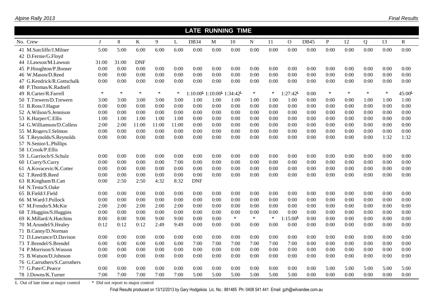|                                     |             |                                   |            |        |        |             |                                                                  | <b>LATE RUNNING TIME</b> |             |        |              |             |        |        |                |        |                    |
|-------------------------------------|-------------|-----------------------------------|------------|--------|--------|-------------|------------------------------------------------------------------|--------------------------|-------------|--------|--------------|-------------|--------|--------|----------------|--------|--------------------|
| No. Crew                            | $\mathbf I$ | 8                                 | K          | 9      | L      | <b>DB34</b> | M                                                                | 10                       | $\mathbf N$ | 11     | $\mathbf{O}$ | <b>DB45</b> | P      | 12     | $\overline{Q}$ | 13     | R                  |
| 41 M.Sutcliffe/J.Milner             | 5:00        | 5:00                              | 6:00       | 6:00   | 6:00   | 0:00        | 0:00                                                             | 0:00                     | 0:00        | 0:00   | 0:00         | 0:00        | 0:00   | 0:00   | 0:00           | 0:00   | 0:00               |
| 42 D.Fernie/G.Floyd                 |             |                                   |            |        |        |             |                                                                  |                          |             |        |              |             |        |        |                |        |                    |
| 44 J.Lawson/M.Lawson                | 31:00       | 31:00                             | <b>DNF</b> |        |        |             |                                                                  |                          |             |        |              |             |        |        |                |        |                    |
| 45 P.Houghton/P.Bonser              | 0:00        | 0:00                              | 0:00       | 0:00   | 0:00   | 0:00        | 0:00                                                             | 0:00                     | 0:00        | 0:00   | 0:00         | 0:00        | 0:00   | 0:00   | 0:00           | 0:00   | 0:00               |
| 46 W.Mason/D.Reed                   | 0:00        | 0:00                              | 0:00       | 0:00   | 0:00   | 0:00        | 0:00                                                             | 0:00                     | 0:00        | 0:00   | 0:00         | 0:00        | 0:00   | 0:00   | 0:00           | 0:00   | 0:00               |
| 47 G.Kendrick/R.Gottschalk          | 0:00        | 0:00                              | 0:00       | 0:00   | 0:00   | 0:00        | 0:00                                                             | 0:00                     | 0:00        | 0:00   | 0:00         | 0:00        | 0:00   | 0:00   | 0:00           | 0:00   | 0:00               |
| 48 P.Thomas/K.Radnell               |             |                                   |            |        |        |             |                                                                  |                          |             |        |              |             |        |        |                |        |                    |
| 49 R.Carter/R.Farrell               | $\ast$      | $\ast$                            | $\ast$     | $\ast$ | $\ast$ |             | $1:10:00^{\mathsf{L}} 1:10:00^{\mathsf{L}} 1:34:42^{\mathsf{L}}$ |                          | $\ast$      | $\ast$ | 1:27:42      | 0:00        | $\ast$ | $\ast$ | $\ast$         | $\ast$ | $45:00^{\text{L}}$ |
| 50 T.Trewern/D.Trewern              | 3:00        | 3:00                              | 3:00       | 3:00   | 3:00   | 1:00        | 1:00                                                             | 1:00                     | 1:00        | 1:00   | 1:00         | 0:00        | 0:00   | 0:00   | 1:00           | 1:00   | 1:00               |
| 51 B.Ross/J.Hague                   | 0:00        | 0:00                              | 0:00       | 0:00   | 0:00   | 0:00        | 0:00                                                             | 0:00                     | 0:00        | 0:00   | 0:00         | 0:00        | 0:00   | 0:00   | 0:00           | 0:00   | 0:00               |
| 52 A.Wilson/S.Jennison              | 0:00        | 0:00                              | 0:00       | 0:00   | 0:00   | 0:00        | 0:00                                                             | 0:00                     | 0:00        | 0:00   | 0:00         | 0:00        | 0:00   | 0:00   | 0:00           | 0:00   | 0:00               |
| 53 K.Harper/C.Ellis                 | 1:00        | 1:00                              | 1:00       | 1:00   | 1:00   | 0:00        | 0:00                                                             | 0:00                     | 0:00        | 0:00   | 0:00         | 0:00        | 0:00   | 0:00   | 0:00           | 0:00   | 0:00               |
| 54 G.Williamson/D.Colless           | 2:00        | 2:00                              | 11:00      | 11:00  | 11:00  | 0:00        | 0:00                                                             | 0:00                     | 0:00        | 0:00   | 0:00         | 0:00        | 0:00   | 0:00   | 0:00           | 0:00   | 0:00               |
| 55 M.Rogers/J.Selmon                | 0:00        | 0:00                              | 0:00       | 0:00   | 0:00   | 0:00        | 0:00                                                             | 0:00                     | 0:00        | 0:00   | 0:00         | 0:00        | 0:00   | 0:00   | 0:00           | 0:00   | 0:00               |
| 56 T.Reynolds/S.Reynolds            | 0:00        | 0:00                              | 0:00       | 0:00   | 0:00   | 0:00        | 0:00                                                             | 0:00                     | 0:00        | 0:00   | 0:00         | 0:00        | 0:00   | 0:00   | 0:00           | 1:32   | 1:32               |
| 57 N.Senior/L.Phillips              |             |                                   |            |        |        |             |                                                                  |                          |             |        |              |             |        |        |                |        |                    |
| 58 I.Crook/P.Ellis                  |             |                                   |            |        |        |             |                                                                  |                          |             |        |              |             |        |        |                |        |                    |
| 59 L.Garrioch/S.Schulz              | 0:00        | 0:00                              | 0:00       | 0:00   | 0:00   | 0:00        | 0:00                                                             | 0:00                     | 0:00        | 0:00   | 0:00         | 0:00        | 0:00   | 0:00   | 0:00           | 0:00   | 0:00               |
| 60 I.Curry/S.Curry                  | 0:00        | 0:00                              | 0:00       | 0:00   | 7:00   | 0:00        | 0:00                                                             | 0:00                     | 0:00        | 0:00   | 0:00         | 0:00        | 0:00   | 0:00   | 0:00           | 0:00   | 0:00               |
| 61 A.Kovacevic/K.Cotter             | 0:00        | 0:00                              | 0:00       | 0:00   | 0:00   | 0:00        | 0:00                                                             | 0:00                     | 0:00        | 0:00   | 0:00         | 0:00        | 0:00   | 0:00   | 0:00           | 0:00   | 0:00               |
| 62 T.Reed/B.Reed                    | 0:00        | 0:00                              | 0:00       | 0:00   | 0:00   | 0:00        | 0:00                                                             | 0:00                     | 0:00        | 0:00   | 0:00         | 0:00        | 0:00   | 0:00   | 0:00           | 0:00   | 0:00               |
| 63 R.Kingham/B.Catt                 | 0:00        | 2:50                              | 2:50       | 4:32   | 8:32   | <b>DNF</b>  |                                                                  |                          |             |        |              |             |        |        |                |        |                    |
| 64 N.Testa/S.Oake                   |             |                                   |            |        |        |             |                                                                  |                          |             |        |              |             |        |        |                |        |                    |
| 65 B.Field/J.Field                  | 0:00        | 0:00                              | 0:00       | 0:00   | 0:00   | 0:00        | 0:00                                                             | 0:00                     | 0:00        | 0:00   | 0:00         | 0:00        | 0:00   | 0:00   | 0:00           | 0:00   | 0:00               |
| 66 M.Ward/J.Pollock                 | 0:00        | 0:00                              | 0:00       | 0:00   | 0:00   | 0:00        | 0:00                                                             | 0:00                     | 0:00        | 0:00   | 0:00         | 0:00        | 0:00   | 0:00   | 0:00           | 0:00   | 0:00               |
| 67 M.Frendo/S.McKie                 | 2:00        | 2:00                              | 2:00       | 2:00   | 2:00   | 0:00        | 0:00                                                             | 0:00                     | 0:00        | 0:00   | 0:00         | 0:00        | 0:00   | 0:00   | 0:00           | 0:00   | 0:00               |
| 68 T.Huggins/S.Huggins              | 0:00        | 0:00                              | 0:00       | 0:00   | 0:00   | 0:00        | 0:00                                                             | 0:00                     | 0:00        | 0:00   | 0:00         | 0:00        | 0:00   | 0:00   | 0:00           | 0:00   | 0:00               |
| 69 K.Millard/A.Hutchins             | 8:00        | 8:00                              | 9:00       | 9:00   | 9:00   | 0:00        | 0:00                                                             | $\ast$                   | $\ast$      | $\ast$ | 1:15:00      | 0:00        | 0:00   | 0:00   | 0:00           | 0:00   | 0:00               |
| 70 M.Arundel/S.Healey               | 0:12        | 0:12                              | 0:12       | 2:49   | 9:49   | 0:00        | 0:00                                                             | 0:00                     | 0:00        | 0:00   | 0:00         | 0:00        | 0:00   | 0:00   | 0:00           | 0:00   | 0:00               |
| 71 B.Canny/D.Norman                 |             |                                   |            |        |        |             |                                                                  |                          |             |        |              |             |        |        |                |        |                    |
| 72 D.Lawrance/D.Davison             | 0:00        | 0:00                              | 0:00       | 0:00   | 0:00   | 0:00        | 0:00                                                             | 0:00                     | 0:00        | 0:00   | 0:00         | 0:00        | 0:00   | 0:00   | 0:00           | 0:00   | 0:00               |
| 73 T.Brendel/S.Brendel              | 6:00        | 6:00                              | 6:00       | 6:00   | 6:00   | 7:00        | 7:00                                                             | 7:00                     | 7:00        | 7:00   | 7:00         | 0:00        | 0:00   | 0:00   | 0:00           | 0:00   | 0:00               |
| 74 P.Morrison/S.Wasson              | 0:00        | 0:00                              | 0:00       | 0:00   | 0:00   | 0:00        | 0:00                                                             | 0:00                     | 0:00        | 0:00   | 0:00         | 0:00        | 0:00   | 0:00   | 0:00           | 0:00   | 0:00               |
| 75 B. Watson/D. Johnson             | 0:00        | 0:00                              | 0:00       | 0:00   | 0:00   | 0:00        | 0:00                                                             | 0:00                     | 0:00        | 0:00   | 0:00         | 0:00        | 0:00   | 0:00   | 0:00           | 0:00   | 0:00               |
| 76 G.Carruthers/S.Carruthers        |             |                                   |            |        |        |             |                                                                  |                          |             |        |              |             |        |        |                |        |                    |
| 77 G.Pate/C.Pearce                  | 0:00        | 0:00                              | 0:00       | 0:00   | 0:00   | 0:00        | 0:00                                                             | 0:00                     | 0:00        | 0:00   | 0:00         | 0:00        | 5:00   | 5:00   | 5:00           | 5:00   | 5:00               |
| 78 J.Downs/K.Turner                 | 7:00        | 7:00                              | 7:00       | 7:00   | 7:00   | 5:00        | 5:00                                                             | 5:00                     | 5:00        | 5:00   | 5:00         | 0:00        | 0:00   | 0:00   | 0:00           | 0:00   | 0:00               |
| L Out of late time at major control |             | * Did not report to major control |            |        |        |             |                                                                  |                          |             |        |              |             |        |        |                |        |                    |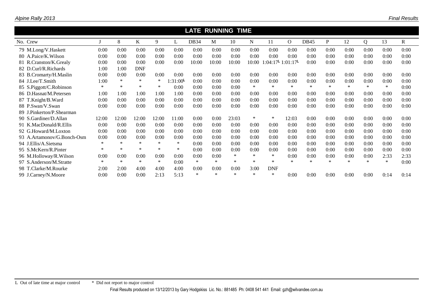|                              |        |        |            |        |                      | <b>LATE RUNNING TIME</b> |        |        |        |                                             |          |                  |        |        |        |        |      |
|------------------------------|--------|--------|------------|--------|----------------------|--------------------------|--------|--------|--------|---------------------------------------------|----------|------------------|--------|--------|--------|--------|------|
| No. Crew                     |        | 8      | K          | 9      | L                    | DB <sub>34</sub>         | М      | 10     | N      | 11                                          | $\Omega$ | DB <sub>45</sub> | P      | 12     | Q      | 13     | R    |
| 79 M.Long/V.Haskett          | 0:00   | 0:00   | 0:00       | 0:00   | 0:00                 | 0:00                     | 0:00   | 0:00   | 0:00   | 0:00                                        | 0:00     | 0:00             | 0:00   | 0:00   | 0:00   | 0:00   | 0:00 |
| 80 A.Paice/K.Wilson          | 0:00   | 0:00   | 0:00       | 0:00   | 0:00                 | 0:00                     | 0:00   | 0:00   | 0:00   | 0:00                                        | 0:00     | 0:00             | 0:00   | 0:00   | 0:00   | 0:00   | 0:00 |
| 81 R.Cranston/K.Grealy       | 0:00   | 0:00   | 0:00       | 0:00   | 0:00                 | 10:00                    | 10:00  | 10:00  | 10:00  | $1:04:17^{\mathsf{L}} 1:01:17^{\mathsf{L}}$ |          | 0:00             | 0:00   | 0:00   | 0:00   | 0:00   | 0:00 |
| 82 D.Curl/R.Richards         | 1:00   | 1:00   | <b>DNF</b> |        |                      |                          |        |        |        |                                             |          |                  |        |        |        |        |      |
| 83 B.Cromarty/H.Maslin       | 0:00   | 0:00   | 0:00       | 0:00   | 0:00                 | 0:00                     | 0:00   | 0:00   | 0:00   | 0:00                                        | 0:00     | 0:00             | 0:00   | 0:00   | 0:00   | 0:00   | 0:00 |
| 84 J.Lee/T.Smith             | 1:00   | $\ast$ | ∗          | $\ast$ | 1:31:00 <sup>L</sup> | 0:00                     | 0:00   | 0:00   | 0:00   | 0:00                                        | 0:00     | 0:00             | 0:00   | 0:00   | 0:00   | 0:00   | 0:00 |
| 85 S.Piggott/C.Robinson      | $\ast$ | $\ast$ | $\ast$     | $\ast$ | 0:00                 | 0:00                     | 0:00   | 0:00   | $\ast$ | $\ast$                                      | $\ast$   | $\ast$           | $\ast$ | $\ast$ | $\ast$ | $\ast$ | 0:00 |
| 86 D.Hasnat/M.Petersen       | 1:00   | 1:00   | 1:00       | 1:00   | 1:00                 | 0:00                     | 0:00   | 0:00   | 0:00   | 0:00                                        | 0:00     | 0:00             | 0:00   | 0:00   | 0:00   | 0:00   | 0:00 |
| 87 T.Knight/B.Ward           | 0:00   | 0:00   | 0:00       | 0:00   | 0:00                 | 0:00                     | 0:00   | 0:00   | 0:00   | 0:00                                        | 0:00     | 0:00             | 0:00   | 0:00   | 0:00   | 0:00   | 0:00 |
| 88 P.Swan/V.Swan             | 0:00   | 0:00   | 0:00       | 0:00   | 0:00                 | 0:00                     | 0:00   | 0:00   | 0:00   | 0:00                                        | 0:00     | 0:00             | 0:00   | 0:00   | 0:00   | 0:00   | 0:00 |
| J.Pinkerton/P.Shearman<br>89 |        |        |            |        |                      |                          |        |        |        |                                             |          |                  |        |        |        |        |      |
| 90 S.Gardiner/D.Allan        | 12:00  | 12:00  | 12:00      | 12:00  | 11:00                | 0:00                     | 0:00   | 23:03  | ∗      | $\ast$                                      | 12:03    | 0:00             | 0:00   | 0:00   | 0:00   | 0:00   | 0:00 |
| 91 K.MacDonald/R.Ellis       | 0:00   | 0:00   | 0:00       | 0:00   | 0:00                 | 0:00                     | 0:00   | 0:00   | 0:00   | 0:00                                        | 0:00     | 0:00             | 0:00   | 0:00   | 0:00   | 0:00   | 0:00 |
| 92 G.Howard/M.Loxton         | 0:00   | 0:00   | 0:00       | 0:00   | 0:00                 | 0:00                     | 0:00   | 0:00   | 0:00   | 0:00                                        | 0:00     | 0:00             | 0:00   | 0:00   | 0:00   | 0:00   | 0:00 |
| 93 A.Artamonov/G.Bonch-Osm   | 0:00   | 0:00   | 0:00       | 0:00   | 0:00                 | 0:00                     | 0:00   | 0:00   | 0:00   | 0:00                                        | 0:00     | 0:00             | 0:00   | 0:00   | 0:00   | 0:00   | 0:00 |
| 94 J.Ellis/A.Sietsma         | $\ast$ | $\ast$ | $\ast$     | $\ast$ | $\ast$               | 0:00                     | 0:00   | 0:00   | 0:00   | 0:00                                        | 0:00     | 0:00             | 0:00   | 0:00   | 0:00   | 0:00   | 0:00 |
| 95 S.McKern/R.Pinter         | $\ast$ | $\ast$ | $\ast$     | $\ast$ | $\ast$               | 0:00                     | 0:00   | 0:00   | 0:00   | 0:00                                        | 0:00     | 0:00             | 0:00   | 0:00   | 0:00   | 0:00   | 0:00 |
| 96 M.Holloway/R.Wilson       | 0:00   | 0:00   | 0:00       | 0:00   | 0:00                 | 0:00                     | 0:00   | $\ast$ | $\ast$ | $\ast$                                      | 0:00     | 0:00             | 0:00   | 0:00   | 0:00   | 2:33   | 2:33 |
| 97 S.Anderson/M.Stratte      | $\ast$ | $\ast$ | $\ast$     | $\ast$ | 0:00                 | $\ast$                   | $\ast$ | $\ast$ | $\ast$ | $\ast$                                      | $\ast$   | $\ast$           | $\ast$ | $\ast$ | $\ast$ | $\ast$ | 0:00 |
| 98 T.Clarke/M.Rourke         | 2:00   | 2:00   | 4:00       | 4:00   | 4:00                 | 0:00                     | 0:00   | 0:00   | 3:00   | <b>DNF</b>                                  |          |                  |        |        |        |        |      |
| 99 J.Carney/N.Moore          | 0:00   | 0:00   | 0:00       | 2:13   | 5:13                 | $\ast$                   | $\ast$ | $\ast$ | $\ast$ | $\ast$                                      | 0:00     | 0:00             | 0:00   | 0:00   | 0:00   | 0:14   | 0:14 |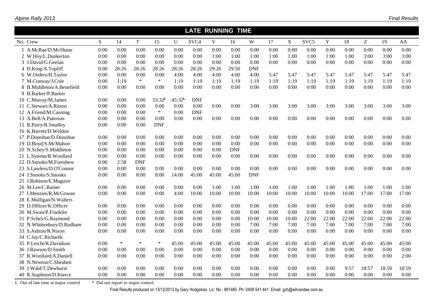|                                     |      |                                   |             |            |           | <b>LATE RUNNING TIME</b> |              |            |            |       |       |                  |       |       |       |       |       |
|-------------------------------------|------|-----------------------------------|-------------|------------|-----------|--------------------------|--------------|------------|------------|-------|-------|------------------|-------|-------|-------|-------|-------|
| No. Crew                            | S    | 14                                | $\mathbf T$ | 15         | U         | SVC <sub>4</sub>         | $\mathbf{V}$ | 16         | W          | 17    | X     | SVC <sub>5</sub> | Y     | 18    | Z     | 19    | AA    |
| 1 A.McRae/D.McShane                 | 0:00 | 0:00                              | 0:00        | 0:00       | 0:00      | 0:00                     | 0:00         | 0:00       | 0:00       | 0:00  | 0:00  | 0:00             | 0:00  | 0:00  | 0:00  | 0:00  | 0:00  |
| 2 W.Hoy/L.Dunkerton                 | 0:00 | 0:00                              | 0:00        | 0:00       | 0:00      | 0:00                     | 1:00         | 1:00       | 1:00       | 1:00  | 1:00  | 1:00             | 1:00  | 1:00  | 3:00  | 3:00  | 3:00  |
| 3 J.David/G.Geelan                  | 0:00 | 0:00                              | 0:00        | 0:00       | 0:00      | 0:00                     | 0:00         | 0:00       | 0:00       | 0:00  | 0:00  | 0:00             | 0:00  | 0:00  | 0:00  | 0:00  | 0:00  |
| 4 D.King/A.Topliff                  | 0:00 | 28:26                             | 28:26       | 28:26      | 28:26     | 28:26                    | 29:26        | 29:50      | <b>DNF</b> |       |       |                  |       |       |       |       |       |
| 6 W.Orders/H.Taylor                 | 0:00 | 0:00                              | 0:00        | 0:00       | 4:00      | 4:00                     | 4:00         | 4:00       | 4:00       | 5:47  | 5:47  | 5:47             | 5:47  | 5:47  | 5:47  | 5:47  | 5:47  |
| 7 M.Conway/J.Cole                   | 0:00 | 1:19                              | $\ast$      | $\ast$     | 1:19      | 1:19                     | 1:19         | 1:19       | 1:19       | 1:19  | 1:19  | 1:19             | 1:19  | 1:19  | 1:19  | 1:19  | 1:19  |
| 8 B.Middleton/A.Benefield           | 0:00 | 0:00                              | 0:00        | 0:00       | 0:00      | 0:00                     | 0:00         | 0:00       | 0:00       | 0:00  | 0:00  | 0:00             | 0:00  | 0:00  | 0:00  | 0:00  | 0:00  |
| 9 B.Barker/P.Barker                 |      |                                   |             |            |           |                          |              |            |            |       |       |                  |       |       |       |       |       |
| 10 C.Murray/M.James                 | 0:00 | 0:00                              | 0:00        | 53:32      | $45:32$ L | <b>DNF</b>               |              |            |            |       |       |                  |       |       |       |       |       |
| 11 C.Stewart/A.Ritson               | 0:00 | 0:00                              | 0:00        | 0:00       | 0:00      | 0:00                     | 0:00         | 0:00       | 3:00       | 3:00  | 3:00  | 3:00             | 3:00  | 3:00  | 3:00  | 3:00  | 3:00  |
| 12 A.Friend/M.Canning               | 0:00 | 0:00                              | 0:00        | $\ast$     | 0:00      | <b>DNF</b>               |              |            |            |       |       |                  |       |       |       |       |       |
| 13 A.Bell/A.Paterson                | 0:00 | 0:00                              | 0:00        | 0:00       | 0:00      | 0:00                     | 0:00         | 0:00       | 0:00       | 0:00  | 0:00  | 0:00             | 0:00  | 0:00  | 0:00  | 0:00  | 0:00  |
| 15 R.Parry/R.Smalley                | 0:00 | 0:00                              | 0:00        | <b>DNF</b> |           |                          |              |            |            |       |       |                  |       |       |       |       |       |
| 16 K.Barrett/D.Weldon               |      |                                   |             |            |           |                          |              |            |            |       |       |                  |       |       |       |       |       |
| 17 P.Donohue/D.Donohue              | 0:00 | 0:00                              | 0:00        | 0:00       | 0:00      | 0:00                     | 0:00         | 0:00       | 0:00       | 0:00  | 0:00  | 0:00             | 0:00  | 0:00  | 0:00  | 0:00  | 0:00  |
| 19 D.Boyd/S.McMahon                 | 0:00 | 0:00                              | 0:00        | 0:00       | 0:00      | 0:00                     | 0:00         | 0:00       | 0:00       | 0:00  | 0:00  | 0:00             | 0:00  | 0:00  | 0:00  | 0:00  | 0:00  |
| 20 N.Schey/S.Middleton              | 0:00 | 0:00                              | 0:00        | 0:00       | 0:00      | 0:00                     | 0:00         | <b>DNF</b> |            |       |       |                  |       |       |       |       |       |
| 21 L.Sytema/R.Woollard              | 0:00 | 0:00                              | 0:00        | 0:00       | 0:00      | 0:00                     | 0:00         | 0:00       | 0:00       | 0:00  | 0:00  | 0:00             | 0:00  | 0:00  | 0:00  | 0:00  | 0:00  |
| 22 D.Snooks/M.Foreshew              | 0:00 | 2:58                              | <b>DNF</b>  |            |           |                          |              |            |            |       |       |                  |       |       |       |       |       |
| 23 S.Lawless/D.O'Connor             | 0:00 | 0:00                              | 0:00        | 0:00       | 0:00      | 0:00                     | 0:00         | 0:00       | 0:00       | 0:00  | 0:00  | 0:00             | 0:00  | 0:00  | 0:00  | 0:00  | 0:00  |
| 24 J.Snooks/S.Snooks                | 0:00 | 0:00                              | 8:00        | 8:00       | 14:00     | 45:00                    | 45:00        | 45:00      | <b>DNF</b> |       |       |                  |       |       |       |       |       |
| 25 J.Robison/E.Maguire              |      |                                   |             |            |           |                          |              |            |            |       |       |                  |       |       |       |       |       |
| 26 M.Lee/C.Rainer                   | 0:00 | 0:00                              | 0:00        | 0:00       | 0:00      | 0:00                     | 1:00         | 1:00       | 1:00       | 1:00  | 1:00  | 1:00             | 1:00  | 1:00  | 1:00  | 1:00  | 1:00  |
| 27 I.Menzies/R.McGowan              | 0:00 | 0:00                              | 0:00        | 0:00       | 4:00      | 10:00                    | 10:00        | 10:00      | 10:00      | 10:00 | 10:00 | 10:00            | 10:00 | 10:00 | 17:00 | 17:00 | 17:00 |
| 28 E.Mulligan/N.Walters             |      |                                   |             |            |           |                          |              |            |            |       |       |                  |       |       |       |       |       |
| 29 D.Officer/K.Officer              | 0:00 | 0:00                              | 0:00        | 0:00       | 0:00      | 0:00                     | 0:00         | 0:00       | 0:00       | 0:00  | 0:00  | 0:00             | 0:00  | 0:00  | 0:00  | 0:00  | 0:00  |
| 30 M.Swan/P.Franklin                | 0:00 | 0:00                              | 0:00        | 0:00       | 0:00      | 0:00                     | 0:00         | 0:00       | 0:00       | 0:00  | 0:00  | 0:00             | 0:00  | 0:00  | 0:00  | 0:00  | 0:00  |
| 31 P.Schey/G.Raymond                | 0:00 | 0:00                              | 0:00        | 0:00       | 0:00      | 0:00                     | 0:00         | 0:00       | 10:00      | 10:00 | 10:00 | 22:00            | 22:00 | 22:00 | 22:00 | 22:00 | 22:00 |
| 32 N.Whittenbury/D.Rudham           | 0:00 | 0:00                              | 0:00        | 0:00       | 0:00      | 0:00                     | 0:00         | 0:00       | 7:00       | 7:00  | 7:00  | 7:00             | 7:00  | 7:00  | 7:00  | 7:00  | 7:00  |
| 33 S.Ashton/R.Nixon                 | 0:00 | 0:00                              | 0:00        | 0:00       | 0:00      | 0:00                     | 0:00         | 0:00       | 0:00       | 0:00  | 0:00  | 0:00             | 0:00  | 0:00  | 0:00  | 0:00  | 0:00  |
| 34 C.Jay/C.Richards                 |      |                                   |             |            |           |                          |              |            |            |       |       |                  |       |       |       |       |       |
| 35 P.Leicht/R.Davidson              | 0:00 | $\ast$                            | $\ast$      | $\ast$     | 45:00     | 45:00                    | 45:00        | 45:00      | 45:00      | 45:00 | 45:00 | 45:00            | 45:00 | 45:00 | 45:00 | 45:00 | 45:00 |
| 36 J.Rawson/D.Smith                 | 0:00 | 0:00                              | 0:00        | 0:00       | 0:00      | 0:00                     | 0:00         | 0:00       | 0:00       | 0:00  | 0:00  | 0:00             | 0:00  | 0:00  | 0:00  | 0:00  | 0:00  |
| 37 R.Woollard/A.Daniell             | 0:00 | 0:00                              | 0:00        | 0:00       | 0:00      | 0:00                     | 0:00         | 0:00       | 0:00       | 0:00  | 0:00  | 0:00             | 0:00  | 0:00  | 0:00  | 0:00  | 2:00  |
| 38 N.Newton/C.Sheahen               |      |                                   |             |            |           |                          |              |            |            |       |       |                  |       |       |       |       |       |
| 39 J.Wald/T.Dewhurst                | 0:00 | 0:00                              | 0:00        | 0:00       | 0:00      | 0:00                     | 0:00         | 0:00       | 0:00       | 0:00  | 0:00  | 0:00             | 0:00  | 9:57  | 18:57 | 18:59 | 18:59 |
| 40 R.Stapleton/D.Kierce             | 0:00 | 0:00                              | 0:00        | 0:00       | 0:00      | 0:00                     | 0:00         | 0:00       | 0:00       | 0:00  | 0:00  | 0:00             | 0:00  | 0:00  | 0:00  | 0:00  | 0:00  |
| L Out of late time at major control |      | * Did not report to major control |             |            |           |                          |              |            |            |       |       |                  |       |       |       |       |       |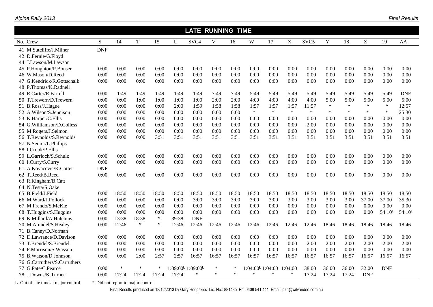|                                     |                                   |        |        |        |       | <b>LATE RUNNING TIME</b>                    |             |        |                                |        |         |                  |             |        |            |             |             |
|-------------------------------------|-----------------------------------|--------|--------|--------|-------|---------------------------------------------|-------------|--------|--------------------------------|--------|---------|------------------|-------------|--------|------------|-------------|-------------|
| No. Crew                            | S                                 | 14     | T      | 15     | U     | SVC <sub>4</sub>                            | $\mathbf V$ | 16     | W                              | 17     | X       | SVC <sub>5</sub> | $\mathbf Y$ | 18     | Z          | 19          | AA          |
| 41 M.Sutcliffe/J.Milner             | <b>DNF</b>                        |        |        |        |       |                                             |             |        |                                |        |         |                  |             |        |            |             |             |
| 42 D.Fernie/G.Flovd                 |                                   |        |        |        |       |                                             |             |        |                                |        |         |                  |             |        |            |             |             |
| 44 J.Lawson/M.Lawson                |                                   |        |        |        |       |                                             |             |        |                                |        |         |                  |             |        |            |             |             |
| 45 P.Houghton/P.Bonser              | 0:00                              | 0:00   | 0:00   | 0:00   | 0:00  | 0:00                                        | 0:00        | 0:00   | 0:00                           | 0:00   | 0:00    | 0:00             | 0:00        | 0:00   | 0:00       | 0:00        | 0:00        |
| 46 W.Mason/D.Reed                   | 0:00                              | 0:00   | 0:00   | 0:00   | 0:00  | 0:00                                        | 0:00        | 0:00   | 0:00                           | 0:00   | 0:00    | 0:00             | 0:00        | 0:00   | 0:00       | 0:00        | 0:00        |
| G.Kendrick/R.Gottschalk<br>47       | 0:00                              | 0:00   | 0:00   | 0:00   | 0:00  | 0:00                                        | 0:00        | 0:00   | 0:00                           | 0:00   | 0:00    | 0:00             | 0:00        | 0:00   | 0:00       | 0:00        | 0:00        |
| 48 P.Thomas/K.Radnell               |                                   |        |        |        |       |                                             |             |        |                                |        |         |                  |             |        |            |             |             |
| 49 R.Carter/R.Farrell               | 0:00                              | 1:49   | 1:49   | 1:49   | 1:49  | 1:49                                        | 7:49        | 7:49   | 5:49                           | 5:49   | 5:49    | 5:49             | 5:49        | 5:49   | 5:49       | 5:49        | <b>DNF</b>  |
| 50 T.Trewern/D.Trewern              | 0:00                              | 0:00   | 1:00   | 1:00   | 1:00  | 1:00                                        | 2:00        | 2:00   | 4:00                           | 4:00   | 4:00    | 4:00             | 5:00        | 5:00   | 5:00       | 5:00        | 5:00        |
| 51 B.Ross/J.Hague                   | 0:00                              | 0:00   | 0:00   | 0:00   | 2:00  | 1:59                                        | 1:58        | 1:58   | 1:57                           | 1:57   | 1:57    | 11:57            | $\ast$      | $\ast$ | $\ast$     | $\ast$      | 12:57       |
| 52 A.Wilson/S.Jennison              | 0:00                              | 0:00   | 0:00   | 0:00   | 0:00  | 0:00                                        | 0:00        | 0:00   | $\ast$                         | $\ast$ | $\ast$  | $\ast$           | $\ast$      | $\ast$ | $\ast$     | $\ast$      | 25:30       |
| 53 K.Harper/C.Ellis                 | 0:00                              | 0:00   | 0:00   | 0:00   | 0:00  | 0:00                                        | 0:00        | 0:00   | 0:00                           | 0:00   | 0:00    | 0:00             | 0:00        | 0:00   | 0:00       | 0:00        | 0:00        |
| 54 G.Williamson/D.Colless           | 0:00                              | 0:00   | 0:00   | 0:00   | 0:00  | 0:00                                        | 0:00        | 0:00   | 0:00                           | 0:00   | 0:00    | 2:00             | 0:00        | 0:00   | 0:00       | 0:00        | 0:00        |
| 55 M.Rogers/J.Selmon                | 0:00                              | 0:00   | 0:00   | 0:00   | 0:00  | 0:00                                        | 0:00        | 0:00   | 0:00                           | 0:00   | 0:00    | 0:00             | 0:00        | 0:00   | 0:00       | 0:00        | 0:00        |
| 56 T.Reynolds/S.Reynolds            | 0:00                              | 0:00   | 0:00   | 3:51   | 3:51  | 3:51                                        | 3:51        | 3:51   | 3:51                           | 3:51   | 3:51    | 3:51             | 3:51        | 3:51   | 3:51       | 3:51        | 3:51        |
| 57 N.Senior/L.Phillips              |                                   |        |        |        |       |                                             |             |        |                                |        |         |                  |             |        |            |             |             |
| 58 I.Crook/P.Ellis                  |                                   |        |        |        |       |                                             |             |        |                                |        |         |                  |             |        |            |             |             |
| 59 L.Garrioch/S.Schulz              | 0:00                              | 0:00   | 0:00   | 0:00   | 0:00  | 0:00                                        | 0:00        | 0:00   | 0:00                           | 0:00   | 0:00    | 0:00             | 0:00        | 0:00   | 0:00       | 0:00        | 0:00        |
| 60 I.Curry/S.Curry                  | 0:00                              | 0:00   | 0:00   | 0:00   | 0:00  | 0:00                                        | 0:00        | 0:00   | 0:00                           | 0:00   | 0:00    | 0:00             | 0:00        | 0:00   | 0:00       | 0:00        | 0:00        |
| 61 A.Kovacevic/K.Cotter             | <b>DNF</b>                        |        |        |        |       |                                             |             |        |                                |        |         |                  |             |        |            |             |             |
| 62 T.Reed/B.Reed                    | 0:00                              | 0:00   | 0:00   | 0:00   | 0:00  | 0:00                                        | 0:00        | 0:00   | 0:00                           | 0:00   | 0:00    | 0:00             | 0:00        | 0:00   | 0:00       | 0:00        | 0:00        |
| 63 R.Kingham/B.Catt                 |                                   |        |        |        |       |                                             |             |        |                                |        |         |                  |             |        |            |             |             |
| 64 N.Testa/S.Oake                   |                                   |        |        |        |       |                                             |             |        |                                |        |         |                  |             |        |            |             |             |
| 65 B.Field/J.Field                  | 0:00                              | 18:50  | 18:50  | 18:50  | 18:50 | 18:50                                       | 18:50       | 18:50  | 18:50                          | 18:50  | 18:50   | 18:50            | 18:50       | 18:50  | 18:50      | 18:50       | 18:50       |
| 66 M.Ward/J.Pollock                 | 0:00                              | 0:00   | 0:00   | 0:00   | 0:00  | 3:00                                        | 3:00        | 3:00   | 3:00                           | 3:00   | 3:00    | 3:00             | 3:00        | 3:00   | 37:00      | 37:00       | 35:30       |
| 67 M.Frendo/S.McKie                 | 0:00                              | 0:00   | 0:00   | 0:00   | 0:00  | 0:00                                        | 0:00        | 0:00   | 0:00                           | 0:00   | 0:00    | 0:00             | 0:00        | 0:00   | 0:00       | 0:00        | 0:00        |
| 68 T.Huggins/S.Huggins              | 0:00                              | 0:00   | 0:00   | 0:00   | 0:00  | 0:00                                        | 0:00        | 0:00   | 0:00                           | 0:00   | 0:00    | 0:00             | 0:00        | 0:00   | 0:00       | $54:10^{L}$ | $54:10^{L}$ |
| 69 K.Millard/A.Hutchins             | 0:00                              | 13:38  | 18:38  | $\ast$ | 39:38 | <b>DNF</b>                                  |             |        |                                |        |         |                  |             |        |            |             |             |
| 70 M.Arundel/S.Healey               | 0:00                              | 12:46  | $\ast$ | $\ast$ | 12:46 | 12:46                                       | 12:46       | 12:46  | 12:46                          | 12:46  | 12:46   | 12:46            | 18:46       | 18:46  | 18:46      | 18:46       | 18:46       |
| 71 B.Canny/D.Norman                 |                                   |        |        |        |       |                                             |             |        |                                |        |         |                  |             |        |            |             |             |
| 72 D.Lawrance/D.Davison             | 0:00                              | 0:00   | 0:00   | 0:00   | 0:00  | 0:00                                        | 0:00        | 0:00   | 0:00                           | 0:00   | 0:00    | 0:00             | 0:00        | 0:00   | 0:00       | 0:00        | 0:00        |
| 73 T.Brendel/S.Brendel              | 0:00                              | 0:00   | 0:00   | 0:00   | 0:00  | 0:00                                        | 0:00        | 0:00   | 0:00                           | 0:00   | 0:00    | 2:00             | 2:00        | 2:00   | 2:00       | 2:00        | 2:00        |
| 74 P.Morrison/S.Wasson              | 0:00                              | 0:00   | 0:00   | 0:00   | 0:00  | 0:00                                        | 0:00        | 0:00   | 0:00                           | 0:00   | 0:00    | 0:00             | 0:00        | 0:00   | 0:00       | 0:00        | 0:00        |
| 75 B.Watson/D.Johnson               | 0:00                              | 0:00   | 2:00   | 2:57   | 2:57  | 16:57                                       | 16:57       | 16:57  | 16:57                          | 16:57  | 16:57   | 16:57            | 16:57       | 16:57  | 16:57      | 16:57       | 16:57       |
| 76 G.Carruthers/S.Carruthers        |                                   |        |        |        |       |                                             |             |        |                                |        |         |                  |             |        |            |             |             |
| 77 G.Pate/C.Pearce                  | 0:00                              | $\ast$ | $\ast$ | $\ast$ |       | $1:09:00^{\mathsf{L}} 1:09:00^{\mathsf{L}}$ | $\ast$      | $\ast$ | $1:04:00^{\mathsf{L}} 1:04:00$ |        | 1:04:00 | 38:00            | 36:00       | 36:00  | 32:00      | <b>DNF</b>  |             |
| 78 J.Downs/K.Turner                 | 0:00                              | 17:24  | 17:24  | 17:24  | 17:24 | $\ast$                                      | $\ast$      | $\ast$ | $\ast$                         | $\ast$ | $\ast$  | 17:24            | 17:24       | 17:24  | <b>DNF</b> |             |             |
| L Out of late time at major control | * Did not report to major control |        |        |        |       |                                             |             |        |                                |        |         |                  |             |        |            |             |             |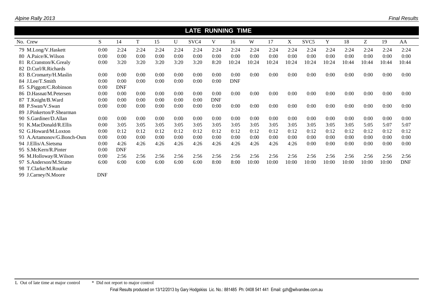|                            |            |            |      |      |      | <b>LATE RUNNING TIME</b> |            |            |       |       |       |                  |       |       |       |       |            |
|----------------------------|------------|------------|------|------|------|--------------------------|------------|------------|-------|-------|-------|------------------|-------|-------|-------|-------|------------|
| No. Crew                   | S.         | 14         | T    | 15   | U    | SVC <sub>4</sub>         | V          | 16         | W     | 17    | X     | SVC <sub>5</sub> | Y     | 18    | Z     | 19    | AA         |
| 79 M.Long/V.Haskett        | 0:00       | 2:24       | 2:24 | 2:24 | 2:24 | 2:24                     | 2:24       | 2:24       | 2:24  | 2:24  | 2:24  | 2:24             | 2:24  | 2:24  | 2:24  | 2:24  | 2:24       |
| 80 A.Paice/K.Wilson        | 0:00       | 0:00       | 0:00 | 0:00 | 0:00 | 0:00                     | 0:00       | 0:00       | 0:00  | 0:00  | 0:00  | 0:00             | 0:00  | 0:00  | 0:00  | 0:00  | 0:00       |
| 81 R.Cranston/K.Grealy     | 0:00       | 3:20       | 3:20 | 3:20 | 3:20 | 3:20                     | 8:20       | 10:24      | 10:24 | 10:24 | 10:24 | 10:24            | 10:24 | 10:44 | 10:44 | 10:44 | 10:44      |
| 82 D.Curl/R.Richards       |            |            |      |      |      |                          |            |            |       |       |       |                  |       |       |       |       |            |
| 83 B.Cromarty/H.Maslin     | 0:00       | 0:00       | 0:00 | 0:00 | 0:00 | 0:00                     | 0:00       | 0:00       | 0:00  | 0:00  | 0:00  | 0:00             | 0:00  | 0:00  | 0:00  | 0:00  | 0:00       |
| 84 J.Lee/T.Smith           | 0:00       | 0:00       | 0:00 | 0:00 | 0:00 | 0:00                     | 0:00       | <b>DNF</b> |       |       |       |                  |       |       |       |       |            |
| 85 S.Piggott/C.Robinson    | 0:00       | <b>DNF</b> |      |      |      |                          |            |            |       |       |       |                  |       |       |       |       |            |
| 86 D.Hasnat/M.Petersen     | 0:00       | 0:00       | 0:00 | 0:00 | 0:00 | 0:00                     | 0:00       | 0:00       | 0:00  | 0:00  | 0:00  | 0:00             | 0:00  | 0:00  | 0:00  | 0:00  | 0:00       |
| 87 T.Knight/B.Ward         | 0:00       | 0:00       | 0:00 | 0:00 | 0:00 | 0:00                     | <b>DNF</b> |            |       |       |       |                  |       |       |       |       |            |
| 88 P.Swan/V.Swan           | 0:00       | 0:00       | 0:00 | 0:00 | 0:00 | 0:00                     | 0:00       | 0:00       | 0:00  | 0:00  | 0:00  | 0:00             | 0:00  | 0:00  | 0:00  | 0:00  | 0:00       |
| 89 J.Pinkerton/P.Shearman  |            |            |      |      |      |                          |            |            |       |       |       |                  |       |       |       |       |            |
| 90 S.Gardiner/D.Allan      | 0:00       | 0:00       | 0:00 | 0:00 | 0:00 | 0:00                     | 0:00       | 0:00       | 0:00  | 0:00  | 0:00  | 0:00             | 0:00  | 0:00  | 0:00  | 0:00  | 0:00       |
| 91 K.MacDonald/R.Ellis     | 0:00       | 3:05       | 3:05 | 3:05 | 3:05 | 3:05                     | 3:05       | 3:05       | 3:05  | 3:05  | 3:05  | 3:05             | 3:05  | 3:05  | 5:05  | 5:07  | 5:07       |
| 92 G.Howard/M.Loxton       | 0:00       | 0:12       | 0:12 | 0:12 | 0:12 | 0:12                     | 0:12       | 0:12       | 0:12  | 0:12  | 0:12  | 0:12             | 0:12  | 0:12  | 0:12  | 0:12  | 0:12       |
| 93 A.Artamonov/G.Bonch-Osm | 0:00       | 0:00       | 0:00 | 0:00 | 0:00 | 0:00                     | 0:00       | 0:00       | 0:00  | 0:00  | 0:00  | 0:00             | 0:00  | 0:00  | 0:00  | 0:00  | 0:00       |
| 94 J.Ellis/A.Sietsma       | 0:00       | 4:26       | 4:26 | 4:26 | 4:26 | 4:26                     | 4:26       | 4:26       | 4:26  | 4:26  | 4:26  | 0:00             | 0:00  | 0:00  | 0:00  | 0:00  | 0:00       |
| 95 S.McKern/R.Pinter       | 0:00       | <b>DNF</b> |      |      |      |                          |            |            |       |       |       |                  |       |       |       |       |            |
| 96 M.Holloway/R.Wilson     | 0:00       | 2:56       | 2:56 | 2:56 | 2:56 | 2:56                     | 2:56       | 2:56       | 2:56  | 2:56  | 2:56  | 2:56             | 2:56  | 2:56  | 2:56  | 2:56  | 2:56       |
| 97 S.Anderson/M.Stratte    | 6:00       | 6:00       | 6:00 | 6:00 | 6:00 | 6:00                     | 8:00       | 8:00       | 10:00 | 10:00 | 10:00 | 10:00            | 10:00 | 10:00 | 10:00 | 10:00 | <b>DNF</b> |
| 98 T.Clarke/M.Rourke       |            |            |      |      |      |                          |            |            |       |       |       |                  |       |       |       |       |            |
| 99 J.Carney/N.Moore        | <b>DNF</b> |            |      |      |      |                          |            |            |       |       |       |                  |       |       |       |       |            |

 $\mathcal{L}$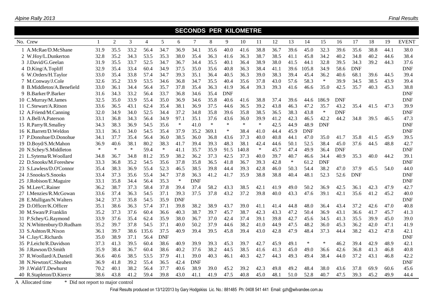|                           |              |                |        |                |            |            |            |        |            | <b>SECONDS PER KILOMETRE</b> |        |      |        |            |            |            |            |      |      |              |
|---------------------------|--------------|----------------|--------|----------------|------------|------------|------------|--------|------------|------------------------------|--------|------|--------|------------|------------|------------|------------|------|------|--------------|
| No. Crew                  | $\mathbf{1}$ | $\overline{2}$ | 3      | $\overline{4}$ | 5          | 6          | $\tau$     | 8      | 9          | 10                           | 11     | 12   | 13     | 14         | 15         | 16         | 17         | 18   | 19   | <b>EVENT</b> |
| 1 A.McRae/D.McShane       | 31.9         | 35.5           | 33.2   | 56.4           | 34.7       | 36.9       | 34.1       | 35.6   | 40.0       | 41.6                         | 38.8   | 36.7 | 39.6   | 45.0       | 32.3       | 39.6       | 35.6       | 38.8 | 44.1 | 38.0         |
| 2 W.Hoy/L.Dunkerton       | 32.8         | 35.2           | 34.3   | 53.5           | 35.3       | 38.0       | 35.4       | 36.3   | 41.6       | 36.3                         | 38.7   | 38.5 | 41.1   | 45.8       | 34.2       | 40.2       | 34.8       | 40.2 | 44.6 | 38.4         |
| 3 J.David/G.Geelan        | 31.9         | 35.5           | 33.7   | 52.5           | 34.7       | 36.7       | 34.4       | 35.5   | 40.1       | 36.4                         | 38.9   | 38.0 | 41.5   | 44.1       | 32.8       | 39.5       | 34.3       | 39.2 | 44.3 | 37.6         |
| 4 D.King/A.Topliff        | 32.9         | 35.4           | 33.4   | 60.4           | 34.9       | 37.5       | 35.0       | 35.6   | 40.8       | 36.3                         | 38.4   | 41.1 | 39.6   | 105.8      | 34.9       | 58.6       | <b>DNF</b> |      |      | <b>DNF</b>   |
| 6 W.Orders/H.Taylor       | 33.0         | 35.4           | 33.8   | 57.4           | 34.7       | 39.3       | 35.1       | 36.4   | 40.5       | 36.3                         | 39.0   | 38.3 | 39.4   | 45.4       | 36.2       | 40.6       | 68.1       | 39.6 | 44.5 | 39.4         |
| 7 M.Conway/J.Cole         | 32.6         | 35.2           | 33.9   | 53.5           | 34.6       | 36.8       | 34.7       | 35.5   | 40.4       | 35.6                         | 37.8   | 43.0 | 57.6   | 58.3       | $\ast$     | 39.9       | 34.5       | 38.5 | 43.9 | 39.4         |
| 8 B.Middleton/A.Benefield | 33.0         | 36.1           | 34.4   | 56.4           | 35.7       | 37.8       | 35.4       | 36.3   | 41.9       | 36.4                         | 39.3   | 39.3 | 41.6   | 46.6       | 35.0       | 42.5       | 35.7       | 40.3 | 45.3 | 38.8         |
| 9 B.Barker/P.Barker       | 31.6         | 34.3           | 33.2   | 56.4           | 33.7       | 36.8       | 34.6       | 35.4   | <b>DNF</b> |                              |        |      |        |            |            |            |            |      |      | <b>DNF</b>   |
| 10 C.Murray/M.James       | 32.5         | 35.0           | 33.9   | 55.4           | 35.0       | 36.9       | 34.6       | 35.8   | 40.6       | 41.6                         | 38.8   | 37.4 | 39.6   | 44.6       | 186.9      | <b>DNF</b> |            |      |      | <b>DNF</b>   |
| 11 C.Stewart/A.Ritson     | 33.6         | 36.5           | 43.1   | 62.4           | 35.4       | 38.1       | 36.9       | 37.5   | 44.6       | 36.5                         | 39.2   | 43.8 | 46.3   | 47.2       | 35.7       | 43.2       | 35.4       | 41.5 | 47.3 | 39.9         |
| 12 A.Friend/M.Canning     | 32.0         | 34.9           | 34.0   | 52.5           | 34.4       | 37.2       | 34.8       | 35.8   | 39.6       | 35.8                         | 38.5   | 36.5 | 38.3   | 43.8       | $\ast$     | <b>DNF</b> |            |      |      | <b>DNF</b>   |
| 13 A.Bell/A.Paterson      | 33.1         | 36.8           | 34.3   | 56.4           | 34.9       | 97.1       | 35.1       | 37.6   | 43.6       | 36.0                         | 39.9   | 41.2 | 42.3   | 46.5       | 42.2       | 44.2       | 34.8       | 39.5 | 46.5 | 47.3         |
| 15 R.Parry/R.Smalley      | 34.3         | 38.3           | 36.9   | 54.5           | 35.6       | $\ast$     | 41.0       | $\ast$ | $\ast$     | $\ast$                       | $\ast$ | 42.5 | 44.9   | 48.9       | <b>DNF</b> |            |            |      |      | <b>DNF</b>   |
| 16 K.Barrett/D.Weldon     | 33.1         | 36.1           | 34.0   | 54.5           | 35.4       | 37.9       | 35.2       | 369.1  | $\ast$     | 38.4                         | 41.0   | 44.4 | 45.9   | <b>DNF</b> |            |            |            |      |      | <b>DNF</b>   |
| 17 P.Donohue/D.Donohue    | 34.1         | 37.7           | 35.4   | 56.4           | 36.0       | 38.5       | 36.0       | 36.8   | 43.6       | 37.3                         | 40.0   | 40.8 | 44.1   | 47.0       | 35.0       | 41.7       | 35.8       | 41.5 | 45.9 | 39.5         |
| 19 D.Boyd/S.McMahon       | 36.9         | 40.6           | 38.1   | 80.2           | 38.3       | 41.7       | 39.4       | 39.3   | 48.3       | 38.1                         | 42.4   | 44.6 | 50.1   | 52.5       | 38.4       | 45.0       | 37.6       | 44.5 | 48.8 | 42.7         |
| 20 N.Schey/S.Middleton    | $\ast$       | $\ast$         | $\ast$ | 59.4           | $\ast$     | 41.1       | 35.7       | 35.9   | 91.5       | 140.8                        | $\ast$ | 45.7 | 47.4   | 49.9       | 36.4       | <b>DNF</b> |            |      |      | <b>DNF</b>   |
| 21 L.Sytema/R.Woollard    | 34.8         | 36.7           | 34.8   | 81.2           | 35.9       | 38.2       | 36.2       | 37.3   | 42.5       | 37.3                         | 40.0   | 39.7 | 40.7   | 46.6       | 34.4       | 40.9       | 35.3       | 40.0 | 44.2 | 39.1         |
| 22 D.Snooks/M.Foreshew    | 33.3         | 36.8           | 35.2   | 54.5           | 35.6       | 37.8       | 35.8       | 36.5   | 41.8       | 36.7                         | 39.3   | 42.8 | $\ast$ | 61.2       | <b>DNF</b> |            |            |      |      | <b>DNF</b>   |
| 23 S.Lawless/D.O'Connor   | 35.4         | 38.3           | 36.9   | 55.4           | 52.3       | 46.5       | 38.5       | 39.8   | 44.4       | 39.3                         | 42.8   | 46.0 | 50.3   | 54.4       | 38.2       | 47.0       | 37.9       | 45.5 | 54.0 | 44.0         |
| 24 J.Snooks/S.Snooks      | 33.4         | 37.3           | 35.6   | 55.4           | 34.7       | 37.8       | 36.3       | 41.2   | 41.7       | 35.9                         | 38.8   | 38.8 | 40.4   | 48.1       | 52.3       | 52.6       | <b>DNF</b> |      |      | <b>DNF</b>   |
| 25 J.Robison/E.Maguire    | 33.1         | 35.8           | 34.4   | 56.4           | 35.3       | $\ast$     | <b>DNF</b> |        |            |                              |        |      |        |            |            |            |            |      |      | <b>DNF</b>   |
| 26 M.Lee/C.Rainer         | 36.2         | 38.7           | 37.3   | 58.4           | 37.8       | 39.4       | 37.4       | 58.2   | 43.3       | 38.5                         | 42.1   | 41.9 | 49.0   | 50.2       | 36.9       | 42.5       | 36.1       | 42.3 | 47.9 | 42.7         |
| 27 I.Menzies/R.McGowan    | 33.6         | 37.4           | 36.3   | 54.5           | 37.1       | 39.3       | 37.5       | 37.8   | 43.2       | 37.2                         | 39.8   | 40.0 | 43.3   | 47.6       | 39.1       | 42.1       | 35.6       | 41.2 | 45.2 | 40.0         |
| 28 E.Mulligan/N.Walters   | 34.2         | 37.3           | 35.8   | 54.5           | 35.9       | <b>DNF</b> |            |        |            |                              |        |      |        |            |            |            |            |      |      | <b>DNF</b>   |
| 29 D.Officer/K.Officer    | 35.1         | 38.6           | 36.3   | 57.4           | 37.1       | 39.8       | 38.2       | 38.9   | 43.7       | 39.0                         | 41.1   | 41.4 | 44.8   | 48.0       | 36.4       | 43.4       | 37.2       | 42.6 | 47.0 | 40.8         |
| 30 M.Swan/P.Franklin      | 35.2         | 37.3           | 37.6   | 60.4           | 36.6       | 40.3       | 38.7       | 39.7   | 45.7       | 38.7                         | 42.3   | 43.3 | 47.2   | 50.4       | 36.9       | 43.1       | 36.6       | 41.7 | 45.7 | 41.3         |
| 31 P.Schey/G.Raymond      | 33.9         | 37.6           | 35.4   | 62.4           | 35.9       | 38.0       | 36.7       | 37.0   | 42.4       | 37.4                         | 39.1   | 39.8 | 42.7   | 45.6       | 34.5       | 41.3       | 35.5       | 39.9 | 45.0 | 39.0         |
| 32 N.Whittenbury/D.Rudham | 35.2         | 39.7           | 37.8   | 54.5           | 37.1       | 40.0       | 50.2       | 37.9   | 44.6       | 38.2                         | 41.0   | 44.9 | 47.5   | 48.2       | 36.0       | 45.3       | 36.2       | 42.0 | 47.1 | 41.9         |
| 33 S.Ashton/R.Nixon       | 36.1         | 39.7           | 38.6   | 135.6          | 37.5       | 40.9       | 39.4       | 39.5   | 45.8       | 39.4                         | 43.0   | 42.8 | 47.9   | 48.4       | 37.3       | 44.4       | 38.2       | 43.2 | 47.8 | 42.1         |
| 34 C.Jay/C.Richards       | 35.0         | 38.9           | 37.1   | 56.4           | <b>DNF</b> |            |            |        |            |                              |        |      |        |            |            |            |            |      |      | <b>DNF</b>   |
| 35 P.Leicht/R.Davidson    | 37.3         | 41.3           | 39.5   | 60.4           | 38.6       | 40.9       | 39.9       | 39.3   | 45.3       | 39.7                         | 42.7   | 45.9 | 49.1   | $\ast$     | $\ast$     | 46.2       | 39.4       | 42.9 | 48.9 | 42.1         |
| 36 J.Rawson/D.Smith       | 35.9         | 38.4           | 36.7   | 60.4           | 38.6       | 40.2       | 37.6       | 38.2   | 44.5       | 38.5                         | 41.6   | 41.3 | 45.0   | 49.0       | 36.6       | 42.6       | 36.8       | 41.3 | 46.8 | 40.8         |
| 37 R.Woollard/A.Daniell   | 36.6         | 40.6           | 38.5   | 53.5           | 37.9       | 41.1       | 39.0       | 40.3   | 46.1       | 40.3                         | 42.7   | 44.3 | 49.3   | 49.4       | 38.4       | 44.0       | 37.2       | 43.1 | 46.8 | 42.2         |
| 38 N.Newton/C.Sheahen     | 36.9         | 41.8           | 39.2   | 55.4           | 36.5       | 42.4       | <b>DNF</b> |        |            |                              |        |      |        |            |            |            |            |      |      | <b>DNF</b>   |
| 39 J.Wald/T.Dewhurst      | 70.2         | 40.1           | 38.2   | 56.4           | 37.7       | 40.6       | 38.9       | 39.0   | 45.2       | 39.2                         | 42.3   | 49.8 | 49.2   | 48.4       | 38.0       | 43.6       | 37.8       | 69.9 | 60.6 | 45.6         |
| 40 R.Stapleton/D.Kierce   | 38.6         | 43.8           | 41.2   | 59.4           | 39.8       | 43.0       | 41.1       | 41.9   | 47.5       | 40.8                         | 45.0   | 48.1 | 51.0   | 52.8       | 40.7       | 47.5       | 39.3       | 45.2 | 49.9 | 44.4         |

A Allocated time \* Did not report to major control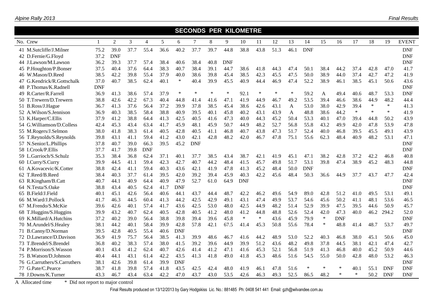|          |                              |            |                |                |                |      |            | <b>SECONDS PER KILOMETRE</b> |        |            |            |        |        |              |            |        |            |        |        |            |              |
|----------|------------------------------|------------|----------------|----------------|----------------|------|------------|------------------------------|--------|------------|------------|--------|--------|--------------|------------|--------|------------|--------|--------|------------|--------------|
| No. Crew |                              | -1         | $\overline{2}$ | $\overline{3}$ | $\overline{4}$ | 5    | 6          | 7                            | 8      | 9          | 10         | 11     | 12     | 13           | 14         | 15     | 16         | 17     | 18     | 19         | <b>EVENT</b> |
|          | 41 M.Sutcliffe/J.Milner      | 75.2       | 39.0           | 37.7           | 55.4           | 36.6 | 40.2       | 37.7                         | 39.7   | 44.8       | 38.8       | 43.8   | 51.3   | 46.1         | <b>DNF</b> |        |            |        |        |            | <b>DNF</b>   |
|          | 42 D.Fernie/G.Floyd          | 37.2       | <b>DNF</b>     |                |                |      |            |                              |        |            |            |        |        |              |            |        |            |        |        |            | <b>DNF</b>   |
|          | 44 J.Lawson/M.Lawson         | 36.2       | 39.3           | 37.7           | 57.4           | 38.4 | 40.6       | 38.4                         | 40.8   | <b>DNF</b> |            |        |        |              |            |        |            |        |        |            | <b>DNF</b>   |
|          | 45 P.Houghton/P.Bonser       | 37.5       | 40.4           | 37.6           | 64.4           | 38.3 | 40.7       | 38.4                         | 39.1   | 44.7       | 38.6       | 41.8   | 44.3   | 47.4         | 50.1       | 38.4   | 44.2       | 37.4   | 42.8   | 47.0       | 41.7         |
|          | 46 W.Mason/D.Reed            | 38.5       | 42.2           | 39.8           | 55.4           | 37.9 | 40.0       | 38.6                         | 39.8   | 45.4       | 38.5       | 42.3   | 45.5   | 47.5         | 50.0       | 38.9   | 44.0       | 37.4   | 42.7   | 47.2       | 41.9         |
|          | 47 G.Kendrick/R.Gottschalk   | 37.0       | 40.7           | 38.5           | 62.4           | 40.1 | $\ast$     | 40.4                         | 39.9   | 45.5       | 40.9       | 44.4   | 46.9   | 47.4         | 52.2       | 38.9   | 46.1       | 38.5   | 45.1   | 50.6       | 43.6         |
|          | 48 P.Thomas/K.Radnell        | <b>DNF</b> |                |                |                |      |            |                              |        |            |            |        |        |              |            |        |            |        |        |            | <b>DNF</b>   |
|          | 49 R.Carter/R.Farrell        | 36.9       | 41.3           | 38.6           | 57.4           | 37.9 | $\ast$     | $\ast$                       | $\ast$ | $\ast$     | 92.1       | $\ast$ | $\ast$ | $\ast$       | 59.2       | A      | 49.4       | 40.6   | 48.7   | 53.3       | <b>DNF</b>   |
|          | 50 T.Trewern/D.Trewern       | 38.8       | 42.6           | 42.2           | 67.3           | 40.4 | 44.8       | 41.4                         | 41.6   | 47.1       | 41.9       | 44.9   | 46.7   | 49.2         | 53.5       | 39.4   | 46.6       | 38.6   | 44.9   | 48.2       | 44.4         |
|          | 51 B.Ross/J.Hague            | 36.7       | 41.3           | 37.6           | 56.4           | 37.2 | 39.9       | 37.8                         | 38.5   | 45.4       | 38.6       | 42.6   | 43.1   | $\mathbf{A}$ | 53.0       | 38.0   | 42.9       | 39.4   | $\ast$ | $\ast$     | 41.3         |
|          | 52 A.Wilson/S.Jennison       | 36.9       | 40.3           | 38.5           | 58.4           | 38.8 | 40.9       | 39.5                         | 40.1   | 45.8       | 40.2       | 43.1   | 43.9   | A            | 48.8       | 38.6   | 44.2       | $\ast$ | $\ast$ | $\ast$     | 41.9         |
|          | 53 K.Harper/C.Ellis          | 37.9       | 41.2           | 38.8           | 64.4           | 41.3 | 42.5       | 40.5                         | 41.6   | 47.3       | 40.0       | 44.3   | 45.2   | 50.4         | 53.3       | 40.1   | 47.0       | 39.4   | 44.8   | 50.2       | 43.9         |
|          | 54 G.Williamson/D.Colless    | 42.4       | 45.3           | 43.4           | 63.4           | 41.7 | 45.9       | 48.1                         | 45.9   | 50.7       | 44.9       | 48.2   | 52.7   | 56.8         | 55.8       | 43.2   | 49.9       | 42.0   | 47.8   | 53.9       | 47.8         |
|          | 55 M.Rogers/J.Selmon         | 38.0       | 41.8           | 38.3           | 61.4           | 40.5 | 42.8       | 40.5                         | 41.1   | 46.8       | 40.7       | 43.8   | 47.3   | 51.7         | 52.4       | 40.0   | 46.8       | 39.5   | 45.5   | 49.1       | 43.9         |
|          | 56 T.Reynolds/S.Reynolds     | 39.8       | 43.1           | 41.1           | 59.4           | 41.2 | 43.0       | 42.1                         | 42.8   | 48.2       | 42.0       | 46.7   | 47.8   | 75.1         | 55.6       | 62.3   | 48.4       | 40.9   | 48.2   | 53.1       | 47.1         |
|          | 57 N.Senior/L.Phillips       | 37.8       | 40.7           | 39.0           | 66.3           | 39.5 | 45.2       | <b>DNF</b>                   |        |            |            |        |        |              |            |        |            |        |        |            | <b>DNF</b>   |
|          | 58 I.Crook/P.Ellis           | 37.7       | 41.7           | 39.8           | <b>DNF</b>     |      |            |                              |        |            |            |        |        |              |            |        |            |        |        |            | <b>DNF</b>   |
|          | 59 L.Garrioch/S.Schulz       | 35.3       | 38.4           | 36.8           | 62.4           | 37.1 | 40.1       | 37.7                         | 38.5   | 43.4       | 38.7       | 42.1   | 41.9   | 45.1         | 47.1       | 38.2   | 42.8       | 37.2   | 42.2   | 46.8       | 40.8         |
|          | 60 I.Curry/S.Curry           | 39.9       | 44.5           | 41.1           | 59.4           | 42.3 | 42.7       | 40.7                         | 44.2   | 48.4       | 41.5       | 45.7   | 49.8   | 51.7         | 53.1       | 39.8   | 47.4       | 38.9   | 45.2   | 48.3       | 44.8         |
|          | 61 A.Kovacevic/K.Cotter      | 38.8       | 42.4           | 41.1           | 59.4           | 40.3 | 43.6       | 42.1                         | 41.9   | 47.8       | 41.3       | 45.2   | 48.4   | 50.0         | <b>DNF</b> |        |            |        |        |            | <b>DNF</b>   |
|          | 62 T.Reed/B.Reed             | 38.4       | 40.3           | 37.7           | 61.4           | 39.5 | 42.0       | 39.2                         | 39.4   | 45.9       | 40.3       | 42.2   | 45.6   | 48.4         | 50.3       | 36.6   | 44.9       | 37.7   | 43.7   | 47.7       | 42.4         |
|          | 63 R.Kingham/B.Catt          | 40.7       | 44.1           | 40.9           | 64.4           | 40.9 | 47.9       | 52.7                         | 61.0   | 64.9       | <b>DNF</b> |        |        |              |            |        |            |        |        |            | <b>DNF</b>   |
|          | 64 N.Testa/S.Oake            | 38.8       | 43.4           | 40.5           | 62.4           | 41.7 | <b>DNF</b> |                              |        |            |            |        |        |              |            |        |            |        |        |            | <b>DNF</b>   |
|          | 65 B.Field/J.Field           | 40.1       | 45.1           | 42.6           | 56.4           | 40.6 | 44.1       | 43.7                         | 44.4   | 48.7       | 42.2       | 46.2   | 49.6   | 54.9         | 89.0       | 42.8   | 51.2       | 41.0   | 49.5   | 53.1       | 49.1         |
|          | 66 M.Ward/J.Pollock          | 41.7       | 46.3           | 44.5           | 60.4           | 41.3 | 44.2       | 42.5                         | 42.9   | 49.1       | 43.1       | 47.4   | 49.9   | 53.7         | 54.6       | 45.6   | 50.2       | 41.1   | 48.1   | 53.6       | 46.5         |
|          | 67 M.Frendo/S.McKie          | 39.6       | 42.6           | 40.1           | 57.4           | 41.7 | 43.6       | 42.5                         | 53.0   | 48.0       | 42.5       | 44.9   | 48.2   | 51.4         | 52.9       | 39.9   | 47.5       | 39.5   | 44.6   | 50.9       | 45.7         |
|          | 68 T.Huggins/S.Huggins       | 39.9       | 43.2           | 40.7           | 62.4           | 40.5 | 42.8       | 40.5                         | 41.2   | 48.0       | 41.2       | 44.8   | 48.8   | 52.6         | 52.4       | 42.0   | 47.3       | 40.0   | 46.2   | 294.2      | 52.0         |
|          | 69 K.Millard/A.Hutchins      | 37.2       | 40.2           | 39.0           | 56.4           | 38.8 | 39.8       | 39.4                         | 39.6   | 45.8       | $\ast$     | $\ast$ | 43.6   | 45.9         | 79.9       | $\ast$ | <b>DNF</b> |        |        |            | <b>DNF</b>   |
|          | 70 M.Arundel/S.Healey        | 38.1       | 44.2           | 40.1           | 58.4           | 39.9 | 42.8       | 57.8                         | 42.1   | 67.5       | 41.4       | 45.3   | 50.8   | 55.6         | 78.4       | $\ast$ | 48.8       | 41.4   | 48.7   | 53.7       | 49.7         |
|          | 71 B.Canny/D.Norman          | 39.5       | 42.8           | 40.5           | 55.4           | 40.6 | <b>DNF</b> |                              |        |            |            |        |        |              |            |        |            |        |        |            | <b>DNF</b>   |
|          | 72 D.Lawrance/D.Davison      | 36.9       | 41.9           | 75.7           | 56.4           | 38.5 | 41.3       | 39.9                         | 48.6   | 46.7       | 41.6       | 44.2   | 48.9   | 53.0         | 52.2       | 40.3   | 46.8       | 38.0   | 45.1   | 50.6       | 45.0         |
|          | 73 T.Brendel/S.Brendel       | 36.8       | 40.2           | 38.3           | 57.4           | 38.0 | 41.5       | 39.2                         | 39.6   | 44.9       | 39.9       | 51.2   | 43.6   | 48.2         | 49.8       | 37.8   | 44.5       | 38.1   | 42.1   | 47.4       | 42.7         |
|          | 74 P.Morrison/S.Wasson       | 40.1       | 43.4           | 41.2           | 62.4           | 40.7 | 42.6       | 41.4                         | 41.2   | 47.1       | 41.6       | 45.3   | 52.1   | 56.8         | 51.9       | 41.3   | 46.8       | 40.0   | 45.2   | 50.9       | 44.6         |
|          | 75 B. Watson/D. Johnson      | 40.4       | 44.1           | 43.1           | 61.4           | 42.2 | 43.5       | 41.3                         | 41.8   | 49.0       | 41.8       | 45.3   | 48.6   | 51.6         | 54.5       | 55.0   | 50.0       | 42.8   | 48.0   | 53.2       | 46.3         |
|          | 76 G.Carruthers/S.Carruthers | 38.1       | 42.6           | 39.8           | 61.4           | 39.9 | <b>DNF</b> |                              |        |            |            |        |        |              |            |        |            |        |        |            | <b>DNF</b>   |
|          | 77 G.Pate/C.Pearce           | 38.7       | 41.8           | 39.8           | 57.4           | 41.8 | 43.5       | 42.5                         | 42.4   | 48.0       | 41.9       | 46.1   | 47.8   | 51.6         | $\ast$     | $\ast$ | ∗          | 40.1   | 55.1   | <b>DNF</b> | <b>DNF</b>   |
|          | 78 J.Downs/K.Turner          | 43.3       | 46.7           | 43.4           | 63.4           | 42.2 | 47.0       | 43.7                         | 43.0   | 53.5       | 42.6       | 46.3   | 49.3   | 52.5         | 86.5       | 48.2   |            | $\ast$ | 50.2   | <b>DNF</b> | <b>DNF</b>   |

*Alpine Rally 2013*

A Allocated time \* Did not report to major control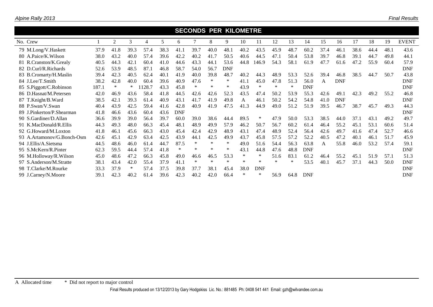| <b>SECONDS PER KILOMETRE</b> |       |                |      |       |      |            |        |        |            |        |            |        |        |            |      |            |      |      |      |              |
|------------------------------|-------|----------------|------|-------|------|------------|--------|--------|------------|--------|------------|--------|--------|------------|------|------------|------|------|------|--------------|
| No. Crew                     |       | $\overline{2}$ | 3    | 4     | 5    | 6          |        | 8      | 9          | 10     | 11         | 12     | 13     | 14         | 15   | 16         | 17   | 18   | 19   | <b>EVENT</b> |
| 79 M.Long/V.Haskett          | 37.9  | 41.8           | 39.3 | 57.4  | 38.3 | 41.1       | 39.7   | 40.0   | 48.1       | 40.2   | 43.5       | 45.9   | 48.7   | 60.2       | 37.4 | 46.1       | 38.6 | 44.4 | 48.1 | 43.6         |
| 80 A.Paice/K.Wilson          | 38.0  | 43.2           | 40.0 | 57.4  | 39.6 | 42.2       | 40.2   | 41.7   | 50.5       | 40.6   | 44.5       | 47.1   | 50.4   | 53.8       | 39.7 | 46.8       | 39.1 | 44.7 | 49.8 | 44.1         |
| 81 R.Cranston/K.Grealy       | 40.5  | 44.3           | 42.1 | 60.4  | 41.0 | 44.6       | 43.3   | 44.1   | 53.6       | 44.8   | 146.9      | 54.3   | 58.1   | 61.9       | 47.7 | 61.6       | 47.2 | 55.9 | 60.4 | 57.9         |
| 82 D.Curl/R.Richards         | 52.6  | 53.9           | 48.5 | 87.1  | 46.8 | 58.7       | 54.0   | 56.7   | <b>DNF</b> |        |            |        |        |            |      |            |      |      |      | <b>DNF</b>   |
| 83 B.Cromarty/H.Maslin       | 39.4  | 42.3           | 40.5 | 62.4  | 40.1 | 41.9       | 40.0   | 39.8   | 48.7       | 40.2   | 44.3       | 48.9   | 53.3   | 52.6       | 39.4 | 46.8       | 38.5 | 44.7 | 50.7 | 43.8         |
| 84 J.Lee/T.Smith             | 38.2  | 42.8           | 40.0 | 60.4  | 39.6 | 40.9       | 47.6   | $\ast$ | $\ast$     | 41.1   | 45.0       | 47.8   | 51.3   | 56.0       | A    | <b>DNF</b> |      |      |      | <b>DNF</b>   |
| 85 S.Piggott/C.Robinson      | 187.1 | $\ast$         | ∗    | 128.7 | 43.3 | 45.8       | $\ast$ | $\ast$ | $\ast$     | 43.9   | $\ast$     | $\ast$ | $\ast$ | <b>DNF</b> |      |            |      |      |      | <b>DNF</b>   |
| 86 D.Hasnat/M.Petersen       | 42.0  | 46.9           | 43.6 | 58.4  | 41.8 | 44.5       | 42.6   | 42.6   | 52.3       | 43.5   | 47.4       | 50.2   | 53.9   | 55.3       | 42.6 | 49.1       | 42.3 | 49.2 | 55.2 | 46.8         |
| 87 T.Knight/B.Ward           | 38.5  | 42.1           | 39.3 | 61.4  | 40.9 | 43.1       | 41.7   | 41.9   | 49.8       | A      | 46.1       | 50.2   | 54.2   | 54.8       | 41.0 | <b>DNF</b> |      |      |      | <b>DNF</b>   |
| 88 P.Swan/V.Swan             | 40.4  | 43.9           | 42.5 | 59.4  | 41.6 | 42.8       | 40.9   | 41.9   | 47.5       | 41.3   | 44.9       | 49.0   | 51.2   | 51.9       | 39.5 | 46.7       | 38.7 | 45.7 | 49.3 | 44.3         |
| 89 J.Pinkerton/P.Shearman    | 41.8  | 46.6           | 43.6 | 60.4  | 43.6 | <b>DNF</b> |        |        |            |        |            |        |        |            |      |            |      |      |      | <b>DNF</b>   |
| 90 S.Gardiner/D.Allan        | 36.6  | 39.9           | 39.0 | 56.4  | 39.7 | 60.0       | 39.0   | 38.6   | 44.4       | 89.5   | ∗          | 47.9   | 50.0   | 53.3       | 38.5 | 44.0       | 37.1 | 43.1 | 49.2 | 49.7         |
| 91 K.MacDonald/R.Ellis       | 44.3  | 49.3           | 48.0 | 66.3  | 45.4 | 48.1       | 48.9   | 49.9   | 57.9       | 46.2   | 50.7       | 56.7   | 60.2   | 61.4       | 46.4 | 55.2       | 45.1 | 53.1 | 60.6 | 51.4         |
| 92 G.Howard/M.Loxton         | 41.8  | 46.1           | 45.6 | 66.3  | 43.0 | 45.4       | 42.4   | 42.9   | 48.9       | 43.1   | 47.4       | 48.9   | 52.4   | 56.4       | 42.6 | 49.7       | 41.6 | 47.4 | 52.7 | 46.6         |
| 93 A.Artamonov/G.Bonch-Osm   | 42.6  | 45.1           | 42.9 | 63.4  | 42.5 | 43.9       | 44.1   | 42.5   | 49.9       | 43.7   | 45.8       | 57.5   | 57.2   | 52.2       | 40.5 | 47.2       | 40.1 | 46.1 | 51.7 | 45.9         |
| 94 J.Ellis/A.Sietsma         | 44.5  | 48.6           | 46.0 | 61.4  | 44.7 | 87.5       | $\ast$ | $\ast$ | $\ast$     | 49.0   | 51.6       | 54.4   | 56.3   | 63.8       | A    | 55.8       | 46.0 | 53.2 | 57.4 | 59.1         |
| 95 S.McKern/R.Pinter         | 62.3  | 59.5           | 44.4 | 57.4  | 41.8 | $\ast$     | $\ast$ | $\ast$ | $\ast$     | 43.1   | 44.8       | 47.6   | 48.8   | <b>DNF</b> |      |            |      |      |      | <b>DNF</b>   |
| 96 M.Holloway/R.Wilson       | 45.0  | 48.6           | 47.2 | 66.3  | 45.8 | 49.0       | 46.6   | 46.5   | 53.3       | $\ast$ | *          | 51.6   | 83.1   | 61.2       | 46.4 | 55.2       | 45.1 | 51.9 | 57.1 | 51.3         |
| 97 S.Anderson/M.Stratte      | 38.1  | 43.4           | 42.0 | 55.4  | 37.9 | 41.1       | $\ast$ | $\ast$ | $\ast$     | $\ast$ | *          | $\ast$ | $\ast$ | 53.5       | 40.1 | 45.7       | 37.1 | 44.3 | 50.0 | <b>DNF</b>   |
| 98 T.Clarke/M.Rourke         | 33.3  | 37.9           | ∗    | 57.4  | 37.5 | 39.8       | 37.7   | 38.1   | 45.4       | 38.0   | <b>DNF</b> |        |        |            |      |            |      |      |      | <b>DNF</b>   |
| 99 J.Carney/N.Moore          | 39.1  | 42.3           | 40.2 | 61.4  | 39.6 | 42.3       | 40.2   | 42.0   | 66.4       | *      | ∗          | 56.9   | 64.8   | <b>DNF</b> |      |            |      |      |      | <b>DNF</b>   |